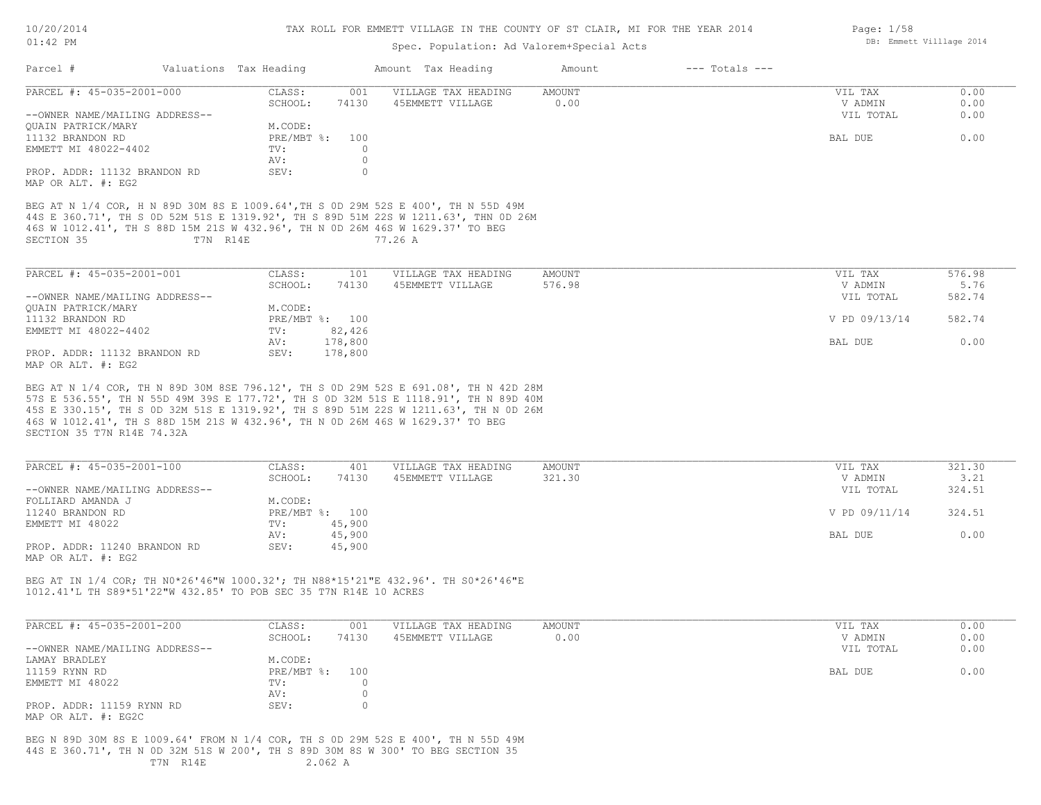| 10/20/2014 |  |
|------------|--|
| $01:42$ PM |  |

Page: 1/58

DB: Emmett Villlage 2014

# Spec. Population: Ad Valorem+Special Acts

| PARCEL #: 45-035-2001-000                                                                                                                                                                                            |          | Valuations Tax Heading |                | Amount Tax Heading                                                                                                                                                                                                                                                  | Amount                | $---$ Totals $---$ |                    |              |
|----------------------------------------------------------------------------------------------------------------------------------------------------------------------------------------------------------------------|----------|------------------------|----------------|---------------------------------------------------------------------------------------------------------------------------------------------------------------------------------------------------------------------------------------------------------------------|-----------------------|--------------------|--------------------|--------------|
|                                                                                                                                                                                                                      |          | CLASS:<br>SCHOOL:      | 001<br>74130   | VILLAGE TAX HEADING<br>45EMMETT VILLAGE                                                                                                                                                                                                                             | <b>AMOUNT</b><br>0.00 |                    | VIL TAX<br>V ADMIN | 0.00<br>0.00 |
| --OWNER NAME/MAILING ADDRESS--                                                                                                                                                                                       |          |                        |                |                                                                                                                                                                                                                                                                     |                       |                    | VIL TOTAL          | 0.00         |
| QUAIN PATRICK/MARY                                                                                                                                                                                                   |          | M.CODE:                |                |                                                                                                                                                                                                                                                                     |                       |                    |                    |              |
| 11132 BRANDON RD                                                                                                                                                                                                     |          |                        | PRE/MBT %: 100 |                                                                                                                                                                                                                                                                     |                       |                    | BAL DUE            | 0.00         |
| EMMETT MI 48022-4402                                                                                                                                                                                                 |          | TV:                    | $\circ$        |                                                                                                                                                                                                                                                                     |                       |                    |                    |              |
|                                                                                                                                                                                                                      |          | AV:                    | $\circ$        |                                                                                                                                                                                                                                                                     |                       |                    |                    |              |
| PROP. ADDR: 11132 BRANDON RD                                                                                                                                                                                         |          | SEV:                   | $\circ$        |                                                                                                                                                                                                                                                                     |                       |                    |                    |              |
| MAP OR ALT. #: EG2                                                                                                                                                                                                   |          |                        |                |                                                                                                                                                                                                                                                                     |                       |                    |                    |              |
| SECTION 35                                                                                                                                                                                                           | T7N R14E |                        |                | BEG AT N 1/4 COR, H N 89D 30M 8S E 1009.64', TH S 0D 29M 52S E 400', TH N 55D 49M<br>44S E 360.71', TH S OD 52M 51S E 1319.92', TH S 89D 51M 22S W 1211.63', THN OD 26M<br>46S W 1012.41', TH S 88D 15M 21S W 432.96', TH N OD 26M 46S W 1629.37' TO BEG<br>77.26 A |                       |                    |                    |              |
| PARCEL #: 45-035-2001-001                                                                                                                                                                                            |          | CLASS:                 | 101            | VILLAGE TAX HEADING                                                                                                                                                                                                                                                 | <b>AMOUNT</b>         |                    | VIL TAX            | 576.98       |
|                                                                                                                                                                                                                      |          | SCHOOL:                | 74130          | 45EMMETT VILLAGE                                                                                                                                                                                                                                                    | 576.98                |                    | V ADMIN            | 5.76         |
| --OWNER NAME/MAILING ADDRESS--                                                                                                                                                                                       |          |                        |                |                                                                                                                                                                                                                                                                     |                       |                    | VIL TOTAL          | 582.74       |
| QUAIN PATRICK/MARY                                                                                                                                                                                                   |          | M.CODE:                |                |                                                                                                                                                                                                                                                                     |                       |                    |                    |              |
| 11132 BRANDON RD                                                                                                                                                                                                     |          |                        | PRE/MBT %: 100 |                                                                                                                                                                                                                                                                     |                       |                    | V PD 09/13/14      | 582.74       |
| EMMETT MI 48022-4402                                                                                                                                                                                                 |          | $\texttt{TV}$ :        | 82,426         |                                                                                                                                                                                                                                                                     |                       |                    |                    |              |
|                                                                                                                                                                                                                      |          | AV:                    | 178,800        |                                                                                                                                                                                                                                                                     |                       |                    | BAL DUE            | 0.00         |
| PROP. ADDR: 11132 BRANDON RD<br>MAP OR ALT. #: EG2                                                                                                                                                                   |          | SEV:                   | 178,800        |                                                                                                                                                                                                                                                                     |                       |                    |                    |              |
| PARCEL #: 45-035-2001-100                                                                                                                                                                                            |          | CLASS:                 | 401            | VILLAGE TAX HEADING                                                                                                                                                                                                                                                 | <b>AMOUNT</b>         |                    | VIL TAX            | 321.30       |
|                                                                                                                                                                                                                      |          | SCHOOL:                | 74130          | 45EMMETT VILLAGE                                                                                                                                                                                                                                                    |                       |                    |                    |              |
|                                                                                                                                                                                                                      |          |                        |                |                                                                                                                                                                                                                                                                     | 321.30                |                    | V ADMIN            | 3.21         |
|                                                                                                                                                                                                                      |          |                        |                |                                                                                                                                                                                                                                                                     |                       |                    | VIL TOTAL          | 324.51       |
|                                                                                                                                                                                                                      |          | M.CODE:                |                |                                                                                                                                                                                                                                                                     |                       |                    |                    |              |
|                                                                                                                                                                                                                      |          |                        | PRE/MBT %: 100 |                                                                                                                                                                                                                                                                     |                       |                    | V PD 09/11/14      | 324.51       |
|                                                                                                                                                                                                                      |          | TV:                    | 45,900         |                                                                                                                                                                                                                                                                     |                       |                    |                    |              |
|                                                                                                                                                                                                                      |          | AV:                    | 45,900         |                                                                                                                                                                                                                                                                     |                       |                    | BAL DUE            | 0.00         |
|                                                                                                                                                                                                                      |          | SEV:                   | 45,900         |                                                                                                                                                                                                                                                                     |                       |                    |                    |              |
| --OWNER NAME/MAILING ADDRESS--<br>FOLLIARD AMANDA J<br>11240 BRANDON RD<br>EMMETT MI 48022<br>PROP. ADDR: 11240 BRANDON RD<br>MAP OR ALT. #: EG2<br>1012.41'L TH S89*51'22"W 432.85' TO POB SEC 35 T7N R14E 10 ACRES |          |                        |                | BEG AT IN 1/4 COR; TH NO*26'46"W 1000.32'; TH N88*15'21"E 432.96'. TH SO*26'46"E                                                                                                                                                                                    |                       |                    |                    |              |
| PARCEL #: 45-035-2001-200                                                                                                                                                                                            |          | CLASS:                 | 001            | VILLAGE TAX HEADING                                                                                                                                                                                                                                                 | <b>AMOUNT</b>         |                    | VIL TAX            | 0.00         |
|                                                                                                                                                                                                                      |          | SCHOOL:                | 74130          | 45EMMETT VILLAGE                                                                                                                                                                                                                                                    | 0.00                  |                    | V ADMIN            | 0.00         |
|                                                                                                                                                                                                                      |          |                        |                |                                                                                                                                                                                                                                                                     |                       |                    | VIL TOTAL          | 0.00         |
|                                                                                                                                                                                                                      |          | M.CODE:                |                |                                                                                                                                                                                                                                                                     |                       |                    |                    |              |
|                                                                                                                                                                                                                      |          | PRE/MBT %:             | 100            |                                                                                                                                                                                                                                                                     |                       |                    | BAL DUE            | 0.00         |
| --OWNER NAME/MAILING ADDRESS--<br>LAMAY BRADLEY<br>11159 RYNN RD<br>EMMETT MI 48022                                                                                                                                  |          | TV:                    | 0              |                                                                                                                                                                                                                                                                     |                       |                    |                    |              |
|                                                                                                                                                                                                                      |          | AV:                    | 0              |                                                                                                                                                                                                                                                                     |                       |                    |                    |              |
| PROP. ADDR: 11159 RYNN RD<br>MAP OR ALT. #: EG2C                                                                                                                                                                     |          | SEV:                   | $\circ$        |                                                                                                                                                                                                                                                                     |                       |                    |                    |              |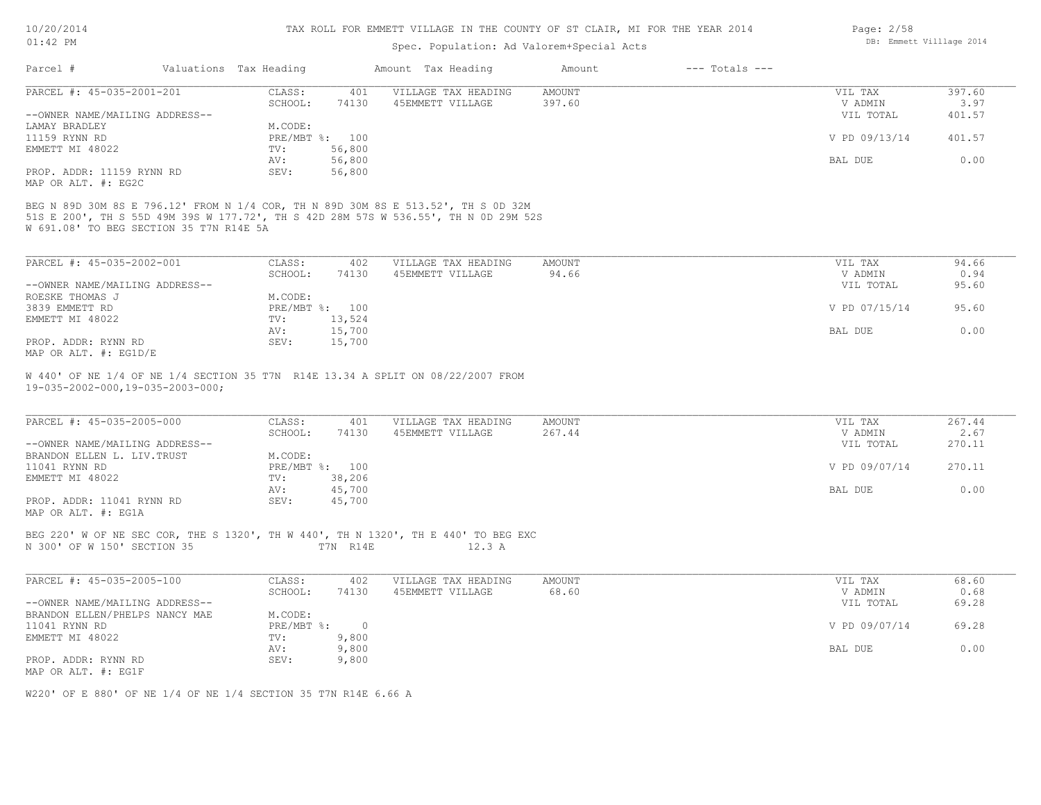10/20/2014

#### TAX ROLL FOR EMMETT VILLAGE IN THE COUNTY OF ST CLAIR, MI FOR THE YEAR 2014

| 10/20/2014                                       |                        |                | TAX ROLL FOR EMMETT VILLAGE IN THE COUNTY OF ST CLAIR, MI FOR THE YEAR 2014        |               |                    | Page: 2/58               |               |
|--------------------------------------------------|------------------------|----------------|------------------------------------------------------------------------------------|---------------|--------------------|--------------------------|---------------|
| $01:42$ PM                                       |                        |                | Spec. Population: Ad Valorem+Special Acts                                          |               |                    | DB: Emmett Villlage 2014 |               |
| Parcel #                                         | Valuations Tax Heading |                | Amount Tax Heading                                                                 | Amount        | $---$ Totals $---$ |                          |               |
| PARCEL #: 45-035-2001-201                        | CLASS:                 | 401            | VILLAGE TAX HEADING                                                                | <b>AMOUNT</b> |                    | VIL TAX                  | 397.60        |
|                                                  | SCHOOL:                | 74130          | 45EMMETT VILLAGE                                                                   | 397.60        |                    | V ADMIN                  | 3.97          |
| --OWNER NAME/MAILING ADDRESS--                   |                        |                |                                                                                    |               |                    | VIL TOTAL                | 401.57        |
| LAMAY BRADLEY                                    | M.CODE:                |                |                                                                                    |               |                    |                          |               |
| 11159 RYNN RD                                    |                        | PRE/MBT %: 100 |                                                                                    |               |                    | V PD 09/13/14            | 401.57        |
| EMMETT MI 48022                                  | TV:                    | 56,800         |                                                                                    |               |                    |                          |               |
|                                                  | AV:                    | 56,800         |                                                                                    |               |                    | BAL DUE                  | 0.00          |
| PROP. ADDR: 11159 RYNN RD<br>MAP OR ALT. #: EG2C | SEV:                   | 56,800         |                                                                                    |               |                    |                          |               |
| PARCEL #: 45-035-2002-001                        | CLASS:                 | 402            | VILLAGE TAX HEADING                                                                | AMOUNT        |                    | VIL TAX                  | 94.66         |
| --OWNER NAME/MAILING ADDRESS--                   | SCHOOL:                | 74130          | 45EMMETT VILLAGE                                                                   | 94.66         |                    | V ADMIN<br>VIL TOTAL     | 0.94<br>95.60 |
| ROESKE THOMAS J                                  | M.CODE:                |                |                                                                                    |               |                    |                          |               |
| 3839 EMMETT RD                                   |                        | PRE/MBT %: 100 |                                                                                    |               |                    | V PD 07/15/14            | 95.60         |
| EMMETT MI 48022                                  | TV:                    | 13,524         |                                                                                    |               |                    |                          |               |
|                                                  | AV:                    | 15,700         |                                                                                    |               |                    | BAL DUE                  | 0.00          |
| PROP. ADDR: RYNN RD<br>MAP OR ALT. #: EG1D/E     | SEV:                   | 15,700         |                                                                                    |               |                    |                          |               |
| $19 - 035 - 2002 - 000, 19 - 035 - 2003 - 000;$  |                        |                | W 440' OF NE 1/4 OF NE 1/4 SECTION 35 T7N R14E 13.34 A SPLIT ON 08/22/2007 FROM    |               |                    |                          |               |
| PARCEL #: 45-035-2005-000                        | CLASS:                 | 401            | VILLAGE TAX HEADING                                                                | <b>AMOUNT</b> |                    | VIL TAX                  | 267.44        |
|                                                  | SCHOOL:                | 74130          | 45EMMETT VILLAGE                                                                   | 267.44        |                    | V ADMIN                  | 2.67          |
| --OWNER NAME/MAILING ADDRESS--                   |                        |                |                                                                                    |               |                    | VIL TOTAL                | 270.11        |
| BRANDON ELLEN L. LIV. TRUST                      | M.CODE:                |                |                                                                                    |               |                    |                          |               |
| 11041 RYNN RD                                    |                        | PRE/MBT %: 100 |                                                                                    |               |                    | V PD 09/07/14            | 270.11        |
| EMMETT MI 48022                                  | TV:                    | 38,206         |                                                                                    |               |                    |                          |               |
|                                                  | AV:                    | 45,700         |                                                                                    |               |                    | BAL DUE                  | 0.00          |
| PROP. ADDR: 11041 RYNN RD<br>MAP OR ALT. #: EG1A | SEV:                   | 45,700         |                                                                                    |               |                    |                          |               |
|                                                  |                        |                | BEG 220' W OF NE SEC COR, THE S 1320', TH W 440', TH N 1320', TH E 440' TO BEG EXC |               |                    |                          |               |
| N 300' OF W 150' SECTION 35                      |                        | T7N R14E       | 12.3A                                                                              |               |                    |                          |               |

| PARCEL #: 45-035-2005-100      | CLASS:     | 402   | VILLAGE TAX HEADING | AMOUNT | VIL TAX       | 68.60 |
|--------------------------------|------------|-------|---------------------|--------|---------------|-------|
|                                | SCHOOL:    | 74130 | 45EMMETT VILLAGE    | 68.60  | V ADMIN       | 0.68  |
| --OWNER NAME/MAILING ADDRESS-- |            |       |                     |        | VIL TOTAL     | 69.28 |
| BRANDON ELLEN/PHELPS NANCY MAE | M.CODE:    |       |                     |        |               |       |
| 11041 RYNN RD                  | PRE/MBT %: |       |                     |        | V PD 09/07/14 | 69.28 |
| EMMETT MI 48022                | TV:        | 9,800 |                     |        |               |       |
|                                | AV:        | 9,800 |                     |        | BAL DUE       | 0.00  |
| PROP. ADDR: RYNN RD            | SEV:       | 9,800 |                     |        |               |       |
| MAP OR ALT. #: EG1F            |            |       |                     |        |               |       |

W220' OF E 880' OF NE 1/4 OF NE 1/4 SECTION 35 T7N R14E 6.66 A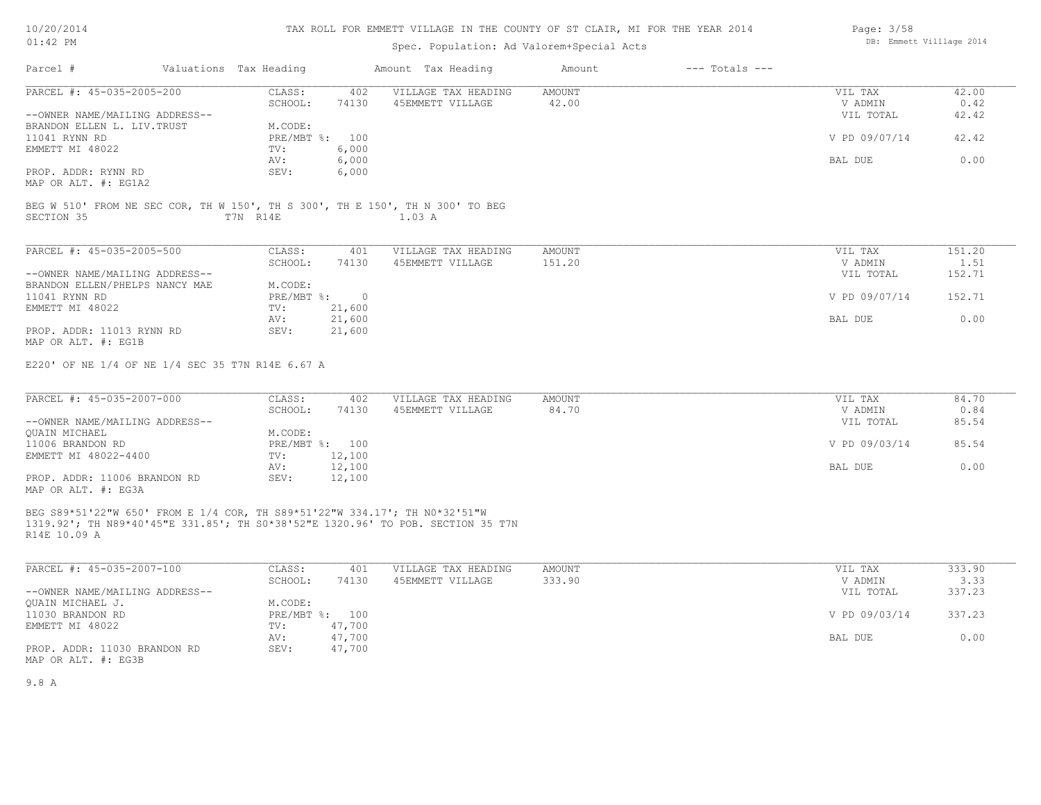# TAX ROLL FOR EMMETT VILLAGE IN THE COUNTY OF ST CLAIR, MI FOR THE YEAR 2014

# Spec. Population: Ad Valorem+Special Acts

| Parcel #                                                                                                                                                                      | Valuations Tax Heading          | Amount Tax Heading  | Amount | $---$ Totals $---$ |               |        |
|-------------------------------------------------------------------------------------------------------------------------------------------------------------------------------|---------------------------------|---------------------|--------|--------------------|---------------|--------|
| PARCEL #: 45-035-2005-200                                                                                                                                                     | CLASS:<br>402                   | VILLAGE TAX HEADING | AMOUNT |                    | VIL TAX       | 42.00  |
|                                                                                                                                                                               | 74130<br>SCHOOL:                | 45EMMETT VILLAGE    | 42.00  |                    | V ADMIN       | 0.42   |
| --OWNER NAME/MAILING ADDRESS--                                                                                                                                                |                                 |                     |        |                    | VIL TOTAL     | 42.42  |
| BRANDON ELLEN L. LIV.TRUST                                                                                                                                                    | M.CODE:                         |                     |        |                    |               |        |
| 11041 RYNN RD                                                                                                                                                                 | PRE/MBT %: 100                  |                     |        |                    | V PD 09/07/14 | 42.42  |
| EMMETT MI 48022                                                                                                                                                               | 6,000<br>TV:                    |                     |        |                    |               |        |
|                                                                                                                                                                               | 6,000<br>AV:                    |                     |        |                    | BAL DUE       | 0.00   |
| PROP. ADDR: RYNN RD                                                                                                                                                           | 6,000<br>SEV:                   |                     |        |                    |               |        |
| MAP OR ALT. #: EG1A2                                                                                                                                                          |                                 |                     |        |                    |               |        |
| BEG W 510' FROM NE SEC COR, TH W 150', TH S 300', TH E 150', TH N 300' TO BEG                                                                                                 |                                 |                     |        |                    |               |        |
| SECTION 35                                                                                                                                                                    | T7N R14E                        | 1.03 A              |        |                    |               |        |
|                                                                                                                                                                               |                                 |                     |        |                    |               |        |
| PARCEL #: 45-035-2005-500                                                                                                                                                     | CLASS:<br>401                   | VILLAGE TAX HEADING | AMOUNT |                    | VIL TAX       | 151.20 |
|                                                                                                                                                                               | SCHOOL:<br>74130                | 45EMMETT VILLAGE    | 151.20 |                    | V ADMIN       | 1.51   |
| --OWNER NAME/MAILING ADDRESS--                                                                                                                                                |                                 |                     |        |                    | VIL TOTAL     | 152.71 |
| BRANDON ELLEN/PHELPS NANCY MAE                                                                                                                                                | M.CODE:                         |                     |        |                    |               |        |
| 11041 RYNN RD                                                                                                                                                                 | PRE/MBT %: 0                    |                     |        |                    | V PD 09/07/14 | 152.71 |
| EMMETT MI 48022                                                                                                                                                               | 21,600<br>TV:                   |                     |        |                    |               |        |
|                                                                                                                                                                               | 21,600<br>AV:                   |                     |        |                    | BAL DUE       | 0.00   |
| PROP. ADDR: 11013 RYNN RD                                                                                                                                                     | SEV:<br>21,600                  |                     |        |                    |               |        |
| MAP OR ALT. #: EG1B                                                                                                                                                           |                                 |                     |        |                    |               |        |
| E220' OF NE 1/4 OF NE 1/4 SEC 35 T7N R14E 6.67 A                                                                                                                              |                                 |                     |        |                    |               |        |
| PARCEL #: 45-035-2007-000                                                                                                                                                     | CLASS:<br>402                   | VILLAGE TAX HEADING | AMOUNT |                    | VIL TAX       | 84.70  |
|                                                                                                                                                                               | 74130<br>SCHOOL:                | 45EMMETT VILLAGE    | 84.70  |                    | V ADMIN       | 0.84   |
| --OWNER NAME/MAILING ADDRESS--                                                                                                                                                |                                 |                     |        |                    | VIL TOTAL     | 85.54  |
| OUAIN MICHAEL                                                                                                                                                                 | M.CODE:                         |                     |        |                    |               |        |
| 11006 BRANDON RD                                                                                                                                                              | PRE/MBT %: 100                  |                     |        |                    | V PD 09/03/14 | 85.54  |
| EMMETT MI 48022-4400                                                                                                                                                          | TV: 12,100                      |                     |        |                    | BAL DUE       | 0.00   |
| PROP. ADDR: 11006 BRANDON RD                                                                                                                                                  | 12,100<br>AV:<br>12,100<br>SEV: |                     |        |                    |               |        |
| MAP OR ALT. #: EG3A                                                                                                                                                           |                                 |                     |        |                    |               |        |
|                                                                                                                                                                               |                                 |                     |        |                    |               |        |
| BEG S89*51'22"W 650' FROM E 1/4 COR, TH S89*51'22"W 334.17'; TH N0*32'51"W<br>1319.92'; TH N89*40'45"E 331.85'; TH S0*38'52"E 1320.96' TO POB. SECTION 35 T7N<br>R14E 10.09 A |                                 |                     |        |                    |               |        |
|                                                                                                                                                                               |                                 |                     |        |                    |               |        |
| PARCEL #: 45-035-2007-100                                                                                                                                                     | CLASS:<br>401                   | VILLAGE TAX HEADING | AMOUNT |                    | VIL TAX       | 333.90 |
|                                                                                                                                                                               | SCHOOL:<br>74130                | 45EMMETT VILLAGE    | 333.90 |                    | V ADMIN       | 3.33   |
| --OWNER NAME/MAILING ADDRESS--                                                                                                                                                |                                 |                     |        |                    | VIL TOTAL     | 337.23 |
| QUAIN MICHAEL J.                                                                                                                                                              | M.CODE:                         |                     |        |                    |               |        |
| 11030 BRANDON RD                                                                                                                                                              | PRE/MBT %: 100                  |                     |        |                    | V PD 09/03/14 | 337.23 |
| EMMETT MI 48022                                                                                                                                                               | TV:<br>47,700                   |                     |        |                    |               |        |
|                                                                                                                                                                               | 47,700<br>AV:                   |                     |        |                    | BAL DUE       | 0.00   |
| PROP. ADDR: 11030 BRANDON RD                                                                                                                                                  | SEV:<br>47,700                  |                     |        |                    |               |        |

MAP OR ALT. #: EG3B

9.8 A

Page: 3/58 DB: Emmett Villlage 2014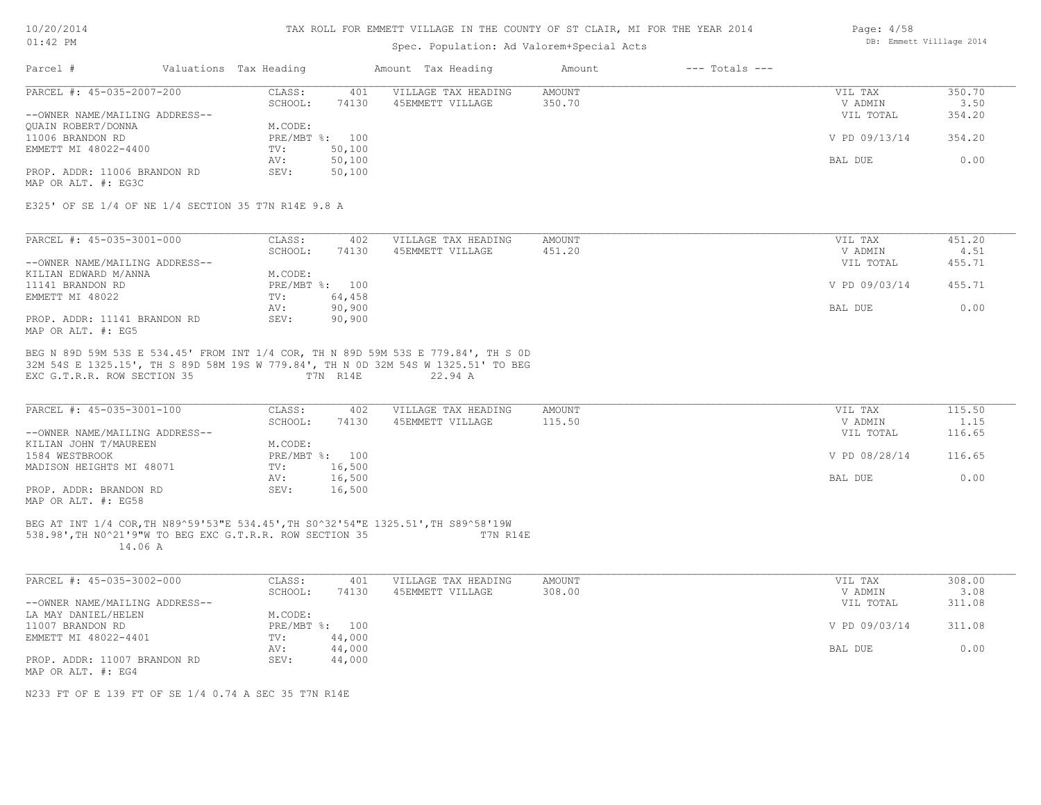| 10/20/2014  |  |
|-------------|--|
| $01:42.$ PM |  |

## Spec. Population: Ad Valorem+Special Acts

| Page: $4/58$ |                          |  |
|--------------|--------------------------|--|
|              | DB: Emmett Villlage 2014 |  |

| CLASS:<br>401<br>VILLAGE TAX HEADING<br><b>AMOUNT</b><br>VIL TAX<br>SCHOOL:<br>45EMMETT VILLAGE<br>350.70<br>74130<br>V ADMIN<br>--OWNER NAME/MAILING ADDRESS--<br>VIL TOTAL<br>M.CODE:<br>QUAIN ROBERT/DONNA<br>PRE/MBT %: 100<br>V PD 09/13/14<br>11006 BRANDON RD<br>50,100<br>EMMETT MI 48022-4400<br>TV:<br>50,100<br>BAL DUE<br>AV:<br>PROP. ADDR: 11006 BRANDON RD<br>SEV:<br>50,100<br>E325' OF SE 1/4 OF NE 1/4 SECTION 35 T7N R14E 9.8 A<br>AMOUNT<br>CLASS:<br>402<br>VILLAGE TAX HEADING<br>VIL TAX<br>SCHOOL:<br>451.20<br>74130<br>45EMMETT VILLAGE<br>V ADMIN<br>VIL TOTAL<br>M.CODE:<br>PRE/MBT %: 100<br>V PD 09/03/14<br>64,458<br>TV:<br>90,900<br>AV:<br>BAL DUE<br>SEV:<br>PROP. ADDR: 11141 BRANDON RD<br>90,900<br>BEG N 89D 59M 53S E 534.45' FROM INT 1/4 COR, TH N 89D 59M 53S E 779.84', TH S OD<br>32M 54S E 1325.15', TH S 89D 58M 19S W 779.84', TH N 0D 32M 54S W 1325.51' TO BEG<br>EXC G.T.R.R. ROW SECTION 35<br>T7N R14E<br>22.94 A<br>CLASS:<br>402<br>AMOUNT<br>VILLAGE TAX HEADING<br>VIL TAX<br>SCHOOL: 74130<br>45EMMETT VILLAGE<br>115.50<br>V ADMIN<br>VIL TOTAL<br>KILIAN JOHN T/MAUREEN<br>M.CODE:<br>PRE/MBT %: 100<br>V PD 08/28/14<br>TV: 16,500<br>16,500<br>AV:<br>BAL DUE<br>PROP. ADDR: BRANDON RD<br>16,500<br>SEV:<br>BEG AT INT 1/4 COR, TH N89^59'53"E 534.45', TH S0^32'54"E 1325.51', TH S89^58'19W<br>538.98', TH NO^21'9"W TO BEG EXC G.T.R.R. ROW SECTION 35 T7N R14E<br>14.06 A<br>CLASS:<br>AMOUNT<br>401<br>VILLAGE TAX HEADING<br>VIL TAX<br>SCHOOL:<br>74130<br>45EMMETT VILLAGE<br>308.00<br>V ADMIN<br>VIL TOTAL<br>M.CODE:<br>PRE/MBT %: 100<br>V PD 09/03/14<br>TV: 44,000<br>AV:<br>44,000<br>BAL DUE<br>SEV:<br>44,000 | Parcel #                                                    | Valuations Tax Heading | Amount Tax Heading | Amount | $---$ Totals $---$ |                          |
|-----------------------------------------------------------------------------------------------------------------------------------------------------------------------------------------------------------------------------------------------------------------------------------------------------------------------------------------------------------------------------------------------------------------------------------------------------------------------------------------------------------------------------------------------------------------------------------------------------------------------------------------------------------------------------------------------------------------------------------------------------------------------------------------------------------------------------------------------------------------------------------------------------------------------------------------------------------------------------------------------------------------------------------------------------------------------------------------------------------------------------------------------------------------------------------------------------------------------------------------------------------------------------------------------------------------------------------------------------------------------------------------------------------------------------------------------------------------------------------------------------------------------------------------------------------------------------------------------------------------------------------------------------------------------------------------------|-------------------------------------------------------------|------------------------|--------------------|--------|--------------------|--------------------------|
|                                                                                                                                                                                                                                                                                                                                                                                                                                                                                                                                                                                                                                                                                                                                                                                                                                                                                                                                                                                                                                                                                                                                                                                                                                                                                                                                                                                                                                                                                                                                                                                                                                                                                               | PARCEL #: 45-035-2007-200                                   |                        |                    |        |                    | 350.70<br>3.50           |
|                                                                                                                                                                                                                                                                                                                                                                                                                                                                                                                                                                                                                                                                                                                                                                                                                                                                                                                                                                                                                                                                                                                                                                                                                                                                                                                                                                                                                                                                                                                                                                                                                                                                                               |                                                             |                        |                    |        |                    | 354.20                   |
|                                                                                                                                                                                                                                                                                                                                                                                                                                                                                                                                                                                                                                                                                                                                                                                                                                                                                                                                                                                                                                                                                                                                                                                                                                                                                                                                                                                                                                                                                                                                                                                                                                                                                               |                                                             |                        |                    |        |                    |                          |
|                                                                                                                                                                                                                                                                                                                                                                                                                                                                                                                                                                                                                                                                                                                                                                                                                                                                                                                                                                                                                                                                                                                                                                                                                                                                                                                                                                                                                                                                                                                                                                                                                                                                                               |                                                             |                        |                    |        |                    | 354.20                   |
|                                                                                                                                                                                                                                                                                                                                                                                                                                                                                                                                                                                                                                                                                                                                                                                                                                                                                                                                                                                                                                                                                                                                                                                                                                                                                                                                                                                                                                                                                                                                                                                                                                                                                               |                                                             |                        |                    |        |                    |                          |
|                                                                                                                                                                                                                                                                                                                                                                                                                                                                                                                                                                                                                                                                                                                                                                                                                                                                                                                                                                                                                                                                                                                                                                                                                                                                                                                                                                                                                                                                                                                                                                                                                                                                                               |                                                             |                        |                    |        |                    | 0.00                     |
|                                                                                                                                                                                                                                                                                                                                                                                                                                                                                                                                                                                                                                                                                                                                                                                                                                                                                                                                                                                                                                                                                                                                                                                                                                                                                                                                                                                                                                                                                                                                                                                                                                                                                               |                                                             |                        |                    |        |                    |                          |
|                                                                                                                                                                                                                                                                                                                                                                                                                                                                                                                                                                                                                                                                                                                                                                                                                                                                                                                                                                                                                                                                                                                                                                                                                                                                                                                                                                                                                                                                                                                                                                                                                                                                                               | MAP OR ALT. #: EG3C                                         |                        |                    |        |                    |                          |
|                                                                                                                                                                                                                                                                                                                                                                                                                                                                                                                                                                                                                                                                                                                                                                                                                                                                                                                                                                                                                                                                                                                                                                                                                                                                                                                                                                                                                                                                                                                                                                                                                                                                                               |                                                             |                        |                    |        |                    |                          |
|                                                                                                                                                                                                                                                                                                                                                                                                                                                                                                                                                                                                                                                                                                                                                                                                                                                                                                                                                                                                                                                                                                                                                                                                                                                                                                                                                                                                                                                                                                                                                                                                                                                                                               |                                                             |                        |                    |        |                    |                          |
|                                                                                                                                                                                                                                                                                                                                                                                                                                                                                                                                                                                                                                                                                                                                                                                                                                                                                                                                                                                                                                                                                                                                                                                                                                                                                                                                                                                                                                                                                                                                                                                                                                                                                               | PARCEL #: 45-035-3001-000                                   |                        |                    |        |                    | 451.20                   |
|                                                                                                                                                                                                                                                                                                                                                                                                                                                                                                                                                                                                                                                                                                                                                                                                                                                                                                                                                                                                                                                                                                                                                                                                                                                                                                                                                                                                                                                                                                                                                                                                                                                                                               |                                                             |                        |                    |        |                    | 4.51                     |
|                                                                                                                                                                                                                                                                                                                                                                                                                                                                                                                                                                                                                                                                                                                                                                                                                                                                                                                                                                                                                                                                                                                                                                                                                                                                                                                                                                                                                                                                                                                                                                                                                                                                                               | --OWNER NAME/MAILING ADDRESS--                              |                        |                    |        |                    | 455.71                   |
|                                                                                                                                                                                                                                                                                                                                                                                                                                                                                                                                                                                                                                                                                                                                                                                                                                                                                                                                                                                                                                                                                                                                                                                                                                                                                                                                                                                                                                                                                                                                                                                                                                                                                               | KILIAN EDWARD M/ANNA                                        |                        |                    |        |                    |                          |
|                                                                                                                                                                                                                                                                                                                                                                                                                                                                                                                                                                                                                                                                                                                                                                                                                                                                                                                                                                                                                                                                                                                                                                                                                                                                                                                                                                                                                                                                                                                                                                                                                                                                                               | 11141 BRANDON RD                                            |                        |                    |        |                    | 455.71                   |
|                                                                                                                                                                                                                                                                                                                                                                                                                                                                                                                                                                                                                                                                                                                                                                                                                                                                                                                                                                                                                                                                                                                                                                                                                                                                                                                                                                                                                                                                                                                                                                                                                                                                                               | EMMETT MI 48022                                             |                        |                    |        |                    |                          |
|                                                                                                                                                                                                                                                                                                                                                                                                                                                                                                                                                                                                                                                                                                                                                                                                                                                                                                                                                                                                                                                                                                                                                                                                                                                                                                                                                                                                                                                                                                                                                                                                                                                                                               |                                                             |                        |                    |        |                    | 0.00                     |
|                                                                                                                                                                                                                                                                                                                                                                                                                                                                                                                                                                                                                                                                                                                                                                                                                                                                                                                                                                                                                                                                                                                                                                                                                                                                                                                                                                                                                                                                                                                                                                                                                                                                                               | MAP OR ALT. #: EG5                                          |                        |                    |        |                    |                          |
|                                                                                                                                                                                                                                                                                                                                                                                                                                                                                                                                                                                                                                                                                                                                                                                                                                                                                                                                                                                                                                                                                                                                                                                                                                                                                                                                                                                                                                                                                                                                                                                                                                                                                               | PARCEL #: 45-035-3001-100<br>--OWNER NAME/MAILING ADDRESS-- |                        |                    |        |                    | 115.50<br>1.15<br>116.65 |
|                                                                                                                                                                                                                                                                                                                                                                                                                                                                                                                                                                                                                                                                                                                                                                                                                                                                                                                                                                                                                                                                                                                                                                                                                                                                                                                                                                                                                                                                                                                                                                                                                                                                                               | 1584 WESTBROOK                                              |                        |                    |        |                    | 116.65                   |
|                                                                                                                                                                                                                                                                                                                                                                                                                                                                                                                                                                                                                                                                                                                                                                                                                                                                                                                                                                                                                                                                                                                                                                                                                                                                                                                                                                                                                                                                                                                                                                                                                                                                                               | MADISON HEIGHTS MI 48071                                    |                        |                    |        |                    |                          |
|                                                                                                                                                                                                                                                                                                                                                                                                                                                                                                                                                                                                                                                                                                                                                                                                                                                                                                                                                                                                                                                                                                                                                                                                                                                                                                                                                                                                                                                                                                                                                                                                                                                                                               |                                                             |                        |                    |        |                    | 0.00                     |
|                                                                                                                                                                                                                                                                                                                                                                                                                                                                                                                                                                                                                                                                                                                                                                                                                                                                                                                                                                                                                                                                                                                                                                                                                                                                                                                                                                                                                                                                                                                                                                                                                                                                                               | MAP OR ALT. #: EG58                                         |                        |                    |        |                    |                          |
|                                                                                                                                                                                                                                                                                                                                                                                                                                                                                                                                                                                                                                                                                                                                                                                                                                                                                                                                                                                                                                                                                                                                                                                                                                                                                                                                                                                                                                                                                                                                                                                                                                                                                               |                                                             |                        |                    |        |                    |                          |
|                                                                                                                                                                                                                                                                                                                                                                                                                                                                                                                                                                                                                                                                                                                                                                                                                                                                                                                                                                                                                                                                                                                                                                                                                                                                                                                                                                                                                                                                                                                                                                                                                                                                                               | PARCEL #: 45-035-3002-000                                   |                        |                    |        |                    | 308.00                   |
|                                                                                                                                                                                                                                                                                                                                                                                                                                                                                                                                                                                                                                                                                                                                                                                                                                                                                                                                                                                                                                                                                                                                                                                                                                                                                                                                                                                                                                                                                                                                                                                                                                                                                               |                                                             |                        |                    |        |                    | 3.08                     |
|                                                                                                                                                                                                                                                                                                                                                                                                                                                                                                                                                                                                                                                                                                                                                                                                                                                                                                                                                                                                                                                                                                                                                                                                                                                                                                                                                                                                                                                                                                                                                                                                                                                                                               | --OWNER NAME/MAILING ADDRESS--                              |                        |                    |        |                    | 311.08                   |
|                                                                                                                                                                                                                                                                                                                                                                                                                                                                                                                                                                                                                                                                                                                                                                                                                                                                                                                                                                                                                                                                                                                                                                                                                                                                                                                                                                                                                                                                                                                                                                                                                                                                                               | LA MAY DANIEL/HELEN                                         |                        |                    |        |                    |                          |
|                                                                                                                                                                                                                                                                                                                                                                                                                                                                                                                                                                                                                                                                                                                                                                                                                                                                                                                                                                                                                                                                                                                                                                                                                                                                                                                                                                                                                                                                                                                                                                                                                                                                                               | 11007 BRANDON RD                                            |                        |                    |        |                    | 311.08                   |
|                                                                                                                                                                                                                                                                                                                                                                                                                                                                                                                                                                                                                                                                                                                                                                                                                                                                                                                                                                                                                                                                                                                                                                                                                                                                                                                                                                                                                                                                                                                                                                                                                                                                                               | EMMETT MI 48022-4401                                        |                        |                    |        |                    |                          |
|                                                                                                                                                                                                                                                                                                                                                                                                                                                                                                                                                                                                                                                                                                                                                                                                                                                                                                                                                                                                                                                                                                                                                                                                                                                                                                                                                                                                                                                                                                                                                                                                                                                                                               |                                                             |                        |                    |        |                    | 0.00                     |
|                                                                                                                                                                                                                                                                                                                                                                                                                                                                                                                                                                                                                                                                                                                                                                                                                                                                                                                                                                                                                                                                                                                                                                                                                                                                                                                                                                                                                                                                                                                                                                                                                                                                                               | PROP. ADDR: 11007 BRANDON RD<br>MAP OR ALT. #: EG4          |                        |                    |        |                    |                          |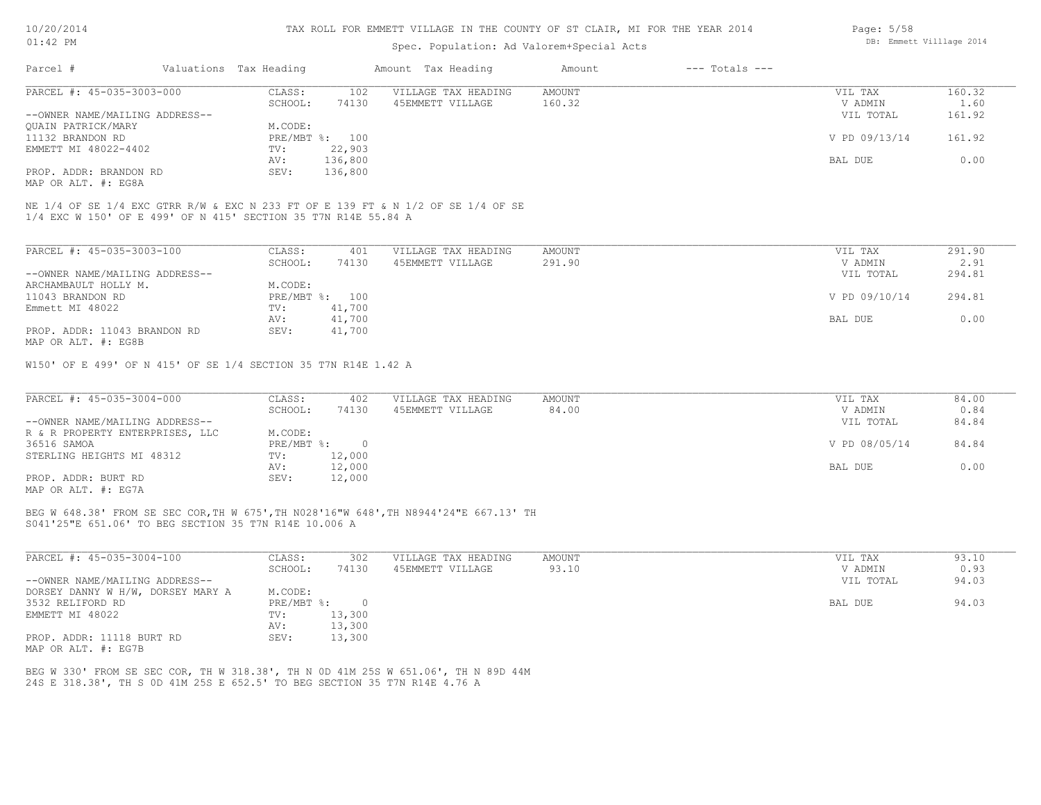#### TAX ROLL FOR EMMETT VILLAGE IN THE COUNTY OF ST CLAIR, MI FOR THE YEAR 2014

### Spec. Population: Ad Valorem+Special Acts

| Parcel #                       | Valuations Tax Heading |                | Amount Tax Heading  | Amount | $---$ Totals $---$ |               |        |
|--------------------------------|------------------------|----------------|---------------------|--------|--------------------|---------------|--------|
| PARCEL #: 45-035-3003-000      | CLASS:                 | 102            | VILLAGE TAX HEADING | AMOUNT |                    | VIL TAX       | 160.32 |
|                                | SCHOOL:                | 74130          | 45EMMETT VILLAGE    | 160.32 |                    | V ADMIN       | 1.60   |
| --OWNER NAME/MAILING ADDRESS-- |                        |                |                     |        |                    | VIL TOTAL     | 161.92 |
| QUAIN PATRICK/MARY             | M.CODE:                |                |                     |        |                    |               |        |
| 11132 BRANDON RD               |                        | PRE/MBT %: 100 |                     |        |                    | V PD 09/13/14 | 161.92 |
| EMMETT MI 48022-4402           | TV:                    | 22,903         |                     |        |                    |               |        |
|                                | AV:                    | 136,800        |                     |        |                    | BAL DUE       | 0.00   |
| PROP. ADDR: BRANDON RD         | SEV:                   | 136,800        |                     |        |                    |               |        |
|                                |                        |                |                     |        |                    |               |        |

MAP OR ALT. #: EG8A

1/4 EXC W 150' OF E 499' OF N 415' SECTION 35 T7N R14E 55.84 A NE 1/4 OF SE 1/4 EXC GTRR R/W & EXC N 233 FT OF E 139 FT & N 1/2 OF SE 1/4 OF SE

| PARCEL #: 45-035-3003-100      | CLASS:     | 401    | VILLAGE TAX HEADING | AMOUNT | VIL TAX       | 291.90 |
|--------------------------------|------------|--------|---------------------|--------|---------------|--------|
|                                | SCHOOL:    | 74130  | 45EMMETT VILLAGE    | 291.90 | V ADMIN       | 2.91   |
| --OWNER NAME/MAILING ADDRESS-- |            |        |                     |        | VIL TOTAL     | 294.81 |
| ARCHAMBAULT HOLLY M.           | M.CODE:    |        |                     |        |               |        |
| 11043 BRANDON RD               | PRE/MBT %: | 100    |                     |        | V PD 09/10/14 | 294.81 |
| Emmett MI 48022                | TV:        | 41,700 |                     |        |               |        |
|                                | AV:        | 41,700 |                     |        | BAL DUE       | 0.00   |
| PROP. ADDR: 11043 BRANDON RD   | SEV:       | 41,700 |                     |        |               |        |
| MAP OR ALT. #: EG8B            |            |        |                     |        |               |        |

W150' OF E 499' OF N 415' OF SE 1/4 SECTION 35 T7N R14E 1.42 A

| PARCEL #: 45-035-3004-000       | CLASS:       | 402    | VILLAGE TAX HEADING | AMOUNT | VIL TAX       | 84.00 |
|---------------------------------|--------------|--------|---------------------|--------|---------------|-------|
|                                 | SCHOOL:      | 74130  | 45EMMETT VILLAGE    | 84.00  | V ADMIN       | 0.84  |
| --OWNER NAME/MAILING ADDRESS--  |              |        |                     |        | VIL TOTAL     | 84.84 |
| R & R PROPERTY ENTERPRISES, LLC | M.CODE:      |        |                     |        |               |       |
| 36516 SAMOA                     | $PRE/MBT$ %: |        |                     |        | V PD 08/05/14 | 84.84 |
| STERLING HEIGHTS MI 48312       | TV:          | 12,000 |                     |        |               |       |
|                                 | AV:          | 12,000 |                     |        | BAL DUE       | 0.00  |
| PROP. ADDR: BURT RD             | SEV:         | 12,000 |                     |        |               |       |
| MAP OR ALT. #: EG7A             |              |        |                     |        |               |       |

S041'25"E 651.06' TO BEG SECTION 35 T7N R14E 10.006 A BEG W 648.38' FROM SE SEC COR,TH W 675',TH N028'16"W 648',TH N8944'24"E 667.13' TH

| PARCEL #: 45-035-3004-100         | CLASS:     | 302    | VILLAGE TAX HEADING | AMOUNT | VIL TAX   | 93.10 |
|-----------------------------------|------------|--------|---------------------|--------|-----------|-------|
|                                   | SCHOOL:    | 74130  | 45EMMETT VILLAGE    | 93.10  | V ADMIN   | 0.93  |
| --OWNER NAME/MAILING ADDRESS--    |            |        |                     |        | VIL TOTAL | 94.03 |
| DORSEY DANNY W H/W, DORSEY MARY A | M.CODE:    |        |                     |        |           |       |
| 3532 RELIFORD RD                  | PRE/MBT %: |        |                     |        | BAL DUE   | 94.03 |
| EMMETT MI 48022                   | TV:        | 13,300 |                     |        |           |       |
|                                   | AV:        | 13,300 |                     |        |           |       |
| PROP. ADDR: 11118 BURT RD         | SEV:       | 13,300 |                     |        |           |       |
| MAP OR ALT. #: EG7B               |            |        |                     |        |           |       |

24S E 318.38', TH S 0D 41M 25S E 652.5' TO BEG SECTION 35 T7N R14E 4.76 A BEG W 330' FROM SE SEC COR, TH W 318.38', TH N 0D 41M 25S W 651.06', TH N 89D 44M Page: 5/58 DB: Emmett Villlage 2014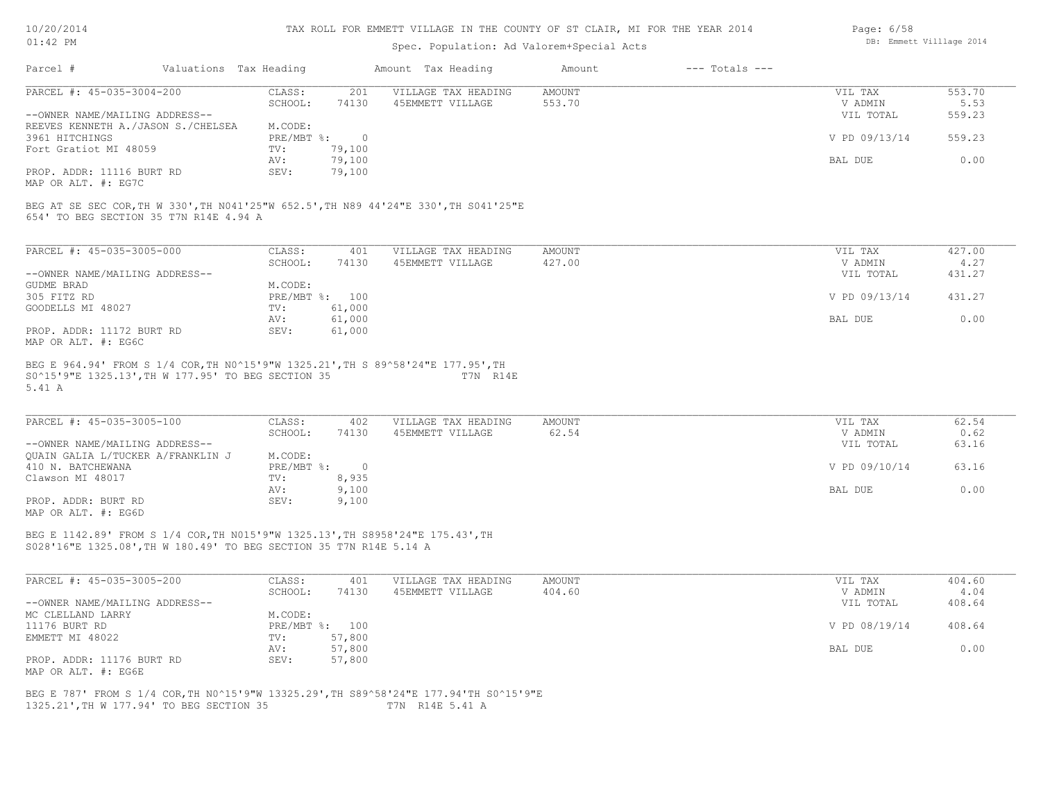MAP OR ALT. #: EG7C

#### TAX ROLL FOR EMMETT VILLAGE IN THE COUNTY OF ST CLAIR, MI FOR THE YEAR 2014

### Spec. Population: Ad Valorem+Special Acts

| Parcel #                           | Valuations Tax Heading |        | Amount Tax Heading  | Amount | $---$ Totals $---$ |               |        |
|------------------------------------|------------------------|--------|---------------------|--------|--------------------|---------------|--------|
| PARCEL #: 45-035-3004-200          | CLASS:                 | 201    | VILLAGE TAX HEADING | AMOUNT |                    | VIL TAX       | 553.70 |
|                                    | SCHOOL:                | 74130  | 45EMMETT VILLAGE    | 553.70 |                    | V ADMIN       | 5.53   |
| --OWNER NAME/MAILING ADDRESS--     |                        |        |                     |        |                    | VIL TOTAL     | 559.23 |
| REEVES KENNETH A./JASON S./CHELSEA | M.CODE:                |        |                     |        |                    |               |        |
| 3961 HITCHINGS                     | $PRE/MBT$ %:           |        |                     |        |                    | V PD 09/13/14 | 559.23 |
| Fort Gratiot MI 48059              | TV:                    | 79,100 |                     |        |                    |               |        |
|                                    | AV:                    | 79,100 |                     |        |                    | BAL DUE       | 0.00   |

654' TO BEG SECTION 35 T7N R14E 4.94 A BEG AT SE SEC COR,TH W 330',TH N041'25"W 652.5',TH N89 44'24"E 330',TH S041'25"E

PROP. ADDR: 11116 BURT RD SEV: 79,100

| PARCEL #: 45-035-3005-000      | CLASS:       | 401    | VILLAGE TAX HEADING | AMOUNT | 427.00<br>VIL TAX       |
|--------------------------------|--------------|--------|---------------------|--------|-------------------------|
|                                | SCHOOL:      | 74130  | 45EMMETT VILLAGE    | 427.00 | 4.27<br>V ADMIN         |
| --OWNER NAME/MAILING ADDRESS-- |              |        |                     |        | 431.27<br>VIL TOTAL     |
| GUDME BRAD                     | M.CODE:      |        |                     |        |                         |
| 305 FITZ RD                    | $PRE/MBT$ %: | 100    |                     |        | V PD 09/13/14<br>431.27 |
| GOODELLS MI 48027              | TV:          | 61,000 |                     |        |                         |
|                                | AV:          | 61,000 |                     |        | 0.00<br>BAL DUE         |
| PROP. ADDR: 11172 BURT RD      | SEV:         | 61,000 |                     |        |                         |
| MAP OR ALT. #: EG6C            |              |        |                     |        |                         |

5.41 A S0^15'9"E 1325.13',TH W 177.95' TO BEG SECTION 35 T7N R14E BEG E 964.94' FROM S 1/4 COR,TH N0^15'9"W 1325.21',TH S 89^58'24"E 177.95',TH

| PARCEL #: 45-035-3005-100         | CLASS:     | 402   | VILLAGE TAX HEADING | AMOUNT | VIL TAX       | 62.54 |
|-----------------------------------|------------|-------|---------------------|--------|---------------|-------|
|                                   | SCHOOL:    | 74130 | 45EMMETT VILLAGE    | 62.54  | V ADMIN       | 0.62  |
| --OWNER NAME/MAILING ADDRESS--    |            |       |                     |        | VIL TOTAL     | 63.16 |
| QUAIN GALIA L/TUCKER A/FRANKLIN J | M.CODE:    |       |                     |        |               |       |
| 410 N. BATCHEWANA                 | PRE/MBT %: |       |                     |        | V PD 09/10/14 | 63.16 |
| Clawson MI 48017                  | TV:        | 8,935 |                     |        |               |       |
|                                   | AV:        | 9,100 |                     |        | BAL DUE       | 0.00  |
| PROP. ADDR: BURT RD               | SEV:       | 9,100 |                     |        |               |       |
|                                   |            |       |                     |        |               |       |

MAP OR ALT. #: EG6D

S028'16"E 1325.08',TH W 180.49' TO BEG SECTION 35 T7N R14E 5.14 A BEG E 1142.89' FROM S 1/4 COR,TH N015'9"W 1325.13',TH S8958'24"E 175.43',TH

| PARCEL #: 45-035-3005-200      | CLASS:  | 401            | VILLAGE TAX HEADING | AMOUNT | VIL TAX       | 404.60 |
|--------------------------------|---------|----------------|---------------------|--------|---------------|--------|
|                                | SCHOOL: | 74130          | 45EMMETT VILLAGE    | 404.60 | V ADMIN       | 4.04   |
| --OWNER NAME/MAILING ADDRESS-- |         |                |                     |        | VIL TOTAL     | 408.64 |
| MC CLELLAND LARRY              | M.CODE: |                |                     |        |               |        |
| 11176 BURT RD                  |         | PRE/MBT %: 100 |                     |        | V PD 08/19/14 | 408.64 |
| EMMETT MI 48022                | TV:     | 57,800         |                     |        |               |        |
|                                | AV:     | 57,800         |                     |        | BAL DUE       | 0.00   |
| PROP. ADDR: 11176 BURT RD      | SEV:    | 57,800         |                     |        |               |        |
| MAP OR ALT. #: EG6E            |         |                |                     |        |               |        |

1325.21',TH W 177.94' TO BEG SECTION 35 T7N R14E 5.41 A BEG E 787' FROM S 1/4 COR,TH N0^15'9"W 13325.29',TH S89^58'24"E 177.94'TH S0^15'9"E DB: Emmett Villlage 2014

Page: 6/58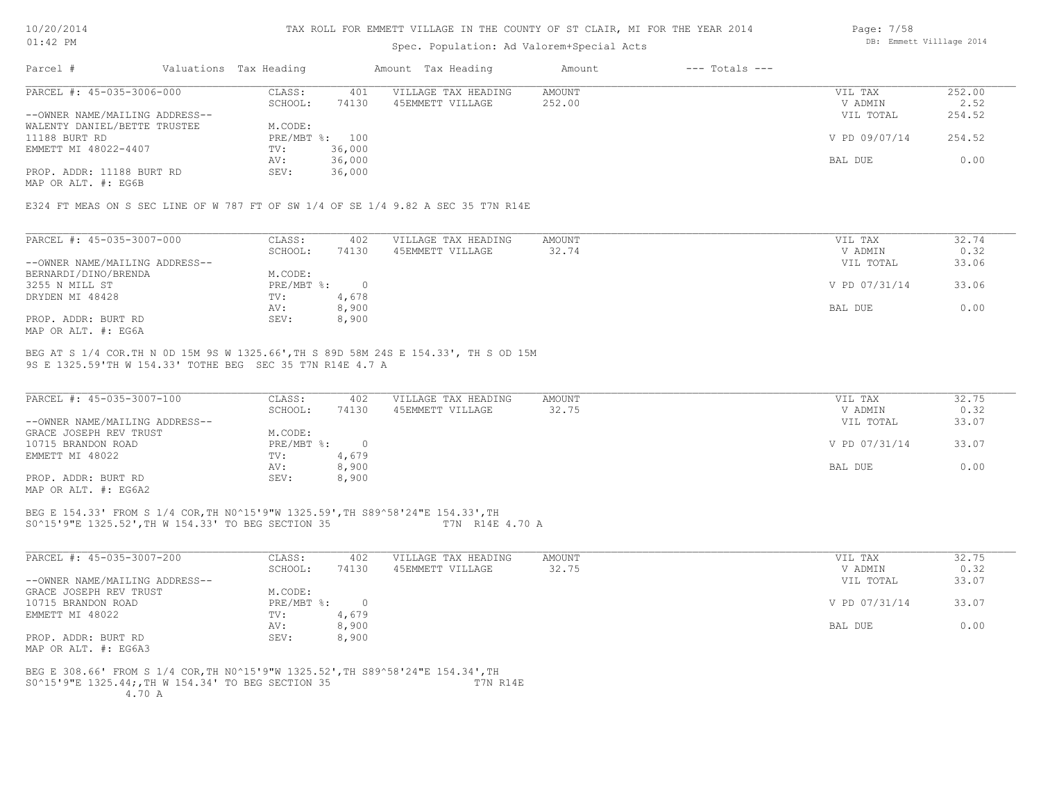#### TAX ROLL FOR EMMETT VILLAGE IN THE COUNTY OF ST CLAIR, MI FOR THE YEAR 2014

### Spec. Population: Ad Valorem+Special Acts

| Parcel #                       | Valuations Tax Heading |        | Amount Tax Heading  | Amount | $---$ Totals $---$ |               |        |
|--------------------------------|------------------------|--------|---------------------|--------|--------------------|---------------|--------|
| PARCEL #: 45-035-3006-000      | CLASS:                 | 401    | VILLAGE TAX HEADING | AMOUNT |                    | VIL TAX       | 252.00 |
|                                | SCHOOL:                | 74130  | 45EMMETT VILLAGE    | 252.00 |                    | V ADMIN       | 2.52   |
| --OWNER NAME/MAILING ADDRESS-- |                        |        |                     |        |                    | VIL TOTAL     | 254.52 |
| WALENTY DANIEL/BETTE TRUSTEE   | M.CODE:                |        |                     |        |                    |               |        |
| 11188 BURT RD                  | PRE/MBT %: 100         |        |                     |        |                    | V PD 09/07/14 | 254.52 |
| EMMETT MI 48022-4407           | TV:                    | 36,000 |                     |        |                    |               |        |
|                                | AV:                    | 36,000 |                     |        |                    | BAL DUE       | 0.00   |
| PROP. ADDR: 11188 BURT RD      | SEV:                   | 36,000 |                     |        |                    |               |        |

MAP OR ALT. #: EG6B

E324 FT MEAS ON S SEC LINE OF W 787 FT OF SW 1/4 OF SE 1/4 9.82 A SEC 35 T7N R14E

| PARCEL #: 45-035-3007-000      | CLASS:     | 402   | VILLAGE TAX HEADING | AMOUNT | VIL TAX       | 32.74 |
|--------------------------------|------------|-------|---------------------|--------|---------------|-------|
|                                | SCHOOL:    | 74130 | 45EMMETT VILLAGE    | 32.74  | V ADMIN       | 0.32  |
| --OWNER NAME/MAILING ADDRESS-- |            |       |                     |        | VIL TOTAL     | 33.06 |
| BERNARDI/DINO/BRENDA           | M.CODE:    |       |                     |        |               |       |
| 3255 N MILL ST                 | PRE/MBT %: |       |                     |        | V PD 07/31/14 | 33.06 |
| DRYDEN MI 48428                | TV:        | 4,678 |                     |        |               |       |
|                                | AV:        | 8,900 |                     |        | BAL DUE       | 0.00  |
| PROP. ADDR: BURT RD            | SEV:       | 8,900 |                     |        |               |       |
| MAP OR ALT. #: EG6A            |            |       |                     |        |               |       |

9S E 1325.59'TH W 154.33' TOTHE BEG SEC 35 T7N R14E 4.7 A BEG AT S 1/4 COR.TH N 0D 15M 9S W 1325.66',TH S 89D 58M 24S E 154.33', TH S OD 15M

| PARCEL #: 45-035-3007-100      | CLASS:     | 402   | VILLAGE TAX HEADING | AMOUNT | VIL TAX       | 32.75 |
|--------------------------------|------------|-------|---------------------|--------|---------------|-------|
|                                | SCHOOL:    | 74130 | 45EMMETT VILLAGE    | 32.75  | V ADMIN       | 0.32  |
| --OWNER NAME/MAILING ADDRESS-- |            |       |                     |        | VIL TOTAL     | 33.07 |
| GRACE JOSEPH REV TRUST         | M.CODE:    |       |                     |        |               |       |
| 10715 BRANDON ROAD             | PRE/MBT %: |       |                     |        | V PD 07/31/14 | 33.07 |
| EMMETT MI 48022                | TV:        | 4,679 |                     |        |               |       |
|                                | AV:        | 8,900 |                     |        | BAL DUE       | 0.00  |
| PROP. ADDR: BURT RD            | SEV:       | 8,900 |                     |        |               |       |
| MAP OR ALT. #: EG6A2           |            |       |                     |        |               |       |

#### S0^15'9"E 1325.52',TH W 154.33' TO BEG SECTION 35 T7N R14E 4.70 A BEG E 154.33' FROM S 1/4 COR,TH N0^15'9"W 1325.59',TH S89^58'24"E 154.33',TH

| PARCEL #: 45-035-3007-200      | CLASS:     | 402   | VILLAGE TAX HEADING | AMOUNT | 32.75<br>VIL TAX       |
|--------------------------------|------------|-------|---------------------|--------|------------------------|
|                                | SCHOOL:    | 74130 | 45EMMETT VILLAGE    | 32.75  | 0.32<br>V ADMIN        |
| --OWNER NAME/MAILING ADDRESS-- |            |       |                     |        | 33.07<br>VIL TOTAL     |
| GRACE JOSEPH REV TRUST         | M.CODE:    |       |                     |        |                        |
| 10715 BRANDON ROAD             | PRE/MBT %: |       |                     |        | V PD 07/31/14<br>33.07 |
| EMMETT MI 48022                | TV:        | 4,679 |                     |        |                        |
|                                | AV:        | 8,900 |                     |        | 0.00<br>BAL DUE        |
| PROP. ADDR: BURT RD            | SEV:       | 8,900 |                     |        |                        |
| MAP OR ALT. #: EG6A3           |            |       |                     |        |                        |

 4.70 A S0^15'9"E 1325.44;,TH W 154.34' TO BEG SECTION 35 T7N R14E BEG E 308.66' FROM S 1/4 COR,TH N0^15'9"W 1325.52',TH S89^58'24"E 154.34',TH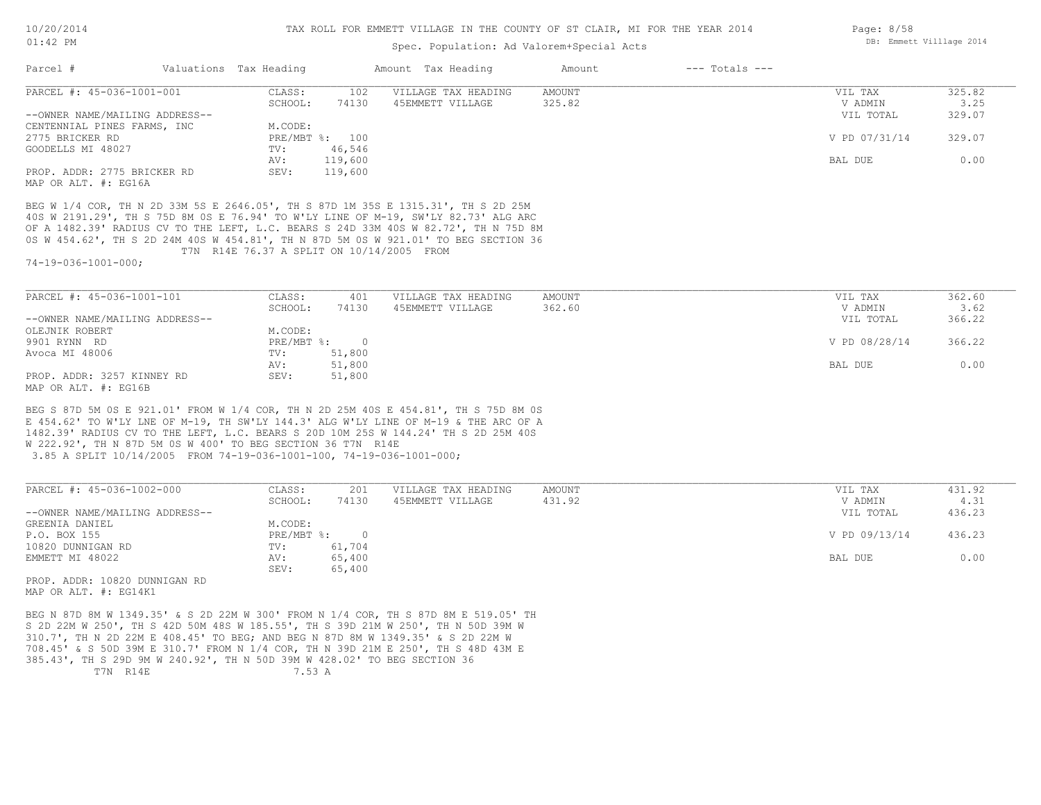### Spec. Population: Ad Valorem+Special Acts

| Parcel #                                            | Valuations Tax Heading |                | Amount Tax Heading  | Amount | $---$ Totals $---$ |               |        |
|-----------------------------------------------------|------------------------|----------------|---------------------|--------|--------------------|---------------|--------|
| PARCEL #: 45-036-1001-001                           | CLASS:                 | 102            | VILLAGE TAX HEADING | AMOUNT |                    | VIL TAX       | 325.82 |
|                                                     | SCHOOL:                | 74130          | 45EMMETT VILLAGE    | 325.82 |                    | V ADMIN       | 3.25   |
| --OWNER NAME/MAILING ADDRESS--                      |                        |                |                     |        |                    | VIL TOTAL     | 329.07 |
| CENTENNIAL PINES FARMS, INC                         | M.CODE:                |                |                     |        |                    |               |        |
| 2775 BRICKER RD                                     |                        | PRE/MBT %: 100 |                     |        |                    | V PD 07/31/14 | 329.07 |
| GOODELLS MI 48027                                   | TV:                    | 46,546         |                     |        |                    |               |        |
|                                                     | AV:                    | 119,600        |                     |        |                    | BAL DUE       | 0.00   |
| PROP. ADDR: 2775 BRICKER RD<br>MAP OR ALT. #: EG16A | SEV:                   | 119,600        |                     |        |                    |               |        |

 T7N R14E 76.37 A SPLIT ON 10/14/2005 FROM 0S W 454.62', TH S 2D 24M 40S W 454.81', TH N 87D 5M 0S W 921.01' TO BEG SECTION 36 OF A 1482.39' RADIUS CV TO THE LEFT, L.C. BEARS S 24D 33M 40S W 82.72', TH N 75D 8M 40S W 2191.29', TH S 75D 8M 0S E 76.94' TO W'LY LINE OF M-19, SW'LY 82.73' ALG ARC BEG W 1/4 COR, TH N 2D 33M 5S E 2646.05', TH S 87D 1M 35S E 1315.31', TH S 2D 25M

74-19-036-1001-000;

| PARCEL #: 45-036-1001-101      | CLASS:     | 401    | VILLAGE TAX HEADING | AMOUNT | VIL TAX       | 362.60 |
|--------------------------------|------------|--------|---------------------|--------|---------------|--------|
|                                | SCHOOL:    | 74130  | 45EMMETT VILLAGE    | 362.60 | V ADMIN       | 3.62   |
| --OWNER NAME/MAILING ADDRESS-- |            |        |                     |        | VIL TOTAL     | 366.22 |
| OLEJNIK ROBERT                 | M.CODE:    |        |                     |        |               |        |
| 9901 RYNN RD                   | PRE/MBT %: |        |                     |        | V PD 08/28/14 | 366.22 |
| Avoca MI 48006                 | TV:        | 51,800 |                     |        |               |        |
|                                | AV:        | 51,800 |                     |        | BAL DUE       | 0.00   |
| PROP. ADDR: 3257 KINNEY RD     | SEV:       | 51,800 |                     |        |               |        |
| MAP OR ALT. #: EG16B           |            |        |                     |        |               |        |

 3.85 A SPLIT 10/14/2005 FROM 74-19-036-1001-100, 74-19-036-1001-000; W 222.92', TH N 87D 5M 0S W 400' TO BEG SECTION 36 T7N R14E 1482.39' RADIUS CV TO THE LEFT, L.C. BEARS S 20D 10M 25S W 144.24' TH S 2D 25M 40S E 454.62' TO W'LY LNE OF M-19, TH SW'LY 144.3' ALG W'LY LINE OF M-19 & THE ARC OF A BEG S 87D 5M 0S E 921.01' FROM W 1/4 COR, TH N 2D 25M 40S E 454.81', TH S 75D 8M 0S

| PARCEL #: 45-036-1002-000      | CLASS:     | 201    | VILLAGE TAX HEADING | AMOUNT | VIL TAX       | 431.92 |
|--------------------------------|------------|--------|---------------------|--------|---------------|--------|
|                                | SCHOOL:    | 74130  | 45EMMETT VILLAGE    | 431.92 | V ADMIN       | 4.31   |
| --OWNER NAME/MAILING ADDRESS-- |            |        |                     |        | VIL TOTAL     | 436.23 |
| GREENIA DANIEL                 | M.CODE:    |        |                     |        |               |        |
| P.O. BOX 155                   | PRE/MBT %: | $\Box$ |                     |        | V PD 09/13/14 | 436.23 |
| 10820 DUNNIGAN RD              | TV:        | 61,704 |                     |        |               |        |
| EMMETT MI 48022                | AV:        | 65,400 |                     |        | BAL DUE       | 0.00   |
|                                | SEV:       | 65,400 |                     |        |               |        |
| ppop appp 10000 pullivations   |            |        |                     |        |               |        |

MAP OR ALT. #: EG14K1 PROP. ADDR: 10820 DUNNIGAN RD

T7N R14E 7.53 A 385.43', TH S 29D 9M W 240.92', TH N 50D 39M W 428.02' TO BEG SECTION 36 708.45' & S 50D 39M E 310.7' FROM N 1/4 COR, TH N 39D 21M E 250', TH S 48D 43M E 310.7', TH N 2D 22M E 408.45' TO BEG; AND BEG N 87D 8M W 1349.35' & S 2D 22M W S 2D 22M W 250', TH S 42D 50M 48S W 185.55', TH S 39D 21M W 250', TH N 50D 39M W BEG N 87D 8M W 1349.35' & S 2D 22M W 300' FROM N 1/4 COR, TH S 87D 8M E 519.05' TH Page: 8/58 DB: Emmett Villlage 2014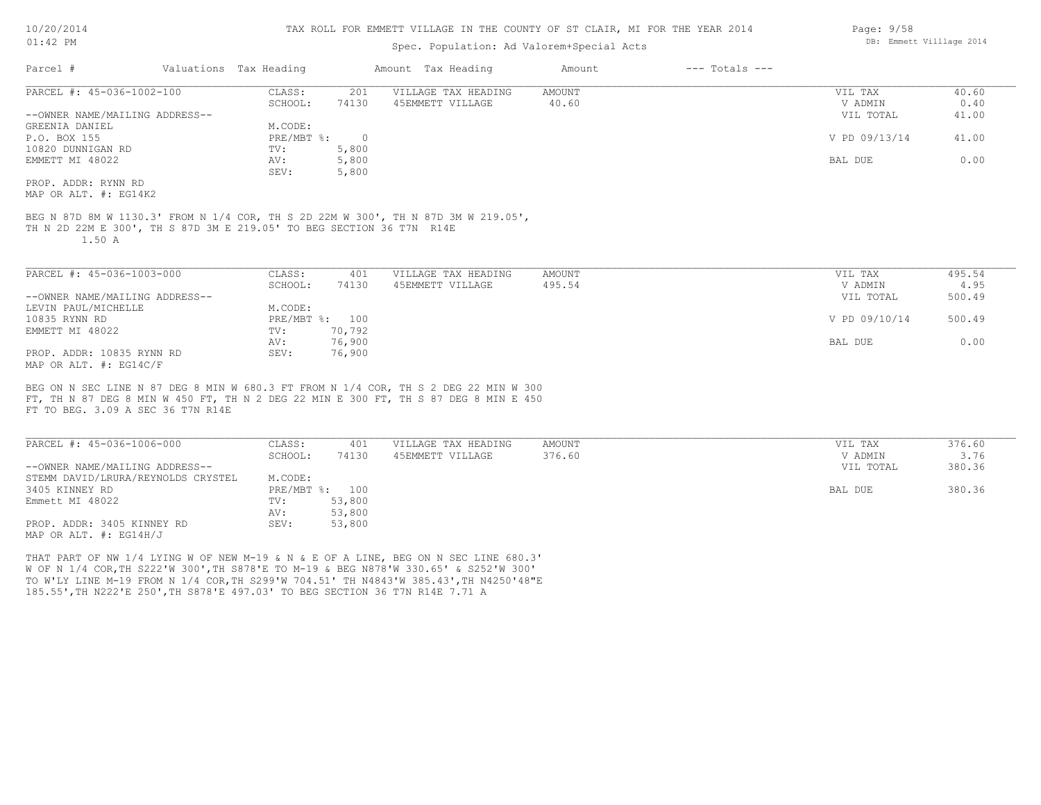### Spec. Population: Ad Valorem+Special Acts

|                                                                                                                                                                                                                 | Valuations Tax Heading |                | Amount Tax Heading                      | Amount           | $---$ Totals $---$ |                    |                |
|-----------------------------------------------------------------------------------------------------------------------------------------------------------------------------------------------------------------|------------------------|----------------|-----------------------------------------|------------------|--------------------|--------------------|----------------|
| PARCEL #: 45-036-1002-100                                                                                                                                                                                       | CLASS:                 | 201            | VILLAGE TAX HEADING                     | <b>AMOUNT</b>    |                    | VIL TAX            | 40.60          |
|                                                                                                                                                                                                                 | SCHOOL:                | 74130          | 45EMMETT VILLAGE                        | 40.60            |                    | V ADMIN            | 0.40           |
| --OWNER NAME/MAILING ADDRESS--                                                                                                                                                                                  |                        |                |                                         |                  |                    | VIL TOTAL          | 41.00          |
| GREENIA DANIEL                                                                                                                                                                                                  | M.CODE:                |                |                                         |                  |                    |                    |                |
| P.O. BOX 155                                                                                                                                                                                                    | PRE/MBT %:             | $\overline{0}$ |                                         |                  |                    | V PD 09/13/14      | 41.00          |
| 10820 DUNNIGAN RD                                                                                                                                                                                               | TV:                    | 5,800          |                                         |                  |                    |                    |                |
| EMMETT MI 48022                                                                                                                                                                                                 | AV:                    | 5,800          |                                         |                  |                    | BAL DUE            | 0.00           |
|                                                                                                                                                                                                                 | SEV:                   | 5,800          |                                         |                  |                    |                    |                |
| PROP. ADDR: RYNN RD                                                                                                                                                                                             |                        |                |                                         |                  |                    |                    |                |
| MAP OR ALT. #: EG14K2                                                                                                                                                                                           |                        |                |                                         |                  |                    |                    |                |
| PARCEL #: 45-036-1003-000                                                                                                                                                                                       | CLASS:<br>SCHOOL:      | 401<br>74130   | VILLAGE TAX HEADING<br>45EMMETT VILLAGE | AMOUNT<br>495.54 |                    | VIL TAX<br>V ADMIN | 495.54<br>4.95 |
| --OWNER NAME/MAILING ADDRESS--                                                                                                                                                                                  |                        |                |                                         |                  |                    | VIL TOTAL          | 500.49         |
| LEVIN PAUL/MICHELLE                                                                                                                                                                                             | M.CODE:                |                |                                         |                  |                    |                    |                |
| 10835 RYNN RD                                                                                                                                                                                                   | PRE/MBT %: 100         |                |                                         |                  |                    | V PD 09/10/14      | 500.49         |
|                                                                                                                                                                                                                 | TV:                    | 70,792         |                                         |                  |                    |                    |                |
|                                                                                                                                                                                                                 |                        |                |                                         |                  |                    |                    |                |
|                                                                                                                                                                                                                 | AV:                    | 76,900         |                                         |                  |                    | BAL DUE            | 0.00           |
| EMMETT MI 48022<br>PROP. ADDR: 10835 RYNN RD<br>MAP OR ALT. #: EG14C/F                                                                                                                                          | SEV:                   | 76,900         |                                         |                  |                    |                    |                |
|                                                                                                                                                                                                                 |                        |                |                                         |                  |                    |                    |                |
| BEG ON N SEC LINE N 87 DEG 8 MIN W 680.3 FT FROM N 1/4 COR, TH S 2 DEG 22 MIN W 300<br>FT, TH N 87 DEG 8 MIN W 450 FT, TH N 2 DEG 22 MIN E 300 FT, TH S 87 DEG 8 MIN E 450<br>FT TO BEG. 3.09 A SEC 36 T7N R14E |                        |                |                                         |                  |                    |                    |                |

| FARCEL #. 4J-030-I000-000          | - cana       | ᅕᅛᆂ    | VIIIAGE IAA NEADING | <b>AI'IOUN L</b> | VII IAA   | 310.00 |
|------------------------------------|--------------|--------|---------------------|------------------|-----------|--------|
|                                    | SCHOOL:      | 74130  | 45EMMETT VILLAGE    | 376.60           | V ADMIN   | 3.76   |
| --OWNER NAME/MAILING ADDRESS--     |              |        |                     |                  | VIL TOTAL | 380.36 |
| STEMM DAVID/LRURA/REYNOLDS CRYSTEL | M.CODE:      |        |                     |                  |           |        |
| 3405 KINNEY RD                     | $PRE/MBT$ %: | 100    |                     |                  | BAL DUE   | 380.36 |
| Emmett MI 48022                    | TV:          | 53,800 |                     |                  |           |        |
|                                    | AV:          | 53,800 |                     |                  |           |        |
| PROP. ADDR: 3405 KINNEY RD         | SEV:         | 53,800 |                     |                  |           |        |
|                                    |              |        |                     |                  |           |        |

MAP OR ALT. #: EG14H/J

185.55',TH N222'E 250',TH S878'E 497.03' TO BEG SECTION 36 T7N R14E 7.71 A TO W'LY LINE M-19 FROM N 1/4 COR,TH S299'W 704.51' TH N4843'W 385.43',TH N4250'48"E W OF N 1/4 COR,TH S222'W 300',TH S878'E TO M-19 & BEG N878'W 330.65' & S252'W 300' THAT PART OF NW 1/4 LYING W OF NEW M-19 & N & E OF A LINE, BEG ON N SEC LINE 680.3'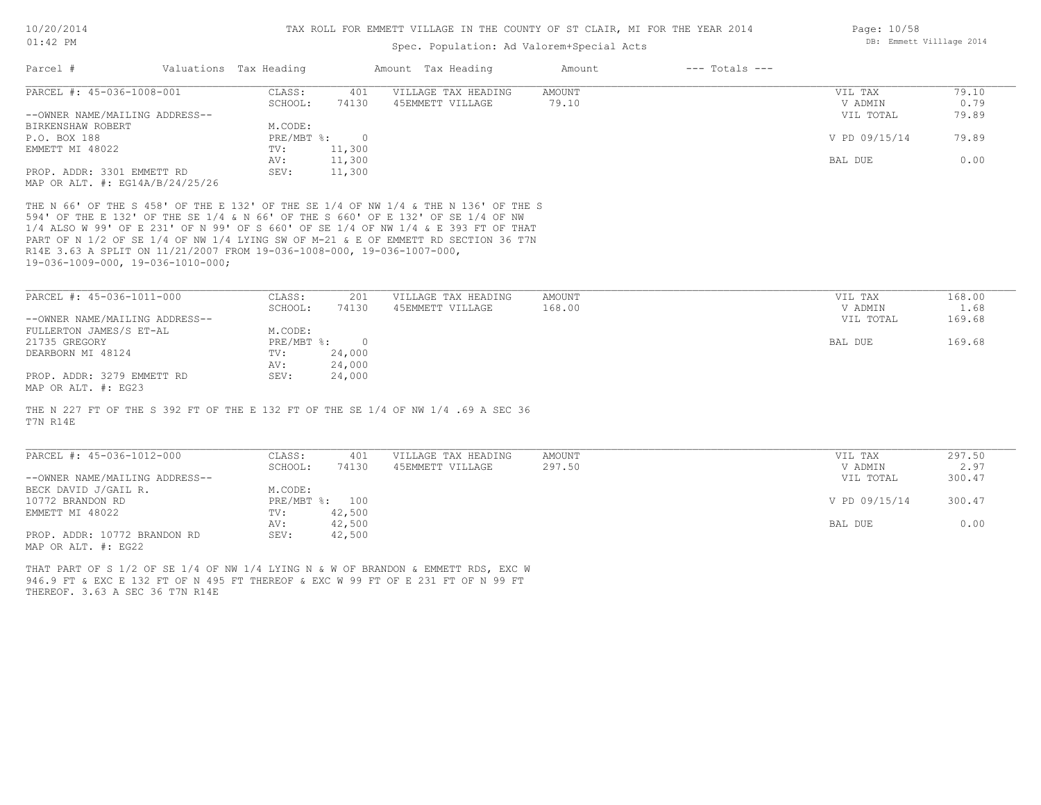### Spec. Population: Ad Valorem+Special Acts

| Parcel #                            | Valuations Tax Heading |        | Amount Tax Heading  | Amount | $---$ Totals $---$ |               |       |
|-------------------------------------|------------------------|--------|---------------------|--------|--------------------|---------------|-------|
| PARCEL #: 45-036-1008-001           | CLASS:                 | 401    | VILLAGE TAX HEADING | AMOUNT |                    | VIL TAX       | 79.10 |
|                                     | SCHOOL:                | 74130  | 45EMMETT VILLAGE    | 79.10  |                    | V ADMIN       | 0.79  |
| --OWNER NAME/MAILING ADDRESS--      |                        |        |                     |        |                    | VIL TOTAL     | 79.89 |
| BIRKENSHAW ROBERT                   | M.CODE:                |        |                     |        |                    |               |       |
| P.O. BOX 188                        | PRE/MBT %:             |        |                     |        |                    | V PD 09/15/14 | 79.89 |
| EMMETT MI 48022                     | TV:                    | 11,300 |                     |        |                    |               |       |
|                                     | AV:                    | 11,300 |                     |        |                    | BAL DUE       | 0.00  |
| PROP. ADDR: 3301 EMMETT RD          | SEV:                   | 11,300 |                     |        |                    |               |       |
| MAP OR ALT. $\#$ : EG14A/B/24/25/26 |                        |        |                     |        |                    |               |       |

19-036-1009-000, 19-036-1010-000; R14E 3.63 A SPLIT ON 11/21/2007 FROM 19-036-1008-000, 19-036-1007-000, PART OF N 1/2 OF SE 1/4 OF NW 1/4 LYING SW OF M-21 & E OF EMMETT RD SECTION 36 T7N 1/4 ALSO W 99' OF E 231' OF N 99' OF S 660' OF SE 1/4 OF NW 1/4 & E 393 FT OF THAT 594' OF THE E 132' OF THE SE 1/4 & N 66' OF THE S 660' OF E 132' OF SE 1/4 OF NW THE N 66' OF THE S 458' OF THE E 132' OF THE SE 1/4 OF NW 1/4 & THE N 136' OF THE S

| PARCEL #: 45-036-1011-000      | CLASS:     | 201    | VILLAGE TAX HEADING | AMOUNT | VIL TAX   | 168.00 |
|--------------------------------|------------|--------|---------------------|--------|-----------|--------|
|                                | SCHOOL:    | 74130  | 45EMMETT VILLAGE    | 168.00 | V ADMIN   | 1.68   |
| --OWNER NAME/MAILING ADDRESS-- |            |        |                     |        | VIL TOTAL | 169.68 |
| FULLERTON JAMES/S ET-AL        | M.CODE:    |        |                     |        |           |        |
| 21735 GREGORY                  | PRE/MBT %: |        |                     |        | BAL DUE   | 169.68 |
| DEARBORN MI 48124              | TV:        | 24,000 |                     |        |           |        |
|                                | AV:        | 24,000 |                     |        |           |        |
| PROP. ADDR: 3279 EMMETT RD     | SEV:       | 24,000 |                     |        |           |        |
| MAP OR ALT. #: EG23            |            |        |                     |        |           |        |

T7N R14E THE N 227 FT OF THE S 392 FT OF THE E 132 FT OF THE SE 1/4 OF NW 1/4 .69 A SEC 36

| PARCEL #: 45-036-1012-000      | CLASS:  | 401            | VILLAGE TAX HEADING | AMOUNT | VIL TAX       | 297.50 |
|--------------------------------|---------|----------------|---------------------|--------|---------------|--------|
|                                | SCHOOL: | 74130          | 45EMMETT VILLAGE    | 297.50 | V ADMIN       | 2.97   |
| --OWNER NAME/MAILING ADDRESS-- |         |                |                     |        | VIL TOTAL     | 300.47 |
| BECK DAVID J/GAIL R.           | M.CODE: |                |                     |        |               |        |
| 10772 BRANDON RD               |         | PRE/MBT %: 100 |                     |        | V PD 09/15/14 | 300.47 |
| EMMETT MI 48022                | TV:     | 42,500         |                     |        |               |        |
|                                | AV:     | 42,500         |                     |        | BAL DUE       | 0.00   |
| PROP. ADDR: 10772 BRANDON RD   | SEV:    | 42,500         |                     |        |               |        |
| MAP OR ALT. #: EG22            |         |                |                     |        |               |        |

THEREOF. 3.63 A SEC 36 T7N R14E 946.9 FT & EXC E 132 FT OF N 495 FT THEREOF & EXC W 99 FT OF E 231 FT OF N 99 FT THAT PART OF S 1/2 OF SE 1/4 OF NW 1/4 LYING N & W OF BRANDON & EMMETT RDS, EXC W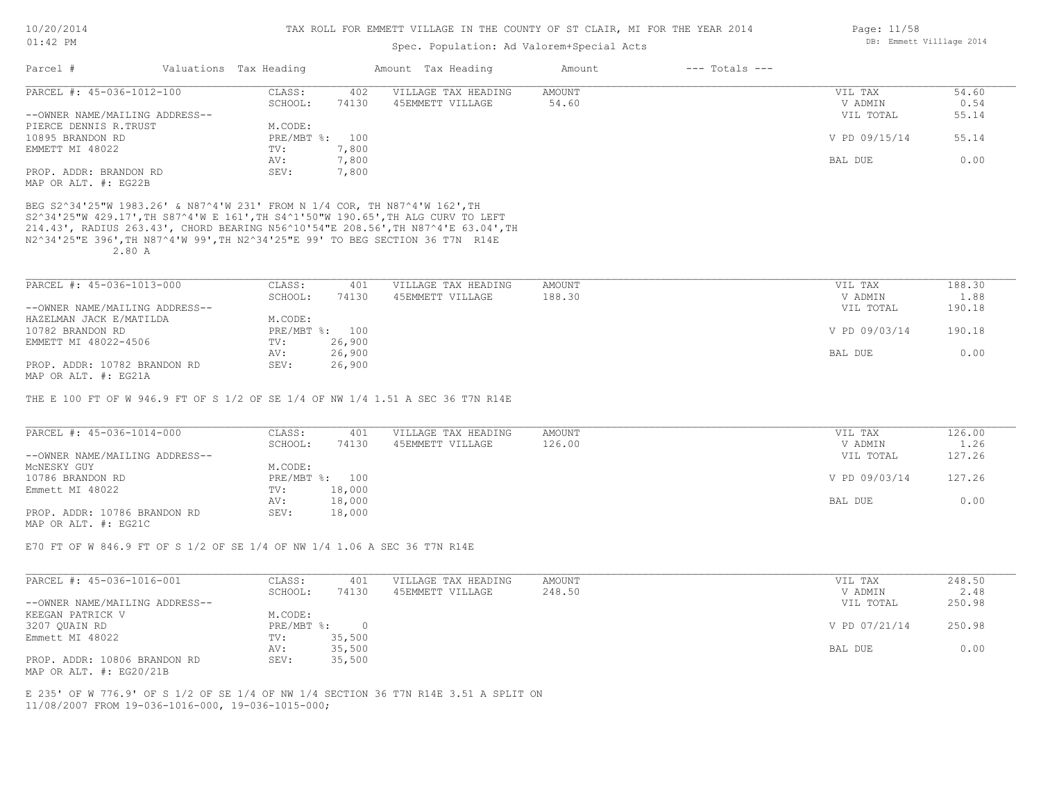### Spec. Population: Ad Valorem+Special Acts

| Parcel #                       | Valuations Tax Heading |       | Amount Tax Heading  | Amount | $---$ Totals $---$ |               |       |
|--------------------------------|------------------------|-------|---------------------|--------|--------------------|---------------|-------|
| PARCEL #: 45-036-1012-100      | CLASS:                 | 402   | VILLAGE TAX HEADING | AMOUNT |                    | VIL TAX       | 54.60 |
|                                | SCHOOL:                | 74130 | 45EMMETT VILLAGE    | 54.60  |                    | V ADMIN       | 0.54  |
| --OWNER NAME/MAILING ADDRESS-- |                        |       |                     |        |                    | VIL TOTAL     | 55.14 |
| PIERCE DENNIS R.TRUST          | M.CODE:                |       |                     |        |                    |               |       |
| 10895 BRANDON RD               | PRE/MBT %: 100         |       |                     |        |                    | V PD 09/15/14 | 55.14 |
| EMMETT MI 48022                | TV:                    | 7,800 |                     |        |                    |               |       |
|                                | AV:                    | 7,800 |                     |        |                    | BAL DUE       | 0.00  |
| PROP. ADDR: BRANDON RD         | SEV:                   | 7,800 |                     |        |                    |               |       |
| MAP OR ALT. #: EG22B           |                        |       |                     |        |                    |               |       |

 2.80 A N2^34'25"E 396',TH N87^4'W 99',TH N2^34'25"E 99' TO BEG SECTION 36 T7N R14E 214.43', RADIUS 263.43', CHORD BEARING N56^10'54"E 208.56',TH N87^4'E 63.04',TH S2^34'25"W 429.17',TH S87^4'W E 161',TH S4^1'50"W 190.65',TH ALG CURV TO LEFT BEG S2^34'25"W 1983.26' & N87^4'W 231' FROM N 1/4 COR, TH N87^4'W 162',TH

| PARCEL #: 45-036-1013-000      | CLASS:  | 401            | VILLAGE TAX HEADING | AMOUNT | VIL TAX       | 188.30 |
|--------------------------------|---------|----------------|---------------------|--------|---------------|--------|
|                                | SCHOOL: | 74130          | 45EMMETT VILLAGE    | 188.30 | V ADMIN       | 1.88   |
| --OWNER NAME/MAILING ADDRESS-- |         |                |                     |        | VIL TOTAL     | 190.18 |
| HAZELMAN JACK E/MATILDA        | M.CODE: |                |                     |        |               |        |
| 10782 BRANDON RD               |         | PRE/MBT %: 100 |                     |        | V PD 09/03/14 | 190.18 |
| EMMETT MI 48022-4506           | TV:     | 26,900         |                     |        |               |        |
|                                | AV:     | 26,900         |                     |        | BAL DUE       | 0.00   |
| PROP. ADDR: 10782 BRANDON RD   | SEV:    | 26,900         |                     |        |               |        |
|                                |         |                |                     |        |               |        |

MAP OR ALT. #: EG21A

THE E 100 FT OF W 946.9 FT OF S 1/2 OF SE 1/4 OF NW 1/4 1.51 A SEC 36 T7N R14E

| PARCEL #: 45-036-1014-000      | CLASS:  | 401            | VILLAGE TAX HEADING | AMOUNT | VIL TAX       | 126.00 |
|--------------------------------|---------|----------------|---------------------|--------|---------------|--------|
|                                | SCHOOL: | 74130          | 45EMMETT VILLAGE    | 126.00 | V ADMIN       | 1.26   |
| --OWNER NAME/MAILING ADDRESS-- |         |                |                     |        | VIL TOTAL     | 127.26 |
| MCNESKY GUY                    | M.CODE: |                |                     |        |               |        |
| 10786 BRANDON RD               |         | PRE/MBT %: 100 |                     |        | V PD 09/03/14 | 127.26 |
| Emmett MI 48022                | TV:     | 18,000         |                     |        |               |        |
|                                | AV:     | 18,000         |                     |        | BAL DUE       | 0.00   |
| PROP. ADDR: 10786 BRANDON RD   | SEV:    | 18,000         |                     |        |               |        |
| MAP OR ALT. #: EG21C           |         |                |                     |        |               |        |

E70 FT OF W 846.9 FT OF S 1/2 OF SE 1/4 OF NW 1/4 1.06 A SEC 36 T7N R14E

| PARCEL #: 45-036-1016-001      | CLASS:     | 401    | VILLAGE TAX HEADING | AMOUNT | VIL TAX       | 248.50 |
|--------------------------------|------------|--------|---------------------|--------|---------------|--------|
|                                | SCHOOL:    | 74130  | 45EMMETT VILLAGE    | 248.50 | V ADMIN       | 2.48   |
| --OWNER NAME/MAILING ADDRESS-- |            |        |                     |        | VIL TOTAL     | 250.98 |
| KEEGAN PATRICK V               | M.CODE:    |        |                     |        |               |        |
| 3207 QUAIN RD                  | PRE/MBT %: |        |                     |        | V PD 07/21/14 | 250.98 |
| Emmett MI 48022                | TV:        | 35,500 |                     |        |               |        |
|                                | AV:        | 35,500 |                     |        | BAL DUE       | 0.00   |
| PROP. ADDR: 10806 BRANDON RD   | SEV:       | 35,500 |                     |        |               |        |
| MAP OR ALT. #: EG20/21B        |            |        |                     |        |               |        |

11/08/2007 FROM 19-036-1016-000, 19-036-1015-000; E 235' OF W 776.9' OF S 1/2 OF SE 1/4 OF NW 1/4 SECTION 36 T7N R14E 3.51 A SPLIT ON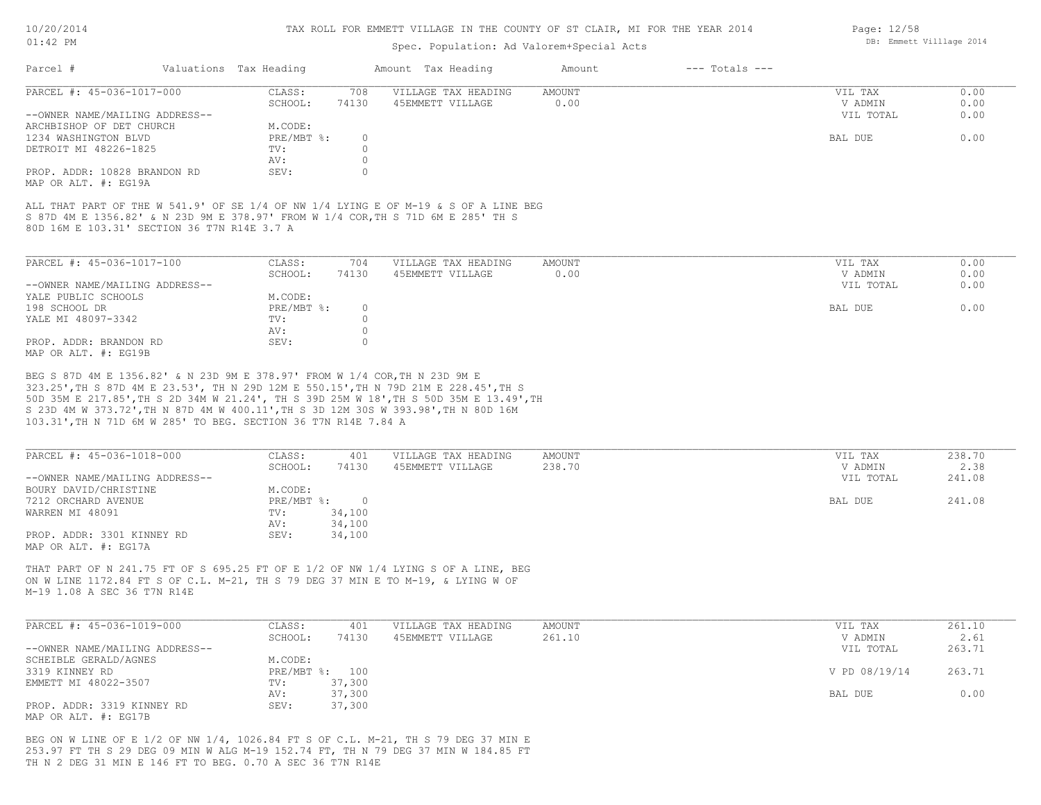### Spec. Population: Ad Valorem+Special Acts

| Parcel #                       | Valuations Tax Heading |       | Amount Tax Heading  | Amount | $---$ Totals $---$ |           |      |
|--------------------------------|------------------------|-------|---------------------|--------|--------------------|-----------|------|
| PARCEL #: 45-036-1017-000      | CLASS:                 | 708   | VILLAGE TAX HEADING | AMOUNT |                    | VIL TAX   | 0.00 |
|                                | SCHOOL:                | 74130 | 45EMMETT VILLAGE    | 0.00   |                    | V ADMIN   | 0.00 |
| --OWNER NAME/MAILING ADDRESS-- |                        |       |                     |        |                    | VIL TOTAL | 0.00 |
| ARCHBISHOP OF DET CHURCH       | M.CODE:                |       |                     |        |                    |           |      |
| 1234 WASHINGTON BLVD           | PRE/MBT %:             |       |                     |        |                    | BAL DUE   | 0.00 |
| DETROIT MI 48226-1825          | TV:                    |       |                     |        |                    |           |      |
|                                | AV:                    |       |                     |        |                    |           |      |
| PROP. ADDR: 10828 BRANDON RD   | SEV:                   |       |                     |        |                    |           |      |
| MAP OR ALT. #: EG19A           |                        |       |                     |        |                    |           |      |

80D 16M E 103.31' SECTION 36 T7N R14E 3.7 A S 87D 4M E 1356.82' & N 23D 9M E 378.97' FROM W 1/4 COR,TH S 71D 6M E 285' TH S ALL THAT PART OF THE W 541.9' OF SE 1/4 OF NW 1/4 LYING E OF M-19 & S OF A LINE BEG

| PARCEL #: 45-036-1017-100      | CLASS:     | 704   | VILLAGE TAX HEADING | AMOUNT | VIL TAX   | 0.00 |
|--------------------------------|------------|-------|---------------------|--------|-----------|------|
|                                | SCHOOL:    | 74130 | 45EMMETT VILLAGE    | 0.00   | V ADMIN   | 0.00 |
| --OWNER NAME/MAILING ADDRESS-- |            |       |                     |        | VIL TOTAL | 0.00 |
| YALE PUBLIC SCHOOLS            | M.CODE:    |       |                     |        |           |      |
| 198 SCHOOL DR                  | PRE/MBT %: |       |                     |        | BAL DUE   | 0.00 |
| YALE MI 48097-3342             | TV:        |       |                     |        |           |      |
|                                | AV:        |       |                     |        |           |      |
| PROP. ADDR: BRANDON RD         | SEV:       |       |                     |        |           |      |
| MAP OR ALT. #: EG19B           |            |       |                     |        |           |      |

103.31',TH N 71D 6M W 285' TO BEG. SECTION 36 T7N R14E 7.84 A S 23D 4M W 373.72',TH N 87D 4M W 400.11',TH S 3D 12M 30S W 393.98',TH N 80D 16M 50D 35M E 217.85',TH S 2D 34M W 21.24', TH S 39D 25M W 18',TH S 50D 35M E 13.49',TH 323.25',TH S 87D 4M E 23.53', TH N 29D 12M E 550.15',TH N 79D 21M E 228.45',TH S BEG S 87D 4M E 1356.82' & N 23D 9M E 378.97' FROM W 1/4 COR,TH N 23D 9M E

| PARCEL #: 45-036-1018-000      | CLASS:     | 401    | VILLAGE TAX HEADING | AMOUNT | VIL TAX   | 238.70 |
|--------------------------------|------------|--------|---------------------|--------|-----------|--------|
|                                | SCHOOL:    | 74130  | 45EMMETT VILLAGE    | 238.70 | V ADMIN   | 2.38   |
| --OWNER NAME/MAILING ADDRESS-- |            |        |                     |        | VIL TOTAL | 241.08 |
| BOURY DAVID/CHRISTINE          | M.CODE:    |        |                     |        |           |        |
| 7212 ORCHARD AVENUE            | PRE/MBT %: |        |                     |        | BAL DUE   | 241.08 |
| WARREN MI 48091                | TV:        | 34,100 |                     |        |           |        |
|                                | AV:        | 34,100 |                     |        |           |        |
| PROP. ADDR: 3301 KINNEY RD     | SEV:       | 34,100 |                     |        |           |        |
| MAP OR ALT. #: EG17A           |            |        |                     |        |           |        |

M-19 1.08 A SEC 36 T7N R14E ON W LINE 1172.84 FT S OF C.L. M-21, TH S 79 DEG 37 MIN E TO M-19, & LYING W OF THAT PART OF N 241.75 FT OF S 695.25 FT OF E 1/2 OF NW 1/4 LYING S OF A LINE, BEG

| PARCEL #: 45-036-1019-000      | CLASS:  | 401            | VILLAGE TAX HEADING | AMOUNT | VIL TAX       | 261.10 |
|--------------------------------|---------|----------------|---------------------|--------|---------------|--------|
|                                | SCHOOL: | 74130          | 45EMMETT VILLAGE    | 261.10 | V ADMIN       | 2.61   |
| --OWNER NAME/MAILING ADDRESS-- |         |                |                     |        | VIL TOTAL     | 263.71 |
| SCHEIBLE GERALD/AGNES          | M.CODE: |                |                     |        |               |        |
| 3319 KINNEY RD                 |         | PRE/MBT %: 100 |                     |        | V PD 08/19/14 | 263.71 |
| EMMETT MI 48022-3507           | TV:     | 37,300         |                     |        |               |        |
|                                | AV:     | 37,300         |                     |        | BAL DUE       | 0.00   |
| PROP. ADDR: 3319 KINNEY RD     | SEV:    | 37,300         |                     |        |               |        |
| MAP OR ALT. #: EG17B           |         |                |                     |        |               |        |

TH N 2 DEG 31 MIN E 146 FT TO BEG. 0.70 A SEC 36 T7N R14E 253.97 FT TH S 29 DEG 09 MIN W ALG M-19 152.74 FT, TH N 79 DEG 37 MIN W 184.85 FT BEG ON W LINE OF E 1/2 OF NW 1/4, 1026.84 FT S OF C.L. M-21, TH S 79 DEG 37 MIN E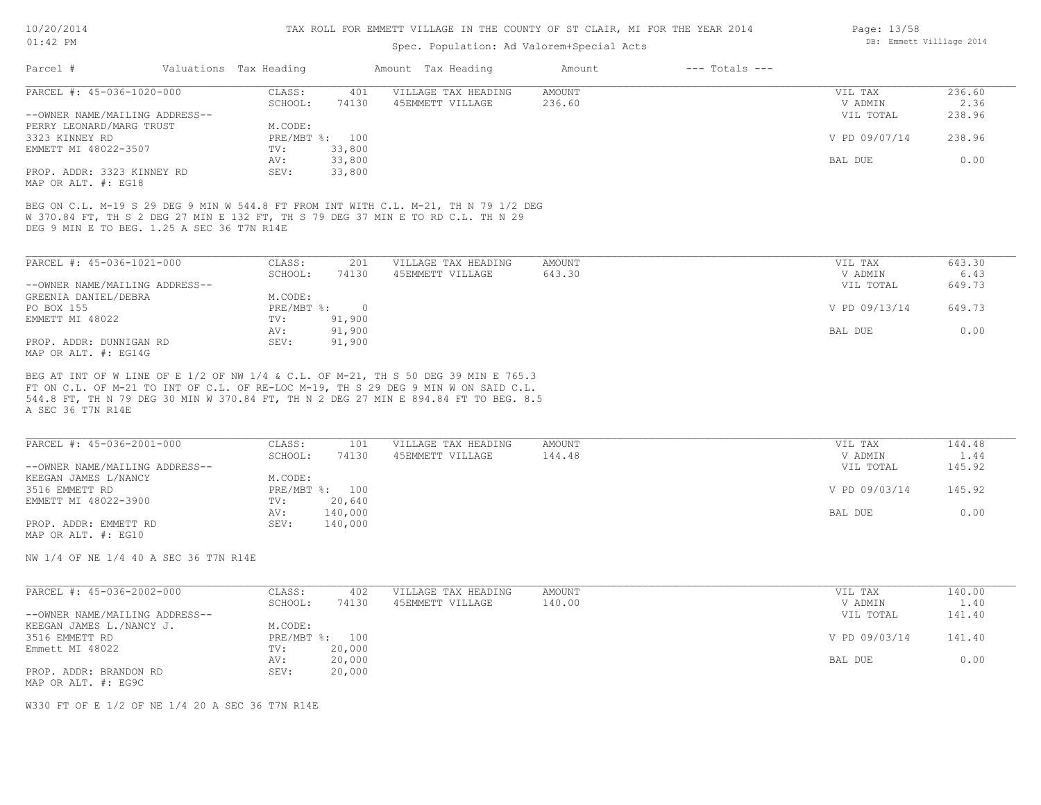#### TAX ROLL FOR EMMETT VILLAGE IN THE COUNTY OF ST CLAIR, MI FOR THE YEAR 2014

### Spec. Population: Ad Valorem+Special Acts

| Parcel #                       | Valuations Tax Heading |        | Amount Tax Heading  | Amount | $---$ Totals $---$ |               |        |
|--------------------------------|------------------------|--------|---------------------|--------|--------------------|---------------|--------|
| PARCEL #: 45-036-1020-000      | CLASS:                 | 401    | VILLAGE TAX HEADING | AMOUNT |                    | VIL TAX       | 236.60 |
|                                | SCHOOL:                | 74130  | 45EMMETT VILLAGE    | 236.60 |                    | V ADMIN       | 2.36   |
| --OWNER NAME/MAILING ADDRESS-- |                        |        |                     |        |                    | VIL TOTAL     | 238.96 |
| PERRY LEONARD/MARG TRUST       | M.CODE:                |        |                     |        |                    |               |        |
| 3323 KINNEY RD                 | $PRE/MBT$ %:           | 100    |                     |        |                    | V PD 09/07/14 | 238.96 |
| EMMETT MI 48022-3507           | TV:                    | 33,800 |                     |        |                    |               |        |
|                                | AV:                    | 33,800 |                     |        |                    | BAL DUE       | 0.00   |
| PROP. ADDR: 3323 KINNEY RD     | SEV:                   | 33,800 |                     |        |                    |               |        |
| MAP OR ALT. #: EG18            |                        |        |                     |        |                    |               |        |

DEG 9 MIN E TO BEG. 1.25 A SEC 36 T7N R14E W 370.84 FT, TH S 2 DEG 27 MIN E 132 FT, TH S 79 DEG 37 MIN E TO RD C.L. TH N 29 BEG ON C.L. M-19 S 29 DEG 9 MIN W 544.8 FT FROM INT WITH C.L. M-21, TH N 79 1/2 DEG

| PARCEL #: 45-036-1021-000      | CLASS:       | 201    | VILLAGE TAX HEADING | AMOUNT | VIL TAX       | 643.30 |
|--------------------------------|--------------|--------|---------------------|--------|---------------|--------|
|                                | SCHOOL:      | 74130  | 45EMMETT VILLAGE    | 643.30 | V ADMIN       | 6.43   |
| --OWNER NAME/MAILING ADDRESS-- |              |        |                     |        | VIL TOTAL     | 649.73 |
| GREENIA DANIEL/DEBRA           | M.CODE:      |        |                     |        |               |        |
| PO BOX 155                     | $PRE/MBT$ %: |        |                     |        | V PD 09/13/14 | 649.73 |
| EMMETT MI 48022                | TV:          | 91,900 |                     |        |               |        |
|                                | AV:          | 91,900 |                     |        | BAL DUE       | 0.00   |
| PROP. ADDR: DUNNIGAN RD        | SEV:         | 91,900 |                     |        |               |        |
| MAP OR ALT. #: EG14G           |              |        |                     |        |               |        |

A SEC 36 T7N R14E 544.8 FT, TH N 79 DEG 30 MIN W 370.84 FT, TH N 2 DEG 27 MIN E 894.84 FT TO BEG. 8.5 FT ON C.L. OF M-21 TO INT OF C.L. OF RE-LOC M-19, TH S 29 DEG 9 MIN W ON SAID C.L. BEG AT INT OF W LINE OF E 1/2 OF NW 1/4 & C.L. OF M-21, TH S 50 DEG 39 MIN E 765.3

| PARCEL #: 45-036-2001-000      | CLASS:  | 101            | VILLAGE TAX HEADING | AMOUNT | VIL TAX       | 144.48 |
|--------------------------------|---------|----------------|---------------------|--------|---------------|--------|
|                                | SCHOOL: | 74130          | 45EMMETT VILLAGE    | 144.48 | V ADMIN       | 1.44   |
| --OWNER NAME/MAILING ADDRESS-- |         |                |                     |        | VIL TOTAL     | 145.92 |
| KEEGAN JAMES L/NANCY           | M.CODE: |                |                     |        |               |        |
| 3516 EMMETT RD                 |         | PRE/MBT %: 100 |                     |        | V PD 09/03/14 | 145.92 |
| EMMETT MI 48022-3900           | TV:     | 20,640         |                     |        |               |        |
|                                | AV:     | 140,000        |                     |        | BAL DUE       | 0.00   |
| PROP. ADDR: EMMETT RD          | SEV:    | 140,000        |                     |        |               |        |
| MAP OR ALT. #: EG10            |         |                |                     |        |               |        |

NW 1/4 OF NE 1/4 40 A SEC 36 T7N R14E

| PARCEL #: 45-036-2002-000      | CLASS:  | 402            | VILLAGE TAX HEADING | AMOUNT | VIL TAX       | 140.00 |
|--------------------------------|---------|----------------|---------------------|--------|---------------|--------|
|                                | SCHOOL: | 74130          | 45EMMETT VILLAGE    | 140.00 | V ADMIN       | 1.40   |
| --OWNER NAME/MAILING ADDRESS-- |         |                |                     |        | VIL TOTAL     | 141.40 |
| KEEGAN JAMES L./NANCY J.       | M.CODE: |                |                     |        |               |        |
| 3516 EMMETT RD                 |         | PRE/MBT %: 100 |                     |        | V PD 09/03/14 | 141.40 |
| Emmett MI 48022                | TV:     | 20,000         |                     |        |               |        |
|                                | AV:     | 20,000         |                     |        | BAL DUE       | 0.00   |
| PROP. ADDR: BRANDON RD         | SEV:    | 20,000         |                     |        |               |        |
| MAP OR ALT. #: EG9C            |         |                |                     |        |               |        |

W330 FT OF E 1/2 OF NE 1/4 20 A SEC 36 T7N R14E

Page: 13/58 DB: Emmett Villlage 2014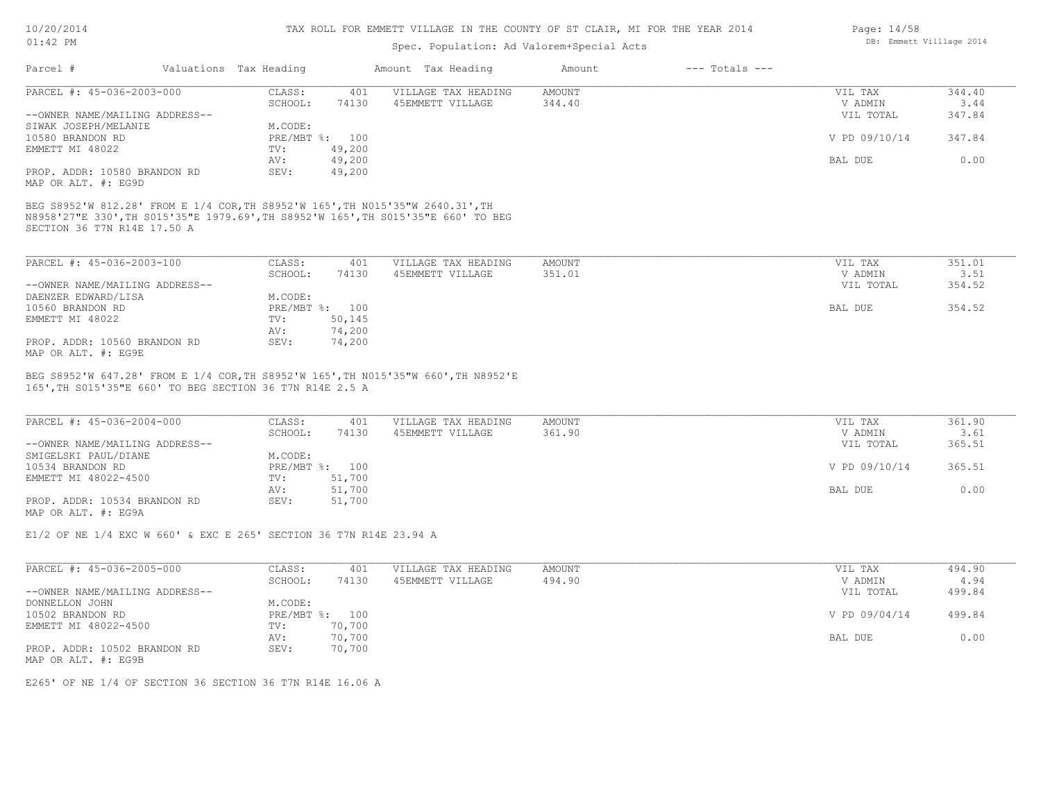### TAX ROLL FOR EMMETT VILLAGE IN THE COUNTY OF ST CLAIR, MI FOR THE YEAR 2014

## Spec. Population: Ad Valorem+Special Acts

| Parcel #                       | Valuations Tax Heading |        | Amount Tax Heading  | Amount | $---$ Totals $---$ |               |        |
|--------------------------------|------------------------|--------|---------------------|--------|--------------------|---------------|--------|
| PARCEL #: 45-036-2003-000      | CLASS:                 | 401    | VILLAGE TAX HEADING | AMOUNT |                    | VIL TAX       |        |
|                                | SCHOOL:                | 74130  | 45EMMETT VILLAGE    | 344.40 |                    | V ADMIN       | 3.44   |
| --OWNER NAME/MAILING ADDRESS-- |                        |        |                     |        |                    | VIL TOTAL     | 347.84 |
| SIWAK JOSEPH/MELANIE           | M.CODE:                |        |                     |        |                    |               |        |
| 10580 BRANDON RD               | PRE/MBT %: 100         |        |                     |        |                    | V PD 09/10/14 | 347.84 |
| EMMETT MI 48022                | TV:                    | 49,200 |                     |        |                    |               |        |
|                                | AV:                    | 49,200 |                     |        |                    | BAL DUE       | 0.00   |
| PROP. ADDR: 10580 BRANDON RD   | SEV:                   | 49,200 |                     |        |                    |               |        |
| MAP OR ALT. #: EG9D            |                        |        |                     |        |                    |               |        |

SECTION 36 T7N R14E 17.50 A N8958'27"E 330',TH S015'35"E 1979.69',TH S8952'W 165',TH S015'35"E 660' TO BEG BEG S8952'W 812.28' FROM E 1/4 COR,TH S8952'W 165',TH N015'35"W 2640.31',TH

| PARCEL #: 45-036-2003-100      | CLASS:  | 401            | VILLAGE TAX HEADING | AMOUNT | VIL TAX   | 351.01 |
|--------------------------------|---------|----------------|---------------------|--------|-----------|--------|
|                                | SCHOOL: | 74130          | 45EMMETT VILLAGE    | 351.01 | V ADMIN   | 3.51   |
| --OWNER NAME/MAILING ADDRESS-- |         |                |                     |        | VIL TOTAL | 354.52 |
| DAENZER EDWARD/LISA            | M.CODE: |                |                     |        |           |        |
| 10560 BRANDON RD               |         | PRE/MBT %: 100 |                     |        | BAL DUE   | 354.52 |
| EMMETT MI 48022                | TV:     | 50,145         |                     |        |           |        |
|                                | AV:     | 74,200         |                     |        |           |        |
| PROP. ADDR: 10560 BRANDON RD   | SEV:    | 74,200         |                     |        |           |        |
| MAP OR ALT. #: EG9E            |         |                |                     |        |           |        |

165',TH S015'35"E 660' TO BEG SECTION 36 T7N R14E 2.5 A BEG S8952'W 647.28' FROM E 1/4 COR,TH S8952'W 165',TH N015'35"W 660',TH N8952'E

| PARCEL #: 45-036-2004-000      | CLASS:       | 401    | VILLAGE TAX HEADING | AMOUNT | VIL TAX       | 361.90 |
|--------------------------------|--------------|--------|---------------------|--------|---------------|--------|
|                                | SCHOOL:      | 74130  | 45EMMETT VILLAGE    | 361.90 | V ADMIN       | 3.61   |
| --OWNER NAME/MAILING ADDRESS-- |              |        |                     |        | VIL TOTAL     | 365.51 |
| SMIGELSKI PAUL/DIANE           | M.CODE:      |        |                     |        |               |        |
| 10534 BRANDON RD               | $PRE/MBT$ %: | 100    |                     |        | V PD 09/10/14 | 365.51 |
| EMMETT MI 48022-4500           | TV:          | 51,700 |                     |        |               |        |
|                                | AV:          | 51,700 |                     |        | BAL DUE       | 0.00   |
| PROP. ADDR: 10534 BRANDON RD   | SEV:         | 51,700 |                     |        |               |        |
| MAP OR ALT. #: EG9A            |              |        |                     |        |               |        |

 $\mathcal{L}_\mathcal{L} = \mathcal{L}_\mathcal{L} = \mathcal{L}_\mathcal{L} = \mathcal{L}_\mathcal{L} = \mathcal{L}_\mathcal{L} = \mathcal{L}_\mathcal{L} = \mathcal{L}_\mathcal{L} = \mathcal{L}_\mathcal{L} = \mathcal{L}_\mathcal{L} = \mathcal{L}_\mathcal{L} = \mathcal{L}_\mathcal{L} = \mathcal{L}_\mathcal{L} = \mathcal{L}_\mathcal{L} = \mathcal{L}_\mathcal{L} = \mathcal{L}_\mathcal{L} = \mathcal{L}_\mathcal{L} = \mathcal{L}_\mathcal{L}$ 

E1/2 OF NE 1/4 EXC W 660' & EXC E 265' SECTION 36 T7N R14E 23.94 A

| PARCEL #: 45-036-2005-000      | CLASS:  | 401            | VILLAGE TAX HEADING | AMOUNT | VIL TAX       | 494.90 |
|--------------------------------|---------|----------------|---------------------|--------|---------------|--------|
|                                | SCHOOL: | 74130          | 45EMMETT VILLAGE    | 494.90 | V ADMIN       | 4.94   |
| --OWNER NAME/MAILING ADDRESS-- |         |                |                     |        | VIL TOTAL     | 499.84 |
| DONNELLON JOHN                 | M.CODE: |                |                     |        |               |        |
| 10502 BRANDON RD               |         | PRE/MBT %: 100 |                     |        | V PD 09/04/14 | 499.84 |
| EMMETT MI 48022-4500           | TV:     | 70,700         |                     |        |               |        |
|                                | AV:     | 70,700         |                     |        | BAL DUE       | 0.00   |
| PROP. ADDR: 10502 BRANDON RD   | SEV:    | 70,700         |                     |        |               |        |
| MAP OR ALT. #: EG9B            |         |                |                     |        |               |        |

E265' OF NE 1/4 OF SECTION 36 SECTION 36 T7N R14E 16.06 A

Page: 14/58 DB: Emmett Villlage 2014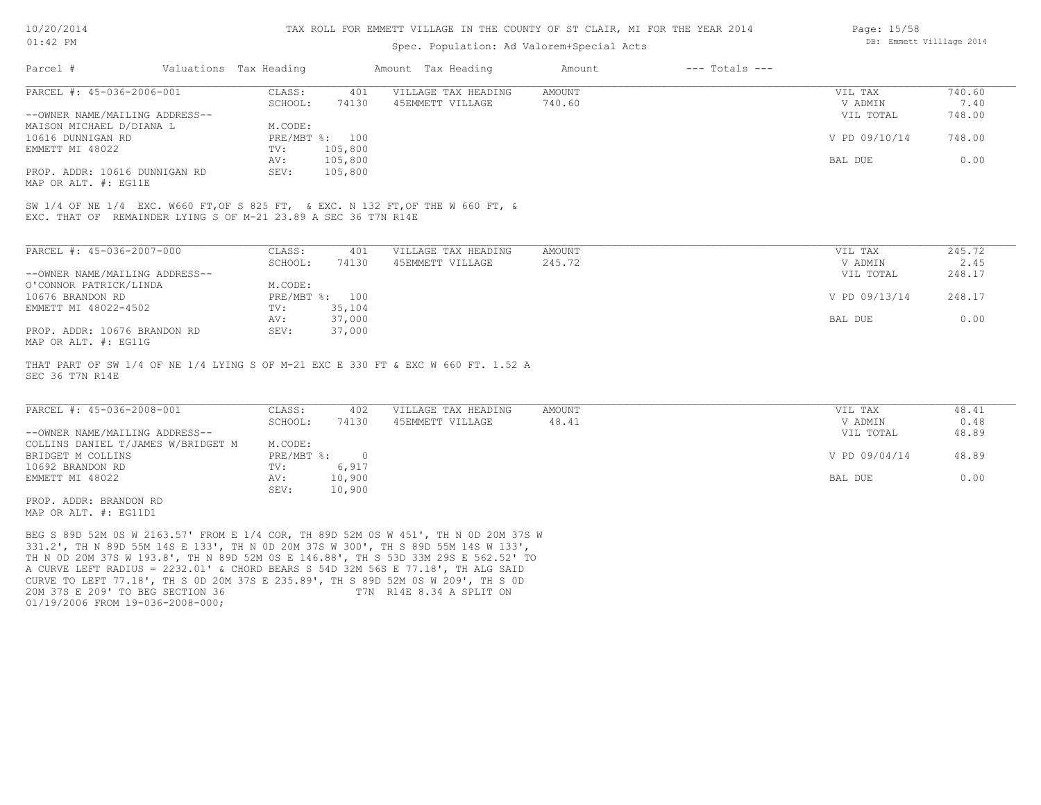| 10/20/201 |  |
|-----------|--|
|           |  |

### Spec. Population: Ad Valorem+Special Acts

| Page: 15/58 |                          |  |
|-------------|--------------------------|--|
|             | DB: Emmett Villlage 2014 |  |

| Parcel #                       | Valuations Tax Heading |                | Amount Tax Heading  | Amount | $---$ Totals $---$ |               |        |
|--------------------------------|------------------------|----------------|---------------------|--------|--------------------|---------------|--------|
| PARCEL #: 45-036-2006-001      | CLASS:                 | 401            | VILLAGE TAX HEADING | AMOUNT |                    | VIL TAX       | 740.60 |
|                                | SCHOOL:                | 74130          | 45EMMETT VILLAGE    | 740.60 |                    | V ADMIN       | 7.40   |
| --OWNER NAME/MAILING ADDRESS-- |                        |                |                     |        |                    | VIL TOTAL     | 748.00 |
| MAISON MICHAEL D/DIANA L       | M.CODE:                |                |                     |        |                    |               |        |
| 10616 DUNNIGAN RD              |                        | PRE/MBT %: 100 |                     |        |                    | V PD 09/10/14 | 748.00 |
| EMMETT MI 48022                | TV:                    | 105,800        |                     |        |                    |               |        |
|                                | AV:                    | 105,800        |                     |        |                    | BAL DUE       | 0.00   |
| PROP. ADDR: 10616 DUNNIGAN RD  | SEV:                   | 105,800        |                     |        |                    |               |        |
| MAP OR ALT. #: EG11E           |                        |                |                     |        |                    |               |        |

SW 1/4 OF NE 1/4 EXC. W660 FT,OF S 825 FT, & EXC. N 132 FT,OF THE W 660 FT, &

EXC. THAT OF REMAINDER LYING S OF M-21 23.89 A SEC 36 T7N R14E

| PARCEL #: 45-036-2007-000      | CLASS:     | 401    | VILLAGE TAX HEADING | AMOUNT | VIL TAX       | 245.72 |
|--------------------------------|------------|--------|---------------------|--------|---------------|--------|
|                                | SCHOOL:    | 74130  | 45EMMETT VILLAGE    | 245.72 | V ADMIN       | 2.45   |
| --OWNER NAME/MAILING ADDRESS-- |            |        |                     |        | VIL TOTAL     | 248.17 |
| O'CONNOR PATRICK/LINDA         | M.CODE:    |        |                     |        |               |        |
| 10676 BRANDON RD               | PRE/MBT %: | 100    |                     |        | V PD 09/13/14 | 248.17 |
| EMMETT MI 48022-4502           | TV:        | 35,104 |                     |        |               |        |
|                                | AV:        | 37,000 |                     |        | BAL DUE       | 0.00   |
| PROP. ADDR: 10676 BRANDON RD   | SEV:       | 37,000 |                     |        |               |        |
| MAP OR ALT. #: EG11G           |            |        |                     |        |               |        |

SEC 36 T7N R14E THAT PART OF SW 1/4 OF NE 1/4 LYING S OF M-21 EXC E 330 FT & EXC W 660 FT. 1.52 A

| PARCEL #: 45-036-2008-001          | CLASS:     | 402    | VILLAGE TAX HEADING | AMOUNT | VIL TAX       | 48.41 |
|------------------------------------|------------|--------|---------------------|--------|---------------|-------|
|                                    | SCHOOL:    | 74130  | 45EMMETT VILLAGE    | 48.41  | V ADMIN       | 0.48  |
| --OWNER NAME/MAILING ADDRESS--     |            |        |                     |        | VIL TOTAL     | 48.89 |
| COLLINS DANIEL T/JAMES W/BRIDGET M | M.CODE:    |        |                     |        |               |       |
| BRIDGET M COLLINS                  | PRE/MBT %: |        |                     |        | V PD 09/04/14 | 48.89 |
| 10692 BRANDON RD                   | TV:        | 6,917  |                     |        |               |       |
| EMMETT MI 48022                    | AV:        | 10,900 |                     |        | BAL DUE       | 0.00  |
|                                    | SEV:       | 10,900 |                     |        |               |       |
| PROP. ADDR: BRANDON RD             |            |        |                     |        |               |       |

MAP OR ALT. #: EG11D1

01/19/2006 FROM 19-036-2008-000; 20M 37S E 209' TO BEG SECTION 36 T7N R14E 8.34 A SPLIT ON CURVE TO LEFT 77.18', TH S 0D 20M 37S E 235.89', TH S 89D 52M 0S W 209', TH S 0D A CURVE LEFT RADIUS = 2232.01' & CHORD BEARS S 54D 32M 56S E 77.18', TH ALG SAID TH N 0D 20M 37S W 193.8', TH N 89D 52M 0S E 146.88', TH S 53D 33M 29S E 562.52' TO 331.2', TH N 89D 55M 14S E 133', TH N 0D 20M 37S W 300', TH S 89D 55M 14S W 133', BEG S 89D 52M 0S W 2163.57' FROM E 1/4 COR, TH 89D 52M 0S W 451', TH N 0D 20M 37S W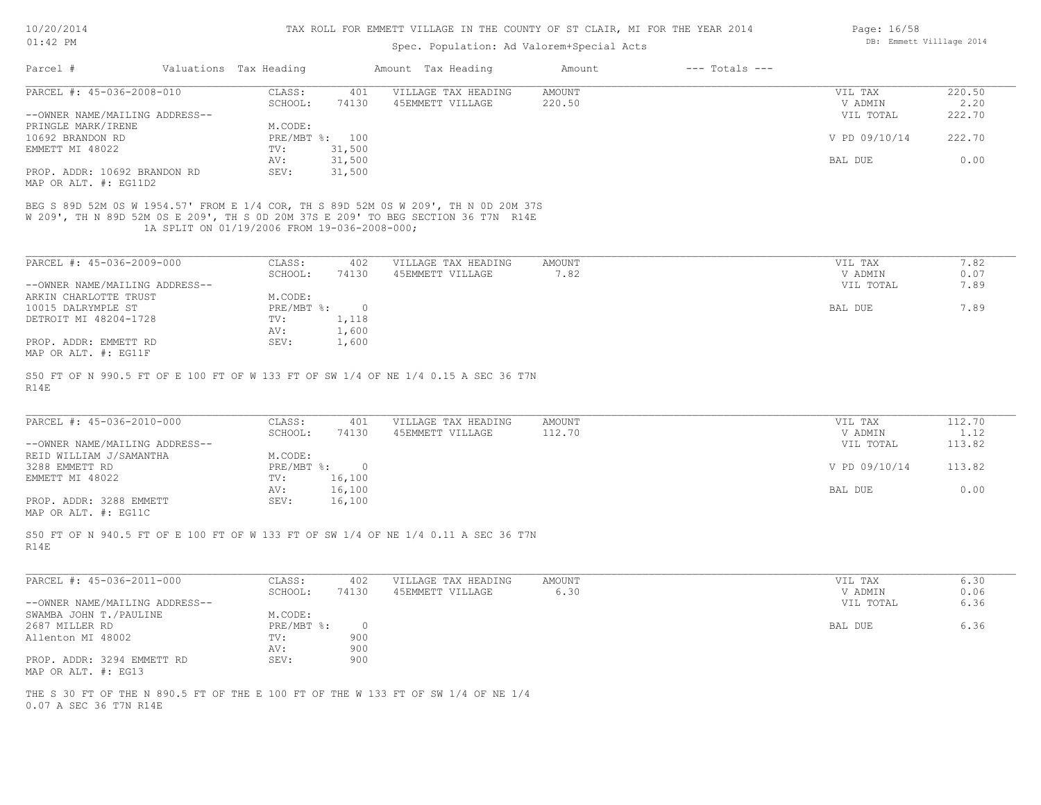| 10/20/2014 |  |
|------------|--|
| $01:42$ PM |  |

## Spec. Population: Ad Valorem+Special Acts

| Page: 16/58 |                          |  |
|-------------|--------------------------|--|
|             | DB: Emmett Villlage 2014 |  |

| PARCEL #: 45-036-2008-010                                                                                                                                                                                                                       | CLASS:<br>SCHOOL:                            | 401<br>74130 | VILLAGE TAX HEADING<br>45EMMETT VILLAGE | AMOUNT<br>220.50 | VIL TAX<br>V ADMIN | 220.50<br>2,20           |
|-------------------------------------------------------------------------------------------------------------------------------------------------------------------------------------------------------------------------------------------------|----------------------------------------------|--------------|-----------------------------------------|------------------|--------------------|--------------------------|
| --OWNER NAME/MAILING ADDRESS--                                                                                                                                                                                                                  |                                              |              |                                         |                  | VIL TOTAL          | 222.70                   |
| PRINGLE MARK/IRENE                                                                                                                                                                                                                              | M.CODE:                                      |              |                                         |                  |                    |                          |
| 10692 BRANDON RD                                                                                                                                                                                                                                | PRE/MBT %: 100                               |              |                                         |                  | V PD 09/10/14      | 222.70                   |
| EMMETT MI 48022                                                                                                                                                                                                                                 | 31,500<br>TV:<br>AV:<br>31,500               |              |                                         |                  | BAL DUE            | 0.00                     |
| PROP. ADDR: 10692 BRANDON RD<br>MAP OR ALT. #: EG11D2                                                                                                                                                                                           | SEV:<br>31,500                               |              |                                         |                  |                    |                          |
| BEG S 89D 52M 0S W 1954.57' FROM E 1/4 COR, TH S 89D 52M 0S W 209', TH N 0D 20M 37S<br>W 209', TH N 89D 52M 0S E 209', TH S 0D 20M 37S E 209' TO BEG SECTION 36 T7N R14E                                                                        | 1A SPLIT ON 01/19/2006 FROM 19-036-2008-000; |              |                                         |                  |                    |                          |
| PARCEL #: 45-036-2009-000                                                                                                                                                                                                                       | CLASS:                                       | 402          | VILLAGE TAX HEADING                     | AMOUNT           | VIL TAX            | 7.82                     |
|                                                                                                                                                                                                                                                 | SCHOOL:                                      | 74130        | 45EMMETT VILLAGE                        | 7.82             | V ADMIN            | 0.07                     |
| --OWNER NAME/MAILING ADDRESS--                                                                                                                                                                                                                  |                                              |              |                                         |                  | VIL TOTAL          | 7.89                     |
| ARKIN CHARLOTTE TRUST<br>10015 DALRYMPLE ST                                                                                                                                                                                                     | M.CODE:<br>$PRE/MBT$ $\frac{1}{6}$ : 0       |              |                                         |                  | BAL DUE            | 7.89                     |
| DETROIT MI 48204-1728                                                                                                                                                                                                                           | TV:                                          | 1,118        |                                         |                  |                    |                          |
|                                                                                                                                                                                                                                                 | AV:                                          | 1,600        |                                         |                  |                    |                          |
|                                                                                                                                                                                                                                                 |                                              | 1,600        |                                         |                  |                    |                          |
| PROP. ADDR: EMMETT RD<br>MAP OR ALT. #: EG11F<br>S50 FT OF N 990.5 FT OF E 100 FT OF W 133 FT OF SW 1/4 OF NE 1/4 0.15 A SEC 36 T7N<br>R14E                                                                                                     | SEV:                                         |              |                                         |                  |                    |                          |
| PARCEL #: 45-036-2010-000                                                                                                                                                                                                                       | CLASS:<br>SCHOOL:                            | 401<br>74130 | VILLAGE TAX HEADING<br>45EMMETT VILLAGE | AMOUNT<br>112.70 | VIL TAX<br>V ADMIN |                          |
|                                                                                                                                                                                                                                                 | M.CODE:                                      |              |                                         |                  | VIL TOTAL          | 112.70<br>1.12<br>113.82 |
|                                                                                                                                                                                                                                                 | PRE/MBT %: 0<br>16,100<br>TV:                |              |                                         |                  | V PD 09/10/14      | 113.82                   |
|                                                                                                                                                                                                                                                 | 16,100<br>AV:<br>SEV:<br>16,100              |              |                                         |                  | BAL DUE            | 0.00                     |
| --OWNER NAME/MAILING ADDRESS--<br>REID WILLIAM J/SAMANTHA<br>3288 EMMETT RD<br>EMMETT MI 48022<br>PROP. ADDR: 3288 EMMETT<br>MAP OR ALT. #: EG11C<br>S50 FT OF N 940.5 FT OF E 100 FT OF W 133 FT OF SW 1/4 OF NE 1/4 0.11 A SEC 36 T7N<br>R14E |                                              |              |                                         |                  |                    |                          |
| PARCEL #: 45-036-2011-000                                                                                                                                                                                                                       | CLASS:                                       | 402          | VILLAGE TAX HEADING                     | AMOUNT           | VIL TAX            | 6.30                     |
|                                                                                                                                                                                                                                                 | SCHOOL:                                      | 74130        | 45EMMETT VILLAGE                        | 6.30             | V ADMIN            | 0.06                     |
|                                                                                                                                                                                                                                                 |                                              |              |                                         |                  | VIL TOTAL          | 6.36                     |
|                                                                                                                                                                                                                                                 | M.CODE:<br>$PRE/MBT$ $\div$                  | $\circ$      |                                         |                  | BAL DUE            | 6.36                     |
|                                                                                                                                                                                                                                                 | TV:                                          | 900          |                                         |                  |                    |                          |
|                                                                                                                                                                                                                                                 | AV:                                          | 900          |                                         |                  |                    |                          |
| --OWNER NAME/MAILING ADDRESS--<br>SWAMBA JOHN T./PAULINE<br>2687 MILLER RD<br>Allenton MI 48002<br>PROP. ADDR: 3294 EMMETT RD<br>MAP OR ALT. #: EG13                                                                                            | SEV:                                         | 900          |                                         |                  |                    |                          |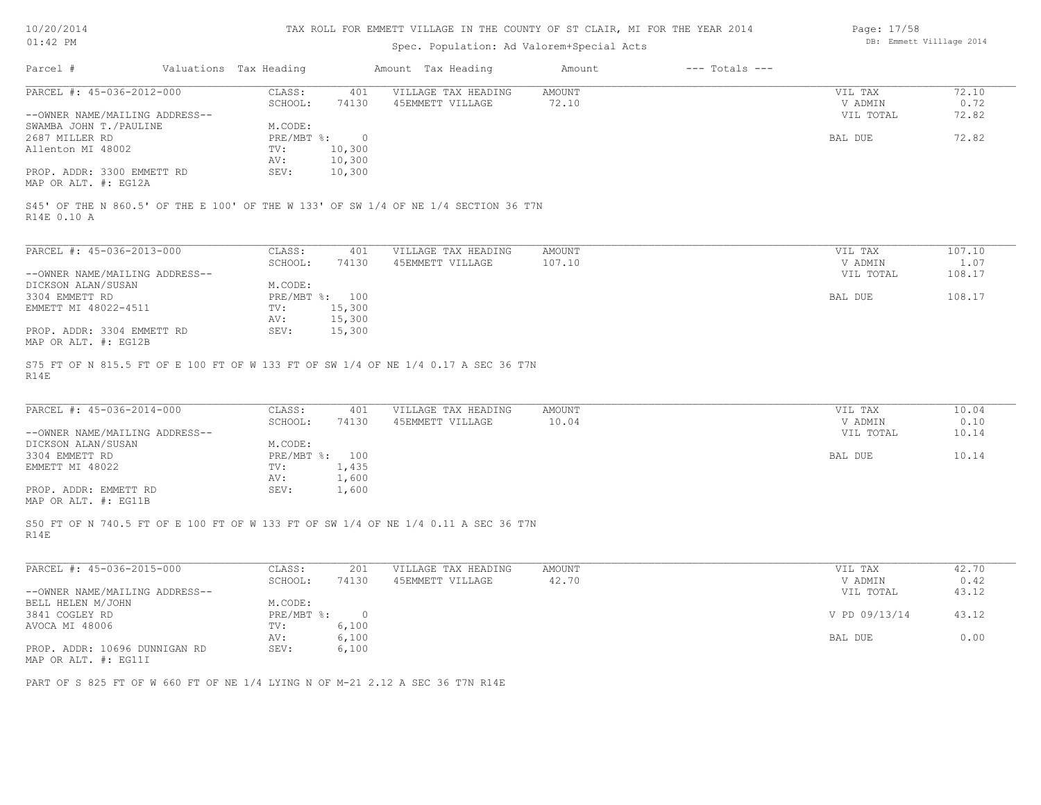| 10/20/2014 |  |
|------------|--|
|            |  |

| Page: 17/58 |                          |  |
|-------------|--------------------------|--|
|             | DB: Emmett Villlage 2014 |  |

| $01:42$ PM                                            |                        |                         |                         | Spec. Population: Ad Valorem+Special Acts                                           |                        |                    | $-$ and $  \cdot$ $\cdot$ $ \cdot$ $\cdot$ $-$<br>DB: Emmett Villlage 2014 |               |
|-------------------------------------------------------|------------------------|-------------------------|-------------------------|-------------------------------------------------------------------------------------|------------------------|--------------------|----------------------------------------------------------------------------|---------------|
| Parcel #                                              | Valuations Tax Heading |                         |                         | Amount Tax Heading                                                                  | Amount                 | $---$ Totals $---$ |                                                                            |               |
| PARCEL #: 45-036-2012-000                             |                        | CLASS:                  | 401                     | VILLAGE TAX HEADING                                                                 | AMOUNT                 |                    | VIL TAX                                                                    | 72.10         |
| --OWNER NAME/MAILING ADDRESS--                        |                        | SCHOOL:                 | 74130                   | 45EMMETT VILLAGE                                                                    | 72.10                  |                    | V ADMIN<br>VIL TOTAL                                                       | 0.72<br>72.82 |
| SWAMBA JOHN T./PAULINE                                |                        | M.CODE:                 |                         |                                                                                     |                        |                    |                                                                            |               |
| 2687 MILLER RD<br>Allenton MI 48002                   |                        | PRE/MBT %: 0<br>TV:     | 10,300                  |                                                                                     |                        |                    | BAL DUE                                                                    | 72.82         |
|                                                       |                        | AV:                     | 10,300                  |                                                                                     |                        |                    |                                                                            |               |
| PROP. ADDR: 3300 EMMETT RD<br>MAP OR ALT. #: EG12A    |                        | SEV:                    | 10,300                  |                                                                                     |                        |                    |                                                                            |               |
| R14E 0.10 A                                           |                        |                         |                         | S45' OF THE N 860.5' OF THE E 100' OF THE W 133' OF SW 1/4 OF NE 1/4 SECTION 36 T7N |                        |                    |                                                                            |               |
| PARCEL #: 45-036-2013-000                             |                        | CLASS:                  | 401                     |                                                                                     |                        |                    |                                                                            | 107.10        |
|                                                       |                        | SCHOOL:                 | 74130                   | VILLAGE TAX HEADING<br>45EMMETT VILLAGE                                             | AMOUNT<br>107.10       |                    | VIL TAX<br>V ADMIN                                                         | 1.07          |
| --OWNER NAME/MAILING ADDRESS--                        |                        |                         |                         |                                                                                     |                        |                    | VIL TOTAL                                                                  | 108.17        |
| DICKSON ALAN/SUSAN                                    |                        | M.CODE:                 |                         |                                                                                     |                        |                    |                                                                            |               |
| 3304 EMMETT RD                                        |                        | PRE/MBT %: 100          |                         |                                                                                     |                        |                    | BAL DUE                                                                    | 108.17        |
| EMMETT MI 48022-4511                                  |                        | TV:<br>AV:              | 15,300<br>15,300        |                                                                                     |                        |                    |                                                                            |               |
| PROP. ADDR: 3304 EMMETT RD<br>MAP OR ALT. #: EG12B    |                        | SEV:                    | 15,300                  |                                                                                     |                        |                    |                                                                            |               |
| R14E                                                  |                        |                         |                         | S75 FT OF N 815.5 FT OF E 100 FT OF W 133 FT OF SW 1/4 OF NE 1/4 0.17 A SEC 36 T7N  |                        |                    |                                                                            |               |
| PARCEL #: 45-036-2014-000                             |                        | CLASS:<br>SCHOOL:       | 401<br>74130            | VILLAGE TAX HEADING<br>45EMMETT VILLAGE                                             | <b>AMOUNT</b><br>10.04 |                    | VIL TAX<br>V ADMIN                                                         | 10.04<br>0.10 |
| --OWNER NAME/MAILING ADDRESS--                        |                        |                         |                         |                                                                                     |                        |                    | VIL TOTAL                                                                  | 10.14         |
| DICKSON ALAN/SUSAN                                    |                        | M.CODE:                 |                         |                                                                                     |                        |                    |                                                                            |               |
| 3304 EMMETT RD                                        |                        | PRE/MBT %: 100          |                         |                                                                                     |                        |                    | BAL DUE                                                                    | 10.14         |
| EMMETT MI 48022                                       |                        | TV:<br>AV:              | 1,435<br>1,600          |                                                                                     |                        |                    |                                                                            |               |
| PROP. ADDR: EMMETT RD                                 |                        | SEV:                    | 1,600                   |                                                                                     |                        |                    |                                                                            |               |
| MAP OR ALT. #: EG11B                                  |                        |                         |                         |                                                                                     |                        |                    |                                                                            |               |
| R14E                                                  |                        |                         |                         | S50 FT OF N 740.5 FT OF E 100 FT OF W 133 FT OF SW 1/4 OF NE 1/4 0.11 A SEC 36 T7N  |                        |                    |                                                                            |               |
| PARCEL #: 45-036-2015-000                             |                        | CLASS:                  | 201                     | VILLAGE TAX HEADING                                                                 | <b>AMOUNT</b>          |                    | VIL TAX                                                                    | 42.70         |
|                                                       |                        | SCHOOL:                 | 74130                   | 45EMMETT VILLAGE                                                                    | 42.70                  |                    | V ADMIN                                                                    | 0.42          |
| --OWNER NAME/MAILING ADDRESS--                        |                        |                         |                         |                                                                                     |                        |                    | VIL TOTAL                                                                  | 43.12         |
| BELL HELEN M/JOHN                                     |                        | M.CODE:                 |                         |                                                                                     |                        |                    |                                                                            |               |
| 3841 COGLEY RD<br>AVOCA MI 48006                      |                        | $PRE/MBT$ $\div$<br>TV: | $\overline{0}$<br>6,100 |                                                                                     |                        |                    | V PD 09/13/14                                                              | 43.12         |
|                                                       |                        | AV:                     | 6,100                   |                                                                                     |                        |                    | BAL DUE                                                                    | 0.00          |
| PROP. ADDR: 10696 DUNNIGAN RD<br>MAP OR ALT. #: EG11I |                        | SEV:                    | 6,100                   |                                                                                     |                        |                    |                                                                            |               |
|                                                       |                        |                         |                         | PART OF S 825 FT OF W 660 FT OF NE 1/4 LYING N OF M-21 2.12 A SEC 36 T7N R14E       |                        |                    |                                                                            |               |
|                                                       |                        |                         |                         |                                                                                     |                        |                    |                                                                            |               |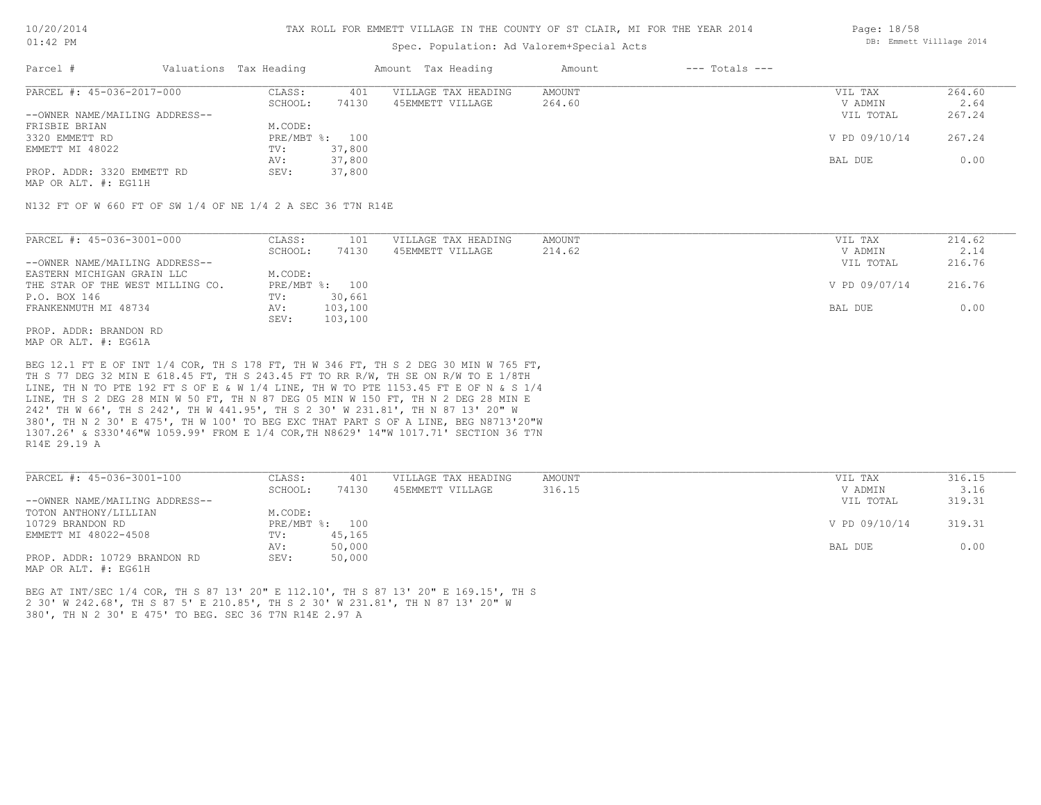### TAX ROLL FOR EMMETT VILLAGE IN THE COUNTY OF ST CLAIR, MI FOR THE YEAR 2014

### Spec. Population: Ad Valorem+Special Acts

| Parcel #                       | Valuations Tax Heading |        | Amount Tax Heading  | Amount | $---$ Totals $---$ |               |        |
|--------------------------------|------------------------|--------|---------------------|--------|--------------------|---------------|--------|
| PARCEL #: 45-036-2017-000      | CLASS:                 | 401    | VILLAGE TAX HEADING | AMOUNT |                    | VIL TAX       | 264.60 |
|                                | SCHOOL:                | 74130  | 45EMMETT VILLAGE    | 264.60 |                    | V ADMIN       | 2.64   |
| --OWNER NAME/MAILING ADDRESS-- |                        |        |                     |        |                    | VIL TOTAL     | 267.24 |
| FRISBIE BRIAN                  | M.CODE:                |        |                     |        |                    |               |        |
| 3320 EMMETT RD                 | PRE/MBT %: 100         |        |                     |        |                    | V PD 09/10/14 | 267.24 |
| EMMETT MI 48022                | TV:                    | 37,800 |                     |        |                    |               |        |
|                                | AV:                    | 37,800 |                     |        |                    | BAL DUE       | 0.00   |
| PROP. ADDR: 3320 EMMETT RD     | SEV:                   | 37,800 |                     |        |                    |               |        |
|                                |                        |        |                     |        |                    |               |        |

MAP OR ALT. #: EG11H

N132 FT OF W 660 FT OF SW 1/4 OF NE 1/4 2 A SEC 36 T7N R14E

| PARCEL #: 45-036-3001-000        | CLASS:  | 101            | VILLAGE TAX HEADING | AMOUNT | VIL TAX       | 214.62 |
|----------------------------------|---------|----------------|---------------------|--------|---------------|--------|
|                                  | SCHOOL: | 74130          | 45EMMETT VILLAGE    | 214.62 | V ADMIN       | 2.14   |
| --OWNER NAME/MAILING ADDRESS--   |         |                |                     |        | VIL TOTAL     | 216.76 |
| EASTERN MICHIGAN GRAIN LLC       | M.CODE: |                |                     |        |               |        |
| THE STAR OF THE WEST MILLING CO. |         | PRE/MBT %: 100 |                     |        | V PD 09/07/14 | 216.76 |
| P.O. BOX 146                     | TV:     | 30,661         |                     |        |               |        |
| FRANKENMUTH MI 48734             | AV:     | 103,100        |                     |        | BAL DUE       | 0.00   |
|                                  | SEV:    | 103,100        |                     |        |               |        |
| PROP. ADDR: BRANDON RD           |         |                |                     |        |               |        |

MAP OR ALT. #: EG61A

R14E 29.19 A 1307.26' & S330'46"W 1059.99' FROM E 1/4 COR,TH N8629' 14"W 1017.71' SECTION 36 T7N 380', TH N 2 30' E 475', TH W 100' TO BEG EXC THAT PART S OF A LINE, BEG N8713'20"W 242' TH W 66', TH S 242', TH W 441.95', TH S 2 30' W 231.81', TH N 87 13' 20" W LINE, TH S 2 DEG 28 MIN W 50 FT, TH N 87 DEG 05 MIN W 150 FT, TH N 2 DEG 28 MIN E LINE, TH N TO PTE 192 FT S OF E & W 1/4 LINE, TH W TO PTE 1153.45 FT E OF N & S 1/4 TH S 77 DEG 32 MIN E 618.45 FT, TH S 243.45 FT TO RR R/W, TH SE ON R/W TO E 1/8TH BEG 12.1 FT E OF INT 1/4 COR, TH S 178 FT, TH W 346 FT, TH S 2 DEG 30 MIN W 765 FT,

| PARCEL #: 45-036-3001-100      | CLASS:  | 401            | VILLAGE TAX HEADING | AMOUNT | VIL TAX       | 316.15 |
|--------------------------------|---------|----------------|---------------------|--------|---------------|--------|
|                                | SCHOOL: | 74130          | 45EMMETT VILLAGE    | 316.15 | V ADMIN       | 3.16   |
| --OWNER NAME/MAILING ADDRESS-- |         |                |                     |        | VIL TOTAL     | 319.31 |
| TOTON ANTHONY/LILLIAN          | M.CODE: |                |                     |        |               |        |
| 10729 BRANDON RD               |         | PRE/MBT %: 100 |                     |        | V PD 09/10/14 | 319.31 |
| EMMETT MI 48022-4508           | TV:     | 45,165         |                     |        |               |        |
|                                | AV:     | 50,000         |                     |        | BAL DUE       | 0.00   |
| PROP. ADDR: 10729 BRANDON RD   | SEV:    | 50,000         |                     |        |               |        |
| MAP OR ALT. #: EG61H           |         |                |                     |        |               |        |

380', TH N 2 30' E 475' TO BEG. SEC 36 T7N R14E 2.97 A 2 30' W 242.68', TH S 87 5' E 210.85', TH S 2 30' W 231.81', TH N 87 13' 20" W BEG AT INT/SEC 1/4 COR, TH S 87 13' 20" E 112.10', TH S 87 13' 20" E 169.15', TH S Page: 18/58 DB: Emmett Villlage 2014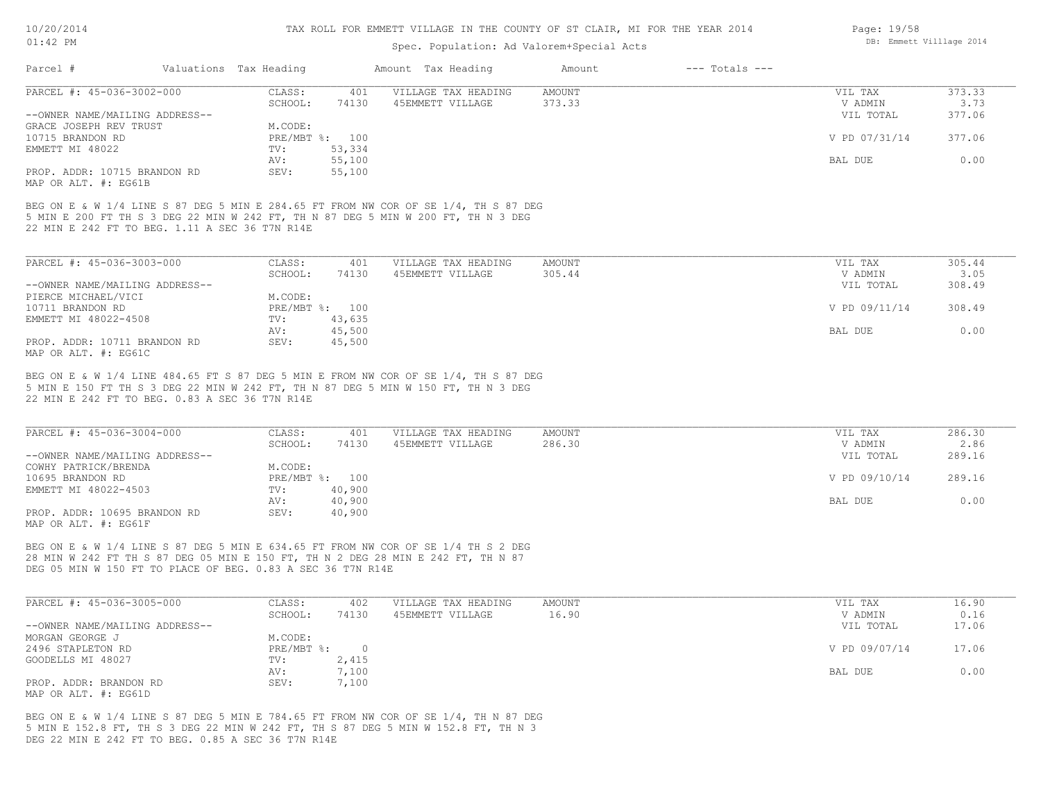#### TAX ROLL FOR EMMETT VILLAGE IN THE COUNTY OF ST CLAIR, MI FOR THE YEAR 2014

### Spec. Population: Ad Valorem+Special Acts

| PARCEL #: 45-036-3002-000<br>AMOUNT<br>CLASS:<br>401<br>VILLAGE TAX HEADING<br>373.33<br>74130<br>45EMMETT VILLAGE<br>SCHOOL:<br>--OWNER NAME/MAILING ADDRESS--<br>GRACE JOSEPH REV TRUST<br>M.CODE:<br>PRE/MBT %: 100<br>10715 BRANDON RD | VIL TAX<br>V ADMIN<br>VIL TOTAL | 373.33<br>3.73 |
|--------------------------------------------------------------------------------------------------------------------------------------------------------------------------------------------------------------------------------------------|---------------------------------|----------------|
|                                                                                                                                                                                                                                            |                                 |                |
|                                                                                                                                                                                                                                            |                                 |                |
|                                                                                                                                                                                                                                            |                                 | 377.06         |
|                                                                                                                                                                                                                                            |                                 |                |
|                                                                                                                                                                                                                                            | V PD 07/31/14                   | 377.06         |
| 53,334<br>EMMETT MI 48022<br>TV:                                                                                                                                                                                                           |                                 |                |
| 55,100<br>AV:                                                                                                                                                                                                                              | BAL DUE                         | 0.00           |
| PROP. ADDR: 10715 BRANDON RD<br>55,100<br>SEV:                                                                                                                                                                                             |                                 |                |
| MAP OR ALT. #: EG61B                                                                                                                                                                                                                       |                                 |                |

22 MIN E 242 FT TO BEG. 1.11 A SEC 36 T7N R14E

| PARCEL #: 45-036-3003-000      | CLASS:  | 401            | VILLAGE TAX HEADING | AMOUNT | VIL TAX       | 305.44 |
|--------------------------------|---------|----------------|---------------------|--------|---------------|--------|
|                                | SCHOOL: | 74130          | 45EMMETT VILLAGE    | 305.44 | V ADMIN       | 3.05   |
| --OWNER NAME/MAILING ADDRESS-- |         |                |                     |        | VIL TOTAL     | 308.49 |
| PIERCE MICHAEL/VICI            | M.CODE: |                |                     |        |               |        |
| 10711 BRANDON RD               |         | PRE/MBT %: 100 |                     |        | V PD 09/11/14 | 308.49 |
| EMMETT MI 48022-4508           | TV:     | 43,635         |                     |        |               |        |
|                                | AV:     | 45,500         |                     |        | BAL DUE       | 0.00   |
| PROP. ADDR: 10711 BRANDON RD   | SEV:    | 45,500         |                     |        |               |        |
| MAP OR ALT. #: EG61C           |         |                |                     |        |               |        |

22 MIN E 242 FT TO BEG. 0.83 A SEC 36 T7N R14E 5 MIN E 150 FT TH S 3 DEG 22 MIN W 242 FT, TH N 87 DEG 5 MIN W 150 FT, TH N 3 DEG BEG ON E & W 1/4 LINE 484.65 FT S 87 DEG 5 MIN E FROM NW COR OF SE 1/4, TH S 87 DEG

| PARCEL #: 45-036-3004-000      | CLASS:  | 401            | VILLAGE TAX HEADING | AMOUNT | VIL TAX       | 286.30 |
|--------------------------------|---------|----------------|---------------------|--------|---------------|--------|
|                                | SCHOOL: | 74130          | 45EMMETT VILLAGE    | 286.30 | V ADMIN       | 2.86   |
| --OWNER NAME/MAILING ADDRESS-- |         |                |                     |        | VIL TOTAL     | 289.16 |
| COWHY PATRICK/BRENDA           | M.CODE: |                |                     |        |               |        |
| 10695 BRANDON RD               |         | PRE/MBT %: 100 |                     |        | V PD 09/10/14 | 289.16 |
| EMMETT MI 48022-4503           | TV:     | 40,900         |                     |        |               |        |
|                                | AV:     | 40,900         |                     |        | BAL DUE       | 0.00   |
| PROP. ADDR: 10695 BRANDON RD   | SEV:    | 40,900         |                     |        |               |        |
| MAP OR ALT. #: EG61F           |         |                |                     |        |               |        |

DEG 05 MIN W 150 FT TO PLACE OF BEG. 0.83 A SEC 36 T7N R14E 28 MIN W 242 FT TH S 87 DEG 05 MIN E 150 FT, TH N 2 DEG 28 MIN E 242 FT, TH N 87 BEG ON E & W 1/4 LINE S 87 DEG 5 MIN E 634.65 FT FROM NW COR OF SE 1/4 TH S 2 DEG

| PARCEL #: 45-036-3005-000      | CLASS:     | 402   | VILLAGE TAX HEADING | AMOUNT | VIL TAX       | 16.90 |
|--------------------------------|------------|-------|---------------------|--------|---------------|-------|
|                                | SCHOOL:    | 74130 | 45EMMETT VILLAGE    | 16.90  | V ADMIN       | 0.16  |
| --OWNER NAME/MAILING ADDRESS-- |            |       |                     |        | VIL TOTAL     | 17.06 |
| MORGAN GEORGE J                | M.CODE:    |       |                     |        |               |       |
| 2496 STAPLETON RD              | PRE/MBT %: |       |                     |        | V PD 09/07/14 | 17.06 |
| GOODELLS MI 48027              | TV:        | 2,415 |                     |        |               |       |
|                                | AV:        | 7,100 |                     |        | BAL DUE       | 0.00  |
| PROP. ADDR: BRANDON RD         | SEV:       | 7,100 |                     |        |               |       |
| MAP OR ALT. #: EG61D           |            |       |                     |        |               |       |

DEG 22 MIN E 242 FT TO BEG. 0.85 A SEC 36 T7N R14E 5 MIN E 152.8 FT, TH S 3 DEG 22 MIN W 242 FT, TH S 87 DEG 5 MIN W 152.8 FT, TH N 3 BEG ON E & W 1/4 LINE S 87 DEG 5 MIN E 784.65 FT FROM NW COR OF SE 1/4, TH N 87 DEG Page: 19/58 DB: Emmett Villlage 2014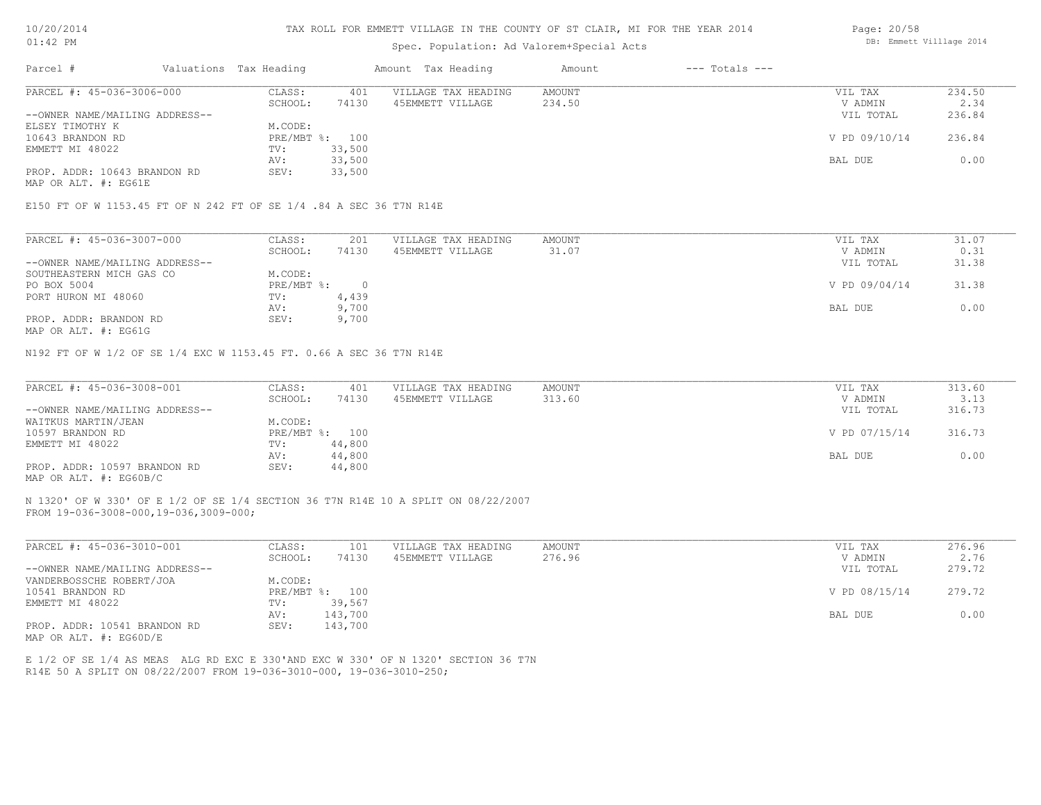#### TAX ROLL FOR EMMETT VILLAGE IN THE COUNTY OF ST CLAIR, MI FOR THE YEAR 2014

### Spec. Population: Ad Valorem+Special Acts

| Parcel #                       | Valuations Tax Heading |        | Amount Tax Heading  | Amount | $---$ Totals $---$ |               |        |
|--------------------------------|------------------------|--------|---------------------|--------|--------------------|---------------|--------|
| PARCEL #: 45-036-3006-000      | CLASS:                 | 401    | VILLAGE TAX HEADING | AMOUNT |                    | VIL TAX       | 234.50 |
|                                | SCHOOL:                | 74130  | 45EMMETT VILLAGE    | 234.50 |                    | V ADMIN       | 2.34   |
| --OWNER NAME/MAILING ADDRESS-- |                        |        |                     |        |                    | VIL TOTAL     | 236.84 |
| ELSEY TIMOTHY K                | M.CODE:                |        |                     |        |                    |               |        |
| 10643 BRANDON RD               | PRE/MBT %: 100         |        |                     |        |                    | V PD 09/10/14 | 236.84 |
| EMMETT MI 48022                | TV:                    | 33,500 |                     |        |                    |               |        |
|                                | AV:                    | 33,500 |                     |        |                    | BAL DUE       | 0.00   |
| PROP. ADDR: 10643 BRANDON RD   | SEV:                   | 33,500 |                     |        |                    |               |        |
|                                |                        |        |                     |        |                    |               |        |

MAP OR ALT. #: EG61E

E150 FT OF W 1153.45 FT OF N 242 FT OF SE 1/4 .84 A SEC 36 T7N R14E

| PARCEL #: 45-036-3007-000      | CLASS:     | 201   | VILLAGE TAX HEADING | AMOUNT | VIL TAX       | 31.07 |
|--------------------------------|------------|-------|---------------------|--------|---------------|-------|
|                                | SCHOOL:    | 74130 | 45EMMETT VILLAGE    | 31.07  | V ADMIN       | 0.31  |
| --OWNER NAME/MAILING ADDRESS-- |            |       |                     |        | VIL TOTAL     | 31.38 |
| SOUTHEASTERN MICH GAS CO       | M.CODE:    |       |                     |        |               |       |
| PO BOX 5004                    | PRE/MBT %: |       |                     |        | V PD 09/04/14 | 31.38 |
| PORT HURON MI 48060            | TV:        | 4,439 |                     |        |               |       |
|                                | AV:        | 9,700 |                     |        | BAL DUE       | 0.00  |
| PROP. ADDR: BRANDON RD         | SEV:       | 9,700 |                     |        |               |       |
|                                |            |       |                     |        |               |       |

MAP OR ALT. #: EG61G

N192 FT OF W 1/2 OF SE 1/4 EXC W 1153.45 FT. 0.66 A SEC 36 T7N R14E

| PARCEL #: 45-036-3008-001      | CLASS:  | 401            | VILLAGE TAX HEADING | AMOUNT | VIL TAX       | 313.60 |
|--------------------------------|---------|----------------|---------------------|--------|---------------|--------|
|                                | SCHOOL: | 74130          | 45EMMETT VILLAGE    | 313.60 | V ADMIN       | 3.13   |
| --OWNER NAME/MAILING ADDRESS-- |         |                |                     |        | VIL TOTAL     | 316.73 |
| WAITKUS MARTIN/JEAN            | M.CODE: |                |                     |        |               |        |
| 10597 BRANDON RD               |         | PRE/MBT %: 100 |                     |        | V PD 07/15/14 | 316.73 |
| EMMETT MI 48022                | TV:     | 44,800         |                     |        |               |        |
|                                | AV:     | 44,800         |                     |        | BAL DUE       | 0.00   |
| PROP. ADDR: 10597 BRANDON RD   | SEV:    | 44,800         |                     |        |               |        |
| MAP OR ALT. #: EG60B/C         |         |                |                     |        |               |        |

FROM 19-036-3008-000,19-036,3009-000; N 1320' OF W 330' OF E 1/2 OF SE 1/4 SECTION 36 T7N R14E 10 A SPLIT ON 08/22/2007

| PARCEL #: 45-036-3010-001      | CLASS:       | 101     | VILLAGE TAX HEADING | AMOUNT | VIL TAX       | 276.96 |
|--------------------------------|--------------|---------|---------------------|--------|---------------|--------|
|                                | SCHOOL:      | 74130   | 45EMMETT VILLAGE    | 276.96 | V ADMIN       | 2.76   |
| --OWNER NAME/MAILING ADDRESS-- |              |         |                     |        | VIL TOTAL     | 279.72 |
| VANDERBOSSCHE ROBERT/JOA       | M.CODE:      |         |                     |        |               |        |
| 10541 BRANDON RD               | $PRE/MBT$ %: | 100     |                     |        | V PD 08/15/14 | 279.72 |
| EMMETT MI 48022                | TV:          | 39,567  |                     |        |               |        |
|                                | AV:          | 143,700 |                     |        | BAL DUE       | 0.00   |
| PROP. ADDR: 10541 BRANDON RD   | SEV:         | 143,700 |                     |        |               |        |
| MAP OR ALT. #: EG60D/E         |              |         |                     |        |               |        |

 $\mathcal{L}_\mathcal{L} = \mathcal{L}_\mathcal{L} = \mathcal{L}_\mathcal{L} = \mathcal{L}_\mathcal{L} = \mathcal{L}_\mathcal{L} = \mathcal{L}_\mathcal{L} = \mathcal{L}_\mathcal{L} = \mathcal{L}_\mathcal{L} = \mathcal{L}_\mathcal{L} = \mathcal{L}_\mathcal{L} = \mathcal{L}_\mathcal{L} = \mathcal{L}_\mathcal{L} = \mathcal{L}_\mathcal{L} = \mathcal{L}_\mathcal{L} = \mathcal{L}_\mathcal{L} = \mathcal{L}_\mathcal{L} = \mathcal{L}_\mathcal{L}$ 

R14E 50 A SPLIT ON 08/22/2007 FROM 19-036-3010-000, 19-036-3010-250; E 1/2 OF SE 1/4 AS MEAS ALG RD EXC E 330'AND EXC W 330' OF N 1320' SECTION 36 T7N DB: Emmett Villlage 2014

Page: 20/58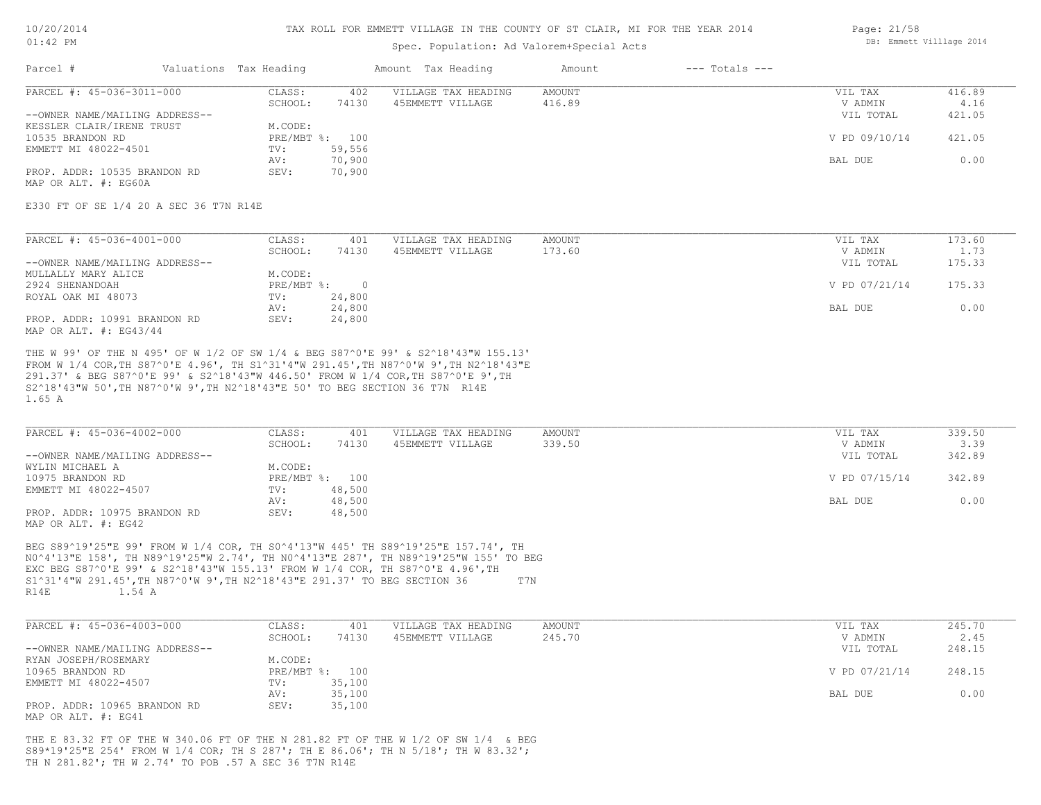#### TAX ROLL FOR EMMETT VILLAGE IN THE COUNTY OF ST CLAIR, MI FOR THE YEAR 2014

### Spec. Population: Ad Valorem+Special Acts

| Parcel #                       | Valuations Tax Heading |        | Amount Tax Heading  | Amount | $---$ Totals $---$ |               |        |
|--------------------------------|------------------------|--------|---------------------|--------|--------------------|---------------|--------|
| PARCEL #: 45-036-3011-000      | CLASS:                 | 402    | VILLAGE TAX HEADING | AMOUNT |                    | VIL TAX       | 416.89 |
|                                | SCHOOL:                | 74130  | 45EMMETT VILLAGE    | 416.89 |                    | V ADMIN       | 4.16   |
| --OWNER NAME/MAILING ADDRESS-- |                        |        |                     |        |                    | VIL TOTAL     | 421.05 |
| KESSLER CLAIR/IRENE TRUST      | M.CODE:                |        |                     |        |                    |               |        |
| 10535 BRANDON RD               | PRE/MBT %: 100         |        |                     |        |                    | V PD 09/10/14 | 421.05 |
| EMMETT MI 48022-4501           | TV:                    | 59,556 |                     |        |                    |               |        |
|                                | AV:                    | 70,900 |                     |        |                    | BAL DUE       | 0.00   |
| PROP. ADDR: 10535 BRANDON RD   | SEV:                   | 70,900 |                     |        |                    |               |        |

MAP OR ALT. #: EG60A

#### E330 FT OF SE 1/4 20 A SEC 36 T7N R14E

| PARCEL #: 45-036-4001-000      | CLASS:     | 401    | VILLAGE TAX HEADING | AMOUNT | VIL TAX       | 173.60 |
|--------------------------------|------------|--------|---------------------|--------|---------------|--------|
|                                | SCHOOL:    | 74130  | 45EMMETT VILLAGE    | 173.60 | V ADMIN       | 1.73   |
| --OWNER NAME/MAILING ADDRESS-- |            |        |                     |        | VIL TOTAL     | 175.33 |
| MULLALLY MARY ALICE            | M.CODE:    |        |                     |        |               |        |
| 2924 SHENANDOAH                | PRE/MBT %: |        |                     |        | V PD 07/21/14 | 175.33 |
| ROYAL OAK MI 48073             | TV:        | 24,800 |                     |        |               |        |
|                                | AV:        | 24,800 |                     |        | BAL DUE       | 0.00   |
| PROP. ADDR: 10991 BRANDON RD   | SEV:       | 24,800 |                     |        |               |        |
| MAP OR ALT. $\#$ : EG43/44     |            |        |                     |        |               |        |

1.65 A S2^18'43"W 50',TH N87^0'W 9',TH N2^18'43"E 50' TO BEG SECTION 36 T7N R14E 291.37' & BEG S87^0'E 99' & S2^18'43"W 446.50' FROM W 1/4 COR,TH S87^0'E 9',TH FROM W 1/4 COR,TH S87^0'E 4.96', TH S1^31'4"W 291.45',TH N87^0'W 9',TH N2^18'43"E THE W 99' OF THE N 495' OF W 1/2 OF SW 1/4 & BEG S87^0'E 99' & S2^18'43"W 155.13'

| PARCEL #: 45-036-4002-000      | CLASS:  | 401            | VILLAGE TAX HEADING | AMOUNT | VIL TAX       | 339.50 |
|--------------------------------|---------|----------------|---------------------|--------|---------------|--------|
|                                | SCHOOL: | 74130          | 45EMMETT VILLAGE    | 339.50 | V ADMIN       | 3.39   |
| --OWNER NAME/MAILING ADDRESS-- |         |                |                     |        | VIL TOTAL     | 342.89 |
| WYLIN MICHAEL A                | M.CODE: |                |                     |        |               |        |
| 10975 BRANDON RD               |         | PRE/MBT %: 100 |                     |        | V PD 07/15/14 | 342.89 |
| EMMETT MI 48022-4507           | TV:     | 48,500         |                     |        |               |        |
|                                | AV:     | 48,500         |                     |        | BAL DUE       | 0.00   |
| PROP. ADDR: 10975 BRANDON RD   | SEV:    | 48,500         |                     |        |               |        |
| MAP OR ALT. #: EG42            |         |                |                     |        |               |        |

R14E 1.54 A S1^31'4"W 291.45',TH N87^0'W 9',TH N2^18'43"E 291.37' TO BEG SECTION 36 T7N EXC BEG S87^0'E 99' & S2^18'43"W 155.13' FROM W 1/4 COR, TH S87^0'E 4.96',TH N0^4'13"E 158', TH N89^19'25"W 2.74', TH N0^4'13"E 287', TH N89^19'25"W 155' TO BEG BEG S89^19'25"E 99' FROM W 1/4 COR, TH S0^4'13"W 445' TH S89^19'25"E 157.74', TH

| PARCEL #: 45-036-4003-000      | CLASS:  | 401            | VILLAGE TAX HEADING | AMOUNT | VIL TAX       | 245.70 |
|--------------------------------|---------|----------------|---------------------|--------|---------------|--------|
|                                | SCHOOL: | 74130          | 45EMMETT VILLAGE    | 245.70 | V ADMIN       | 2.45   |
| --OWNER NAME/MAILING ADDRESS-- |         |                |                     |        | VIL TOTAL     | 248.15 |
| RYAN JOSEPH/ROSEMARY           | M.CODE: |                |                     |        |               |        |
| 10965 BRANDON RD               |         | PRE/MBT %: 100 |                     |        | V PD 07/21/14 | 248.15 |
| EMMETT MI 48022-4507           | TV:     | 35,100         |                     |        |               |        |
|                                | AV:     | 35,100         |                     |        | BAL DUE       | 0.00   |
| PROP. ADDR: 10965 BRANDON RD   | SEV:    | 35,100         |                     |        |               |        |
| MAP OR ALT. #: EG41            |         |                |                     |        |               |        |

TH N 281.82'; TH W 2.74' TO POB .57 A SEC 36 T7N R14E S89\*19'25"E 254' FROM W 1/4 COR; TH S 287'; TH E 86.06'; TH N 5/18'; TH W 83.32'; THE E 83.32 FT OF THE W 340.06 FT OF THE N 281.82 FT OF THE W 1/2 OF SW 1/4 & BEG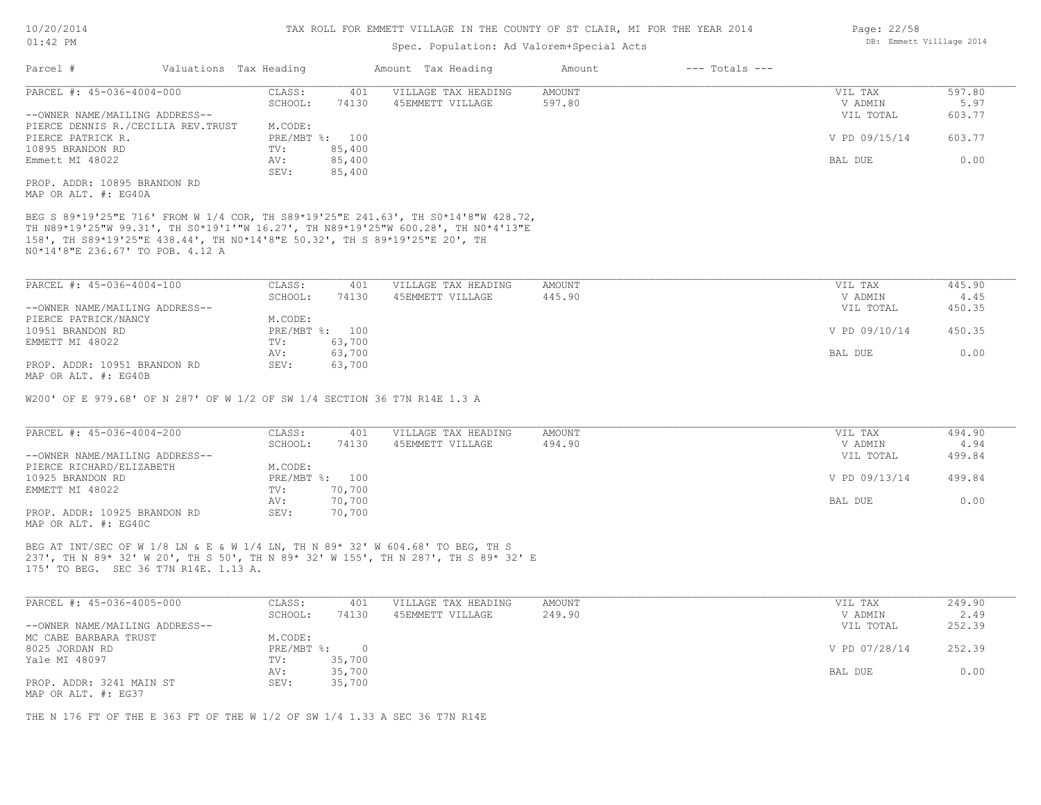### Spec. Population: Ad Valorem+Special Acts

| Parcel #                           |        | Valuations Tax Heading |                     | Amount Tax Heading | Amount | $---$ Totals $---$ |               |        |
|------------------------------------|--------|------------------------|---------------------|--------------------|--------|--------------------|---------------|--------|
| PARCEL #: 45-036-4004-000          | CLASS: | 401                    | VILLAGE TAX HEADING | AMOUNT             |        | VIL TAX            | 597.80        |        |
|                                    |        | SCHOOL:                | 74130               | 45EMMETT VILLAGE   | 597.80 |                    | V ADMIN       | 5.97   |
| --OWNER NAME/MAILING ADDRESS--     |        |                        |                     |                    |        |                    | VIL TOTAL     | 603.77 |
| PIERCE DENNIS R./CECILIA REV.TRUST |        | M.CODE:                |                     |                    |        |                    |               |        |
| PIERCE PATRICK R.                  |        |                        | PRE/MBT %: 100      |                    |        |                    | V PD 09/15/14 | 603.77 |
| 10895 BRANDON RD                   |        | TV:                    | 85,400              |                    |        |                    |               |        |
| Emmett MI 48022                    |        | AV:                    | 85,400              |                    |        |                    | BAL DUE       | 0.00   |
|                                    |        | SEV:                   | 85,400              |                    |        |                    |               |        |
| PROP. ADDR: 10895 BRANDON RD       |        |                        |                     |                    |        |                    |               |        |

MAP OR ALT. #: EG40A

N0\*14'8"E 236.67' TO POB. 4.12 A 158', TH S89\*19'25"E 438.44', TH N0\*14'8"E 50.32', TH S 89\*19'25"E 20', TH TH N89\*19'25"W 99.31', TH S0\*19'1'"W 16.27', TH N89\*19'25"W 600.28', TH N0\*4'13"E BEG S 89\*19'25"E 716' FROM W 1/4 COR, TH S89\*19'25"E 241.63', TH S0\*14'8"W 428.72,

| PARCEL #: 45-036-4004-100      | CLASS:  | 401            | VILLAGE TAX HEADING | AMOUNT | VIL TAX       | 445.90 |
|--------------------------------|---------|----------------|---------------------|--------|---------------|--------|
|                                | SCHOOL: | 74130          | 45EMMETT VILLAGE    | 445.90 | V ADMIN       | 4.45   |
| --OWNER NAME/MAILING ADDRESS-- |         |                |                     |        | VIL TOTAL     | 450.35 |
| PIERCE PATRICK/NANCY           | M.CODE: |                |                     |        |               |        |
| 10951 BRANDON RD               |         | PRE/MBT %: 100 |                     |        | V PD 09/10/14 | 450.35 |
| EMMETT MI 48022                | TV:     | 63,700         |                     |        |               |        |
|                                | AV:     | 63,700         |                     |        | BAL DUE       | 0.00   |
| PROP. ADDR: 10951 BRANDON RD   | SEV:    | 63,700         |                     |        |               |        |
| MAP OR ALT. #: EG40B           |         |                |                     |        |               |        |

W200' OF E 979.68' OF N 287' OF W 1/2 OF SW 1/4 SECTION 36 T7N R14E 1.3 A

| PARCEL #: 45-036-4004-200      | CLASS:  | 401            | VILLAGE TAX HEADING | AMOUNT | VIL TAX       | 494.90 |
|--------------------------------|---------|----------------|---------------------|--------|---------------|--------|
|                                | SCHOOL: | 74130          | 45EMMETT VILLAGE    | 494.90 | V ADMIN       | 4.94   |
| --OWNER NAME/MAILING ADDRESS-- |         |                |                     |        | VIL TOTAL     | 499.84 |
| PIERCE RICHARD/ELIZABETH       | M.CODE: |                |                     |        |               |        |
| 10925 BRANDON RD               |         | PRE/MBT %: 100 |                     |        | V PD 09/13/14 | 499.84 |
| EMMETT MI 48022                | TV:     | 70,700         |                     |        |               |        |
|                                | AV:     | 70,700         |                     |        | BAL DUE       | 0.00   |
| PROP. ADDR: 10925 BRANDON RD   | SEV:    | 70,700         |                     |        |               |        |
| MAP OR ALT. #: EG40C           |         |                |                     |        |               |        |

175' TO BEG. SEC 36 T7N R14E. 1.13 A. 237', TH N 89\* 32' W 20', TH S 50', TH N 89\* 32' W 155', TH N 287', TH S 89\* 32' E BEG AT INT/SEC OF W 1/8 LN & E & W 1/4 LN, TH N 89\* 32' W 604.68' TO BEG, TH S

| PARCEL #: 45-036-4005-000      | CLASS:     | 401    | VILLAGE TAX HEADING | AMOUNT | VIL TAX       | 249.90 |
|--------------------------------|------------|--------|---------------------|--------|---------------|--------|
|                                | SCHOOL:    | 74130  | 45EMMETT VILLAGE    | 249.90 | V ADMIN       | 2.49   |
| --OWNER NAME/MAILING ADDRESS-- |            |        |                     |        | VIL TOTAL     | 252.39 |
| MC CABE BARBARA TRUST          | M.CODE:    |        |                     |        |               |        |
| 8025 JORDAN RD                 | PRE/MBT %: |        |                     |        | V PD 07/28/14 | 252.39 |
| Yale MI 48097                  | TV:        | 35,700 |                     |        |               |        |
|                                | AV:        | 35,700 |                     |        | BAL DUE       | 0.00   |
| PROP. ADDR: 3241 MAIN ST       | SEV:       | 35,700 |                     |        |               |        |
| MAP OR ALT. #: EG37            |            |        |                     |        |               |        |

THE N 176 FT OF THE E 363 FT OF THE W 1/2 OF SW 1/4 1.33 A SEC 36 T7N R14E

Page: 22/58 DB: Emmett Villlage 2014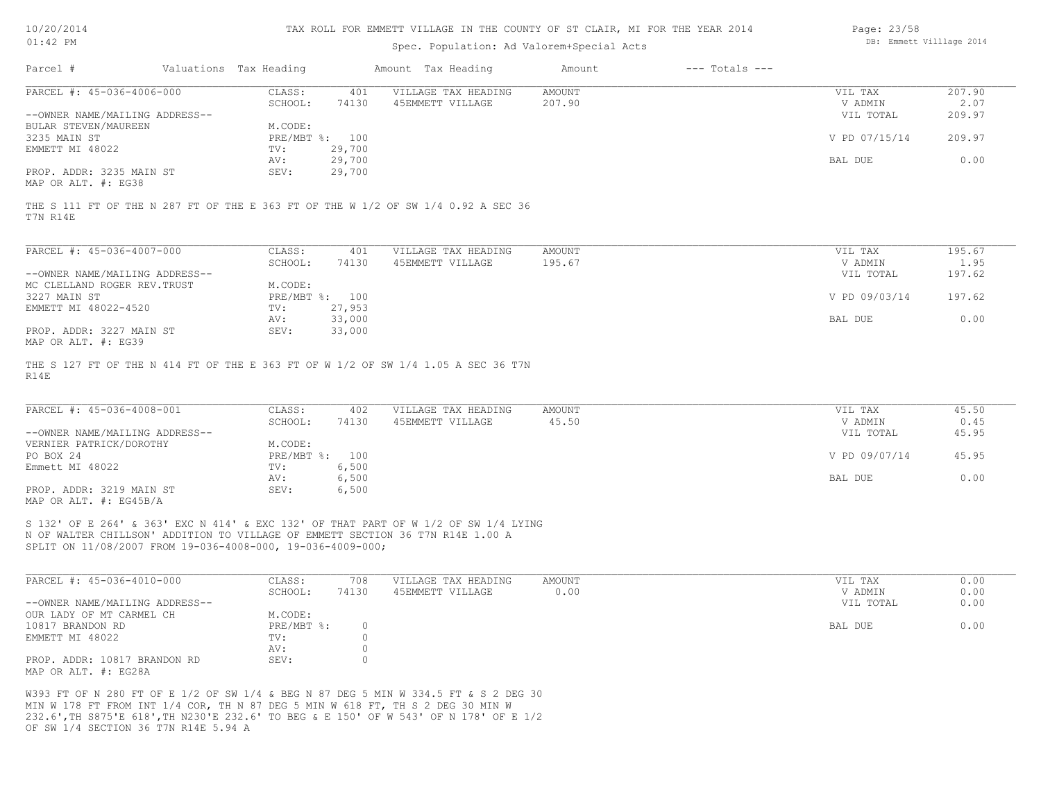| 10/20/201 |  |
|-----------|--|
|           |  |

### Spec. Population: Ad Valorem+Special Acts

| Page: 23/58 |                          |  |
|-------------|--------------------------|--|
|             | DB: Emmett Villlage 2014 |  |

| Parcel #                       | Valuations Tax Heading |        | Amount Tax Heading  | Amount | $---$ Totals $---$ |               |        |
|--------------------------------|------------------------|--------|---------------------|--------|--------------------|---------------|--------|
| PARCEL #: 45-036-4006-000      | CLASS:                 | 401    | VILLAGE TAX HEADING | AMOUNT |                    | VIL TAX       | 207.90 |
|                                | SCHOOL:                | 74130  | 45EMMETT VILLAGE    | 207.90 |                    | V ADMIN       | 2.07   |
| --OWNER NAME/MAILING ADDRESS-- |                        |        |                     |        |                    | VIL TOTAL     | 209.97 |
| BULAR STEVEN/MAUREEN           | M.CODE:                |        |                     |        |                    |               |        |
| 3235 MAIN ST                   | PRE/MBT %: 100         |        |                     |        |                    | V PD 07/15/14 | 209.97 |
| EMMETT MI 48022                | TV:                    | 29,700 |                     |        |                    |               |        |
|                                | AV:                    | 29,700 |                     |        |                    | BAL DUE       | 0.00   |
| PROP. ADDR: 3235 MAIN ST       | SEV:                   | 29,700 |                     |        |                    |               |        |
|                                |                        |        |                     |        |                    |               |        |

MAP OR ALT. #: EG38

T7N R14E THE S 111 FT OF THE N 287 FT OF THE E 363 FT OF THE W 1/2 OF SW 1/4 0.92 A SEC 36

| PARCEL #: 45-036-4007-000      | CLASS:     | 401    | VILLAGE TAX HEADING | AMOUNT | VIL TAX       | 195.67 |
|--------------------------------|------------|--------|---------------------|--------|---------------|--------|
|                                | SCHOOL:    | 74130  | 45EMMETT VILLAGE    | 195.67 | V ADMIN       | 1.95   |
| --OWNER NAME/MAILING ADDRESS-- |            |        |                     |        | VIL TOTAL     | 197.62 |
| MC CLELLAND ROGER REV. TRUST   | M.CODE:    |        |                     |        |               |        |
| 3227 MAIN ST                   | PRE/MBT %: | 100    |                     |        | V PD 09/03/14 | 197.62 |
| EMMETT MI 48022-4520           | TV:        | 27,953 |                     |        |               |        |
|                                | AV:        | 33,000 |                     |        | BAL DUE       | 0.00   |
| PROP. ADDR: 3227 MAIN ST       | SEV:       | 33,000 |                     |        |               |        |
| MAP OR ALT. #: EG39            |            |        |                     |        |               |        |

R14E THE S 127 FT OF THE N 414 FT OF THE E 363 FT OF W 1/2 OF SW 1/4 1.05 A SEC 36 T7N

| PARCEL #: 45-036-4008-001      | CLASS:         | 402   | VILLAGE TAX HEADING | AMOUNT | VIL TAX       | 45.50 |
|--------------------------------|----------------|-------|---------------------|--------|---------------|-------|
|                                | SCHOOL:        | 74130 | 45EMMETT VILLAGE    | 45.50  | V ADMIN       | 0.45  |
| --OWNER NAME/MAILING ADDRESS-- |                |       |                     |        | VIL TOTAL     | 45.95 |
| VERNIER PATRICK/DOROTHY        | M.CODE:        |       |                     |        |               |       |
| PO BOX 24                      | PRE/MBT %: 100 |       |                     |        | V PD 09/07/14 | 45.95 |
| Emmett MI 48022                | TV:            | 6,500 |                     |        |               |       |
|                                | AV:            | 6,500 |                     |        | BAL DUE       | 0.00  |
| PROP. ADDR: 3219 MAIN ST       | SEV:           | 6,500 |                     |        |               |       |
| MAP OR ALT. $\#$ : EG45B/A     |                |       |                     |        |               |       |

SPLIT ON 11/08/2007 FROM 19-036-4008-000, 19-036-4009-000; N OF WALTER CHILLSON' ADDITION TO VILLAGE OF EMMETT SECTION 36 T7N R14E 1.00 A S 132' OF E 264' & 363' EXC N 414' & EXC 132' OF THAT PART OF W 1/2 OF SW 1/4 LYING

| PARCEL #: 45-036-4010-000      | CLASS:       | 708   | VILLAGE TAX HEADING | AMOUNT | VIL TAX   | 0.00 |
|--------------------------------|--------------|-------|---------------------|--------|-----------|------|
|                                | SCHOOL:      | 74130 | 45EMMETT VILLAGE    | 0.00   | V ADMIN   | 0.00 |
| --OWNER NAME/MAILING ADDRESS-- |              |       |                     |        | VIL TOTAL | 0.00 |
| OUR LADY OF MT CARMEL CH       | M.CODE:      |       |                     |        |           |      |
| 10817 BRANDON RD               | $PRE/MBT$ %: |       |                     |        | BAL DUE   | 0.00 |
| EMMETT MI 48022                | TV:          |       |                     |        |           |      |
|                                | AV:          |       |                     |        |           |      |
| PROP. ADDR: 10817 BRANDON RD   | SEV:         |       |                     |        |           |      |
| MAP OR ALT. #: EG28A           |              |       |                     |        |           |      |

OF SW 1/4 SECTION 36 T7N R14E 5.94 A 232.6',TH S875'E 618',TH N230'E 232.6' TO BEG & E 150' OF W 543' OF N 178' OF E 1/2 MIN W 178 FT FROM INT 1/4 COR, TH N 87 DEG 5 MIN W 618 FT, TH S 2 DEG 30 MIN W W393 FT OF N 280 FT OF E 1/2 OF SW 1/4 & BEG N 87 DEG 5 MIN W 334.5 FT & S 2 DEG 30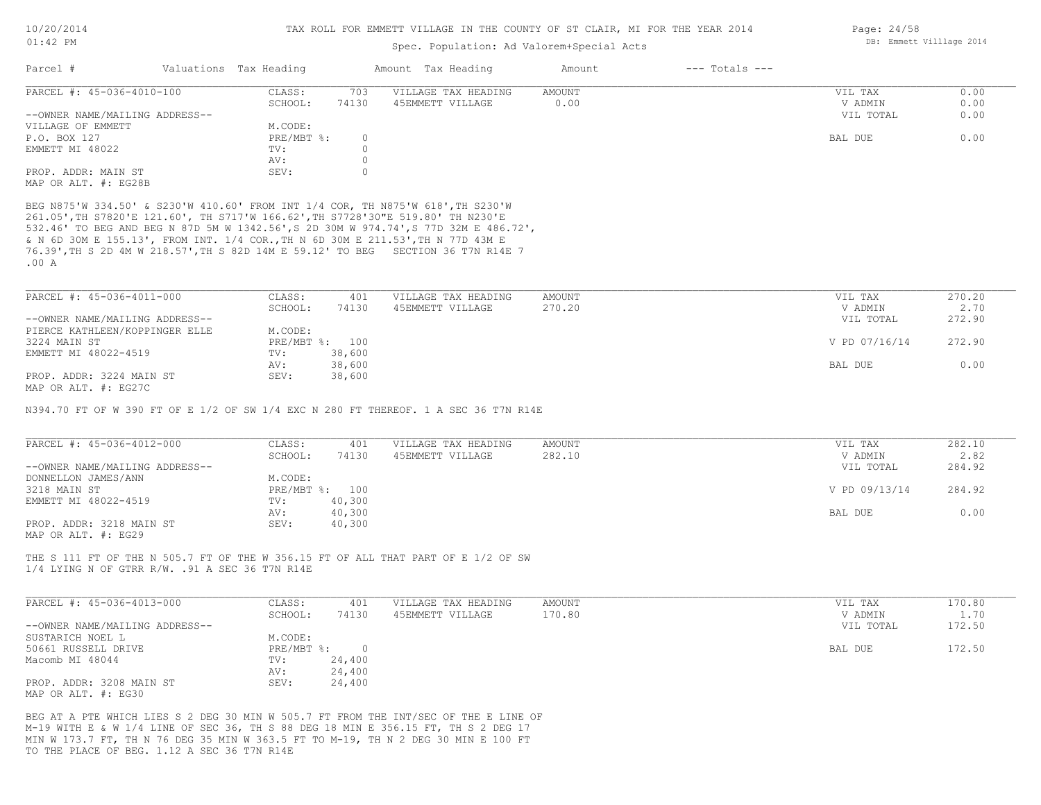### Spec. Population: Ad Valorem+Special Acts

| Parcel #                       | Valuations Tax Heading |       | Amount Tax Heading  | Amount | $---$ Totals $---$ |           |      |
|--------------------------------|------------------------|-------|---------------------|--------|--------------------|-----------|------|
| PARCEL #: 45-036-4010-100      | CLASS:                 | 703   | VILLAGE TAX HEADING | AMOUNT |                    | VIL TAX   | 0.00 |
|                                | SCHOOL:                | 74130 | 45EMMETT VILLAGE    | 0.00   |                    | V ADMIN   | 0.00 |
| --OWNER NAME/MAILING ADDRESS-- |                        |       |                     |        |                    | VIL TOTAL | 0.00 |
| VILLAGE OF EMMETT              | M.CODE:                |       |                     |        |                    |           |      |
| P.O. BOX 127                   | $PRE/MBT$ %:           |       |                     |        |                    | BAL DUE   | 0.00 |
| EMMETT MI 48022                | TV:                    |       |                     |        |                    |           |      |
|                                | AV:                    |       |                     |        |                    |           |      |
| PROP. ADDR: MAIN ST            | SEV:                   |       |                     |        |                    |           |      |
| MAP OR ALT. #: EG28B           |                        |       |                     |        |                    |           |      |

.00 A 76.39',TH S 2D 4M W 218.57',TH S 82D 14M E 59.12' TO BEG SECTION 36 T7N R14E 7 & N 6D 30M E 155.13', FROM INT. 1/4 COR.,TH N 6D 30M E 211.53',TH N 77D 43M E 532.46' TO BEG AND BEG N 87D 5M W 1342.56',S 2D 30M W 974.74',S 77D 32M E 486.72', 261.05',TH S7820'E 121.60', TH S717'W 166.62',TH S7728'30"E 519.80' TH N230'E BEG N875'W 334.50' & S230'W 410.60' FROM INT 1/4 COR, TH N875'W 618',TH S230'W

| PARCEL #: 45-036-4011-000      | CLASS:  | 401            | VILLAGE TAX HEADING | AMOUNT | VIL TAX       | 270.20 |
|--------------------------------|---------|----------------|---------------------|--------|---------------|--------|
|                                | SCHOOL: | 74130          | 45EMMETT VILLAGE    | 270.20 | V ADMIN       | 2.70   |
| --OWNER NAME/MAILING ADDRESS-- |         |                |                     |        | VIL TOTAL     | 272.90 |
| PIERCE KATHLEEN/KOPPINGER ELLE | M.CODE: |                |                     |        |               |        |
| 3224 MAIN ST                   |         | PRE/MBT %: 100 |                     |        | V PD 07/16/14 | 272.90 |
| EMMETT MI 48022-4519           | TV:     | 38,600         |                     |        |               |        |
|                                | AV:     | 38,600         |                     |        | BAL DUE       | 0.00   |
| PROP. ADDR: 3224 MAIN ST       | SEV:    | 38,600         |                     |        |               |        |
| MAP OR ALT. #: EG27C           |         |                |                     |        |               |        |

N394.70 FT OF W 390 FT OF E 1/2 OF SW 1/4 EXC N 280 FT THEREOF. 1 A SEC 36 T7N R14E

| PARCEL #: 45-036-4012-000      | CLASS:  | 401            | VILLAGE TAX HEADING | AMOUNT | VIL TAX       | 282.10 |
|--------------------------------|---------|----------------|---------------------|--------|---------------|--------|
|                                | SCHOOL: | 74130          | 45EMMETT VILLAGE    | 282.10 | V ADMIN       | 2.82   |
| --OWNER NAME/MAILING ADDRESS-- |         |                |                     |        | VIL TOTAL     | 284.92 |
| DONNELLON JAMES/ANN            | M.CODE: |                |                     |        |               |        |
| 3218 MAIN ST                   |         | PRE/MBT %: 100 |                     |        | V PD 09/13/14 | 284.92 |
| EMMETT MI 48022-4519           | TV:     | 40,300         |                     |        |               |        |
|                                | AV:     | 40,300         |                     |        | BAL DUE       | 0.00   |
| PROP. ADDR: 3218 MAIN ST       | SEV:    | 40,300         |                     |        |               |        |
| MAP OR ALT. #: EG29            |         |                |                     |        |               |        |

1/4 LYING N OF GTRR R/W. .91 A SEC 36 T7N R14E THE S 111 FT OF THE N 505.7 FT OF THE W 356.15 FT OF ALL THAT PART OF E 1/2 OF SW

| PARCEL #: 45-036-4013-000      | CLASS:       | 401    | VILLAGE TAX HEADING | AMOUNT | VIL TAX   | 170.80 |
|--------------------------------|--------------|--------|---------------------|--------|-----------|--------|
|                                | SCHOOL:      | 74130  | 45EMMETT VILLAGE    | 170.80 | V ADMIN   | 1.70   |
| --OWNER NAME/MAILING ADDRESS-- |              |        |                     |        | VIL TOTAL | 172.50 |
| SUSTARICH NOEL L               | M.CODE:      |        |                     |        |           |        |
| 50661 RUSSELL DRIVE            | $PRE/MBT$ %: |        |                     |        | BAL DUE   | 172.50 |
| Macomb MI 48044                | TV:          | 24,400 |                     |        |           |        |
|                                | AV:          | 24,400 |                     |        |           |        |
| PROP. ADDR: 3208 MAIN ST       | SEV:         | 24,400 |                     |        |           |        |
| MAP OR ALT. #: EG30            |              |        |                     |        |           |        |

TO THE PLACE OF BEG. 1.12 A SEC 36 T7N R14E MIN W 173.7 FT, TH N 76 DEG 35 MIN W 363.5 FT TO M-19, TH N 2 DEG 30 MIN E 100 FT M-19 WITH E & W 1/4 LINE OF SEC 36, TH S 88 DEG 18 MIN E 356.15 FT, TH S 2 DEG 17 BEG AT A PTE WHICH LIES S 2 DEG 30 MIN W 505.7 FT FROM THE INT/SEC OF THE E LINE OF Page: 24/58 DB: Emmett Villlage 2014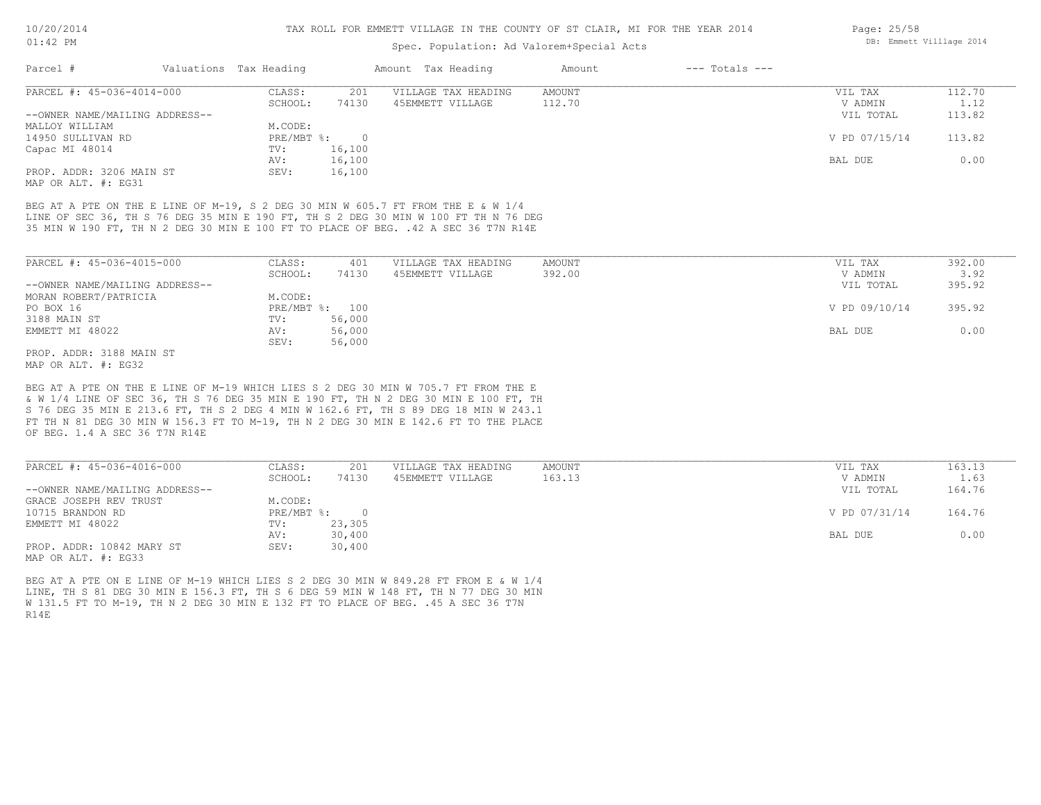### Spec. Population: Ad Valorem+Special Acts

| Parcel #                       | Valuations Tax Heading |        | Amount Tax Heading  | Amount | $---$ Totals $---$ |               |        |
|--------------------------------|------------------------|--------|---------------------|--------|--------------------|---------------|--------|
| PARCEL #: 45-036-4014-000      | CLASS:                 | 201    | VILLAGE TAX HEADING | AMOUNT |                    | VIL TAX       | 112.70 |
|                                | SCHOOL:                | 74130  | 45EMMETT VILLAGE    | 112.70 |                    | V ADMIN       | 1.12   |
| --OWNER NAME/MAILING ADDRESS-- |                        |        |                     |        |                    | VIL TOTAL     | 113.82 |
| MALLOY WILLIAM                 | M.CODE:                |        |                     |        |                    |               |        |
| 14950 SULLIVAN RD              | PRE/MBT %:             |        |                     |        |                    | V PD 07/15/14 | 113.82 |
| Capac MI 48014                 | TV:                    | 16,100 |                     |        |                    |               |        |
|                                | AV:                    | 16,100 |                     |        |                    | BAL DUE       | 0.00   |
| PROP. ADDR: 3206 MAIN ST       | SEV:                   | 16,100 |                     |        |                    |               |        |

MAP OR ALT. #: EG31

35 MIN W 190 FT, TH N 2 DEG 30 MIN E 100 FT TO PLACE OF BEG. .42 A SEC 36 T7N R14E LINE OF SEC 36, TH S 76 DEG 35 MIN E 190 FT, TH S 2 DEG 30 MIN W 100 FT TH N 76 DEG BEG AT A PTE ON THE E LINE OF M-19, S 2 DEG 30 MIN W 605.7 FT FROM THE E & W 1/4

| PARCEL #: 45-036-4015-000      | CLASS:         | 401    | VILLAGE TAX HEADING | AMOUNT | VIL TAX       | 392.00 |
|--------------------------------|----------------|--------|---------------------|--------|---------------|--------|
|                                | SCHOOL:        | 74130  | 45EMMETT VILLAGE    | 392.00 | V ADMIN       | 3.92   |
| --OWNER NAME/MAILING ADDRESS-- |                |        |                     |        | VIL TOTAL     | 395.92 |
| MORAN ROBERT/PATRICIA          | M.CODE:        |        |                     |        |               |        |
| PO BOX 16                      | PRE/MBT %: 100 |        |                     |        | V PD 09/10/14 | 395.92 |
| 3188 MAIN ST                   | TV:            | 56,000 |                     |        |               |        |
| EMMETT MI 48022                | AV:            | 56,000 |                     |        | BAL DUE       | 0.00   |
|                                | SEV:           | 56,000 |                     |        |               |        |
| PROP. ADDR: 3188 MAIN ST       |                |        |                     |        |               |        |

MAP OR ALT. #: EG32

OF BEG. 1.4 A SEC 36 T7N R14E FT TH N 81 DEG 30 MIN W 156.3 FT TO M-19, TH N 2 DEG 30 MIN E 142.6 FT TO THE PLACE S 76 DEG 35 MIN E 213.6 FT, TH S 2 DEG 4 MIN W 162.6 FT, TH S 89 DEG 18 MIN W 243.1 & W 1/4 LINE OF SEC 36, TH S 76 DEG 35 MIN E 190 FT, TH N 2 DEG 30 MIN E 100 FT, TH BEG AT A PTE ON THE E LINE OF M-19 WHICH LIES S 2 DEG 30 MIN W 705.7 FT FROM THE E

| PARCEL #: 45-036-4016-000      | CLASS:     | 201    | VILLAGE TAX HEADING | AMOUNT | VIL TAX       | 163.13 |
|--------------------------------|------------|--------|---------------------|--------|---------------|--------|
|                                | SCHOOL:    | 74130  | 45EMMETT VILLAGE    | 163.13 | V ADMIN       | 1.63   |
| --OWNER NAME/MAILING ADDRESS-- |            |        |                     |        | VIL TOTAL     | 164.76 |
| GRACE JOSEPH REV TRUST         | M.CODE:    |        |                     |        |               |        |
| 10715 BRANDON RD               | PRE/MBT %: | $\cap$ |                     |        | V PD 07/31/14 | 164.76 |
| EMMETT MI 48022                | TV:        | 23,305 |                     |        |               |        |
|                                | AV:        | 30,400 |                     |        | BAL DUE       | 0.00   |
| PROP. ADDR: 10842 MARY ST      | SEV:       | 30,400 |                     |        |               |        |
| MAP OR ALT. #: EG33            |            |        |                     |        |               |        |

R14E W 131.5 FT TO M-19, TH N 2 DEG 30 MIN E 132 FT TO PLACE OF BEG. .45 A SEC 36 T7N LINE, TH S 81 DEG 30 MIN E 156.3 FT, TH S 6 DEG 59 MIN W 148 FT, TH N 77 DEG 30 MIN BEG AT A PTE ON E LINE OF M-19 WHICH LIES S 2 DEG 30 MIN W 849.28 FT FROM E & W 1/4

Page: 25/58 DB: Emmett Villlage 2014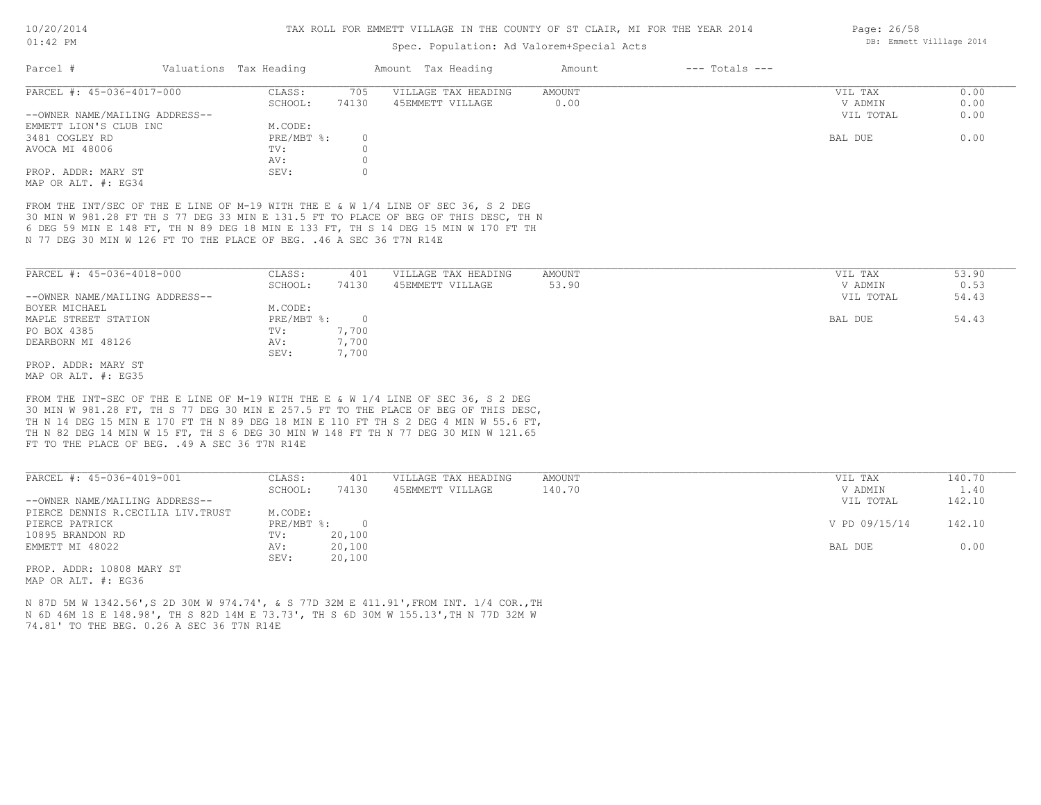### Spec. Population: Ad Valorem+Special Acts

| Parcel #                       | Valuations Tax Heading |       | Amount Tax Heading  | Amount | $---$ Totals $---$ |           |      |
|--------------------------------|------------------------|-------|---------------------|--------|--------------------|-----------|------|
| PARCEL #: 45-036-4017-000      | CLASS:                 | 705   | VILLAGE TAX HEADING | AMOUNT |                    | VIL TAX   | 0.00 |
|                                | SCHOOL:                | 74130 | 45EMMETT VILLAGE    | 0.00   |                    | V ADMIN   | 0.00 |
| --OWNER NAME/MAILING ADDRESS-- |                        |       |                     |        |                    | VIL TOTAL | 0.00 |
| EMMETT LION'S CLUB INC         | M.CODE:                |       |                     |        |                    |           |      |
| 3481 COGLEY RD                 | PRE/MBT %:             | O     |                     |        |                    | BAL DUE   | 0.00 |
| AVOCA MI 48006                 | TV:                    |       |                     |        |                    |           |      |
|                                | AV:                    |       |                     |        |                    |           |      |
| PROP. ADDR: MARY ST            | SEV:                   |       |                     |        |                    |           |      |
| MAP OR ALT. #: EG34            |                        |       |                     |        |                    |           |      |

N 77 DEG 30 MIN W 126 FT TO THE PLACE OF BEG. .46 A SEC 36 T7N R14E 6 DEG 59 MIN E 148 FT, TH N 89 DEG 18 MIN E 133 FT, TH S 14 DEG 15 MIN W 170 FT TH 30 MIN W 981.28 FT TH S 77 DEG 33 MIN E 131.5 FT TO PLACE OF BEG OF THIS DESC, TH N FROM THE INT/SEC OF THE E LINE OF M-19 WITH THE E & W 1/4 LINE OF SEC 36, S 2 DEG

| PARCEL #: 45-036-4018-000      | CLASS:     | 401      | VILLAGE TAX HEADING | AMOUNT | VIL TAX   | 53.90 |
|--------------------------------|------------|----------|---------------------|--------|-----------|-------|
|                                | SCHOOL:    | 74130    | 45EMMETT VILLAGE    | 53.90  | V ADMIN   | 0.53  |
| --OWNER NAME/MAILING ADDRESS-- |            |          |                     |        | VIL TOTAL | 54.43 |
| BOYER MICHAEL                  | M.CODE:    |          |                     |        |           |       |
| MAPLE STREET STATION           | PRE/MBT %: | $\Omega$ |                     |        | BAL DUE   | 54.43 |
| PO BOX 4385                    | TV:        | 7,700    |                     |        |           |       |
| DEARBORN MI 48126              | AV:        | 7,700    |                     |        |           |       |
|                                | SEV:       | 7,700    |                     |        |           |       |
| PROP. ADDR: MARY ST            |            |          |                     |        |           |       |
|                                |            |          |                     |        |           |       |

MAP OR ALT. #: EG35

FT TO THE PLACE OF BEG. .49 A SEC 36 T7N R14E TH N 82 DEG 14 MIN W 15 FT, TH S 6 DEG 30 MIN W 148 FT TH N 77 DEG 30 MIN W 121.65 TH N 14 DEG 15 MIN E 170 FT TH N 89 DEG 18 MIN E 110 FT TH S 2 DEG 4 MIN W 55.6 FT, 30 MIN W 981.28 FT, TH S 77 DEG 30 MIN E 257.5 FT TO THE PLACE OF BEG OF THIS DESC, FROM THE INT-SEC OF THE E LINE OF M-19 WITH THE E & W 1/4 LINE OF SEC 36, S 2 DEG

| PARCEL #: 45-036-4019-001         | CLASS:     | 401    | VILLAGE TAX HEADING | AMOUNT | VIL TAX       | 140.70 |
|-----------------------------------|------------|--------|---------------------|--------|---------------|--------|
|                                   | SCHOOL:    | 74130  | 45EMMETT VILLAGE    | 140.70 | V ADMIN       | 1.40   |
| --OWNER NAME/MAILING ADDRESS--    |            |        |                     |        | VIL TOTAL     | 142.10 |
| PIERCE DENNIS R.CECILIA LIV.TRUST | M.CODE:    |        |                     |        |               |        |
| PIERCE PATRICK                    | PRE/MBT %: | $\cap$ |                     |        | V PD 09/15/14 | 142.10 |
| 10895 BRANDON RD                  | TV:        | 20,100 |                     |        |               |        |
| EMMETT MI 48022                   | AV:        | 20,100 |                     |        | BAL DUE       | 0.00   |
|                                   | SEV:       | 20,100 |                     |        |               |        |
| ים את 10000 10000 יסטות המסת      |            |        |                     |        |               |        |

 $\mathcal{L}_\mathcal{L} = \mathcal{L}_\mathcal{L} = \mathcal{L}_\mathcal{L} = \mathcal{L}_\mathcal{L} = \mathcal{L}_\mathcal{L} = \mathcal{L}_\mathcal{L} = \mathcal{L}_\mathcal{L} = \mathcal{L}_\mathcal{L} = \mathcal{L}_\mathcal{L} = \mathcal{L}_\mathcal{L} = \mathcal{L}_\mathcal{L} = \mathcal{L}_\mathcal{L} = \mathcal{L}_\mathcal{L} = \mathcal{L}_\mathcal{L} = \mathcal{L}_\mathcal{L} = \mathcal{L}_\mathcal{L} = \mathcal{L}_\mathcal{L}$ 

MAP OR ALT. #: EG36 PROP. ADDR: 10808 MARY ST

74.81' TO THE BEG. 0.26 A SEC 36 T7N R14E N 6D 46M 1S E 148.98', TH S 82D 14M E 73.73', TH S 6D 30M W 155.13',TH N 77D 32M W N 87D 5M W 1342.56',S 2D 30M W 974.74', & S 77D 32M E 411.91',FROM INT. 1/4 COR.,TH Page: 26/58 DB: Emmett Villlage 2014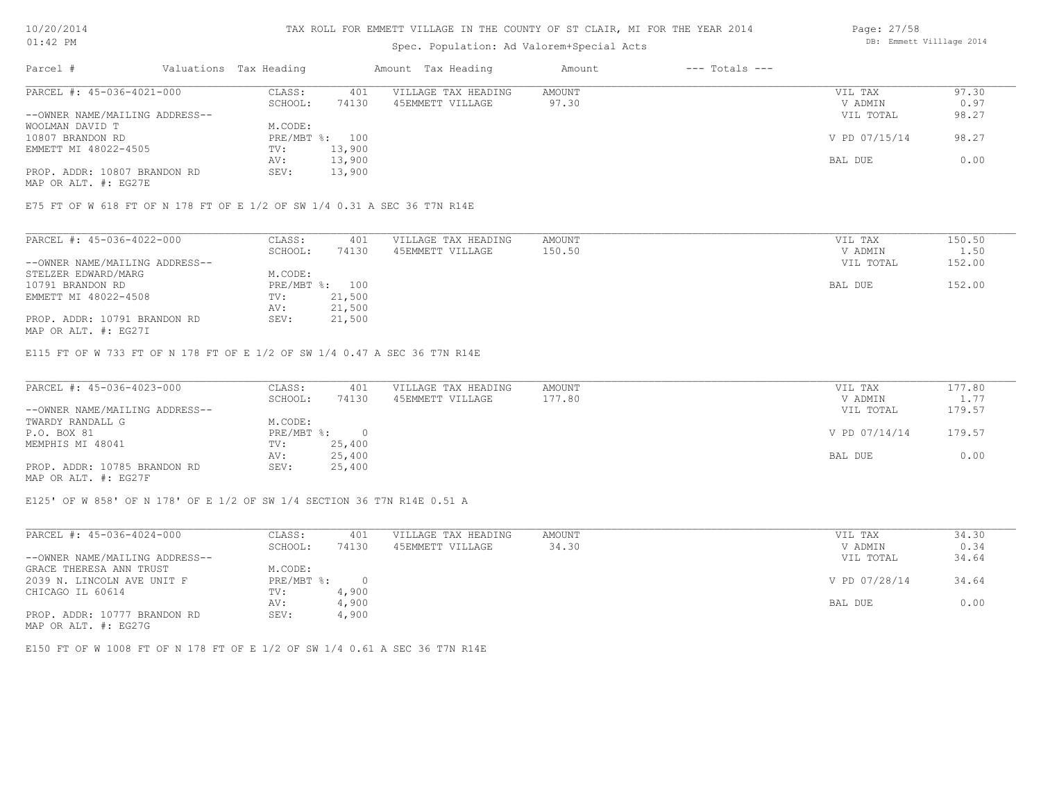#### TAX ROLL FOR EMMETT VILLAGE IN THE COUNTY OF ST CLAIR, MI FOR THE YEAR 2014

## Spec. Population: Ad Valorem+Special Acts

| Parcel #                       | Valuations Tax Heading |        | Amount Tax Heading  | Amount | $---$ Totals $---$ |               |       |
|--------------------------------|------------------------|--------|---------------------|--------|--------------------|---------------|-------|
| PARCEL #: 45-036-4021-000      | CLASS:                 | 401    | VILLAGE TAX HEADING | AMOUNT |                    | VIL TAX       | 97.30 |
|                                | SCHOOL:                | 74130  | 45EMMETT VILLAGE    | 97.30  |                    | V ADMIN       | 0.97  |
| --OWNER NAME/MAILING ADDRESS-- |                        |        |                     |        |                    | VIL TOTAL     | 98.27 |
| WOOLMAN DAVID T                | M.CODE:                |        |                     |        |                    |               |       |
| 10807 BRANDON RD               | PRE/MBT %: 100         |        |                     |        |                    | V PD 07/15/14 | 98.27 |
| EMMETT MI 48022-4505           | TV:                    | 13,900 |                     |        |                    |               |       |
|                                | AV:                    | 13,900 |                     |        |                    | BAL DUE       | 0.00  |
| PROP. ADDR: 10807 BRANDON RD   | SEV:                   | 13,900 |                     |        |                    |               |       |
|                                |                        |        |                     |        |                    |               |       |

MAP OR ALT. #: EG27E

E75 FT OF W 618 FT OF N 178 FT OF E 1/2 OF SW 1/4 0.31 A SEC 36 T7N R14E

| PARCEL #: 45-036-4022-000      | CLASS:         | 401    | VILLAGE TAX HEADING | AMOUNT | VIL TAX   | 150.50 |
|--------------------------------|----------------|--------|---------------------|--------|-----------|--------|
|                                | SCHOOL:        | 74130  | 45EMMETT VILLAGE    | 150.50 | V ADMIN   | 1.50   |
| --OWNER NAME/MAILING ADDRESS-- |                |        |                     |        | VIL TOTAL | 152.00 |
| STELZER EDWARD/MARG            | M.CODE:        |        |                     |        |           |        |
| 10791 BRANDON RD               | PRE/MBT %: 100 |        |                     |        | BAL DUE   | 152.00 |
| EMMETT MI 48022-4508           | TV:            | 21,500 |                     |        |           |        |
|                                | AV:            | 21,500 |                     |        |           |        |
| PROP. ADDR: 10791 BRANDON RD   | SEV:           | 21,500 |                     |        |           |        |

MAP OR ALT. #: EG27I

E115 FT OF W 733 FT OF N 178 FT OF E 1/2 OF SW 1/4 0.47 A SEC 36 T7N R14E

| PARCEL #: 45-036-4023-000      | CLASS:     | 401    | VILLAGE TAX HEADING | AMOUNT | VIL TAX       | 177.80 |
|--------------------------------|------------|--------|---------------------|--------|---------------|--------|
|                                | SCHOOL:    | 74130  | 45EMMETT VILLAGE    | 177.80 | V ADMIN       | 1.77   |
| --OWNER NAME/MAILING ADDRESS-- |            |        |                     |        | VIL TOTAL     | 179.57 |
| TWARDY RANDALL G               | M.CODE:    |        |                     |        |               |        |
| P.O. BOX 81                    | PRE/MBT %: |        |                     |        | V PD 07/14/14 | 179.57 |
| MEMPHIS MI 48041               | TV:        | 25,400 |                     |        |               |        |
|                                | AV:        | 25,400 |                     |        | BAL DUE       | 0.00   |
| PROP. ADDR: 10785 BRANDON RD   | SEV:       | 25,400 |                     |        |               |        |
|                                |            |        |                     |        |               |        |

MAP OR ALT. #: EG27F

E125' OF W 858' OF N 178' OF E 1/2 OF SW 1/4 SECTION 36 T7N R14E 0.51 A

| PARCEL #: 45-036-4024-000      | CLASS:     | 401    | VILLAGE TAX HEADING | AMOUNT | VIL TAX       | 34.30 |
|--------------------------------|------------|--------|---------------------|--------|---------------|-------|
|                                | SCHOOL:    | 74130  | 45EMMETT VILLAGE    | 34.30  | V ADMIN       | 0.34  |
| --OWNER NAME/MAILING ADDRESS-- |            |        |                     |        | VIL TOTAL     | 34.64 |
| GRACE THERESA ANN TRUST        | M.CODE:    |        |                     |        |               |       |
| 2039 N. LINCOLN AVE UNIT F     | PRE/MBT %: | $\Box$ |                     |        | V PD 07/28/14 | 34.64 |
| CHICAGO IL 60614               | TV:        | 4,900  |                     |        |               |       |
|                                | AV:        | 4,900  |                     |        | BAL DUE       | 0.00  |
| PROP. ADDR: 10777 BRANDON RD   | SEV:       | 4,900  |                     |        |               |       |
| MAP OR ALT. #: EG27G           |            |        |                     |        |               |       |

E150 FT OF W 1008 FT OF N 178 FT OF E 1/2 OF SW 1/4 0.61 A SEC 36 T7N R14E

Page: 27/58 DB: Emmett Villlage 2014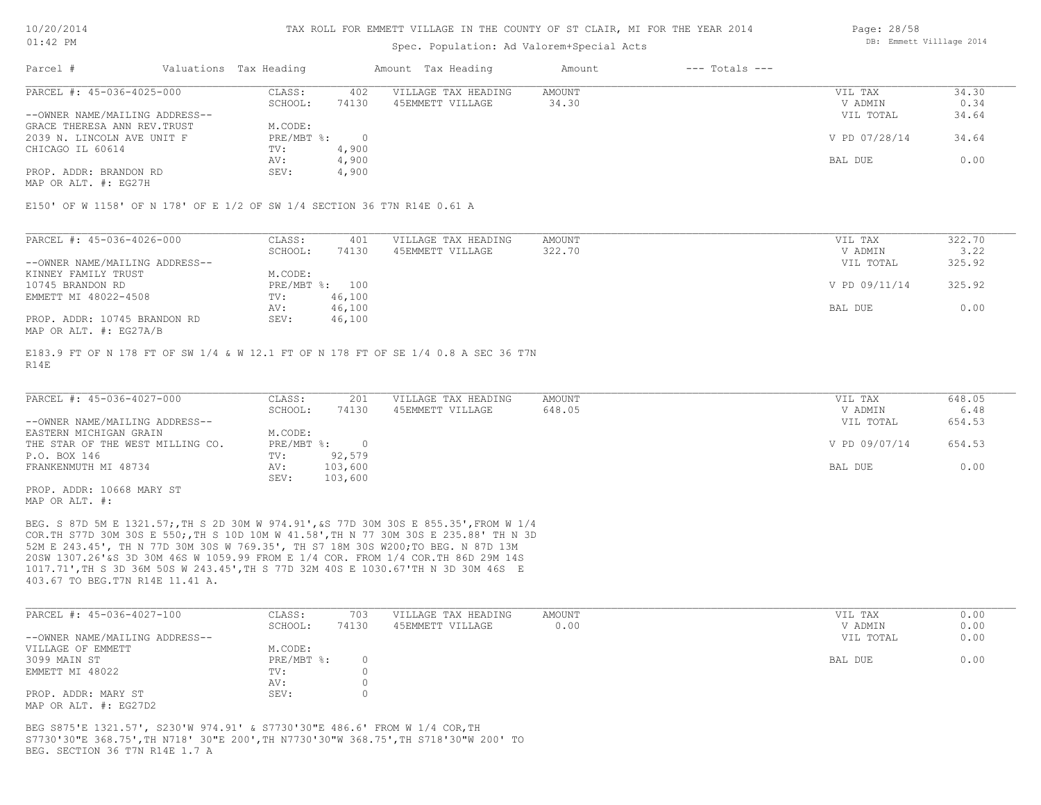### Spec. Population: Ad Valorem+Special Acts

| Parcel #                       | Valuations Tax Heading |       | Amount Tax Heading  | Amount | $---$ Totals $---$ |               |       |
|--------------------------------|------------------------|-------|---------------------|--------|--------------------|---------------|-------|
| PARCEL #: 45-036-4025-000      | CLASS:                 | 402   | VILLAGE TAX HEADING | AMOUNT |                    | VIL TAX       | 34.30 |
|                                | SCHOOL:                | 74130 | 45EMMETT VILLAGE    | 34.30  |                    | V ADMIN       | 0.34  |
| --OWNER NAME/MAILING ADDRESS-- |                        |       |                     |        |                    | VIL TOTAL     | 34.64 |
| GRACE THERESA ANN REV. TRUST   | M.CODE:                |       |                     |        |                    |               |       |
| 2039 N. LINCOLN AVE UNIT F     | PRE/MBT %:             |       |                     |        |                    | V PD 07/28/14 | 34.64 |
| CHICAGO IL 60614               | TV:                    | 4,900 |                     |        |                    |               |       |
|                                | AV:                    | 4,900 |                     |        |                    | BAL DUE       | 0.00  |
| PROP. ADDR: BRANDON RD         | SEV:                   | 4,900 |                     |        |                    |               |       |

MAP OR ALT. #: EG27H

E150' OF W 1158' OF N 178' OF E 1/2 OF SW 1/4 SECTION 36 T7N R14E 0.61 A

| PARCEL #: 45-036-4026-000      | CLASS:  | 401            | VILLAGE TAX HEADING | AMOUNT | VIL TAX       | 322.70 |
|--------------------------------|---------|----------------|---------------------|--------|---------------|--------|
|                                | SCHOOL: | 74130          | 45EMMETT VILLAGE    | 322.70 | V ADMIN       | 3.22   |
| --OWNER NAME/MAILING ADDRESS-- |         |                |                     |        | VIL TOTAL     | 325.92 |
| KINNEY FAMILY TRUST            | M.CODE: |                |                     |        |               |        |
| 10745 BRANDON RD               |         | PRE/MBT %: 100 |                     |        | V PD 09/11/14 | 325.92 |
| EMMETT MI 48022-4508           | TV:     | 46,100         |                     |        |               |        |
|                                | AV:     | 46,100         |                     |        | BAL DUE       | 0.00   |
| PROP. ADDR: 10745 BRANDON RD   | SEV:    | 46,100         |                     |        |               |        |
| MAP OR ALT. #: EG27A/B         |         |                |                     |        |               |        |

R14E E183.9 FT OF N 178 FT OF SW 1/4 & W 12.1 FT OF N 178 FT OF SE 1/4 0.8 A SEC 36 T7N

| PARCEL #: 45-036-4027-000        | CLASS:     | 201     | VILLAGE TAX HEADING | AMOUNT | VIL TAX       | 648.05 |
|----------------------------------|------------|---------|---------------------|--------|---------------|--------|
|                                  | SCHOOL:    | 74130   | 45EMMETT VILLAGE    | 648.05 | V ADMIN       | 6.48   |
| --OWNER NAME/MAILING ADDRESS--   |            |         |                     |        | VIL TOTAL     | 654.53 |
| EASTERN MICHIGAN GRAIN           | M.CODE:    |         |                     |        |               |        |
| THE STAR OF THE WEST MILLING CO. | PRE/MBT %: |         |                     |        | V PD 09/07/14 | 654.53 |
| P.O. BOX 146                     | TV:        | 92,579  |                     |        |               |        |
| FRANKENMUTH MI 48734             | AV:        | 103,600 |                     |        | BAL DUE       | 0.00   |
|                                  | SEV:       | 103,600 |                     |        |               |        |
| PROP. ADDR: 10668 MARY ST        |            |         |                     |        |               |        |

MAP OR ALT. #:

403.67 TO BEG.T7N R14E 11.41 A. 1017.71',TH S 3D 36M 50S W 243.45',TH S 77D 32M 40S E 1030.67'TH N 3D 30M 46S E 20SW 1307.26'&S 3D 30M 46S W 1059.99 FROM E 1/4 COR. FROM 1/4 COR.TH 86D 29M 14S 52M E 243.45', TH N 77D 30M 30S W 769.35', TH S7 18M 30S W200;TO BEG. N 87D 13M COR.TH S77D 30M 30S E 550;,TH S 10D 10M W 41.58',TH N 77 30M 30S E 235.88' TH N 3D BEG. S 87D 5M E 1321.57;,TH S 2D 30M W 974.91',&S 77D 30M 30S E 855.35',FROM W 1/4

| PARCEL #: 45-036-4027-100      | CLASS:       | 703   | VILLAGE TAX HEADING | AMOUNT | VIL TAX   | 0.00 |
|--------------------------------|--------------|-------|---------------------|--------|-----------|------|
|                                | SCHOOL:      | 74130 | 45EMMETT VILLAGE    | 0.00   | V ADMIN   | 0.00 |
| --OWNER NAME/MAILING ADDRESS-- |              |       |                     |        | VIL TOTAL | 0.00 |
| VILLAGE OF EMMETT              | M.CODE:      |       |                     |        |           |      |
| 3099 MAIN ST                   | $PRE/MBT$ %: |       |                     |        | BAL DUE   | 0.00 |
| EMMETT MI 48022                | TV:          |       |                     |        |           |      |
|                                | AV:          |       |                     |        |           |      |
| PROP. ADDR: MARY ST            | SEV:         |       |                     |        |           |      |
| MAP OR ALT. #: EG27D2          |              |       |                     |        |           |      |

BEG. SECTION 36 T7N R14E 1.7 A S7730'30"E 368.75',TH N718' 30"E 200',TH N7730'30"W 368.75',TH S718'30"W 200' TO BEG S875'E 1321.57', S230'W 974.91' & S7730'30"E 486.6' FROM W 1/4 COR,TH

Page: 28/58 DB: Emmett Villlage 2014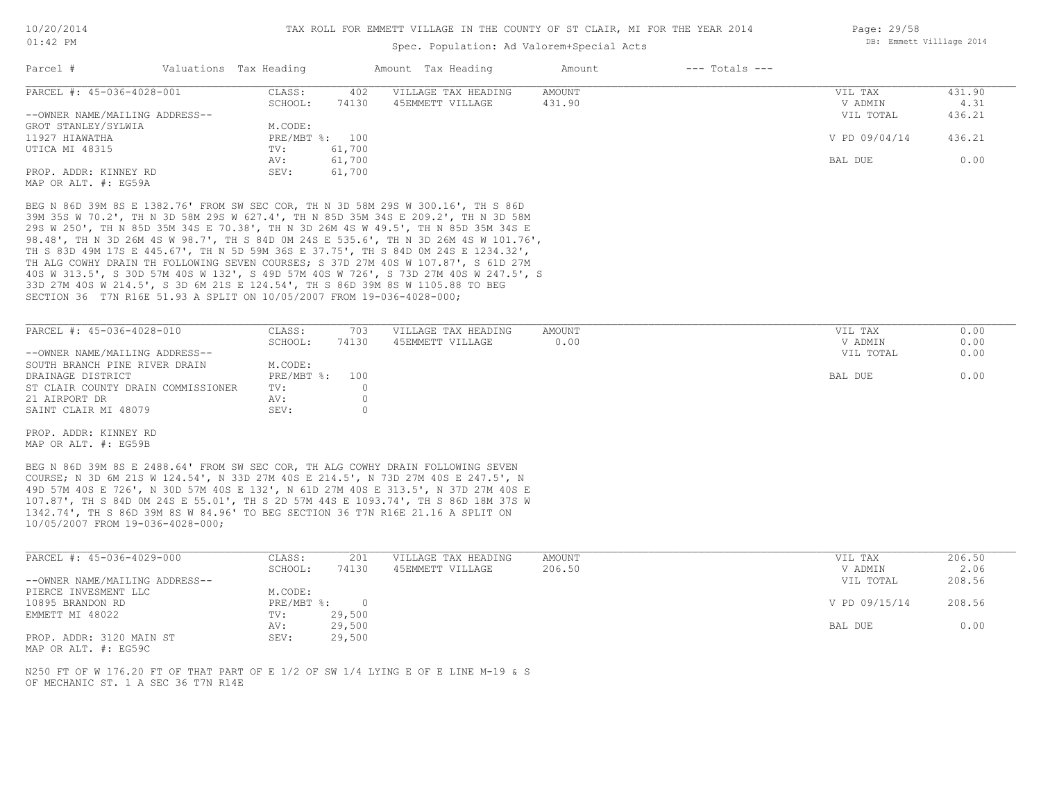### Spec. Population: Ad Valorem+Special Acts

| Parcel #                       | Valuations Tax Heading |        | Amount Tax Heading  | Amount | $---$ Totals $---$ |               |        |
|--------------------------------|------------------------|--------|---------------------|--------|--------------------|---------------|--------|
| PARCEL #: 45-036-4028-001      | CLASS:                 | 402    | VILLAGE TAX HEADING | AMOUNT |                    | VIL TAX       | 431.90 |
|                                | SCHOOL:                | 74130  | 45EMMETT VILLAGE    | 431.90 |                    | V ADMIN       | 4.31   |
| --OWNER NAME/MAILING ADDRESS-- |                        |        |                     |        |                    | VIL TOTAL     | 436.21 |
| GROT STANLEY/SYLWIA            | M.CODE:                |        |                     |        |                    |               |        |
| 11927 HIAWATHA                 | PRE/MBT %: 100         |        |                     |        |                    | V PD 09/04/14 | 436.21 |
| UTICA MI 48315                 | TV:                    | 61,700 |                     |        |                    |               |        |
|                                | AV:                    | 61,700 |                     |        |                    | BAL DUE       | 0.00   |
| PROP. ADDR: KINNEY RD          | SEV:                   | 61,700 |                     |        |                    |               |        |
| MAP OR ALT. #: EG59A           |                        |        |                     |        |                    |               |        |

SECTION 36 T7N R16E 51.93 A SPLIT ON 10/05/2007 FROM 19-036-4028-000; 33D 27M 40S W 214.5', S 3D 6M 21S E 124.54', TH S 86D 39M 8S W 1105.88 TO BEG 40S W 313.5', S 30D 57M 40S W 132', S 49D 57M 40S W 726', S 73D 27M 40S W 247.5', S TH ALG COWHY DRAIN TH FOLLOWING SEVEN COURSES; S 37D 27M 40S W 107.87', S 61D 27M TH S 83D 49M 17S E 445.67', TH N 5D 59M 36S E 37.75', TH S 84D 0M 24S E 1234.32', 98.48', TH N 3D 26M 4S W 98.7', TH S 84D 0M 24S E 535.6', TH N 3D 26M 4S W 101.76', 29S W 250', TH N 85D 35M 34S E 70.38', TH N 3D 26M 4S W 49.5', TH N 85D 35M 34S E 39M 35S W 70.2', TH N 3D 58M 29S W 627.4', TH N 85D 35M 34S E 209.2', TH N 3D 58M BEG N 86D 39M 8S E 1382.76' FROM SW SEC COR, TH N 3D 58M 29S W 300.16', TH S 86D

| PARCEL #: 45-036-4028-010          | CLASS:         | 703   | VILLAGE TAX HEADING | AMOUNT | VIL TAX   | 0.00 |
|------------------------------------|----------------|-------|---------------------|--------|-----------|------|
|                                    | SCHOOL:        | 74130 | 45EMMETT VILLAGE    | 0.00   | V ADMIN   | 0.00 |
| --OWNER NAME/MAILING ADDRESS--     |                |       |                     |        | VIL TOTAL | 0.00 |
| SOUTH BRANCH PINE RIVER DRAIN      | M.CODE:        |       |                     |        |           |      |
| DRAINAGE DISTRICT                  | PRE/MBT %: 100 |       |                     |        | BAL DUE   | 0.00 |
| ST CLAIR COUNTY DRAIN COMMISSIONER | TV:            |       |                     |        |           |      |
| 21 AIRPORT DR                      | AV:            |       |                     |        |           |      |
| SAINT CLAIR MI 48079               | SEV:           |       |                     |        |           |      |

MAP OR ALT. #: EG59B PROP. ADDR: KINNEY RD

10/05/2007 FROM 19-036-4028-000; 1342.74', TH S 86D 39M 8S W 84.96' TO BEG SECTION 36 T7N R16E 21.16 A SPLIT ON 107.87', TH S 84D 0M 24S E 55.01', TH S 2D 57M 44S E 1093.74', TH S 86D 18M 37S W 49D 57M 40S E 726', N 30D 57M 40S E 132', N 61D 27M 40S E 313.5', N 37D 27M 40S E COURSE; N 3D 6M 21S W 124.54', N 33D 27M 40S E 214.5', N 73D 27M 40S E 247.5', N BEG N 86D 39M 8S E 2488.64' FROM SW SEC COR, TH ALG COWHY DRAIN FOLLOWING SEVEN

| PARCEL #: 45-036-4029-000      | CLASS:     | 201    | VILLAGE TAX HEADING | AMOUNT | VIL TAX       | 206.50 |
|--------------------------------|------------|--------|---------------------|--------|---------------|--------|
|                                | SCHOOL:    | 74130  | 45EMMETT VILLAGE    | 206.50 | V ADMIN       | 2.06   |
| --OWNER NAME/MAILING ADDRESS-- |            |        |                     |        | VIL TOTAL     | 208.56 |
| PIERCE INVESMENT LLC           | M.CODE:    |        |                     |        |               |        |
| 10895 BRANDON RD               | PRE/MBT %: |        |                     |        | V PD 09/15/14 | 208.56 |
| EMMETT MI 48022                | TV:        | 29,500 |                     |        |               |        |
|                                | AV:        | 29,500 |                     |        | BAL DUE       | 0.00   |
| PROP. ADDR: 3120 MAIN ST       | SEV:       | 29,500 |                     |        |               |        |

MAP OR ALT. #: EG59C

OF MECHANIC ST. 1 A SEC 36 T7N R14E N250 FT OF W 176.20 FT OF THAT PART OF E 1/2 OF SW 1/4 LYING E OF E LINE M-19 & S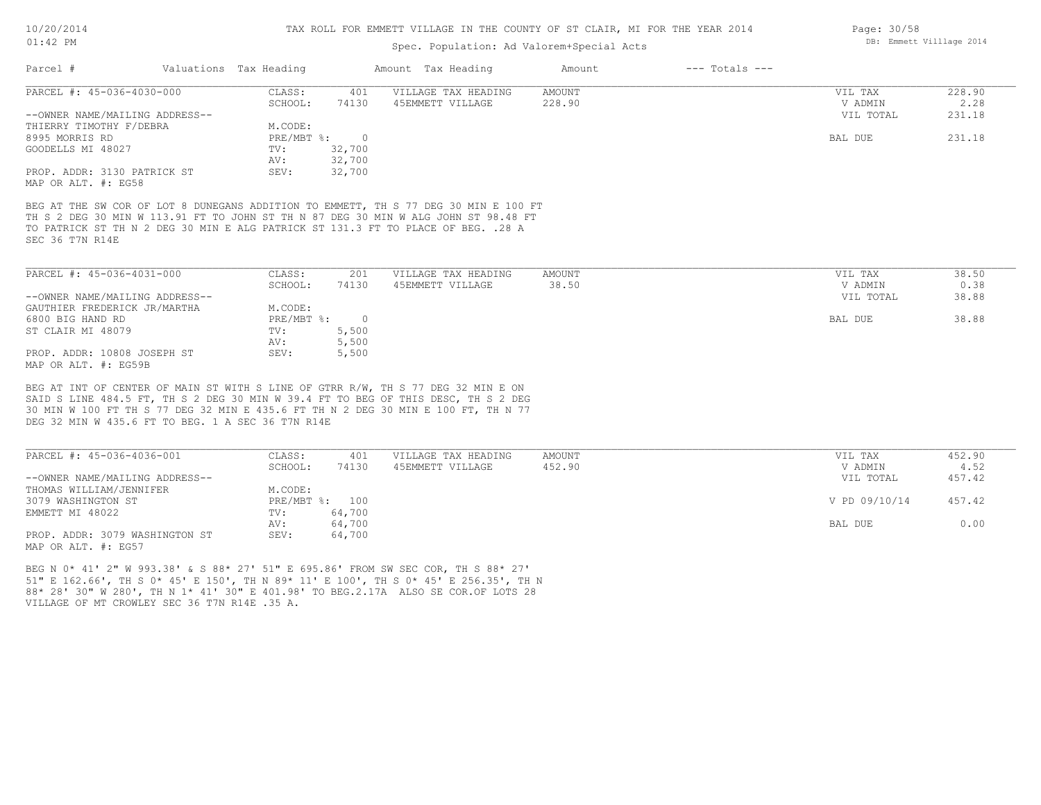### Spec. Population: Ad Valorem+Special Acts

| Parcel #                       | Valuations Tax Heading |                | Amount Tax Heading                                                                  | Amount | $---$ Totals $---$ |           |        |
|--------------------------------|------------------------|----------------|-------------------------------------------------------------------------------------|--------|--------------------|-----------|--------|
| PARCEL #: 45-036-4030-000      | CLASS:                 | 401            | VILLAGE TAX HEADING                                                                 | AMOUNT |                    | VIL TAX   | 228.90 |
|                                | SCHOOL:                | 74130          | 45EMMETT VILLAGE                                                                    | 228.90 |                    | V ADMIN   | 2.28   |
| --OWNER NAME/MAILING ADDRESS-- |                        |                |                                                                                     |        |                    | VIL TOTAL | 231.18 |
| THIERRY TIMOTHY F/DEBRA        | M.CODE:                |                |                                                                                     |        |                    |           |        |
| 8995 MORRIS RD                 | $PRE/MBT$ %:           | $\overline{0}$ |                                                                                     |        |                    | BAL DUE   | 231.18 |
| GOODELLS MI 48027              | TV:                    | 32,700         |                                                                                     |        |                    |           |        |
|                                | AV:                    | 32,700         |                                                                                     |        |                    |           |        |
| PROP. ADDR: 3130 PATRICK ST    | SEV:                   | 32,700         |                                                                                     |        |                    |           |        |
| MAP OR ALT. #: EG58            |                        |                |                                                                                     |        |                    |           |        |
|                                |                        |                |                                                                                     |        |                    |           |        |
|                                |                        |                | BEG AT THE SW COR OF LOT 8 DUNEGANS ADDITION TO EMMETT, TH S 77 DEG 30 MIN E 100 FT |        |                    |           |        |
|                                |                        |                | TH S 2 DEG 30 MIN W 113.91 FT TO JOHN ST TH N 87 DEG 30 MIN W ALG JOHN ST 98.48 FT  |        |                    |           |        |
|                                |                        |                | TO PATRICK ST TH N 2 DEG 30 MIN E ALG PATRICK ST 131.3 FT TO PLACE OF BEG. . 28 A   |        |                    |           |        |
| SEC 36 T7N R14E                |                        |                |                                                                                     |        |                    |           |        |
|                                |                        |                |                                                                                     |        |                    |           |        |
| PARCEL #: 45-036-4031-000      | CLASS:                 | 201            | VILLAGE TAX HEADING                                                                 | AMOUNT |                    | VIL TAX   | 38.50  |
|                                | SCHOOL:                | 74130          | 45EMMETT VILLAGE                                                                    | 38.50  |                    | V ADMIN   | 0.38   |
| --OWNER NAME/MAILING ADDRESS-- |                        |                |                                                                                     |        |                    | VIL TOTAL | 38.88  |
| GAUTHIER FREDERICK JR/MARTHA   | M.CODE:                |                |                                                                                     |        |                    |           |        |
| 6800 BIG HAND RD               | PRE/MBT %:             | $\circ$        |                                                                                     |        |                    | BAL DUE   | 38.88  |

MAP OR ALT. #: EG59B PROP. ADDR: 10808 JOSEPH ST SEV: 5,500 AV: 5,500 ST CLAIR MI 48079 TV: 5,500

DEG 32 MIN W 435.6 FT TO BEG. 1 A SEC 36 T7N R14E 30 MIN W 100 FT TH S 77 DEG 32 MIN E 435.6 FT TH N 2 DEG 30 MIN E 100 FT, TH N 77 SAID S LINE 484.5 FT, TH S 2 DEG 30 MIN W 39.4 FT TO BEG OF THIS DESC, TH S 2 DEG BEG AT INT OF CENTER OF MAIN ST WITH S LINE OF GTRR R/W, TH S 77 DEG 32 MIN E ON

| PARCEL #: 45-036-4036-001      | CLASS:  | 401            | VILLAGE TAX HEADING | AMOUNT | VIL TAX       | 452.90 |
|--------------------------------|---------|----------------|---------------------|--------|---------------|--------|
|                                | SCHOOL: | 74130          | 45EMMETT VILLAGE    | 452.90 | V ADMIN       | 4.52   |
| --OWNER NAME/MAILING ADDRESS-- |         |                |                     |        | VIL TOTAL     | 457.42 |
| THOMAS WILLIAM/JENNIFER        | M.CODE: |                |                     |        |               |        |
| 3079 WASHINGTON ST             |         | PRE/MBT %: 100 |                     |        | V PD 09/10/14 | 457.42 |
| EMMETT MI 48022                | TV:     | 64,700         |                     |        |               |        |
|                                | AV:     | 64,700         |                     |        | BAL DUE       | 0.00   |
| PROP. ADDR: 3079 WASHINGTON ST | SEV:    | 64,700         |                     |        |               |        |
| MAP OR ALT. #: EG57            |         |                |                     |        |               |        |

VILLAGE OF MT CROWLEY SEC 36 T7N R14E .35 A. 88\* 28' 30" W 280', TH N 1\* 41' 30" E 401.98' TO BEG.2.17A ALSO SE COR.OF LOTS 28 51" E 162.66', TH S 0\* 45' E 150', TH N 89\* 11' E 100', TH S 0\* 45' E 256.35', TH N BEG N 0\* 41' 2" W 993.38' & S 88\* 27' 51" E 695.86' FROM SW SEC COR, TH S 88\* 27'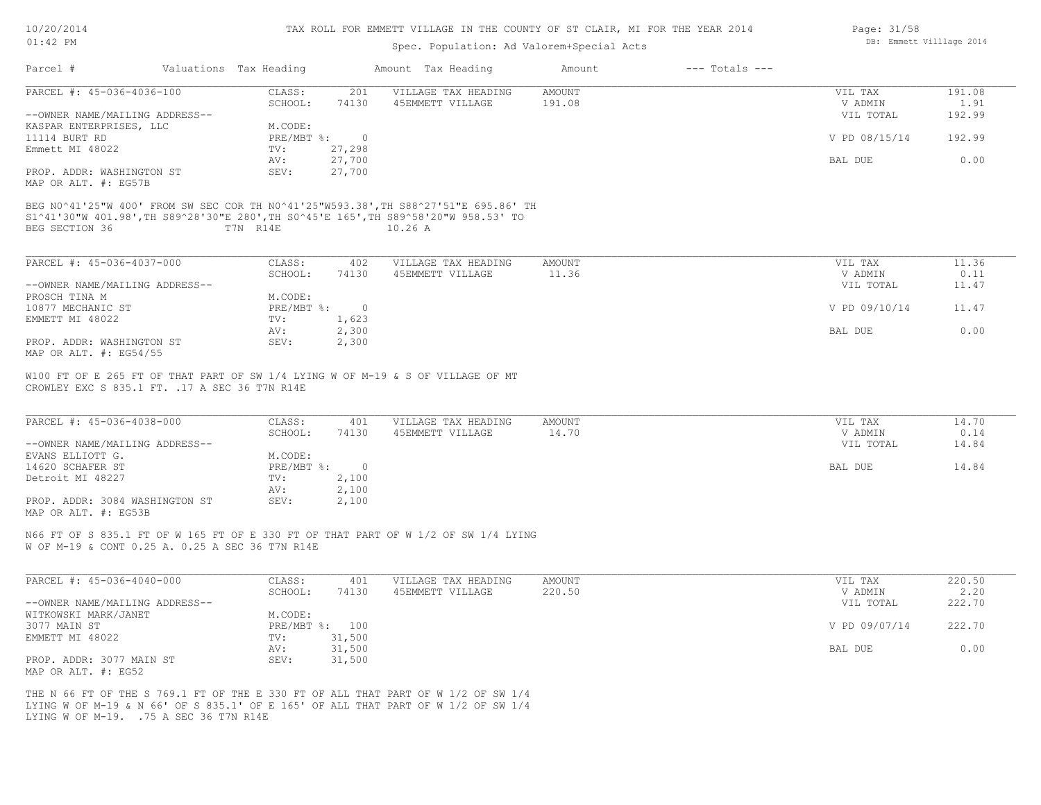| 10/20/2014 |  |
|------------|--|
| $01:42$ PM |  |

### Spec. Population: Ad Valorem+Special Acts

| Parcel #                                       | Valuations Tax Heading |                | Amount Tax Heading                                                                         | Amount        | $---$ Totals $---$ |               |        |
|------------------------------------------------|------------------------|----------------|--------------------------------------------------------------------------------------------|---------------|--------------------|---------------|--------|
| PARCEL #: 45-036-4036-100                      | CLASS:                 | 201            | VILLAGE TAX HEADING                                                                        | <b>AMOUNT</b> |                    | VIL TAX       | 191.08 |
|                                                | SCHOOL:                | 74130          | 45EMMETT VILLAGE                                                                           | 191.08        |                    | V ADMIN       | 1.91   |
| --OWNER NAME/MAILING ADDRESS--                 |                        |                |                                                                                            |               |                    | VIL TOTAL     | 192.99 |
| KASPAR ENTERPRISES, LLC                        | M.CODE:                |                |                                                                                            |               |                    |               |        |
| 11114 BURT RD                                  | PRE/MBT %:             | $\overline{0}$ |                                                                                            |               |                    | V PD 08/15/14 | 192.99 |
| Emmett MI 48022                                | TV:                    | 27,298         |                                                                                            |               |                    |               |        |
|                                                | AV:                    | 27,700         |                                                                                            |               |                    | BAL DUE       | 0.00   |
| PROP. ADDR: WASHINGTON ST                      | SEV:                   | 27,700         |                                                                                            |               |                    |               |        |
| MAP OR ALT. #: EG57B                           |                        |                |                                                                                            |               |                    |               |        |
| BEG SECTION 36                                 | T7N R14E               |                | S1^41'30"W 401.98',TH S89^28'30"E 280',TH S0^45'E 165',TH S89^58'20"W 958.53' TO<br>10.26A |               |                    |               |        |
| PARCEL #: 45-036-4037-000                      | CLASS:                 | 402            | VILLAGE TAX HEADING                                                                        | AMOUNT        |                    | VIL TAX       | 11.36  |
|                                                | SCHOOL:                | 74130          | 45EMMETT VILLAGE                                                                           | 11.36         |                    | V ADMIN       | 0.11   |
| --OWNER NAME/MAILING ADDRESS--                 |                        |                |                                                                                            |               |                    | VIL TOTAL     | 11.47  |
| PROSCH TINA M                                  | M.CODE:                |                |                                                                                            |               |                    |               |        |
| 10877 MECHANIC ST                              | PRE/MBT %:             | $\overline{0}$ |                                                                                            |               |                    | V PD 09/10/14 | 11.47  |
| EMMETT MI 48022                                | TV:                    | 1,623          |                                                                                            |               |                    |               |        |
|                                                | AV:                    | 2,300          |                                                                                            |               |                    | BAL DUE       | 0.00   |
| PROP. ADDR: WASHINGTON ST                      | SEV:                   | 2,300          |                                                                                            |               |                    |               |        |
| MAP OR ALT. #: EG54/55                         |                        |                |                                                                                            |               |                    |               |        |
| CROWLEY EXC S 835.1 FT. . 17 A SEC 36 T7N R14E |                        |                | W100 FT OF E 265 FT OF THAT PART OF SW 1/4 LYING W OF M-19 & S OF VILLAGE OF MT            |               |                    |               |        |
| PARCEI $\pm$ . 45-036-4038-000                 | CT.A CC                | 401            | VILLAGE TAY HEADING                                                                        | <b>AMOUNT</b> |                    | VIII. TAY     | 14.70  |

| PARCEL #: 45-036-4038-000      | CLASS:     | 401    | VILLAGE TAX HEADING | AMOUNT | VIL TAX   | 14.70 |
|--------------------------------|------------|--------|---------------------|--------|-----------|-------|
|                                | SCHOOL:    | 74130  | 45EMMETT VILLAGE    | 14.70  | V ADMIN   | 0.14  |
| --OWNER NAME/MAILING ADDRESS-- |            |        |                     |        | VIL TOTAL | 14.84 |
| EVANS ELLIOTT G.               | M.CODE:    |        |                     |        |           |       |
| 14620 SCHAFER ST               | PRE/MBT %: | $\cap$ |                     |        | BAL DUE   | 14.84 |
| Detroit MI 48227               | TV:        | 2,100  |                     |        |           |       |
|                                | AV:        | 2,100  |                     |        |           |       |
| PROP. ADDR: 3084 WASHINGTON ST | SEV:       | 2,100  |                     |        |           |       |
| MAP OR ALT. #: EG53B           |            |        |                     |        |           |       |

N66 FT OF S 835.1 FT OF W 165 FT OF E 330 FT OF THAT PART OF W 1/2 OF SW 1/4 LYING

W OF M-19 & CONT 0.25 A. 0.25 A SEC 36 T7N R14E

| PARCEL #: 45-036-4040-000      | CLASS:  | 401            | VILLAGE TAX HEADING | AMOUNT | VIL TAX       | 220.50 |
|--------------------------------|---------|----------------|---------------------|--------|---------------|--------|
|                                | SCHOOL: | 74130          | 45EMMETT VILLAGE    | 220.50 | V ADMIN       | 2.20   |
| --OWNER NAME/MAILING ADDRESS-- |         |                |                     |        | VIL TOTAL     | 222.70 |
| WITKOWSKI MARK/JANET           | M.CODE: |                |                     |        |               |        |
| 3077 MAIN ST                   |         | PRE/MBT %: 100 |                     |        | V PD 09/07/14 | 222.70 |
| EMMETT MI 48022                | TV:     | 31,500         |                     |        |               |        |
|                                | AV:     | 31,500         |                     |        | BAL DUE       | 0.00   |
| PROP. ADDR: 3077 MAIN ST       | SEV:    | 31,500         |                     |        |               |        |
| MAP OR ALT. #: EG52            |         |                |                     |        |               |        |

LYING W OF M-19. .75 A SEC 36 T7N R14E LYING W OF M-19 & N 66' OF S 835.1' OF E 165' OF ALL THAT PART OF W 1/2 OF SW 1/4 THE N 66 FT OF THE S 769.1 FT OF THE E 330 FT OF ALL THAT PART OF W 1/2 OF SW 1/4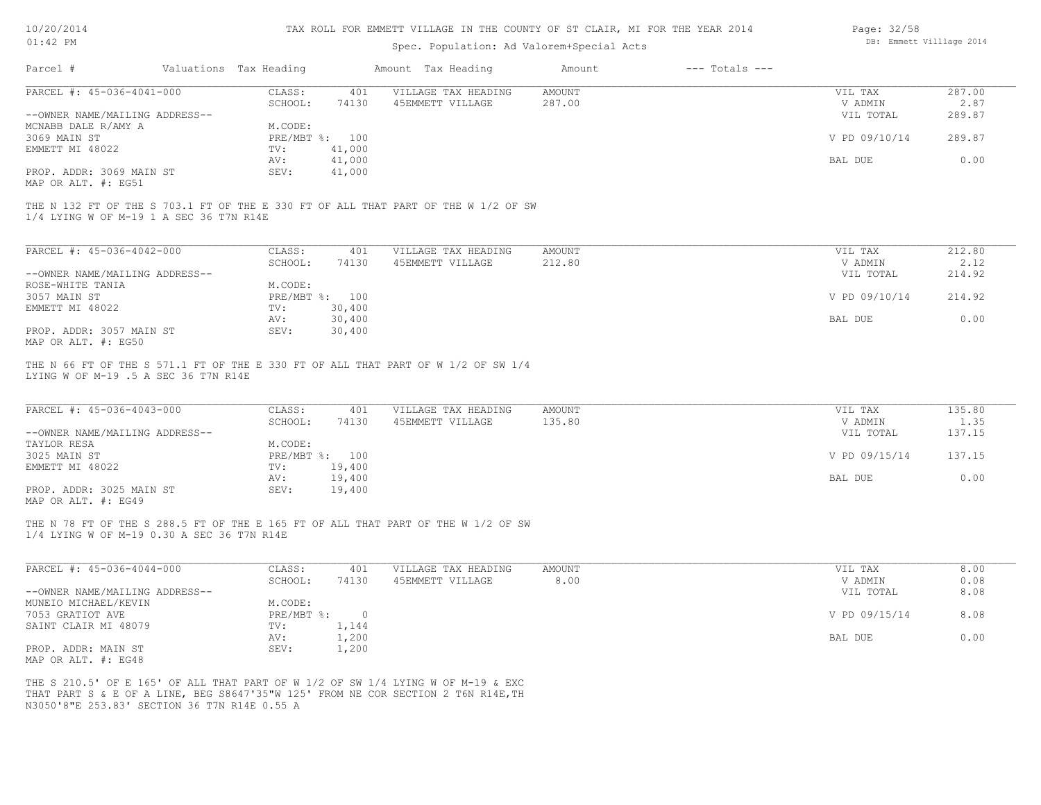| 10/20/2014 |
|------------|
|------------|

| Page: 32/58 |                          |  |
|-------------|--------------------------|--|
|             | DB: Emmett Villlage 2014 |  |

| $01:42$ PM                                                  |                           |                                                                                                                                                                       | Spec. Population: Ad Valorem+Special Acts |                                 | DB: Emmett Villlage 2014 |
|-------------------------------------------------------------|---------------------------|-----------------------------------------------------------------------------------------------------------------------------------------------------------------------|-------------------------------------------|---------------------------------|--------------------------|
| Parcel #                                                    | Valuations Tax Heading    | Amount Tax Heading                                                                                                                                                    | $---$ Totals $---$<br>Amount              |                                 |                          |
| PARCEL #: 45-036-4041-000                                   | CLASS:                    | VILLAGE TAX HEADING<br>401                                                                                                                                            | <b>AMOUNT</b>                             | VIL TAX                         | 287.00                   |
|                                                             | SCHOOL:                   | 74130<br>45EMMETT VILLAGE                                                                                                                                             | 287.00                                    | V ADMIN                         | 2.87                     |
| --OWNER NAME/MAILING ADDRESS--                              |                           |                                                                                                                                                                       |                                           | VIL TOTAL                       | 289.87                   |
| MCNABB DALE R/AMY A                                         | M.CODE:                   |                                                                                                                                                                       |                                           |                                 |                          |
| 3069 MAIN ST                                                | PRE/MBT %: 100            |                                                                                                                                                                       |                                           | V PD 09/10/14                   | 289.87                   |
| EMMETT MI 48022                                             | TV:                       | 41,000                                                                                                                                                                |                                           |                                 |                          |
|                                                             | AV:                       | 41,000                                                                                                                                                                |                                           | BAL DUE                         | 0.00                     |
| PROP. ADDR: 3069 MAIN ST                                    | SEV:                      | 41,000                                                                                                                                                                |                                           |                                 |                          |
| MAP OR ALT. #: EG51                                         |                           |                                                                                                                                                                       |                                           |                                 |                          |
| 1/4 LYING W OF M-19 1 A SEC 36 T7N R14E                     |                           | THE N 132 FT OF THE S 703.1 FT OF THE E 330 FT OF ALL THAT PART OF THE W 1/2 OF SW                                                                                    |                                           |                                 |                          |
| PARCEL #: 45-036-4042-000                                   | CLASS:                    | VILLAGE TAX HEADING<br>401                                                                                                                                            | <b>AMOUNT</b>                             | VIL TAX                         | 212.80                   |
|                                                             | SCHOOL:                   | 74130<br>45EMMETT VILLAGE                                                                                                                                             | 212.80                                    | V ADMIN                         | 2.12                     |
|                                                             |                           |                                                                                                                                                                       |                                           |                                 |                          |
| --OWNER NAME/MAILING ADDRESS--                              |                           |                                                                                                                                                                       |                                           | VIL TOTAL                       | 214.92                   |
| ROSE-WHITE TANIA                                            | M.CODE:                   |                                                                                                                                                                       |                                           |                                 |                          |
| 3057 MAIN ST                                                | PRE/MBT %: 100            |                                                                                                                                                                       |                                           | V PD 09/10/14                   | 214.92                   |
| EMMETT MI 48022                                             | TV:                       | 30,400                                                                                                                                                                |                                           |                                 |                          |
|                                                             | AV:                       | 30,400                                                                                                                                                                |                                           | BAL DUE                         | 0.00                     |
| PROP. ADDR: 3057 MAIN ST<br>MAP OR ALT. #: EG50             | SEV:                      | 30,400                                                                                                                                                                |                                           |                                 |                          |
| PARCEL #: 45-036-4043-000<br>--OWNER NAME/MAILING ADDRESS-- | CLASS:<br>SCHOOL:         | 401<br>VILLAGE TAX HEADING<br>45EMMETT VILLAGE<br>74130                                                                                                               | AMOUNT<br>135.80                          | VIL TAX<br>V ADMIN<br>VIL TOTAL | 135.80<br>1.35<br>137.15 |
| TAYLOR RESA<br>3025 MAIN ST                                 | M.CODE:<br>PRE/MBT %: 100 |                                                                                                                                                                       |                                           | V PD 09/15/14                   | 137.15                   |
| EMMETT MI 48022                                             | TV:                       | 19,400                                                                                                                                                                |                                           |                                 |                          |
|                                                             | AV:                       | 19,400                                                                                                                                                                |                                           | BAL DUE                         | 0.00                     |
| PROP. ADDR: 3025 MAIN ST<br>MAP OR ALT. #: EG49             | SEV:                      | 19,400                                                                                                                                                                |                                           |                                 |                          |
| 1/4 LYING W OF M-19 0.30 A SEC 36 T7N R14E                  |                           | THE N 78 FT OF THE S 288.5 FT OF THE E 165 FT OF ALL THAT PART OF THE W 1/2 OF SW                                                                                     |                                           |                                 |                          |
| PARCEL #: 45-036-4044-000                                   | CLASS:                    | VILLAGE TAX HEADING<br>401                                                                                                                                            | AMOUNT                                    | VIL TAX                         | 8.00                     |
|                                                             | SCHOOL:                   | 74130<br>45EMMETT VILLAGE                                                                                                                                             | 8.00                                      | V ADMIN                         | 0.08                     |
| --OWNER NAME/MAILING ADDRESS--                              |                           |                                                                                                                                                                       |                                           | VIL TOTAL                       | 8.08                     |
| MUNEIO MICHAEL/KEVIN                                        | M.CODE:                   |                                                                                                                                                                       |                                           |                                 |                          |
| 7053 GRATIOT AVE                                            | $PRE/MBT$ $\div$          | $\circ$                                                                                                                                                               |                                           | V PD 09/15/14                   | 8.08                     |
| SAINT CLAIR MI 48079                                        | TV:                       | 1,144                                                                                                                                                                 |                                           |                                 |                          |
|                                                             | AV:                       | 1,200                                                                                                                                                                 |                                           | BAL DUE                         | 0.00                     |
| PROP. ADDR: MAIN ST<br>MAP OR ALT. #: EG48                  | SEV:                      | 1,200                                                                                                                                                                 |                                           |                                 |                          |
| N3050'8"E 253.83' SECTION 36 T7N R14E 0.55 A                |                           | THE S 210.5' OF E 165' OF ALL THAT PART OF W 1/2 OF SW 1/4 LYING W OF M-19 & EXC<br>THAT PART S & E OF A LINE, BEG S8647'35"W 125' FROM NE COR SECTION 2 T6N R14E, TH |                                           |                                 |                          |
|                                                             |                           |                                                                                                                                                                       |                                           |                                 |                          |
|                                                             |                           |                                                                                                                                                                       |                                           |                                 |                          |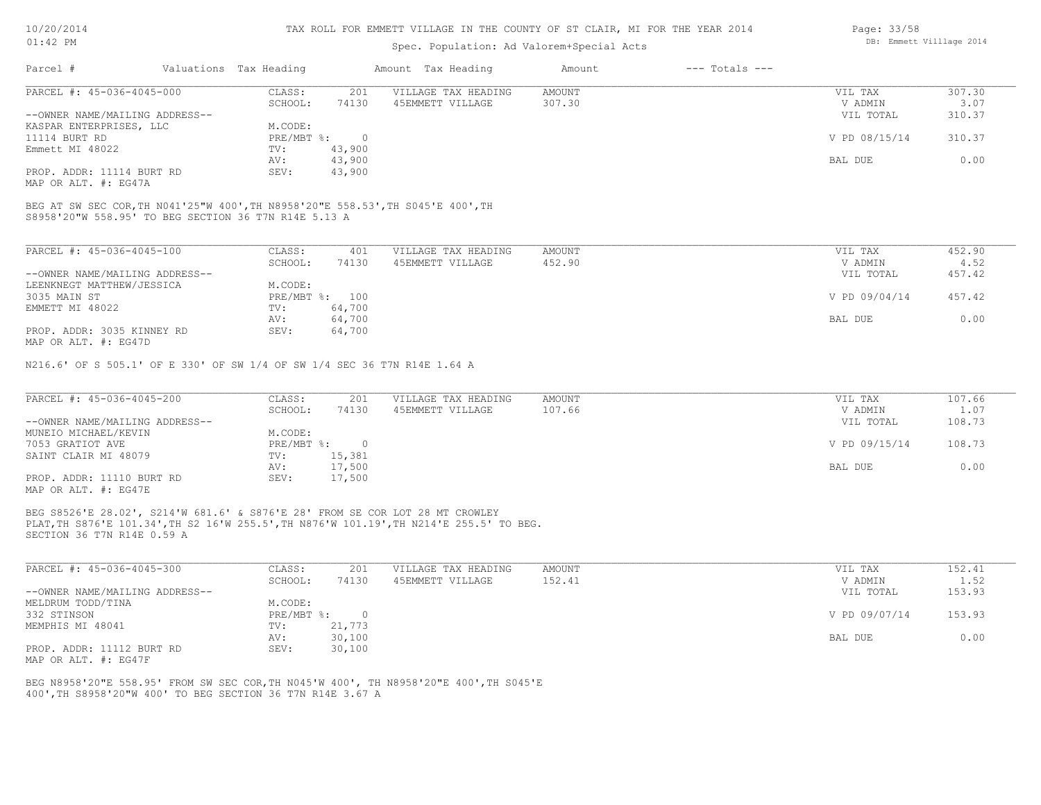### Spec. Population: Ad Valorem+Special Acts

| Page: 33/58 |                          |  |
|-------------|--------------------------|--|
|             | DB: Emmett Villlage 2014 |  |

| Parcel #                       | Valuations Tax Heading |        | Amount Tax Heading  | Amount | $---$ Totals $---$ |               |        |
|--------------------------------|------------------------|--------|---------------------|--------|--------------------|---------------|--------|
| PARCEL #: 45-036-4045-000      | CLASS:                 | 201    | VILLAGE TAX HEADING | AMOUNT |                    | VIL TAX       | 307.30 |
|                                | SCHOOL:                | 74130  | 45EMMETT VILLAGE    | 307.30 |                    | V ADMIN       | 3.07   |
| --OWNER NAME/MAILING ADDRESS-- |                        |        |                     |        |                    | VIL TOTAL     | 310.37 |
| KASPAR ENTERPRISES, LLC        | M.CODE:                |        |                     |        |                    |               |        |
| 11114 BURT RD                  | $PRE/MBT$ %:           |        |                     |        |                    | V PD 08/15/14 | 310.37 |
| Emmett MI 48022                | TV:                    | 43,900 |                     |        |                    |               |        |
|                                | AV:                    | 43,900 |                     |        |                    | BAL DUE       | 0.00   |
| PROP. ADDR: 11114 BURT RD      | SEV:                   | 43,900 |                     |        |                    |               |        |
| MAP OR ALT. #: EG47A           |                        |        |                     |        |                    |               |        |

S8958'20"W 558.95' TO BEG SECTION 36 T7N R14E 5.13 A BEG AT SW SEC COR,TH N041'25"W 400',TH N8958'20"E 558.53',TH S045'E 400',TH

| PARCEL #: 45-036-4045-100      | CLASS:     | 401    | VILLAGE TAX HEADING | AMOUNT | VIL TAX       | 452.90 |
|--------------------------------|------------|--------|---------------------|--------|---------------|--------|
|                                | SCHOOL:    | 74130  | 45EMMETT VILLAGE    | 452.90 | V ADMIN       | 4.52   |
| --OWNER NAME/MAILING ADDRESS-- |            |        |                     |        | VIL TOTAL     | 457.42 |
| LEENKNEGT MATTHEW/JESSICA      | M.CODE:    |        |                     |        |               |        |
| 3035 MAIN ST                   | PRE/MBT %: | 100    |                     |        | V PD 09/04/14 | 457.42 |
| EMMETT MI 48022                | TV:        | 64,700 |                     |        |               |        |
|                                | AV:        | 64,700 |                     |        | BAL DUE       | 0.00   |
| PROP. ADDR: 3035 KINNEY RD     | SEV:       | 64,700 |                     |        |               |        |
| MAP OR ALT. #: EG47D           |            |        |                     |        |               |        |

N216.6' OF S 505.1' OF E 330' OF SW 1/4 OF SW 1/4 SEC 36 T7N R14E 1.64 A

| PARCEL #: 45-036-4045-200      | CLASS:     | 201    | VILLAGE TAX HEADING | AMOUNT | VIL TAX       | 107.66 |
|--------------------------------|------------|--------|---------------------|--------|---------------|--------|
|                                | SCHOOL:    | 74130  | 45EMMETT VILLAGE    | 107.66 | V ADMIN       | 1.07   |
| --OWNER NAME/MAILING ADDRESS-- |            |        |                     |        | VIL TOTAL     | 108.73 |
| MUNEIO MICHAEL/KEVIN           | M.CODE:    |        |                     |        |               |        |
| 7053 GRATIOT AVE               | PRE/MBT %: |        |                     |        | V PD 09/15/14 | 108.73 |
| SAINT CLAIR MI 48079           | TV:        | 15,381 |                     |        |               |        |
|                                | AV:        | 17,500 |                     |        | BAL DUE       | 0.00   |
| PROP. ADDR: 11110 BURT RD      | SEV:       | 17,500 |                     |        |               |        |
| MAP OR ALT. #: EG47E           |            |        |                     |        |               |        |

SECTION 36 T7N R14E 0.59 A PLAT,TH S876'E 101.34',TH S2 16'W 255.5',TH N876'W 101.19',TH N214'E 255.5' TO BEG. BEG S8526'E 28.02', S214'W 681.6' & S876'E 28' FROM SE COR LOT 28 MT CROWLEY

| PARCEL #: 45-036-4045-300      | CLASS:     | 201    | VILLAGE TAX HEADING | AMOUNT | VIL TAX       | 152.41 |
|--------------------------------|------------|--------|---------------------|--------|---------------|--------|
|                                | SCHOOL:    | 74130  | 45EMMETT VILLAGE    | 152.41 | V ADMIN       | 1.52   |
| --OWNER NAME/MAILING ADDRESS-- |            |        |                     |        | VIL TOTAL     | 153.93 |
| MELDRUM TODD/TINA              | M.CODE:    |        |                     |        |               |        |
| 332 STINSON                    | PRE/MBT %: |        |                     |        | V PD 09/07/14 | 153.93 |
| MEMPHIS MI 48041               | TV:        | 21,773 |                     |        |               |        |
|                                | AV:        | 30,100 |                     |        | BAL DUE       | 0.00   |
| PROP. ADDR: 11112 BURT RD      | SEV:       | 30,100 |                     |        |               |        |
| MAP OR ALT. #: EG47F           |            |        |                     |        |               |        |

400',TH S8958'20"W 400' TO BEG SECTION 36 T7N R14E 3.67 A BEG N8958'20"E 558.95' FROM SW SEC COR,TH N045'W 400', TH N8958'20"E 400',TH S045'E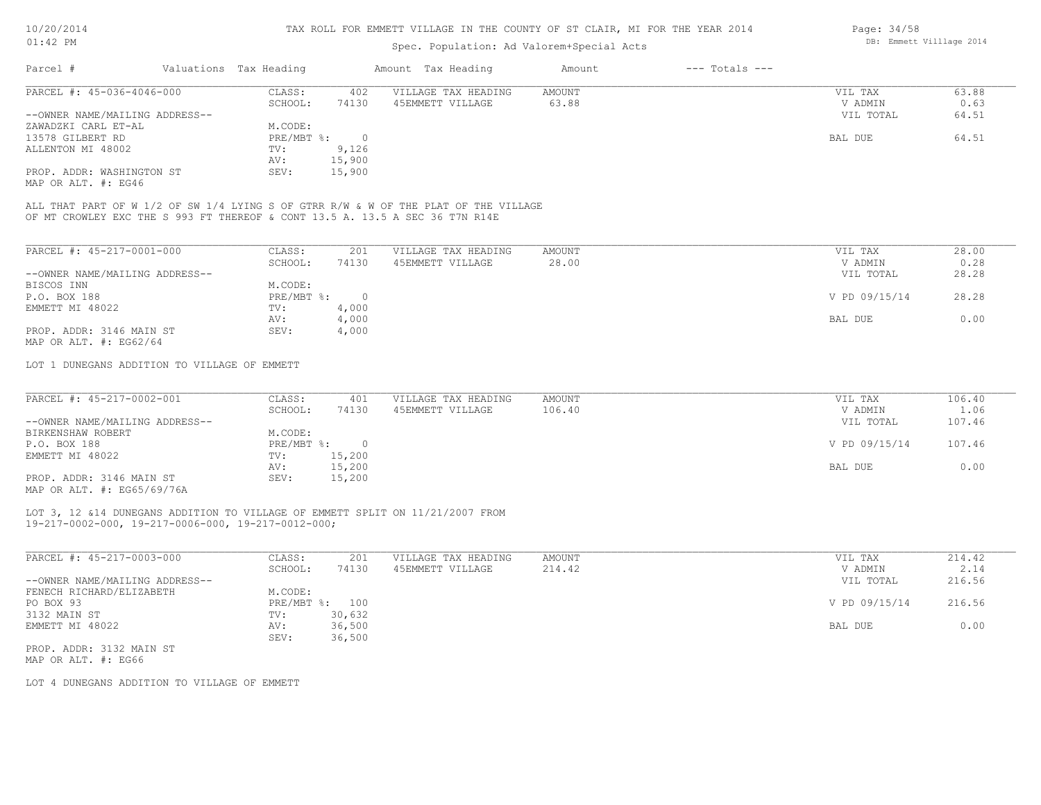### Spec. Population: Ad Valorem+Special Acts

| Page: 34/58 |                          |  |
|-------------|--------------------------|--|
|             | DB: Emmett Villlage 2014 |  |

| Parcel #                       | Valuations Tax Heading |        | Amount Tax Heading  | Amount | $---$ Totals $---$ |           |       |
|--------------------------------|------------------------|--------|---------------------|--------|--------------------|-----------|-------|
| PARCEL #: 45-036-4046-000      | CLASS:                 | 402    | VILLAGE TAX HEADING | AMOUNT |                    | VIL TAX   | 63.88 |
|                                | SCHOOL:                | 74130  | 45EMMETT VILLAGE    | 63.88  |                    | V ADMIN   | 0.63  |
| --OWNER NAME/MAILING ADDRESS-- |                        |        |                     |        |                    | VIL TOTAL | 64.51 |
| ZAWADZKI CARL ET-AL            | M.CODE:                |        |                     |        |                    |           |       |
| 13578 GILBERT RD               | PRE/MBT %:             |        |                     |        |                    | BAL DUE   | 64.51 |
| ALLENTON MI 48002              | TV:                    | 9,126  |                     |        |                    |           |       |
|                                | AV:                    | 15,900 |                     |        |                    |           |       |
| PROP. ADDR: WASHINGTON ST      | SEV:                   | 15,900 |                     |        |                    |           |       |
|                                |                        |        |                     |        |                    |           |       |

MAP OR ALT. #: EG46

OF MT CROWLEY EXC THE S 993 FT THEREOF & CONT 13.5 A. 13.5 A SEC 36 T7N R14E ALL THAT PART OF W 1/2 OF SW 1/4 LYING S OF GTRR R/W & W OF THE PLAT OF THE VILLAGE

| PARCEL #: 45-217-0001-000      | CLASS:     | 201    | VILLAGE TAX HEADING | AMOUNT | 28.00<br>VIL TAX       |
|--------------------------------|------------|--------|---------------------|--------|------------------------|
|                                | SCHOOL:    | 74130  | 45EMMETT VILLAGE    | 28.00  | 0.28<br>V ADMIN        |
| --OWNER NAME/MAILING ADDRESS-- |            |        |                     |        | 28.28<br>VIL TOTAL     |
| BISCOS INN                     | M.CODE:    |        |                     |        |                        |
| P.O. BOX 188                   | PRE/MBT %: | $\Box$ |                     |        | V PD 09/15/14<br>28.28 |
| EMMETT MI 48022                | TV:        | 4,000  |                     |        |                        |
|                                | AV:        | 4,000  |                     |        | 0.00<br>BAL DUE        |
| PROP. ADDR: 3146 MAIN ST       | SEV:       | 4,000  |                     |        |                        |
| MAP OR ALT. $\#$ : EG62/64     |            |        |                     |        |                        |

LOT 1 DUNEGANS ADDITION TO VILLAGE OF EMMETT

| PARCEL #: 45-217-0002-001                 | CLASS:       | 401    | VILLAGE TAX HEADING | AMOUNT | VIL TAX       | 106.40 |
|-------------------------------------------|--------------|--------|---------------------|--------|---------------|--------|
|                                           | SCHOOL:      | 74130  | 45EMMETT VILLAGE    | 106.40 | V ADMIN       | 1.06   |
| --OWNER NAME/MAILING ADDRESS--            |              |        |                     |        | VIL TOTAL     | 107.46 |
| BIRKENSHAW ROBERT                         | M.CODE:      |        |                     |        |               |        |
| P.O. BOX 188                              | $PRE/MBT$ %: |        |                     |        | V PD 09/15/14 | 107.46 |
| EMMETT MI 48022                           | TV:          | 15,200 |                     |        |               |        |
|                                           | AV:          | 15,200 |                     |        | BAL DUE       | 0.00   |
| PROP. ADDR: 3146 MAIN ST<br>$\frac{1}{2}$ | SEV:         | 15,200 |                     |        |               |        |

MAP OR ALT. #: EG65/69/76A

#### 19-217-0002-000, 19-217-0006-000, 19-217-0012-000; LOT 3, 12 &14 DUNEGANS ADDITION TO VILLAGE OF EMMETT SPLIT ON 11/21/2007 FROM

| PARCEL #: 45-217-0003-000      | CLASS:     | 201    | VILLAGE TAX HEADING | AMOUNT | 214.42<br>VIL TAX       |
|--------------------------------|------------|--------|---------------------|--------|-------------------------|
|                                | SCHOOL:    | 74130  | 45EMMETT VILLAGE    | 214.42 | 2.14<br>V ADMIN         |
| --OWNER NAME/MAILING ADDRESS-- |            |        |                     |        | VIL TOTAL<br>216.56     |
| FENECH RICHARD/ELIZABETH       | M.CODE:    |        |                     |        |                         |
| PO BOX 93                      | PRE/MBT %: | 100    |                     |        | V PD 09/15/14<br>216.56 |
| 3132 MAIN ST                   | TV:        | 30,632 |                     |        |                         |
| EMMETT MI 48022                | AV:        | 36,500 |                     |        | 0.00<br>BAL DUE         |
|                                | SEV:       | 36,500 |                     |        |                         |
| PROP. ADDR: 3132 MAIN ST       |            |        |                     |        |                         |

MAP OR ALT. #: EG66

LOT 4 DUNEGANS ADDITION TO VILLAGE OF EMMETT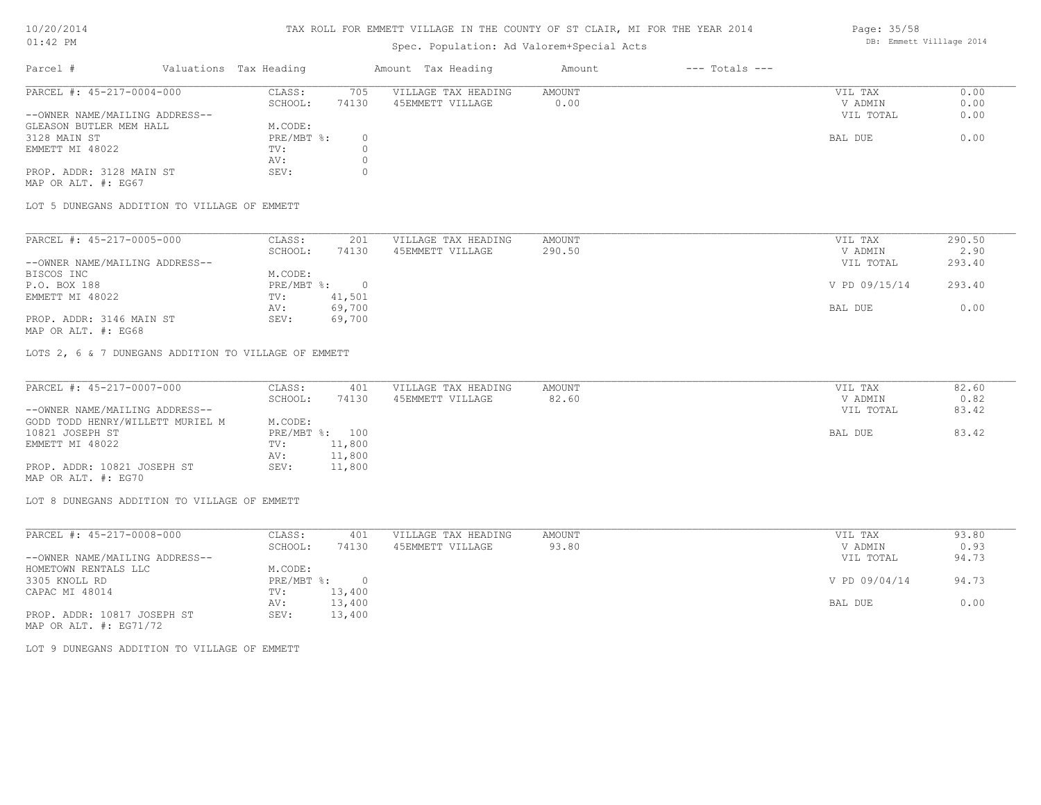### TAX ROLL FOR EMMETT VILLAGE IN THE COUNTY OF ST CLAIR, MI FOR THE YEAR 2014

# Spec. Population: Ad Valorem+Special Acts

#### Page: 35/58 DB: Emmett Villlage 2014

| Parcel #                       | Valuations Tax Heading |       | Amount Tax Heading  | Amount | $---$ Totals $---$ |           |      |
|--------------------------------|------------------------|-------|---------------------|--------|--------------------|-----------|------|
| PARCEL #: 45-217-0004-000      | CLASS:                 | 705   | VILLAGE TAX HEADING | AMOUNT |                    | VIL TAX   | 0.00 |
|                                | SCHOOL:                | 74130 | 45EMMETT VILLAGE    | 0.00   |                    | V ADMIN   | 0.00 |
| --OWNER NAME/MAILING ADDRESS-- |                        |       |                     |        |                    | VIL TOTAL | 0.00 |
| GLEASON BUTLER MEM HALL        | M.CODE:                |       |                     |        |                    |           |      |
| 3128 MAIN ST                   | $PRE/MBT$ %:           |       |                     |        |                    | BAL DUE   | 0.00 |
| EMMETT MI 48022                | TV:                    |       |                     |        |                    |           |      |
|                                | AV:                    |       |                     |        |                    |           |      |
| PROP. ADDR: 3128 MAIN ST       | SEV:                   |       |                     |        |                    |           |      |
| MAP OR ALT. #: EG67            |                        |       |                     |        |                    |           |      |

LOT 5 DUNEGANS ADDITION TO VILLAGE OF EMMETT

| PARCEL #: 45-217-0005-000      | CLASS:     | 201    | VILLAGE TAX HEADING | AMOUNT | VIL TAX       | 290.50 |
|--------------------------------|------------|--------|---------------------|--------|---------------|--------|
|                                | SCHOOL:    | 74130  | 45EMMETT VILLAGE    | 290.50 | V ADMIN       | 2.90   |
| --OWNER NAME/MAILING ADDRESS-- |            |        |                     |        | VIL TOTAL     | 293.40 |
| BISCOS INC                     | M.CODE:    |        |                     |        |               |        |
| P.O. BOX 188                   | PRE/MBT %: |        |                     |        | V PD 09/15/14 | 293.40 |
| EMMETT MI 48022                | TV:        | 41,501 |                     |        |               |        |
|                                | AV:        | 69,700 |                     |        | BAL DUE       | 0.00   |
| PROP. ADDR: 3146 MAIN ST       | SEV:       | 69,700 |                     |        |               |        |

MAP OR ALT. #: EG68

LOTS 2, 6 & 7 DUNEGANS ADDITION TO VILLAGE OF EMMETT

| PARCEL #: 45-217-0007-000        | CLASS:  | 401            | VILLAGE TAX HEADING | AMOUNT | VIL TAX   | 82.60 |
|----------------------------------|---------|----------------|---------------------|--------|-----------|-------|
|                                  | SCHOOL: | 74130          | 45EMMETT VILLAGE    | 82.60  | V ADMIN   | 0.82  |
| --OWNER NAME/MAILING ADDRESS--   |         |                |                     |        | VIL TOTAL | 83.42 |
| GODD TODD HENRY/WILLETT MURIEL M | M.CODE: |                |                     |        |           |       |
| 10821 JOSEPH ST                  |         | PRE/MBT %: 100 |                     |        | BAL DUE   | 83.42 |
| EMMETT MI 48022                  | TV:     | 11,800         |                     |        |           |       |
|                                  | AV:     | 11,800         |                     |        |           |       |
| PROP. ADDR: 10821 JOSEPH ST      | SEV:    | 11,800         |                     |        |           |       |
| MAP OR ALT. #: EG70              |         |                |                     |        |           |       |

LOT 8 DUNEGANS ADDITION TO VILLAGE OF EMMETT

| PARCEL #: 45-217-0008-000      | CLASS:     | 401    | VILLAGE TAX HEADING | AMOUNT | VIL TAX       | 93.80 |
|--------------------------------|------------|--------|---------------------|--------|---------------|-------|
|                                | SCHOOL:    | 74130  | 45EMMETT VILLAGE    | 93.80  | V ADMIN       | 0.93  |
| --OWNER NAME/MAILING ADDRESS-- |            |        |                     |        | VIL TOTAL     | 94.73 |
| HOMETOWN RENTALS LLC           | M.CODE:    |        |                     |        |               |       |
| 3305 KNOLL RD                  | PRE/MBT %: |        |                     |        | V PD 09/04/14 | 94.73 |
| CAPAC MI 48014                 | TV:        | 13,400 |                     |        |               |       |
|                                | AV:        | 13,400 |                     |        | BAL DUE       | 0.00  |
| PROP. ADDR: 10817 JOSEPH ST    | SEV:       | 13,400 |                     |        |               |       |
| MAP OR ALT. $\#$ : EG71/72     |            |        |                     |        |               |       |

LOT 9 DUNEGANS ADDITION TO VILLAGE OF EMMETT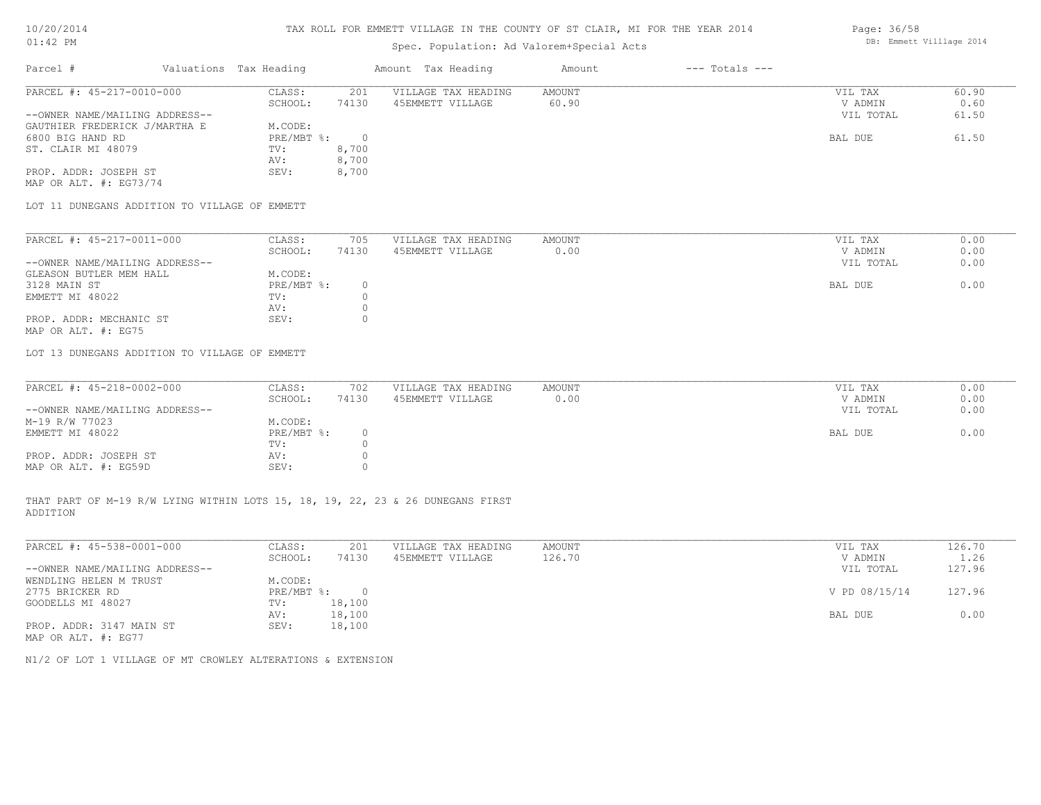# Spec. Population: Ad Valorem+Special Acts

| Parcel #                       | Valuations Tax Heading |       | Amount Tax Heading  | Amount | $---$ Totals $---$ |           |       |
|--------------------------------|------------------------|-------|---------------------|--------|--------------------|-----------|-------|
| PARCEL #: 45-217-0010-000      | CLASS:                 | 201   | VILLAGE TAX HEADING | AMOUNT |                    | VIL TAX   | 60.90 |
|                                | SCHOOL:                | 74130 | 45EMMETT VILLAGE    | 60.90  |                    | V ADMIN   | 0.60  |
| --OWNER NAME/MAILING ADDRESS-- |                        |       |                     |        |                    | VIL TOTAL | 61.50 |
| GAUTHIER FREDERICK J/MARTHA E  | M.CODE:                |       |                     |        |                    |           |       |
| 6800 BIG HAND RD               | PRE/MBT %:             |       |                     |        |                    | BAL DUE   | 61.50 |
| ST. CLAIR MI 48079             | TV:                    | 8,700 |                     |        |                    |           |       |
|                                | AV:                    | 8,700 |                     |        |                    |           |       |
| PROP. ADDR: JOSEPH ST          | SEV:                   | 8,700 |                     |        |                    |           |       |

MAP OR ALT. #: EG73/74

LOT 11 DUNEGANS ADDITION TO VILLAGE OF EMMETT

| PARCEL #: 45-217-0011-000      | CLASS:     | 705   | VILLAGE TAX HEADING | AMOUNT |         | VIL TAX   | 0.00 |
|--------------------------------|------------|-------|---------------------|--------|---------|-----------|------|
|                                | SCHOOL:    | 74130 | 45EMMETT VILLAGE    | 0.00   |         | V ADMIN   | 0.00 |
| --OWNER NAME/MAILING ADDRESS-- |            |       |                     |        |         | VIL TOTAL | 0.00 |
| GLEASON BUTLER MEM HALL        | M.CODE:    |       |                     |        |         |           |      |
| 3128 MAIN ST                   | PRE/MBT %: |       |                     |        | BAL DUE |           | 0.00 |
| EMMETT MI 48022                | TV:        |       |                     |        |         |           |      |
|                                | AV:        |       |                     |        |         |           |      |
| PROP. ADDR: MECHANIC ST        | SEV:       |       |                     |        |         |           |      |
| MAP OR ALT. #: EG75            |            |       |                     |        |         |           |      |

LOT 13 DUNEGANS ADDITION TO VILLAGE OF EMMETT

| PARCEL #: 45-218-0002-000      | CLASS:       | 702   | VILLAGE TAX HEADING | AMOUNT | VIL TAX |           | 0.00 |
|--------------------------------|--------------|-------|---------------------|--------|---------|-----------|------|
|                                | SCHOOL:      | 74130 | 45EMMETT VILLAGE    | 0.00   | V ADMIN |           | 0.00 |
| --OWNER NAME/MAILING ADDRESS-- |              |       |                     |        |         | VIL TOTAL | 0.00 |
| M-19 R/W 77023                 | M.CODE:      |       |                     |        |         |           |      |
| EMMETT MI 48022                | $PRE/MBT$ %: |       |                     |        | BAL DUE |           | 0.00 |
|                                | TV:          |       |                     |        |         |           |      |
| PROP. ADDR: JOSEPH ST          | AV:          |       |                     |        |         |           |      |
| MAP OR ALT. #: EG59D           | SEV:         |       |                     |        |         |           |      |

ADDITION THAT PART OF M-19 R/W LYING WITHIN LOTS 15, 18, 19, 22, 23 & 26 DUNEGANS FIRST

| PARCEL #: 45-538-0001-000      | CLASS:     | 201    | VILLAGE TAX HEADING | AMOUNT | VIL TAX       | 126.70 |
|--------------------------------|------------|--------|---------------------|--------|---------------|--------|
|                                | SCHOOL:    | 74130  | 45EMMETT VILLAGE    | 126.70 | V ADMIN       | 1.26   |
| --OWNER NAME/MAILING ADDRESS-- |            |        |                     |        | VIL TOTAL     | 127.96 |
| WENDLING HELEN M TRUST         | M.CODE:    |        |                     |        |               |        |
| 2775 BRICKER RD                | PRE/MBT %: | $\Box$ |                     |        | V PD 08/15/14 | 127.96 |
| GOODELLS MI 48027              | TV:        | 18,100 |                     |        |               |        |
|                                | AV:        | 18,100 |                     |        | BAL DUE       | 0.00   |
| PROP. ADDR: 3147 MAIN ST       | SEV:       | 18,100 |                     |        |               |        |
| MAP OR ALT. #: EG77            |            |        |                     |        |               |        |

 $\mathcal{L}_\mathcal{L} = \mathcal{L}_\mathcal{L} = \mathcal{L}_\mathcal{L} = \mathcal{L}_\mathcal{L} = \mathcal{L}_\mathcal{L} = \mathcal{L}_\mathcal{L} = \mathcal{L}_\mathcal{L} = \mathcal{L}_\mathcal{L} = \mathcal{L}_\mathcal{L} = \mathcal{L}_\mathcal{L} = \mathcal{L}_\mathcal{L} = \mathcal{L}_\mathcal{L} = \mathcal{L}_\mathcal{L} = \mathcal{L}_\mathcal{L} = \mathcal{L}_\mathcal{L} = \mathcal{L}_\mathcal{L} = \mathcal{L}_\mathcal{L}$ 

N1/2 OF LOT 1 VILLAGE OF MT CROWLEY ALTERATIONS & EXTENSION

Page: 36/58 DB: Emmett Villlage 2014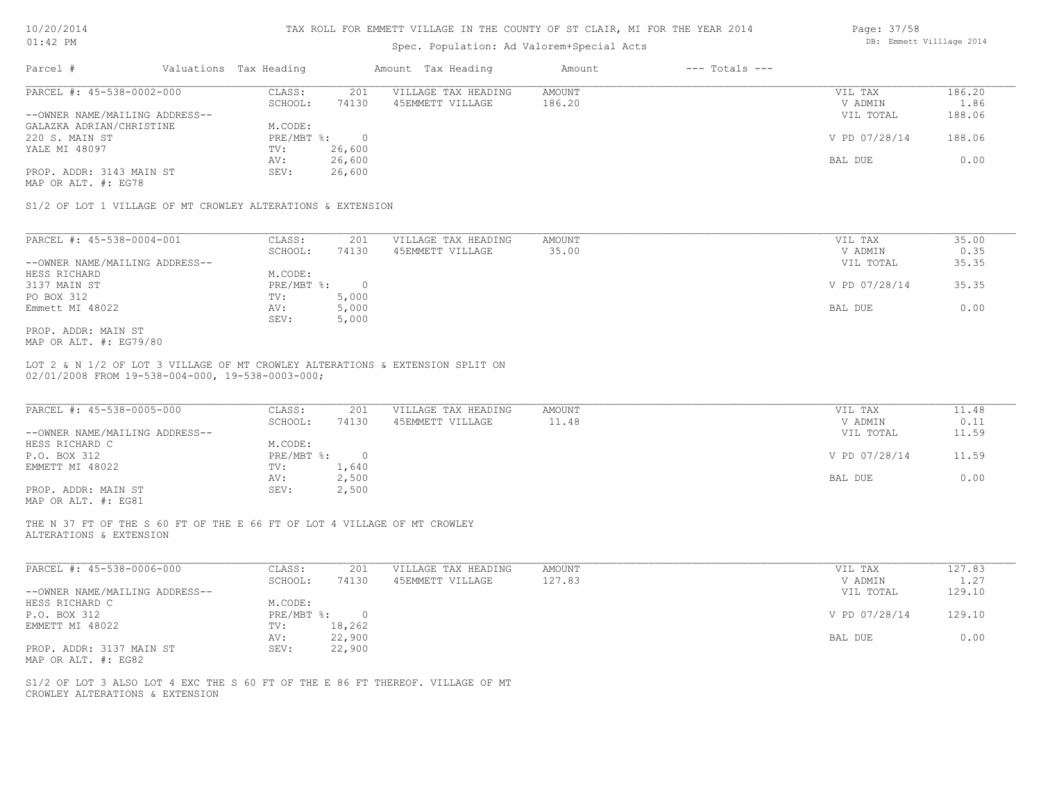| 0/20/201 |  |
|----------|--|
|          |  |

### Spec. Population: Ad Valorem+Special Acts

| Parcel #                                                    | Valuations Tax Heading |                | Amount Tax Heading  | Amount | $---$ Totals $---$ |               |        |
|-------------------------------------------------------------|------------------------|----------------|---------------------|--------|--------------------|---------------|--------|
| PARCEL #: 45-538-0002-000                                   | CLASS:                 | 201            | VILLAGE TAX HEADING | AMOUNT |                    | VIL TAX       | 186.20 |
|                                                             | SCHOOL:                | 74130          | 45EMMETT VILLAGE    | 186.20 |                    | V ADMIN       | 1.86   |
| --OWNER NAME/MAILING ADDRESS--                              |                        |                |                     |        |                    | VIL TOTAL     | 188.06 |
| GALAZKA ADRIAN/CHRISTINE                                    | M.CODE:                |                |                     |        |                    |               |        |
| 220 S. MAIN ST                                              | PRE/MBT %:             | $\overline{0}$ |                     |        |                    | V PD 07/28/14 | 188.06 |
| YALE MI 48097                                               | TV:                    | 26,600         |                     |        |                    |               |        |
|                                                             | AV:                    | 26,600         |                     |        |                    | BAL DUE       | 0.00   |
| PROP. ADDR: 3143 MAIN ST                                    | SEV:                   | 26,600         |                     |        |                    |               |        |
| MAP OR ALT. #: EG78                                         |                        |                |                     |        |                    |               |        |
| S1/2 OF LOT 1 VILLAGE OF MT CROWLEY ALTERATIONS & EXTENSION |                        |                |                     |        |                    |               |        |
| PARCEL #: 45-538-0004-001                                   | CLASS:                 | 201            | VILLAGE TAX HEADING | AMOUNT |                    | VIL TAX       | 35.00  |
|                                                             | SCHOOL:                | 74130          | 45EMMETT VILLAGE    | 35.00  |                    | V ADMIN       | 0.35   |
| --OWNER NAME/MAILING ADDRESS--                              |                        |                |                     |        |                    | VIL TOTAL     | 35.35  |
| HESS RICHARD                                                | M.CODE:                |                |                     |        |                    |               |        |
| 3137 MAIN ST                                                | PRE/MBT %:             | $\circ$        |                     |        |                    | V PD 07/28/14 | 35.35  |

Emmett MI 48022 AV: 5,000 BAL DUE 0.00

MAP OR ALT. #: EG79/80 PROP. ADDR: MAIN ST

02/01/2008 FROM 19-538-004-000, 19-538-0003-000; LOT 2 & N 1/2 OF LOT 3 VILLAGE OF MT CROWLEY ALTERATIONS & EXTENSION SPLIT ON

SEV: 5,000

PO BOX 312 TV: 5,000<br>
Emmett MI 48022 AV: 5,000

| PARCEL #: 45-538-0005-000      | CLASS:     | 201   | VILLAGE TAX HEADING | AMOUNT | VIL TAX       | 11.48 |
|--------------------------------|------------|-------|---------------------|--------|---------------|-------|
|                                | SCHOOL:    | 74130 | 45EMMETT VILLAGE    | 11.48  | V ADMIN       | 0.11  |
| --OWNER NAME/MAILING ADDRESS-- |            |       |                     |        | VIL TOTAL     | 11.59 |
| HESS RICHARD C                 | M.CODE:    |       |                     |        |               |       |
| P.O. BOX 312                   | PRE/MBT %: |       |                     |        | V PD 07/28/14 | 11.59 |
| EMMETT MI 48022                | TV:        | 1,640 |                     |        |               |       |
|                                | AV:        | 2,500 |                     |        | BAL DUE       | 0.00  |
| PROP. ADDR: MAIN ST            | SEV:       | 2,500 |                     |        |               |       |
| MAP OR ALT. #: EG81            |            |       |                     |        |               |       |

ALTERATIONS & EXTENSION THE N 37 FT OF THE S 60 FT OF THE E 66 FT OF LOT 4 VILLAGE OF MT CROWLEY

| PARCEL #: 45-538-0006-000      | CLASS:     | 201      | VILLAGE TAX HEADING | AMOUNT | VIL TAX       | 127.83 |
|--------------------------------|------------|----------|---------------------|--------|---------------|--------|
|                                | SCHOOL:    | 74130    | 45EMMETT VILLAGE    | 127.83 | V ADMIN       | 1.27   |
| --OWNER NAME/MAILING ADDRESS-- |            |          |                     |        | VIL TOTAL     | 129.10 |
| HESS RICHARD C                 | M.CODE:    |          |                     |        |               |        |
| P.O. BOX 312                   | PRE/MBT %: | $\Omega$ |                     |        | V PD 07/28/14 | 129.10 |
| EMMETT MI 48022                | TV:        | 18,262   |                     |        |               |        |
|                                | AV:        | 22,900   |                     |        | BAL DUE       | 0.00   |
| PROP. ADDR: 3137 MAIN ST       | SEV:       | 22,900   |                     |        |               |        |
| MAP OR ALT. #: EG82            |            |          |                     |        |               |        |

 $\mathcal{L}_\mathcal{L} = \mathcal{L}_\mathcal{L} = \mathcal{L}_\mathcal{L} = \mathcal{L}_\mathcal{L} = \mathcal{L}_\mathcal{L} = \mathcal{L}_\mathcal{L} = \mathcal{L}_\mathcal{L} = \mathcal{L}_\mathcal{L} = \mathcal{L}_\mathcal{L} = \mathcal{L}_\mathcal{L} = \mathcal{L}_\mathcal{L} = \mathcal{L}_\mathcal{L} = \mathcal{L}_\mathcal{L} = \mathcal{L}_\mathcal{L} = \mathcal{L}_\mathcal{L} = \mathcal{L}_\mathcal{L} = \mathcal{L}_\mathcal{L}$ 

CROWLEY ALTERATIONS & EXTENSION S1/2 OF LOT 3 ALSO LOT 4 EXC THE S 60 FT OF THE E 86 FT THEREOF. VILLAGE OF MT Page: 37/58 DB: Emmett Villlage 2014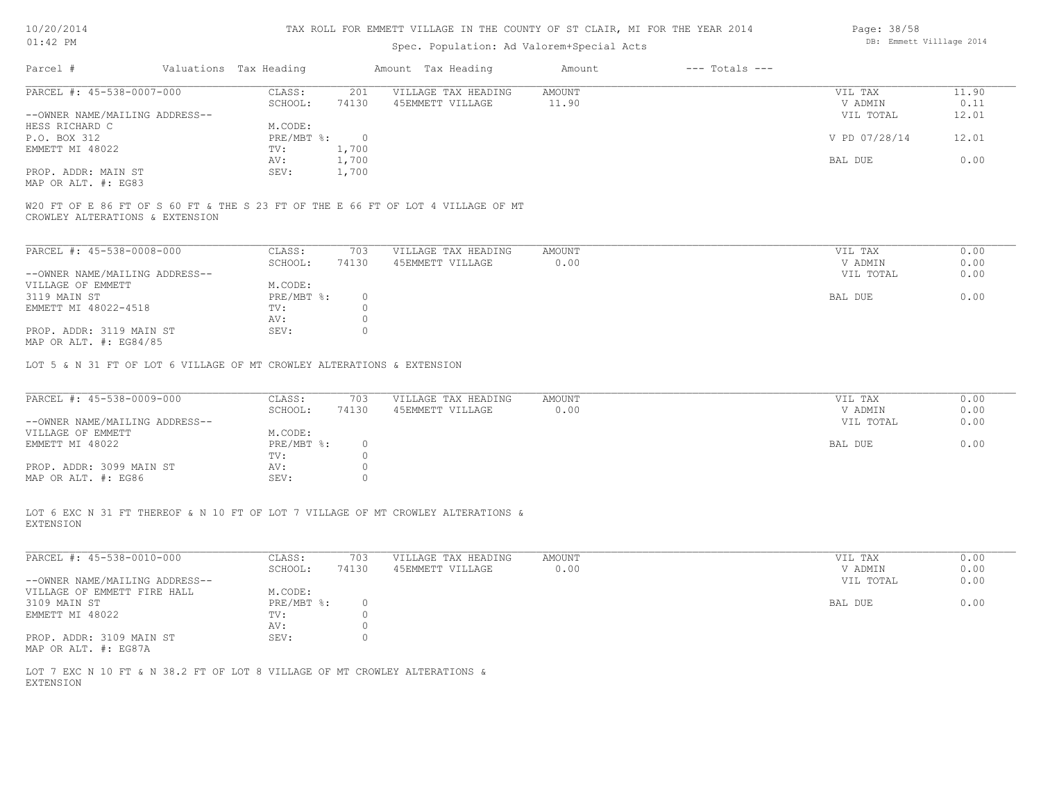| 10/20/201 |  |
|-----------|--|
|           |  |

## Spec. Population: Ad Valorem+Special Acts

| Parcel #                       | Valuations Tax Heading |       | Amount Tax Heading  | Amount | $---$ Totals $---$ |               |       |
|--------------------------------|------------------------|-------|---------------------|--------|--------------------|---------------|-------|
| PARCEL #: 45-538-0007-000      | CLASS:                 | 201   | VILLAGE TAX HEADING | AMOUNT |                    | VIL TAX       | 11.90 |
|                                | SCHOOL:                | 74130 | 45EMMETT VILLAGE    | 11.90  |                    | V ADMIN       | 0.11  |
| --OWNER NAME/MAILING ADDRESS-- |                        |       |                     |        |                    | VIL TOTAL     | 12.01 |
| HESS RICHARD C                 | M.CODE:                |       |                     |        |                    |               |       |
| P.O. BOX 312                   | $PRE/MBT$ %:           |       |                     |        |                    | V PD 07/28/14 | 12.01 |
| EMMETT MI 48022                | TV:                    | 1,700 |                     |        |                    |               |       |
|                                | AV:                    | 1,700 |                     |        |                    | BAL DUE       | 0.00  |
| PROP. ADDR: MAIN ST            | SEV:                   | 1,700 |                     |        |                    |               |       |
| MAP OR ALT. #: EG83            |                        |       |                     |        |                    |               |       |

CROWLEY ALTERATIONS & EXTENSION W20 FT OF E 86 FT OF S 60 FT & THE S 23 FT OF THE E 66 FT OF LOT 4 VILLAGE OF MT

| PARCEL #: 45-538-0008-000      | CLASS:     | 703   | VILLAGE TAX HEADING | AMOUNT | VIL TAX   | 0.00 |
|--------------------------------|------------|-------|---------------------|--------|-----------|------|
|                                | SCHOOL:    | 74130 | 45EMMETT VILLAGE    | 0.00   | V ADMIN   | 0.00 |
| --OWNER NAME/MAILING ADDRESS-- |            |       |                     |        | VIL TOTAL | 0.00 |
| VILLAGE OF EMMETT              | M.CODE:    |       |                     |        |           |      |
| 3119 MAIN ST                   | PRE/MBT %: |       |                     |        | BAL DUE   | 0.00 |
| EMMETT MI 48022-4518           | TV:        |       |                     |        |           |      |
|                                | AV:        |       |                     |        |           |      |
| PROP. ADDR: 3119 MAIN ST       | SEV:       |       |                     |        |           |      |
| MAP OR ALT. $\#$ : EG84/85     |            |       |                     |        |           |      |

LOT 5 & N 31 FT OF LOT 6 VILLAGE OF MT CROWLEY ALTERATIONS & EXTENSION

| PARCEL #: 45-538-0009-000      | CLASS:       | 703   | VILLAGE TAX HEADING | AMOUNT | VIL TAX   | 0.00 |
|--------------------------------|--------------|-------|---------------------|--------|-----------|------|
|                                | SCHOOL:      | 74130 | 45EMMETT VILLAGE    | 0.00   | V ADMIN   | 0.00 |
| --OWNER NAME/MAILING ADDRESS-- |              |       |                     |        | VIL TOTAL | 0.00 |
| VILLAGE OF EMMETT              | M.CODE:      |       |                     |        |           |      |
| EMMETT MI 48022                | $PRE/MBT$ %: |       |                     |        | BAL DUE   | 0.00 |
|                                | TV:          |       |                     |        |           |      |
| PROP. ADDR: 3099 MAIN ST       | AV:          |       |                     |        |           |      |
| MAP OR ALT. #: EG86            | SEV:         |       |                     |        |           |      |

EXTENSION LOT 6 EXC N 31 FT THEREOF & N 10 FT OF LOT 7 VILLAGE OF MT CROWLEY ALTERATIONS &

| PARCEL #: 45-538-0010-000      | CLASS:     | 703   | VILLAGE TAX HEADING | AMOUNT | VIL TAX   | 0.00 |
|--------------------------------|------------|-------|---------------------|--------|-----------|------|
|                                | SCHOOL:    | 74130 | 45EMMETT VILLAGE    | 0.00   | V ADMIN   | 0.00 |
| --OWNER NAME/MAILING ADDRESS-- |            |       |                     |        | VIL TOTAL | 0.00 |
| VILLAGE OF EMMETT FIRE HALL    | M.CODE:    |       |                     |        |           |      |
| 3109 MAIN ST                   | PRE/MBT %: |       |                     |        | BAL DUE   | 0.00 |
| EMMETT MI 48022                | TV:        |       |                     |        |           |      |
|                                | AV:        |       |                     |        |           |      |
| PROP. ADDR: 3109 MAIN ST       | SEV:       |       |                     |        |           |      |
| MAP OR ALT. #: EG87A           |            |       |                     |        |           |      |

EXTENSION LOT 7 EXC N 10 FT & N 38.2 FT OF LOT 8 VILLAGE OF MT CROWLEY ALTERATIONS & Page: 38/58 DB: Emmett Villlage 2014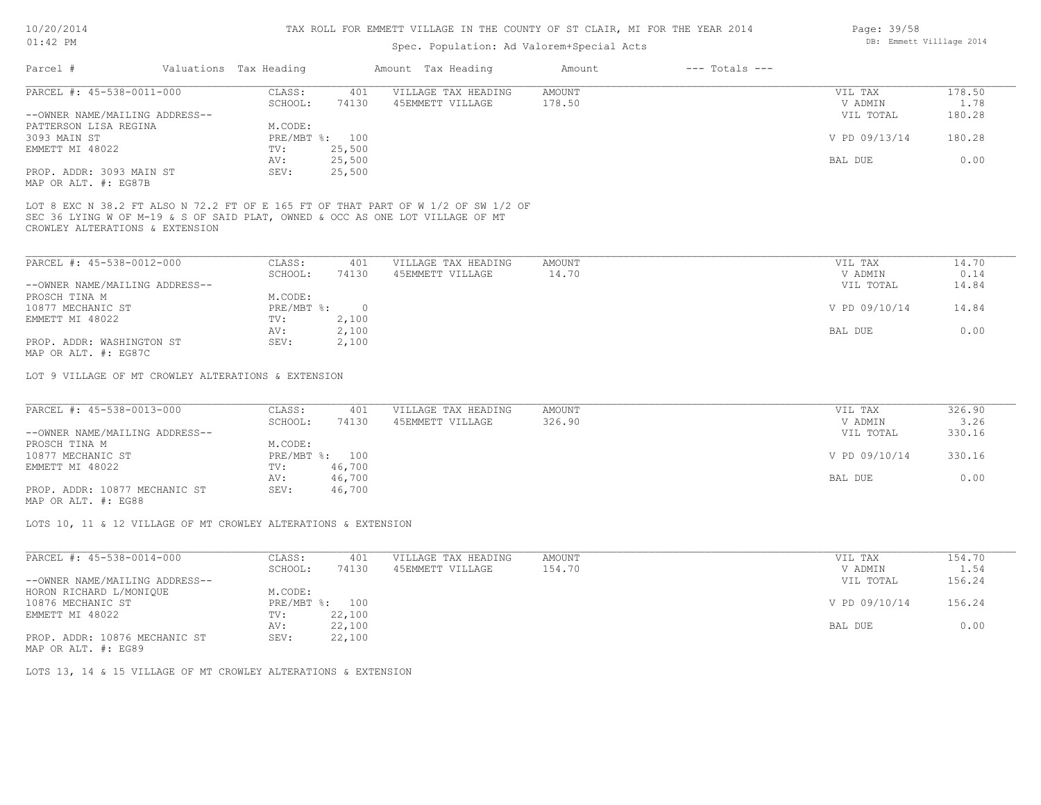### Spec. Population: Ad Valorem+Special Acts

| Parcel #                       |         | Valuations Tax Heading |                  | Amount Tax Heading  | Amount | $---$ Totals $---$ |               |        |
|--------------------------------|---------|------------------------|------------------|---------------------|--------|--------------------|---------------|--------|
| PARCEL #: 45-538-0011-000      |         | CLASS:                 | 401              | VILLAGE TAX HEADING | AMOUNT |                    | VIL TAX       | 178.50 |
|                                | SCHOOL: | 74130                  | 45EMMETT VILLAGE | 178.50              |        | V ADMIN            | 1.78          |        |
| --OWNER NAME/MAILING ADDRESS-- |         |                        |                  |                     |        |                    | VIL TOTAL     | 180.28 |
| PATTERSON LISA REGINA          |         | M.CODE:                |                  |                     |        |                    |               |        |
| 3093 MAIN ST                   |         | PRE/MBT %: 100         |                  |                     |        |                    | V PD 09/13/14 | 180.28 |
| EMMETT MI 48022                |         | TV:                    | 25,500           |                     |        |                    |               |        |
|                                |         | AV:                    | 25,500           |                     |        |                    | BAL DUE       | 0.00   |
| PROP. ADDR: 3093 MAIN ST       |         | SEV:                   | 25,500           |                     |        |                    |               |        |

MAP OR ALT. #: EG87B

CROWLEY ALTERATIONS & EXTENSION SEC 36 LYING W OF M-19 & S OF SAID PLAT, OWNED & OCC AS ONE LOT VILLAGE OF MT LOT 8 EXC N 38.2 FT ALSO N 72.2 FT OF E 165 FT OF THAT PART OF W 1/2 OF SW 1/2 OF

| PARCEL #: 45-538-0012-000                             | CLASS:     | 401   | VILLAGE TAX HEADING | AMOUNT | VIL TAX       | 14.70 |
|-------------------------------------------------------|------------|-------|---------------------|--------|---------------|-------|
|                                                       | SCHOOL:    | 74130 | 45EMMETT VILLAGE    | 14.70  | V ADMIN       | 0.14  |
| --OWNER NAME/MAILING ADDRESS--                        |            |       |                     |        | VIL TOTAL     | 14.84 |
| PROSCH TINA M                                         | M.CODE:    |       |                     |        |               |       |
| 10877 MECHANIC ST                                     | PRE/MBT %: |       |                     |        | V PD 09/10/14 | 14.84 |
| EMMETT MI 48022                                       | TV:        | 2,100 |                     |        |               |       |
|                                                       | AV:        | 2,100 |                     |        | BAL DUE       | 0.00  |
| PROP. ADDR: WASHINGTON ST                             | SEV:       | 2,100 |                     |        |               |       |
| $\cdots$ $\cdots$ $\cdots$ $\cdots$ $\cdots$ $\cdots$ |            |       |                     |        |               |       |

MAP OR ALT. #: EG87C

LOT 9 VILLAGE OF MT CROWLEY ALTERATIONS & EXTENSION

| PARCEL #: 45-538-0013-000      | CLASS:  | 401            | VILLAGE TAX HEADING | AMOUNT | VIL TAX       | 326.90 |
|--------------------------------|---------|----------------|---------------------|--------|---------------|--------|
|                                | SCHOOL: | 74130          | 45EMMETT VILLAGE    | 326.90 | V ADMIN       | 3.26   |
| --OWNER NAME/MAILING ADDRESS-- |         |                |                     |        | VIL TOTAL     | 330.16 |
| PROSCH TINA M                  | M.CODE: |                |                     |        |               |        |
| 10877 MECHANIC ST              |         | PRE/MBT %: 100 |                     |        | V PD 09/10/14 | 330.16 |
| EMMETT MI 48022                | TV:     | 46,700         |                     |        |               |        |
|                                | AV:     | 46,700         |                     |        | BAL DUE       | 0.00   |
| PROP. ADDR: 10877 MECHANIC ST  | SEV:    | 46,700         |                     |        |               |        |
|                                |         |                |                     |        |               |        |

MAP OR ALT. #: EG88

LOTS 10, 11 & 12 VILLAGE OF MT CROWLEY ALTERATIONS & EXTENSION

| PARCEL #: 45-538-0014-000      | CLASS:       | 401    | VILLAGE TAX HEADING | AMOUNT | VIL TAX       | 154.70 |
|--------------------------------|--------------|--------|---------------------|--------|---------------|--------|
|                                | SCHOOL:      | 74130  | 45EMMETT VILLAGE    | 154.70 | V ADMIN       | 1.54   |
| --OWNER NAME/MAILING ADDRESS-- |              |        |                     |        | VIL TOTAL     | 156.24 |
| HORON RICHARD L/MONIQUE        | M.CODE:      |        |                     |        |               |        |
| 10876 MECHANIC ST              | $PRE/MBT$ %: | 100    |                     |        | V PD 09/10/14 | 156.24 |
| EMMETT MI 48022                | TV:          | 22,100 |                     |        |               |        |
|                                | AV:          | 22,100 |                     |        | BAL DUE       | 0.00   |
| PROP. ADDR: 10876 MECHANIC ST  | SEV:         | 22,100 |                     |        |               |        |
|                                |              |        |                     |        |               |        |

MAP OR ALT. #: EG89

LOTS 13, 14 & 15 VILLAGE OF MT CROWLEY ALTERATIONS & EXTENSION

Page: 39/58 DB: Emmett Villlage 2014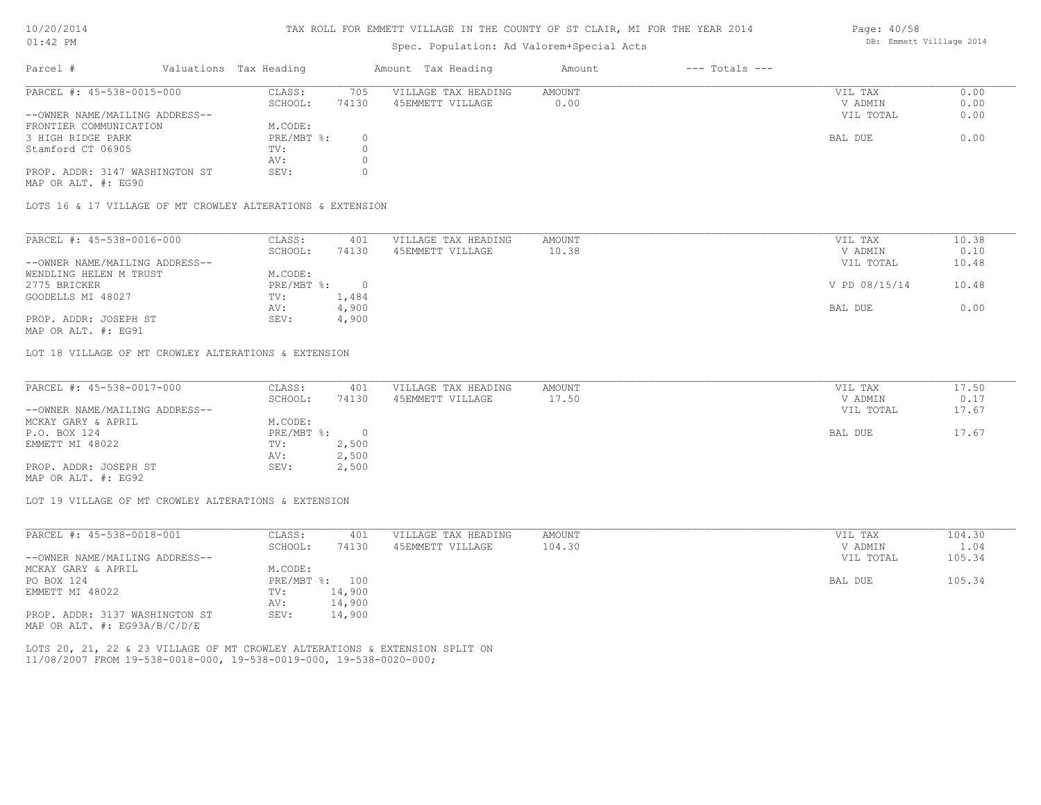#### TAX ROLL FOR EMMETT VILLAGE IN THE COUNTY OF ST CLAIR, MI FOR THE YEAR 2014

### Spec. Population: Ad Valorem+Special Acts

| Parcel #                       |         | Valuations Tax Heading |                  | Amount Tax Heading  | Amount | $---$ Totals $---$ |           |      |
|--------------------------------|---------|------------------------|------------------|---------------------|--------|--------------------|-----------|------|
| PARCEL #: 45-538-0015-000      |         | CLASS:                 | 705              | VILLAGE TAX HEADING | AMOUNT |                    | VIL TAX   | 0.00 |
|                                | SCHOOL: | 74130                  | 45EMMETT VILLAGE | 0.00                |        | V ADMIN            | 0.00      |      |
| --OWNER NAME/MAILING ADDRESS-- |         |                        |                  |                     |        |                    | VIL TOTAL | 0.00 |
| FRONTIER COMMUNICATION         |         | M.CODE:                |                  |                     |        |                    |           |      |
| 3 HIGH RIDGE PARK              |         | $PRE/MBT$ %:           |                  |                     |        |                    | BAL DUE   | 0.00 |
| Stamford CT 06905              |         | TV:                    |                  |                     |        |                    |           |      |
|                                |         | AV:                    |                  |                     |        |                    |           |      |
| PROP. ADDR: 3147 WASHINGTON ST |         | SEV:                   |                  |                     |        |                    |           |      |

MAP OR ALT. #: EG90

LOTS 16 & 17 VILLAGE OF MT CROWLEY ALTERATIONS & EXTENSION

| PARCEL #: 45-538-0016-000                                                                                       | CLASS:     | 401   | VILLAGE TAX HEADING | AMOUNT | VIL TAX       | 10.38 |
|-----------------------------------------------------------------------------------------------------------------|------------|-------|---------------------|--------|---------------|-------|
|                                                                                                                 | SCHOOL:    | 74130 | 45EMMETT VILLAGE    | 10.38  | V ADMIN       | 0.10  |
| --OWNER NAME/MAILING ADDRESS--                                                                                  |            |       |                     |        | VIL TOTAL     | 10.48 |
| WENDLING HELEN M TRUST                                                                                          | M.CODE:    |       |                     |        |               |       |
| 2775 BRICKER                                                                                                    | PRE/MBT %: |       |                     |        | V PD 08/15/14 | 10.48 |
| GOODELLS MI 48027                                                                                               | TV:        | 1,484 |                     |        |               |       |
|                                                                                                                 | AV:        | 4,900 |                     |        | BAL DUE       | 0.00  |
| PROP. ADDR: JOSEPH ST                                                                                           | SEV:       | 4,900 |                     |        |               |       |
| the contract of the contract of the contract of the contract of the contract of the contract of the contract of |            |       |                     |        |               |       |

MAP OR ALT. #: EG91

LOT 18 VILLAGE OF MT CROWLEY ALTERATIONS & EXTENSION

| PARCEL #: 45-538-0017-000      | CLASS:       | 401   | VILLAGE TAX HEADING | AMOUNT | VIL TAX   | 17.50 |
|--------------------------------|--------------|-------|---------------------|--------|-----------|-------|
|                                | SCHOOL:      | 74130 | 45EMMETT VILLAGE    | 17.50  | V ADMIN   | 0.17  |
| --OWNER NAME/MAILING ADDRESS-- |              |       |                     |        | VIL TOTAL | 17.67 |
| MCKAY GARY & APRIL             | M.CODE:      |       |                     |        |           |       |
| P.O. BOX 124                   | $PRE/MBT$ %: |       |                     |        | BAL DUE   | 17.67 |
| EMMETT MI 48022                | TV:          | 2,500 |                     |        |           |       |
|                                | AV:          | 2,500 |                     |        |           |       |
| PROP. ADDR: JOSEPH ST          | SEV:         | 2,500 |                     |        |           |       |
| MAP OR ALT. #: EG92            |              |       |                     |        |           |       |

LOT 19 VILLAGE OF MT CROWLEY ALTERATIONS & EXTENSION

| PARCEL #: 45-538-0018-001        | CLASS:     | 401    | VILLAGE TAX HEADING | AMOUNT | VIL TAX   | 104.30 |
|----------------------------------|------------|--------|---------------------|--------|-----------|--------|
|                                  | SCHOOL:    | 74130  | 45EMMETT VILLAGE    | 104.30 | V ADMIN   | 1.04   |
| --OWNER NAME/MAILING ADDRESS--   |            |        |                     |        | VIL TOTAL | 105.34 |
| MCKAY GARY & APRIL               | M.CODE:    |        |                     |        |           |        |
| PO BOX 124                       | PRE/MBT %: | 100    |                     |        | BAL DUE   | 105.34 |
| EMMETT MI 48022                  | TV:        | 14,900 |                     |        |           |        |
|                                  | AV:        | 14,900 |                     |        |           |        |
| PROP. ADDR: 3137 WASHINGTON ST   | SEV:       | 14,900 |                     |        |           |        |
| MAP OR ALT. $\#$ : EG93A/B/C/D/E |            |        |                     |        |           |        |

11/08/2007 FROM 19-538-0018-000, 19-538-0019-000, 19-538-0020-000; LOTS 20, 21, 22 & 23 VILLAGE OF MT CROWLEY ALTERATIONS & EXTENSION SPLIT ON Page: 40/58 DB: Emmett Villlage 2014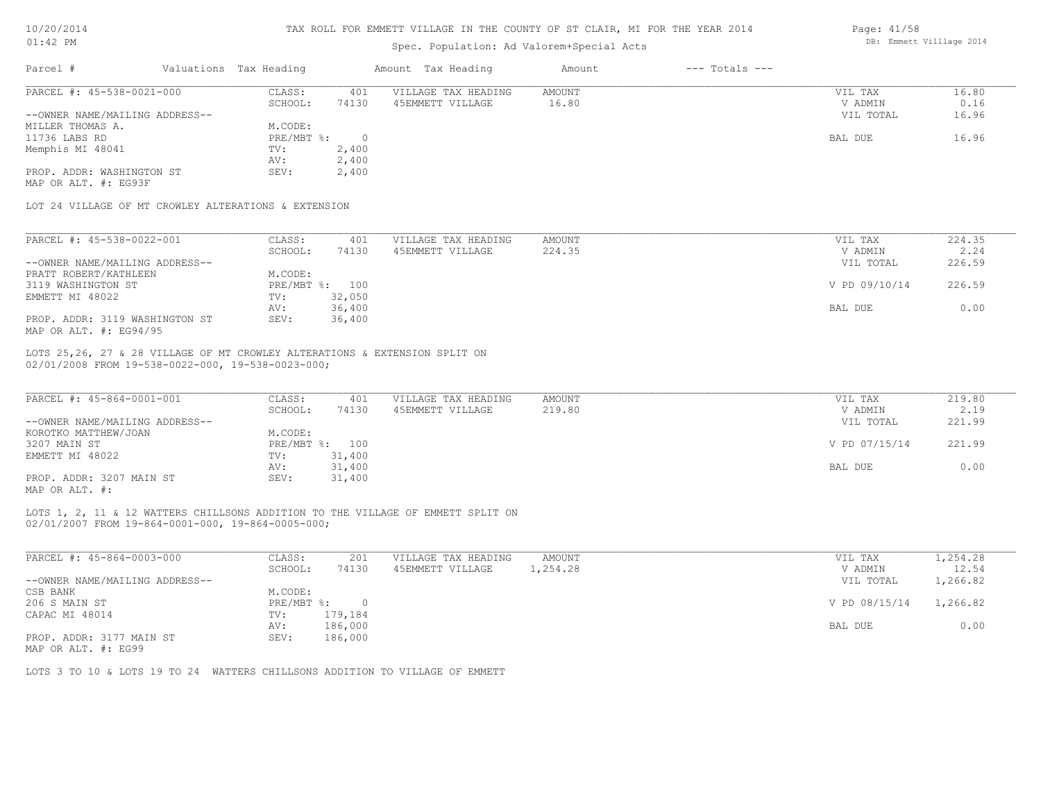| 10/20/2014 |           |
|------------|-----------|
| .12        | <b>DM</b> |

Page: 41/58

| $01:42$ PM                                                                     |                        |                | Spec. Population: Ad Valorem+Special Acts                                       |                         |                    |               | DB: Emmett Villlage 2014 |
|--------------------------------------------------------------------------------|------------------------|----------------|---------------------------------------------------------------------------------|-------------------------|--------------------|---------------|--------------------------|
| Parcel #                                                                       | Valuations Tax Heading |                | Amount Tax Heading                                                              | Amount                  | $---$ Totals $---$ |               |                          |
| PARCEL #: 45-538-0021-000                                                      | CLASS:                 | 401            | VILLAGE TAX HEADING                                                             | <b>AMOUNT</b>           |                    | VIL TAX       | 16.80                    |
|                                                                                | SCHOOL:                | 74130          | 45EMMETT VILLAGE                                                                | 16.80                   |                    | V ADMIN       | 0.16                     |
| --OWNER NAME/MAILING ADDRESS--                                                 |                        |                |                                                                                 |                         |                    | VIL TOTAL     | 16.96                    |
| MILLER THOMAS A.                                                               | M.CODE:                |                |                                                                                 |                         |                    |               |                          |
| 11736 LABS RD                                                                  | PRE/MBT %:             | $\overline{0}$ |                                                                                 |                         |                    | BAL DUE       | 16.96                    |
| Memphis MI 48041                                                               | TV:                    | 2,400          |                                                                                 |                         |                    |               |                          |
|                                                                                | AV:                    | 2,400          |                                                                                 |                         |                    |               |                          |
| PROP. ADDR: WASHINGTON ST                                                      | SEV:                   | 2,400          |                                                                                 |                         |                    |               |                          |
| MAP OR ALT. #: EG93F                                                           |                        |                |                                                                                 |                         |                    |               |                          |
| LOT 24 VILLAGE OF MT CROWLEY ALTERATIONS & EXTENSION                           |                        |                |                                                                                 |                         |                    |               |                          |
| PARCEL #: 45-538-0022-001                                                      | CLASS:                 | 401            | VILLAGE TAX HEADING                                                             | <b>AMOUNT</b>           |                    | VIL TAX       | 224.35                   |
|                                                                                | SCHOOL:                | 74130          | 45EMMETT VILLAGE                                                                | 224.35                  |                    | V ADMIN       | 2.24                     |
|                                                                                |                        |                |                                                                                 |                         |                    |               | 226.59                   |
| --OWNER NAME/MAILING ADDRESS--                                                 |                        |                |                                                                                 |                         |                    | VIL TOTAL     |                          |
| PRATT ROBERT/KATHLEEN                                                          | M.CODE:                |                |                                                                                 |                         |                    |               |                          |
| 3119 WASHINGTON ST                                                             |                        | PRE/MBT %: 100 |                                                                                 |                         |                    | V PD 09/10/14 | 226.59                   |
| EMMETT MI 48022                                                                | TV:                    | 32,050         |                                                                                 |                         |                    |               |                          |
|                                                                                | AV:                    | 36,400         |                                                                                 |                         |                    | BAL DUE       | 0.00                     |
| PROP. ADDR: 3119 WASHINGTON ST<br>MAP OR ALT. #: EG94/95                       | SEV:                   | 36,400         |                                                                                 |                         |                    |               |                          |
| 02/01/2008 FROM 19-538-0022-000, 19-538-0023-000;<br>PARCEL #: 45-864-0001-001 | CLASS:                 | 401            | VILLAGE TAX HEADING                                                             | <b>AMOUNT</b><br>219.80 |                    | VIL TAX       | 219.80                   |
|                                                                                | SCHOOL:                | 74130          | 45EMMETT VILLAGE                                                                |                         |                    | V ADMIN       | 2.19                     |
| --OWNER NAME/MAILING ADDRESS--                                                 |                        |                |                                                                                 |                         |                    | VIL TOTAL     | 221.99                   |
| KOROTKO MATTHEW/JOAN                                                           | M.CODE:                |                |                                                                                 |                         |                    |               |                          |
| 3207 MAIN ST                                                                   |                        | PRE/MBT %: 100 |                                                                                 |                         |                    | V PD 07/15/14 | 221.99                   |
| EMMETT MI 48022                                                                | TV:                    | 31,400         |                                                                                 |                         |                    |               |                          |
|                                                                                | AV:                    | 31,400         |                                                                                 |                         |                    | BAL DUE       | 0.00                     |
| PROP. ADDR: 3207 MAIN ST                                                       | SEV:                   | 31,400         |                                                                                 |                         |                    |               |                          |
| MAP OR ALT. #:                                                                 |                        |                |                                                                                 |                         |                    |               |                          |
| 02/01/2007 FROM 19-864-0001-000, 19-864-0005-000;                              |                        |                | LOTS 1, 2, 11 & 12 WATTERS CHILLSONS ADDITION TO THE VILLAGE OF EMMETT SPLIT ON |                         |                    |               |                          |
|                                                                                |                        |                |                                                                                 |                         |                    |               |                          |
| PARCEL #: 45-864-0003-000                                                      | CLASS:                 | 201            | VILLAGE TAX HEADING                                                             | <b>AMOUNT</b>           |                    | VIL TAX       | 1,254.28                 |
|                                                                                | SCHOOL:                | 74130          | 45EMMETT VILLAGE                                                                | 1,254.28                |                    | V ADMIN       | 12.54                    |
| --OWNER NAME/MAILING ADDRESS--                                                 |                        |                |                                                                                 |                         |                    | VIL TOTAL     | 1,266.82                 |
| CSB BANK                                                                       | M.CODE:                |                |                                                                                 |                         |                    |               |                          |
| 206 S MAIN ST                                                                  | $PRE/MBT$ $\div$       | $\circ$        |                                                                                 |                         |                    | V PD 08/15/14 | 1,266.82                 |
| CAPAC MI 48014                                                                 | TV:                    | 179,184        |                                                                                 |                         |                    |               |                          |
|                                                                                | AV:                    | 186,000        |                                                                                 |                         |                    | BAL DUE       | 0.00                     |
| PROP. ADDR: 3177 MAIN ST                                                       | SEV:                   | 186,000        |                                                                                 |                         |                    |               |                          |
|                                                                                |                        |                |                                                                                 |                         |                    |               |                          |

MAP OR ALT. #: EG99

LOTS 3 TO 10 & LOTS 19 TO 24 WATTERS CHILLSONS ADDITION TO VILLAGE OF EMMETT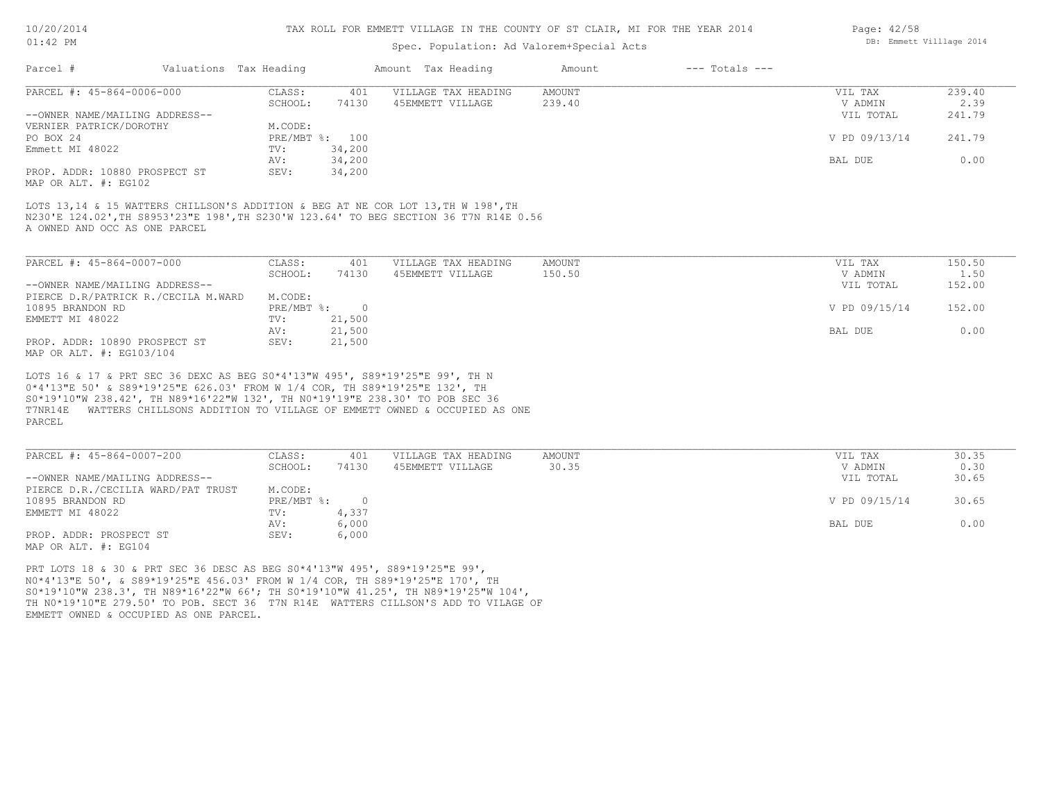### TAX ROLL FOR EMMETT VILLAGE IN THE COUNTY OF ST CLAIR, MI FOR THE YEAR 2014

### Spec. Pop

|         | ulation: Ad Valorem+Special Acts |                    |  | DB: Emmett Villlage 2014 |  |
|---------|----------------------------------|--------------------|--|--------------------------|--|
| Heading | Amount                           | $---$ Totals $---$ |  |                          |  |

Page: 42/58

| PARCEL #: 45-864-0006-000                                                              | CLASS:         | 401    | VILLAGE TAX HEADING | AMOUNT | VIL TAX       | 239.40 |
|----------------------------------------------------------------------------------------|----------------|--------|---------------------|--------|---------------|--------|
|                                                                                        | SCHOOL:        | 74130  | 45EMMETT VILLAGE    | 239.40 | V ADMIN       | 2.39   |
| --OWNER NAME/MAILING ADDRESS--                                                         |                |        |                     |        | VIL TOTAL     | 241.79 |
| VERNIER PATRICK/DOROTHY                                                                | M.CODE:        |        |                     |        |               |        |
| PO BOX 24                                                                              | PRE/MBT %: 100 |        |                     |        | V PD 09/13/14 | 241.79 |
| Emmett MI 48022                                                                        | TV:            | 34,200 |                     |        |               |        |
|                                                                                        | AV:            | 34,200 |                     |        | BAL DUE       | 0.00   |
| PROP. ADDR: 10880 PROSPECT ST<br>$\cdots$ $\cdots$ $\cdots$ $\cdots$ $\cdots$ $\cdots$ | SEV:           | 34,200 |                     |        |               |        |

MAP OR ALT. #: EG102

A OWNED AND OCC AS ONE PARCEL N230'E 124.02',TH S8953'23"E 198',TH S230'W 123.64' TO BEG SECTION 36 T7N R14E 0.56 LOTS 13,14 & 15 WATTERS CHILLSON'S ADDITION & BEG AT NE COR LOT 13, TH W 198', TH

Parcel # Valuations Tax Heading Amount Tax

| PARCEL #: 45-864-0007-000           | CLASS:       | 401    | VILLAGE TAX HEADING | AMOUNT | VIL TAX       | 150.50 |
|-------------------------------------|--------------|--------|---------------------|--------|---------------|--------|
|                                     | SCHOOL:      | 74130  | 45EMMETT VILLAGE    | 150.50 | V ADMIN       | 1.50   |
| --OWNER NAME/MAILING ADDRESS--      |              |        |                     |        | VIL TOTAL     | 152.00 |
| PIERCE D.R/PATRICK R./CECILA M.WARD | M.CODE:      |        |                     |        |               |        |
| 10895 BRANDON RD                    | $PRE/MBT$ %: |        |                     |        | V PD 09/15/14 | 152.00 |
| EMMETT MI 48022                     | TV:          | 21,500 |                     |        |               |        |
|                                     | AV:          | 21,500 |                     |        | BAL DUE       | 0.00   |
| PROP. ADDR: 10890 PROSPECT ST       | SEV:         | 21,500 |                     |        |               |        |
| MAP OR ALT. #: EG103/104            |              |        |                     |        |               |        |

PARCEL T7NR14E WATTERS CHILLSONS ADDITION TO VILLAGE OF EMMETT OWNED & OCCUPIED AS ONE S0\*19'10"W 238.42', TH N89\*16'22"W 132', TH N0\*19'19"E 238.30' TO POB SEC 36 0\*4'13"E 50' & S89\*19'25"E 626.03' FROM W 1/4 COR, TH S89\*19'25"E 132', TH LOTS 16 & 17 & PRT SEC 36 DEXC AS BEG S0\*4'13"W 495', S89\*19'25"E 99', TH N

| PARCEL #: 45-864-0007-200          | CLASS:     | 401   | VILLAGE TAX HEADING | AMOUNT | VIL TAX       | 30.35 |
|------------------------------------|------------|-------|---------------------|--------|---------------|-------|
|                                    | SCHOOL:    | 74130 | 45EMMETT VILLAGE    | 30.35  | V ADMIN       | 0.30  |
| --OWNER NAME/MAILING ADDRESS--     |            |       |                     |        | VIL TOTAL     | 30.65 |
| PIERCE D.R./CECILIA WARD/PAT TRUST | M.CODE:    |       |                     |        |               |       |
| 10895 BRANDON RD                   | PRE/MBT %: |       |                     |        | V PD 09/15/14 | 30.65 |
| EMMETT MI 48022                    | TV:        | 4,337 |                     |        |               |       |
|                                    | AV:        | 6,000 |                     |        | BAL DUE       | 0.00  |
| PROP. ADDR: PROSPECT ST            | SEV:       | 6,000 |                     |        |               |       |
| MAP OR ALT. #: EG104               |            |       |                     |        |               |       |

EMMETT OWNED & OCCUPIED AS ONE PARCEL. TH N0\*19'10"E 279.50' TO POB. SECT 36 T7N R14E WATTERS CILLSON'S ADD TO VILAGE OF S0\*19'10"W 238.3', TH N89\*16'22"W 66'; TH S0\*19'10"W 41.25', TH N89\*19'25"W 104', N0\*4'13"E 50', & S89\*19'25"E 456.03' FROM W 1/4 COR, TH S89\*19'25"E 170', TH PRT LOTS 18 & 30 & PRT SEC 36 DESC AS BEG S0\*4'13"W 495', S89\*19'25"E 99',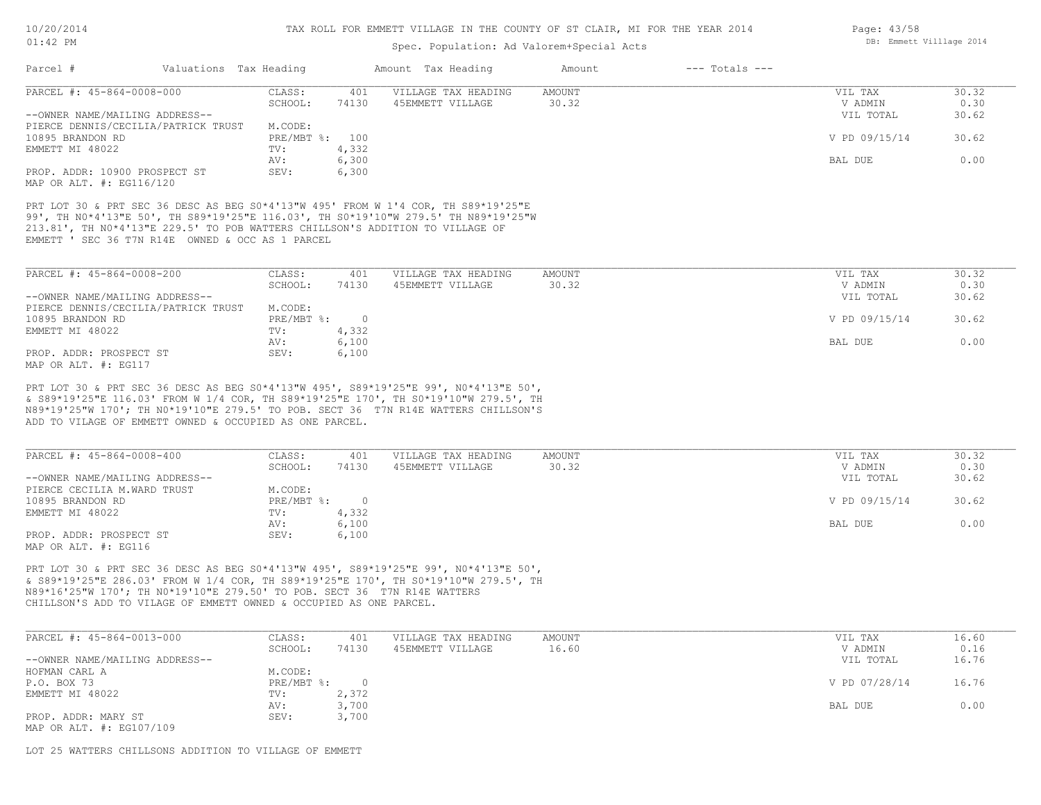### Spec. Population: Ad Valorem+Special Acts

| Parcel #                                                                                                                                                                                                                | Valuations Tax Heading |            |         | Amount Tax Heading  | Amount | $---$ Totals $---$ |               |       |
|-------------------------------------------------------------------------------------------------------------------------------------------------------------------------------------------------------------------------|------------------------|------------|---------|---------------------|--------|--------------------|---------------|-------|
| PARCEL #: 45-864-0008-000                                                                                                                                                                                               |                        | CLASS:     | 401     | VILLAGE TAX HEADING | AMOUNT |                    | VIL TAX       | 30.32 |
|                                                                                                                                                                                                                         |                        | SCHOOL:    | 74130   | 45EMMETT VILLAGE    | 30.32  |                    | V ADMIN       | 0.30  |
| --OWNER NAME/MAILING ADDRESS--                                                                                                                                                                                          |                        |            |         |                     |        |                    | VIL TOTAL     | 30.62 |
| PIERCE DENNIS/CECILIA/PATRICK TRUST                                                                                                                                                                                     |                        | M.CODE:    |         |                     |        |                    |               |       |
| 10895 BRANDON RD                                                                                                                                                                                                        |                        | PRE/MBT %: | 100     |                     |        |                    | V PD 09/15/14 | 30.62 |
| EMMETT MI 48022                                                                                                                                                                                                         |                        | TV:        | 4,332   |                     |        |                    |               |       |
|                                                                                                                                                                                                                         |                        | AV:        | 6,300   |                     |        |                    | BAL DUE       | 0.00  |
| PROP. ADDR: 10900 PROSPECT ST                                                                                                                                                                                           |                        | SEV:       | 6,300   |                     |        |                    |               |       |
| MAP OR ALT. #: EG116/120                                                                                                                                                                                                |                        |            |         |                     |        |                    |               |       |
| 99', TH NO*4'13"E 50', TH S89*19'25"E 116.03', TH SO*19'10"W 279.5' TH N89*19'25"W<br>213.81', TH NO*4'13"E 229.5' TO POB WATTERS CHILLSON'S ADDITION TO VILLAGE OF<br>EMMETT ' SEC 36 T7N R14E OWNED & OCC AS 1 PARCEL |                        |            |         |                     |        |                    |               |       |
| PARCEL #: 45-864-0008-200                                                                                                                                                                                               |                        | CLASS:     | 401     | VILLAGE TAX HEADING | AMOUNT |                    | VIL TAX       | 30.32 |
|                                                                                                                                                                                                                         |                        | SCHOOL:    | 74130   | 45EMMETT VILLAGE    | 30.32  |                    | V ADMIN       | 0.30  |
| --OWNER NAME/MAILING ADDRESS--                                                                                                                                                                                          |                        |            |         |                     |        |                    | VIL TOTAL     | 30.62 |
| PIERCE DENNIS/CECILIA/PATRICK TRUST                                                                                                                                                                                     |                        | M.CODE:    |         |                     |        |                    |               |       |
| 10895 BRANDON RD                                                                                                                                                                                                        |                        | PRE/MBT %: | $\circ$ |                     |        |                    | V PD 09/15/14 | 30.62 |
| EMMETT MI 48022                                                                                                                                                                                                         |                        | TV:        | 4,332   |                     |        |                    |               |       |
|                                                                                                                                                                                                                         |                        | AV:        | 6,100   |                     |        |                    | BAL DUE       | 0.00  |
|                                                                                                                                                                                                                         |                        |            |         |                     |        |                    |               |       |

AV: 6,100 BAL DUE 0.00

MAP OR ALT. #: EG117

ADD TO VILAGE OF EMMETT OWNED & OCCUPIED AS ONE PARCEL. N89\*19'25"W 170'; TH N0\*19'10"E 279.5' TO POB. SECT 36 T7N R14E WATTERS CHILLSON'S & S89\*19'25"E 116.03' FROM W 1/4 COR, TH S89\*19'25"E 170', TH S0\*19'10"W 279.5', TH PRT LOT 30 & PRT SEC 36 DESC AS BEG S0\*4'13"W 495', S89\*19'25"E 99', N0\*4'13"E 50',

| PARCEL #: 45-864-0008-400      | CLASS:       | 401   | VILLAGE TAX HEADING | AMOUNT | VIL TAX       | 30.32 |
|--------------------------------|--------------|-------|---------------------|--------|---------------|-------|
|                                | SCHOOL:      | 74130 | 45EMMETT VILLAGE    | 30.32  | V ADMIN       | 0.30  |
| --OWNER NAME/MAILING ADDRESS-- |              |       |                     |        | VIL TOTAL     | 30.62 |
| PIERCE CECILIA M.WARD TRUST    | M.CODE:      |       |                     |        |               |       |
| 10895 BRANDON RD               | $PRE/MBT$ %: |       |                     |        | V PD 09/15/14 | 30.62 |
| EMMETT MI 48022                | TV:          | 4,332 |                     |        |               |       |
|                                | AV:          | 6,100 |                     |        | BAL DUE       | 0.00  |
| PROP. ADDR: PROSPECT ST        | SEV:         | 6,100 |                     |        |               |       |
| MAP OR ALT. #: EG116           |              |       |                     |        |               |       |

CHILLSON'S ADD TO VILAGE OF EMMETT OWNED & OCCUPIED AS ONE PARCEL. N89\*16'25"W 170'; TH N0\*19'10"E 279.50' TO POB. SECT 36 T7N R14E WATTERS & S89\*19'25"E 286.03' FROM W 1/4 COR, TH S89\*19'25"E 170', TH S0\*19'10"W 279.5', TH PRT LOT 30 & PRT SEC 36 DESC AS BEG S0\*4'13"W 495', S89\*19'25"E 99', N0\*4'13"E 50',

| PARCEL #: 45-864-0013-000      | CLASS:     | 401   | VILLAGE TAX HEADING | AMOUNT | VIL TAX       | 16.60 |
|--------------------------------|------------|-------|---------------------|--------|---------------|-------|
|                                | SCHOOL:    | 74130 | 45EMMETT VILLAGE    | 16.60  | V ADMIN       | 0.16  |
| --OWNER NAME/MAILING ADDRESS-- |            |       |                     |        | VIL TOTAL     | 16.76 |
| HOFMAN CARL A                  | M.CODE:    |       |                     |        |               |       |
| P.O. BOX 73                    | PRE/MBT %: |       |                     |        | V PD 07/28/14 | 16.76 |
| EMMETT MI 48022                | TV:        | 2,372 |                     |        |               |       |
|                                | AV:        | 3,700 |                     |        | BAL DUE       | 0.00  |
| PROP. ADDR: MARY ST            | SEV:       | 3,700 |                     |        |               |       |
| MAP OR ALT. #: EG107/109       |            |       |                     |        |               |       |

LOT 25 WATTERS CHILLSONS ADDITION TO VILLAGE OF EMMETT

PROP. ADDR: PROSPECT ST SEV: 6,100

Page: 43/58 DB: Emmett Villlage 2014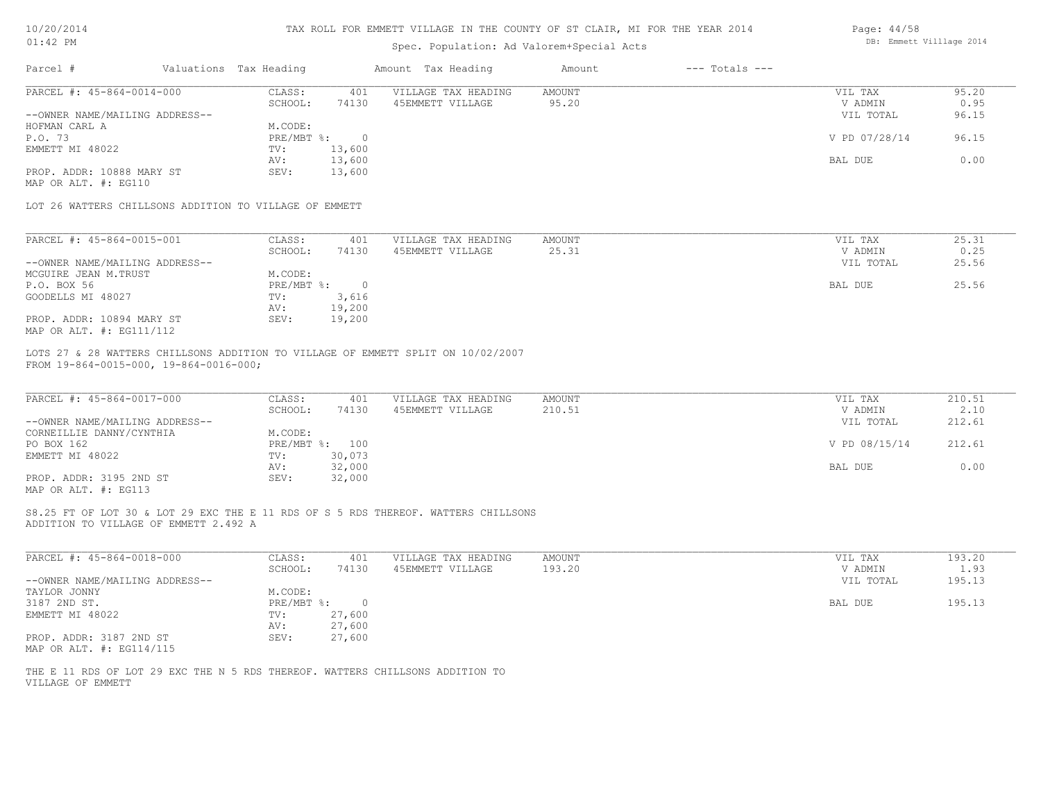| 10/20/201 | 4  |
|-----------|----|
|           | DМ |

| Page: 44/58 |                          |  |
|-------------|--------------------------|--|
|             | DB: Emmett Villlage 2014 |  |

| AT: 45 LM                                                                                                                   |                        |                            | Spec. Population: Ad Valorem+Special Acts |                    | DD, ENNICLL VIIIIQUE ZVIT |        |
|-----------------------------------------------------------------------------------------------------------------------------|------------------------|----------------------------|-------------------------------------------|--------------------|---------------------------|--------|
| Parcel #                                                                                                                    | Valuations Tax Heading | Amount Tax Heading         | Amount                                    | $---$ Totals $---$ |                           |        |
| PARCEL #: 45-864-0014-000                                                                                                   | CLASS:                 | 401<br>VILLAGE TAX HEADING | <b>AMOUNT</b>                             |                    | VIL TAX                   | 95.20  |
|                                                                                                                             | SCHOOL:                | 74130<br>45EMMETT VILLAGE  | 95.20                                     |                    | V ADMIN                   | 0.95   |
| --OWNER NAME/MAILING ADDRESS--                                                                                              |                        |                            |                                           |                    | VIL TOTAL                 | 96.15  |
| HOFMAN CARL A                                                                                                               | M.CODE:                |                            |                                           |                    |                           |        |
| P.O. 73                                                                                                                     | $PRE/MBT$ %:           | $\overline{0}$             |                                           |                    | V PD 07/28/14             | 96.15  |
| EMMETT MI 48022                                                                                                             | TV:                    | 13,600                     |                                           |                    |                           |        |
|                                                                                                                             | AV:                    | 13,600                     |                                           |                    | BAL DUE                   | 0.00   |
| PROP. ADDR: 10888 MARY ST                                                                                                   | SEV:                   | 13,600                     |                                           |                    |                           |        |
| MAP OR ALT. #: EG110                                                                                                        |                        |                            |                                           |                    |                           |        |
| LOT 26 WATTERS CHILLSONS ADDITION TO VILLAGE OF EMMETT                                                                      |                        |                            |                                           |                    |                           |        |
| PARCEL #: 45-864-0015-001                                                                                                   | CLASS:                 | 401<br>VILLAGE TAX HEADING | AMOUNT                                    |                    | VIL TAX                   | 25.31  |
|                                                                                                                             | SCHOOL:                | 45EMMETT VILLAGE<br>74130  | 25.31                                     |                    | V ADMIN                   | 0.25   |
| --OWNER NAME/MAILING ADDRESS--                                                                                              |                        |                            |                                           |                    | VIL TOTAL                 | 25.56  |
| MCGUIRE JEAN M.TRUST                                                                                                        | M.CODE:                |                            |                                           |                    |                           |        |
|                                                                                                                             |                        |                            |                                           |                    |                           |        |
| P.O. BOX 56                                                                                                                 | PRE/MBT %: 0           |                            |                                           |                    | BAL DUE                   | 25.56  |
| GOODELLS MI 48027                                                                                                           | $\texttt{TV}$ :        | 3,616                      |                                           |                    |                           |        |
|                                                                                                                             | AV:                    | 19,200                     |                                           |                    |                           |        |
| PROP. ADDR: 10894 MARY ST<br>MAP OR ALT. #: EG111/112                                                                       | SEV:                   | 19,200                     |                                           |                    |                           |        |
| PARCEL #: 45-864-0017-000                                                                                                   | CLASS:                 | 401<br>VILLAGE TAX HEADING | AMOUNT                                    |                    | VIL TAX                   | 210.51 |
|                                                                                                                             | SCHOOL:                | 45EMMETT VILLAGE<br>74130  | 210.51                                    |                    | V ADMIN                   | 2.10   |
| --OWNER NAME/MAILING ADDRESS--                                                                                              |                        |                            |                                           |                    | VIL TOTAL                 | 212.61 |
| CORNEILLIE DANNY/CYNTHIA                                                                                                    | M.CODE:                |                            |                                           |                    |                           |        |
| PO BOX 162                                                                                                                  | PRE/MBT %: 100         |                            |                                           |                    | V PD 08/15/14             | 212.61 |
| EMMETT MI 48022                                                                                                             | $\texttt{TV}$ :        | 30,073                     |                                           |                    |                           |        |
|                                                                                                                             | AV:                    | 32,000                     |                                           |                    | BAL DUE                   | 0.00   |
| PROP. ADDR: 3195 2ND ST                                                                                                     | SEV:                   | 32,000                     |                                           |                    |                           |        |
| MAP OR ALT. #: EG113                                                                                                        |                        |                            |                                           |                    |                           |        |
| S8.25 FT OF LOT 30 & LOT 29 EXC THE E 11 RDS OF S 5 RDS THEREOF. WATTERS CHILLSONS<br>ADDITION TO VILLAGE OF EMMETT 2.492 A |                        |                            |                                           |                    |                           |        |
|                                                                                                                             |                        |                            |                                           |                    |                           |        |
| PARCEL #: 45-864-0018-000                                                                                                   | CLASS:                 | VILLAGE TAX HEADING<br>401 | <b>AMOUNT</b>                             |                    | VIL TAX                   | 193.20 |
|                                                                                                                             | SCHOOL:                | 74130<br>45EMMETT VILLAGE  | 193.20                                    |                    | V ADMIN                   | 1.93   |
| --OWNER NAME/MAILING ADDRESS--                                                                                              |                        |                            |                                           |                    | VIL TOTAL                 | 195.13 |
| TAYLOR JONNY                                                                                                                | M.CODE:                |                            |                                           |                    |                           |        |
| 3187 2ND ST.                                                                                                                | $PRE/MBT$ $\div$       | $\overline{0}$             |                                           |                    | BAL DUE                   | 195.13 |
| EMMETT MI 48022                                                                                                             | TV:                    | 27,600                     |                                           |                    |                           |        |
|                                                                                                                             | AV:                    | 27,600                     |                                           |                    |                           |        |
| PROP. ADDR: 3187 2ND ST<br>MAP OR ALT. #: EG114/115                                                                         | SEV:                   | 27,600                     |                                           |                    |                           |        |
|                                                                                                                             |                        |                            |                                           |                    |                           |        |
| THE E 11 RDS OF LOT 29 EXC THE N 5 RDS THEREOF. WATTERS CHILLSONS ADDITION TO<br>VILLAGE OF EMMETT                          |                        |                            |                                           |                    |                           |        |
|                                                                                                                             |                        |                            |                                           |                    |                           |        |
|                                                                                                                             |                        |                            |                                           |                    |                           |        |
|                                                                                                                             |                        |                            |                                           |                    |                           |        |
|                                                                                                                             |                        |                            |                                           |                    |                           |        |
|                                                                                                                             |                        |                            |                                           |                    |                           |        |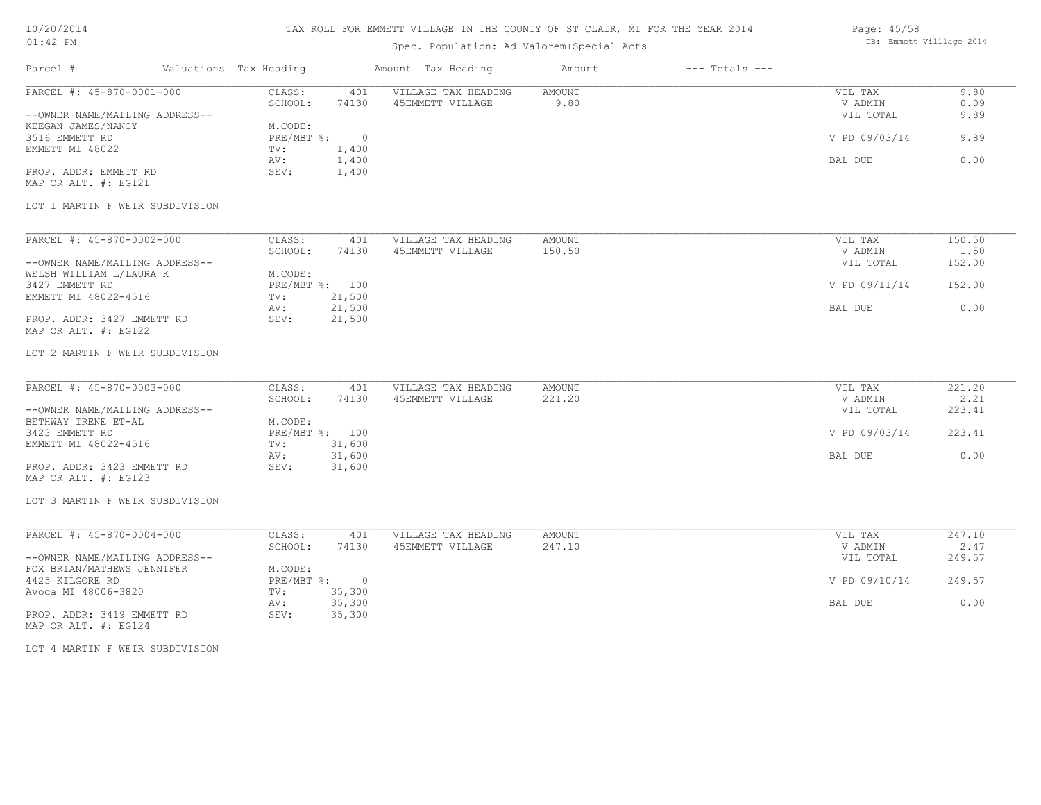# TAX ROLL FOR EMMETT VILLAGE IN THE COUNTY OF ST CLAIR, MI FOR THE YEAR 2014

# Spec. Population: Ad Valorem+Special Acts

| Page: 45/58 |                          |  |
|-------------|--------------------------|--|
|             | DB: Emmett Villlage 2014 |  |

| Valuations Tax Heading<br>Parcel #                          |                                        |                                         |                |                                 |                      |
|-------------------------------------------------------------|----------------------------------------|-----------------------------------------|----------------|---------------------------------|----------------------|
| PARCEL #: 45-870-0001-000<br>--OWNER NAME/MAILING ADDRESS-- | CLASS:<br>401<br>SCHOOL:<br>74130      | VILLAGE TAX HEADING<br>45EMMETT VILLAGE | AMOUNT<br>9.80 | VIL TAX<br>V ADMIN<br>VIL TOTAL | 9.80<br>0.09<br>9.89 |
| KEEGAN JAMES/NANCY<br>3516 EMMETT RD                        | M.CODE:<br>PRE/MBT %: 0                |                                         |                | V PD 09/03/14                   | 9.89                 |
| EMMETT MI 48022                                             | 1,400<br>TV:<br>1,400<br>AV:           |                                         |                | BAL DUE                         | 0.00                 |
| PROP. ADDR: EMMETT RD<br>MAP OR ALT. #: EG121               | SEV:<br>1,400                          |                                         |                |                                 |                      |
| LOT 1 MARTIN F WEIR SUBDIVISION                             |                                        |                                         |                |                                 |                      |
| PARCEL #: 45-870-0002-000                                   | CLASS:<br>401                          | VILLAGE TAX HEADING                     | AMOUNT         | VIL TAX                         | 150.50               |
| --OWNER NAME/MAILING ADDRESS--                              | SCHOOL:<br>74130                       | 45EMMETT VILLAGE                        | 150.50         | V ADMIN<br>VIL TOTAL            | 1.50<br>152.00       |
| WELSH WILLIAM L/LAURA K<br>3427 EMMETT RD                   | M.CODE:<br>PRE/MBT %: 100              |                                         |                | V PD 09/11/14                   | 152.00               |
| EMMETT MI 48022-4516                                        | 21,500<br>TV:<br>21,500<br>AV:         |                                         |                | BAL DUE                         | 0.00                 |
| PROP. ADDR: 3427 EMMETT RD<br>MAP OR ALT. #: EG122          | SEV:<br>21,500                         |                                         |                |                                 |                      |
| LOT 2 MARTIN F WEIR SUBDIVISION                             |                                        |                                         |                |                                 |                      |
| PARCEL #: 45-870-0003-000                                   | CLASS:<br>401                          | VILLAGE TAX HEADING                     | AMOUNT         | VIL TAX                         | 221.20               |
| --OWNER NAME/MAILING ADDRESS--                              | SCHOOL:<br>74130                       | 45EMMETT VILLAGE                        | 221.20         | V ADMIN<br>VIL TOTAL            | 2.21<br>223.41       |
| BETHWAY IRENE ET-AL<br>3423 EMMETT RD                       | M.CODE:<br>PRE/MBT %: 100              |                                         |                | V PD 09/03/14                   | 223.41               |
| EMMETT MI 48022-4516                                        | 31,600<br>TV:<br>31,600<br>AV:         |                                         |                | BAL DUE                         | 0.00                 |
| PROP. ADDR: 3423 EMMETT RD<br>MAP OR ALT. #: EG123          | SEV:<br>31,600                         |                                         |                |                                 |                      |
| LOT 3 MARTIN F WEIR SUBDIVISION                             |                                        |                                         |                |                                 |                      |
| PARCEL #: 45-870-0004-000                                   | CLASS:<br>401                          | VILLAGE TAX HEADING                     | AMOUNT         | VIL TAX                         | 247.10               |
| --OWNER NAME/MAILING ADDRESS--                              | SCHOOL:<br>74130                       | 45EMMETT VILLAGE                        | 247.10         | V ADMIN<br>VIL TOTAL            | 2.47<br>249.57       |
| FOX BRIAN/MATHEWS JENNIFER<br>4425 KILGORE RD               | M.CODE:<br>PRE/MBT %: 0<br>35,300      |                                         |                | V PD 09/10/14                   | 249.57               |
| Avoca MI 48006-3820<br>PROP. ADDR: 3419 EMMETT RD           | TV:<br>35,300<br>AV:<br>SEV:<br>35,300 |                                         |                | BAL DUE                         | 0.00                 |
| MAP OR ALT. #: EG124                                        |                                        |                                         |                |                                 |                      |
| LOT 4 MARTIN F WEIR SUBDIVISION                             |                                        |                                         |                |                                 |                      |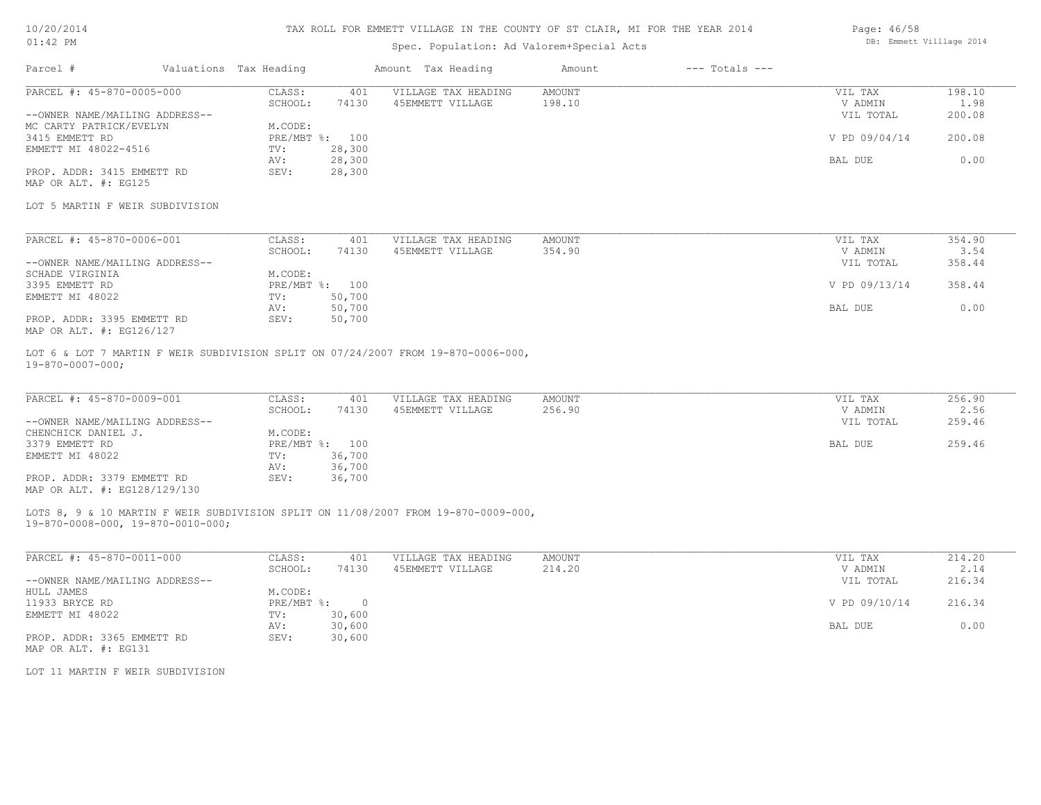### TAX ROLL FOR EMMETT VILLAGE IN THE COUNTY OF ST CLAIR, MI FOR THE YEAR 2014

# Spec. Population: Ad Valorem+Special Acts

| Parcel #                       | Valuations Tax Heading |        | Amount Tax Heading  | Amount | $---$ Totals $---$ |               |        |
|--------------------------------|------------------------|--------|---------------------|--------|--------------------|---------------|--------|
| PARCEL #: 45-870-0005-000      | CLASS:                 | 401    | VILLAGE TAX HEADING | AMOUNT |                    | VIL TAX       | 198.10 |
|                                | SCHOOL:                | 74130  | 45EMMETT VILLAGE    | 198.10 |                    | V ADMIN       | 1.98   |
| --OWNER NAME/MAILING ADDRESS-- |                        |        |                     |        |                    | VIL TOTAL     | 200.08 |
| MC CARTY PATRICK/EVELYN        | M.CODE:                |        |                     |        |                    |               |        |
| 3415 EMMETT RD                 | PRE/MBT %: 100         |        |                     |        |                    | V PD 09/04/14 | 200.08 |
| EMMETT MI 48022-4516           | TV:                    | 28,300 |                     |        |                    |               |        |
|                                | AV:                    | 28,300 |                     |        |                    | BAL DUE       | 0.00   |
| PROP. ADDR: 3415 EMMETT RD     | SEV:                   | 28,300 |                     |        |                    |               |        |
| MAP OR ALT. #: EG125           |                        |        |                     |        |                    |               |        |

#### LOT 5 MARTIN F WEIR SUBDIVISION

| PARCEL #: 45-870-0006-001      | CLASS:  | 401            | VILLAGE TAX HEADING | AMOUNT | VIL TAX       | 354.90 |
|--------------------------------|---------|----------------|---------------------|--------|---------------|--------|
|                                | SCHOOL: | 74130          | 45EMMETT VILLAGE    | 354.90 | V ADMIN       | 3.54   |
| --OWNER NAME/MAILING ADDRESS-- |         |                |                     |        | VIL TOTAL     | 358.44 |
| SCHADE VIRGINIA                | M.CODE: |                |                     |        |               |        |
| 3395 EMMETT RD                 |         | PRE/MBT %: 100 |                     |        | V PD 09/13/14 | 358.44 |
| EMMETT MI 48022                | TV:     | 50,700         |                     |        |               |        |
|                                | AV:     | 50,700         |                     |        | BAL DUE       | 0.00   |
| PROP. ADDR: 3395 EMMETT RD     | SEV:    | 50,700         |                     |        |               |        |
| MAP OR ALT. #: EG126/127       |         |                |                     |        |               |        |

19-870-0007-000; LOT 6 & LOT 7 MARTIN F WEIR SUBDIVISION SPLIT ON 07/24/2007 FROM 19-870-0006-000,

| PARCEL #: 45-870-0009-001      | CLASS:  | 401            | VILLAGE TAX HEADING | AMOUNT | VIL TAX   | 256.90 |
|--------------------------------|---------|----------------|---------------------|--------|-----------|--------|
|                                | SCHOOL: | 74130          | 45EMMETT VILLAGE    | 256.90 | V ADMIN   | 2.56   |
| --OWNER NAME/MAILING ADDRESS-- |         |                |                     |        | VIL TOTAL | 259.46 |
| CHENCHICK DANIEL J.            | M.CODE: |                |                     |        |           |        |
| 3379 EMMETT RD                 |         | PRE/MBT %: 100 |                     |        | BAL DUE   | 259.46 |
| EMMETT MI 48022                | TV:     | 36,700         |                     |        |           |        |
|                                | AV:     | 36,700         |                     |        |           |        |
| PROP. ADDR: 3379 EMMETT RD     | SEV:    | 36,700         |                     |        |           |        |
| MAP OR ALT. #: EG128/129/130   |         |                |                     |        |           |        |

#### 19-870-0008-000, 19-870-0010-000; LOTS 8, 9 & 10 MARTIN F WEIR SUBDIVISION SPLIT ON 11/08/2007 FROM 19-870-0009-000,

| PARCEL #: 45-870-0011-000      | CLASS:     | 401    | VILLAGE TAX HEADING | AMOUNT | VIL TAX       | 214.20 |
|--------------------------------|------------|--------|---------------------|--------|---------------|--------|
|                                | SCHOOL:    | 74130  | 45EMMETT VILLAGE    | 214.20 | V ADMIN       | 2.14   |
| --OWNER NAME/MAILING ADDRESS-- |            |        |                     |        | VIL TOTAL     | 216.34 |
| HULL JAMES                     | M.CODE:    |        |                     |        |               |        |
| 11933 BRYCE RD                 | PRE/MBT %: |        |                     |        | V PD 09/10/14 | 216.34 |
| EMMETT MI 48022                | TV:        | 30,600 |                     |        |               |        |
|                                | AV:        | 30,600 |                     |        | BAL DUE       | 0.00   |
| PROP. ADDR: 3365 EMMETT RD     | SEV:       | 30,600 |                     |        |               |        |
| MAP OR ALT. #: EG131           |            |        |                     |        |               |        |

LOT 11 MARTIN F WEIR SUBDIVISION

Page: 46/58 DB: Emmett Villlage 2014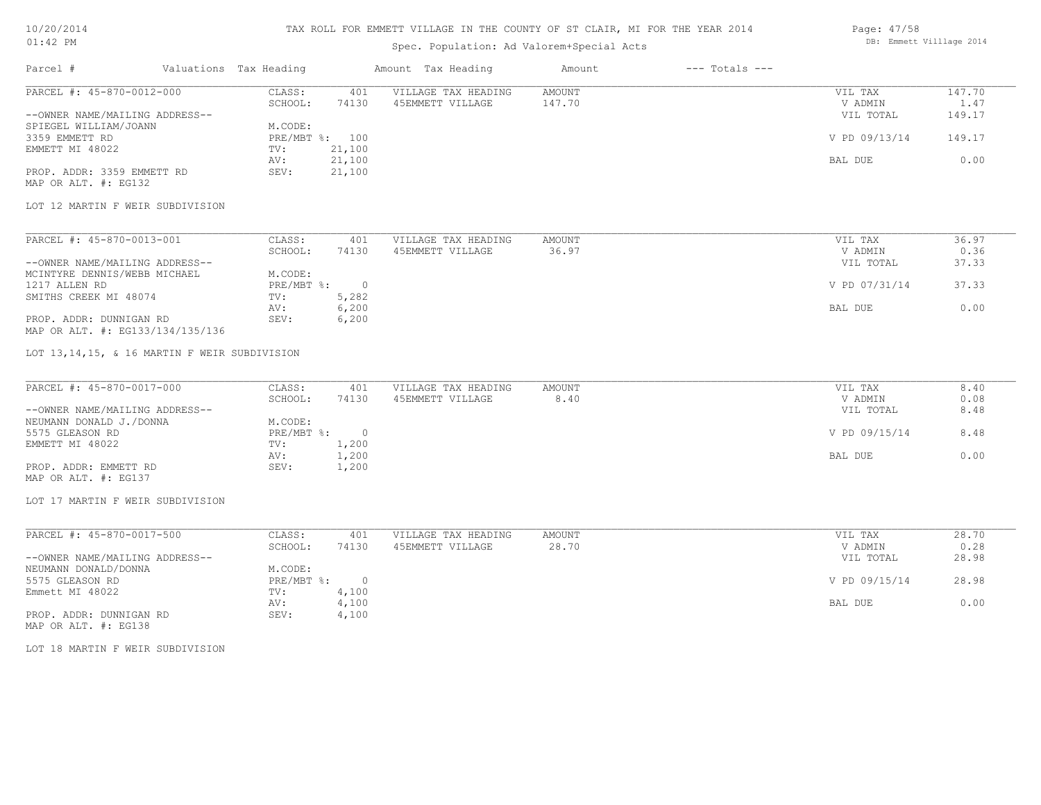### TAX ROLL FOR EMMETT VILLAGE IN THE COUNTY OF ST CLAIR, MI FOR THE YEAR 2014

# Spec. Population: Ad Valorem+Special Acts

| Parcel #                       | Valuations Tax Heading |        | Amount Tax Heading  | Amount | $---$ Totals $---$ |               |        |
|--------------------------------|------------------------|--------|---------------------|--------|--------------------|---------------|--------|
| PARCEL #: 45-870-0012-000      | CLASS:                 | 401    | VILLAGE TAX HEADING | AMOUNT |                    | VIL TAX       | 147.70 |
|                                | SCHOOL:                | 74130  | 45EMMETT VILLAGE    | 147.70 |                    | V ADMIN       | 1.47   |
| --OWNER NAME/MAILING ADDRESS-- |                        |        |                     |        |                    | VIL TOTAL     | 149.17 |
| SPIEGEL WILLIAM/JOANN          | M.CODE:                |        |                     |        |                    |               |        |
| 3359 EMMETT RD                 | PRE/MBT %: 100         |        |                     |        |                    | V PD 09/13/14 | 149.17 |
| EMMETT MI 48022                | TV:                    | 21,100 |                     |        |                    |               |        |
|                                | AV:                    | 21,100 |                     |        |                    | BAL DUE       | 0.00   |
| PROP. ADDR: 3359 EMMETT RD     | SEV:                   | 21,100 |                     |        |                    |               |        |
|                                |                        |        |                     |        |                    |               |        |

MAP OR ALT. #: EG132

#### LOT 12 MARTIN F WEIR SUBDIVISION

| PARCEL #: 45-870-0013-001        | CLASS:     | 401   | VILLAGE TAX HEADING | AMOUNT | VIL TAX       | 36.97 |
|----------------------------------|------------|-------|---------------------|--------|---------------|-------|
|                                  | SCHOOL:    | 74130 | 45EMMETT VILLAGE    | 36.97  | V ADMIN       | 0.36  |
| --OWNER NAME/MAILING ADDRESS--   |            |       |                     |        | VIL TOTAL     | 37.33 |
| MCINTYRE DENNIS/WEBB MICHAEL     | M.CODE:    |       |                     |        |               |       |
| 1217 ALLEN RD                    | PRE/MBT %: |       |                     |        | V PD 07/31/14 | 37.33 |
| SMITHS CREEK MI 48074            | TV:        | 5,282 |                     |        |               |       |
|                                  | AV:        | 6,200 |                     |        | BAL DUE       | 0.00  |
| PROP. ADDR: DUNNIGAN RD          | SEV:       | 6,200 |                     |        |               |       |
| MAP OR ALT. #: EG133/134/135/136 |            |       |                     |        |               |       |

#### LOT 13,14,15, & 16 MARTIN F WEIR SUBDIVISION

| PARCEL #: 45-870-0017-000      | CLASS:     | 401   | VILLAGE TAX HEADING | AMOUNT | VIL TAX       | 8.40 |
|--------------------------------|------------|-------|---------------------|--------|---------------|------|
|                                | SCHOOL:    | 74130 | 45EMMETT VILLAGE    | 8.40   | V ADMIN       | 0.08 |
| --OWNER NAME/MAILING ADDRESS-- |            |       |                     |        | VIL TOTAL     | 8.48 |
| NEUMANN DONALD J./DONNA        | M.CODE:    |       |                     |        |               |      |
| 5575 GLEASON RD                | PRE/MBT %: |       |                     |        | V PD 09/15/14 | 8.48 |
| EMMETT MI 48022                | TV:        | 1,200 |                     |        |               |      |
|                                | AV:        | 1,200 |                     |        | BAL DUE       | 0.00 |
| PROP. ADDR: EMMETT RD          | SEV:       | 1,200 |                     |        |               |      |
| MAP OR ALT. #: EG137           |            |       |                     |        |               |      |

#### LOT 17 MARTIN F WEIR SUBDIVISION

| PARCEL #: 45-870-0017-500      | CLASS:     | 401   | VILLAGE TAX HEADING | AMOUNT | VIL TAX       | 28.70 |
|--------------------------------|------------|-------|---------------------|--------|---------------|-------|
|                                | SCHOOL:    | 74130 | 45EMMETT VILLAGE    | 28.70  | V ADMIN       | 0.28  |
| --OWNER NAME/MAILING ADDRESS-- |            |       |                     |        | VIL TOTAL     | 28.98 |
| NEUMANN DONALD/DONNA           | M.CODE:    |       |                     |        |               |       |
| 5575 GLEASON RD                | PRE/MBT %: |       |                     |        | V PD 09/15/14 | 28.98 |
| Emmett MI 48022                | TV:        | 4,100 |                     |        |               |       |
|                                | AV:        | 4,100 |                     |        | BAL DUE       | 0.00  |
| PROP. ADDR: DUNNIGAN RD        | SEV:       | 4,100 |                     |        |               |       |

MAP OR ALT. #: EG138

LOT 18 MARTIN F WEIR SUBDIVISION

Page: 47/58 DB: Emmett Villlage 2014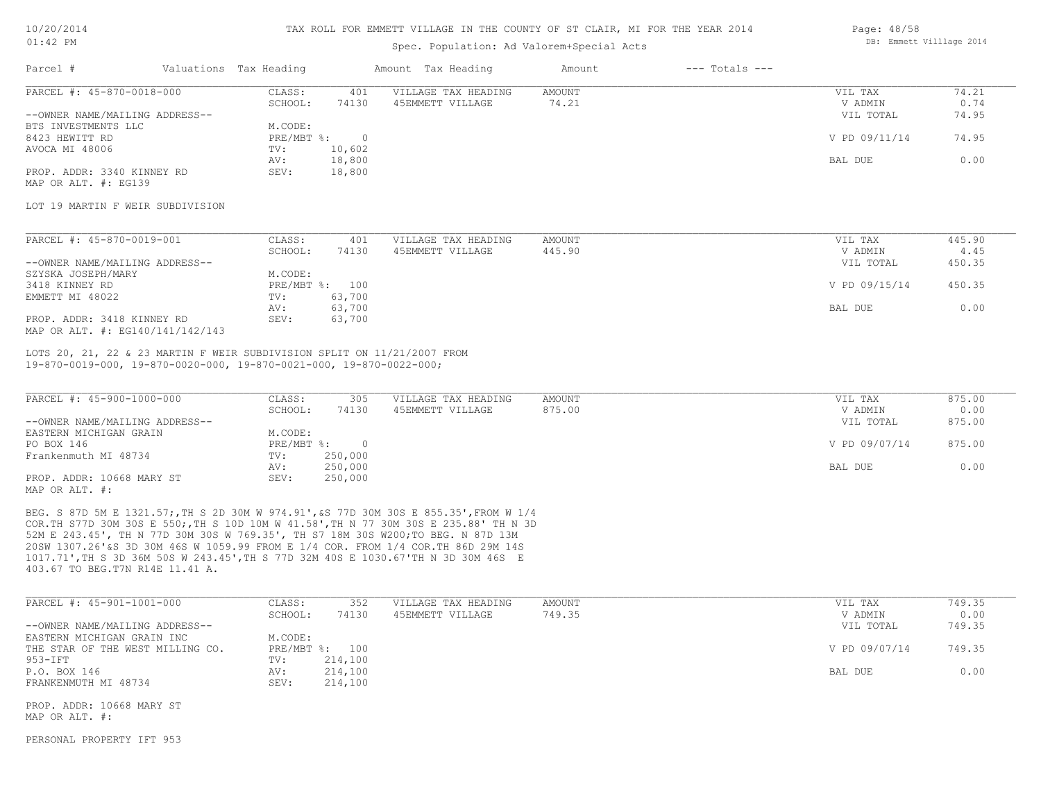#### TAX ROLL FOR EMMETT VILLAGE IN THE COUNTY OF ST CLAIR, MI FOR THE YEAR 2014

### Spec. Population: Ad Valorem+Special Acts

| Parcel #                       | Valuations Tax Heading |        | Amount Tax Heading  | Amount | $---$ Totals $---$ |               |       |
|--------------------------------|------------------------|--------|---------------------|--------|--------------------|---------------|-------|
| PARCEL #: 45-870-0018-000      | CLASS:                 | 401    | VILLAGE TAX HEADING | AMOUNT |                    | VIL TAX       | 74.21 |
|                                | SCHOOL:                | 74130  | 45EMMETT VILLAGE    | 74.21  |                    | V ADMIN       | 0.74  |
| --OWNER NAME/MAILING ADDRESS-- |                        |        |                     |        |                    | VIL TOTAL     | 74.95 |
| BTS INVESTMENTS LLC            | M.CODE:                |        |                     |        |                    |               |       |
| 8423 HEWITT RD                 | $PRE/MBT$ %:           |        |                     |        |                    | V PD 09/11/14 | 74.95 |
| AVOCA MI 48006                 | TV:                    | 10,602 |                     |        |                    |               |       |
|                                | AV:                    | 18,800 |                     |        |                    | BAL DUE       | 0.00  |
| PROP. ADDR: 3340 KINNEY RD     | SEV:                   | 18,800 |                     |        |                    |               |       |
|                                |                        |        |                     |        |                    |               |       |

MAP OR ALT. #: EG139

### LOT 19 MARTIN F WEIR SUBDIVISION

| PARCEL #: 45-870-0019-001        | CLASS:  | 401            | VILLAGE TAX HEADING | AMOUNT | VIL TAX       | 445.90 |
|----------------------------------|---------|----------------|---------------------|--------|---------------|--------|
|                                  | SCHOOL: | 74130          | 45EMMETT VILLAGE    | 445.90 | V ADMIN       | 4.45   |
| --OWNER NAME/MAILING ADDRESS--   |         |                |                     |        | VIL TOTAL     | 450.35 |
| SZYSKA JOSEPH/MARY               | M.CODE: |                |                     |        |               |        |
| 3418 KINNEY RD                   |         | PRE/MBT %: 100 |                     |        | V PD 09/15/14 | 450.35 |
| EMMETT MI 48022                  | TV:     | 63,700         |                     |        |               |        |
|                                  | AV:     | 63,700         |                     |        | BAL DUE       | 0.00   |
| PROP. ADDR: 3418 KINNEY RD       | SEV:    | 63,700         |                     |        |               |        |
| MAP OR ALT. #: EG140/141/142/143 |         |                |                     |        |               |        |

19-870-0019-000, 19-870-0020-000, 19-870-0021-000, 19-870-0022-000; LOTS 20, 21, 22 & 23 MARTIN F WEIR SUBDIVISION SPLIT ON 11/21/2007 FROM

| PARCEL #: 45-900-1000-000      | CLASS:     | 305     | VILLAGE TAX HEADING | AMOUNT | VIL TAX       | 875.00 |
|--------------------------------|------------|---------|---------------------|--------|---------------|--------|
|                                | SCHOOL:    | 74130   | 45EMMETT VILLAGE    | 875.00 | V ADMIN       | 0.00   |
| --OWNER NAME/MAILING ADDRESS-- |            |         |                     |        | VIL TOTAL     | 875.00 |
| EASTERN MICHIGAN GRAIN         | M.CODE:    |         |                     |        |               |        |
| PO BOX 146                     | PRE/MBT %: |         |                     |        | V PD 09/07/14 | 875.00 |
| Frankenmuth MI 48734           | TV:        | 250,000 |                     |        |               |        |
|                                | AV:        | 250,000 |                     |        | BAL DUE       | 0.00   |
| PROP. ADDR: 10668 MARY ST      | SEV:       | 250,000 |                     |        |               |        |
| MAP OR ALT. #:                 |            |         |                     |        |               |        |

403.67 TO BEG.T7N R14E 11.41 A. 1017.71',TH S 3D 36M 50S W 243.45',TH S 77D 32M 40S E 1030.67'TH N 3D 30M 46S E 20SW 1307.26'&S 3D 30M 46S W 1059.99 FROM E 1/4 COR. FROM 1/4 COR.TH 86D 29M 14S 52M E 243.45', TH N 77D 30M 30S W 769.35', TH S7 18M 30S W200;TO BEG. N 87D 13M COR.TH S77D 30M 30S E 550;,TH S 10D 10M W 41.58',TH N 77 30M 30S E 235.88' TH N 3D BEG. S 87D 5M E 1321.57;,TH S 2D 30M W 974.91',&S 77D 30M 30S E 855.35',FROM W 1/4

| PARCEL #: 45-901-1001-000        | CLASS:       | 352     | VILLAGE TAX HEADING | AMOUNT | VIL TAX       | 749.35 |
|----------------------------------|--------------|---------|---------------------|--------|---------------|--------|
|                                  | SCHOOL:      | 74130   | 45EMMETT VILLAGE    | 749.35 | V ADMIN       | 0.00   |
| --OWNER NAME/MAILING ADDRESS--   |              |         |                     |        | VIL TOTAL     | 749.35 |
| EASTERN MICHIGAN GRAIN INC       | M.CODE:      |         |                     |        |               |        |
| THE STAR OF THE WEST MILLING CO. | $PRE/MBT$ %: | 100     |                     |        | V PD 09/07/14 | 749.35 |
| 953-IFT                          | TV:          | 214,100 |                     |        |               |        |
| P.O. BOX 146                     | AV:          | 214,100 |                     |        | BAL DUE       | 0.00   |
| FRANKENMUTH MI 48734             | SEV:         | 214,100 |                     |        |               |        |
|                                  |              |         |                     |        |               |        |
| PROP. ADDR: 10668 MARY ST        |              |         |                     |        |               |        |

 $\mathcal{L}_\mathcal{L} = \mathcal{L}_\mathcal{L} = \mathcal{L}_\mathcal{L} = \mathcal{L}_\mathcal{L} = \mathcal{L}_\mathcal{L} = \mathcal{L}_\mathcal{L} = \mathcal{L}_\mathcal{L} = \mathcal{L}_\mathcal{L} = \mathcal{L}_\mathcal{L} = \mathcal{L}_\mathcal{L} = \mathcal{L}_\mathcal{L} = \mathcal{L}_\mathcal{L} = \mathcal{L}_\mathcal{L} = \mathcal{L}_\mathcal{L} = \mathcal{L}_\mathcal{L} = \mathcal{L}_\mathcal{L} = \mathcal{L}_\mathcal{L}$ 

MAP OR ALT. #:

PERSONAL PROPERTY IFT 953

Page: 48/58 DB: Emmett Villlage 2014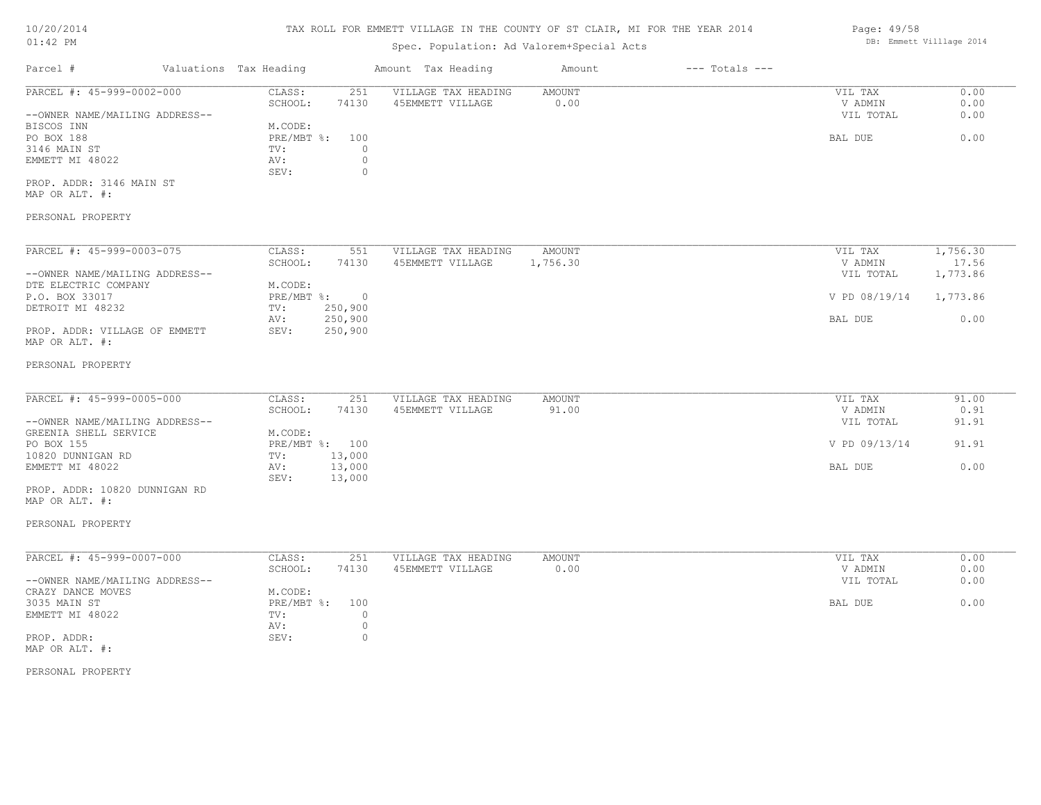# TAX ROLL FOR EMMETT VILLAGE IN THE COUNTY OF ST CLAIR, MI FOR THE YEAR 2014

# Spec. Population: Ad Valorem+Special Acts

| Parcel #                       | Valuations Tax Heading |       | Amount Tax Heading  | Amount | $---$ Totals $---$ |           |      |
|--------------------------------|------------------------|-------|---------------------|--------|--------------------|-----------|------|
| PARCEL #: 45-999-0002-000      | CLASS:                 | 251   | VILLAGE TAX HEADING | AMOUNT |                    | VIL TAX   | 0.00 |
|                                | SCHOOL:                | 74130 | 45EMMETT VILLAGE    | 0.00   |                    | V ADMIN   | 0.00 |
| --OWNER NAME/MAILING ADDRESS-- |                        |       |                     |        |                    | VIL TOTAL | 0.00 |
| BISCOS INN                     | M.CODE:                |       |                     |        |                    |           |      |
| PO BOX 188                     | $PRE/MBT$ %:           | 100   |                     |        |                    | BAL DUE   | 0.00 |
| 3146 MAIN ST                   | TV:                    |       |                     |        |                    |           |      |
| EMMETT MI 48022                | AV:                    |       |                     |        |                    |           |      |
|                                | SEV:                   |       |                     |        |                    |           |      |
| PROP. ADDR: 3146 MAIN ST       |                        |       |                     |        |                    |           |      |
| MAP OR ALT. #:                 |                        |       |                     |        |                    |           |      |
|                                |                        |       |                     |        |                    |           |      |
| PERSONAL PROPERTY              |                        |       |                     |        |                    |           |      |

| PARCEL #: 45-999-0003-075      | CLASS:     | 551      | VILLAGE TAX HEADING | AMOUNT   | VIL TAX       | 1,756.30 |
|--------------------------------|------------|----------|---------------------|----------|---------------|----------|
|                                | SCHOOL:    | 74130    | 45EMMETT VILLAGE    | 1,756.30 | V ADMIN       | 17.56    |
| --OWNER NAME/MAILING ADDRESS-- |            |          |                     |          | VIL TOTAL     | 1,773.86 |
| DTE ELECTRIC COMPANY           | M.CODE:    |          |                     |          |               |          |
| P.O. BOX 33017                 | PRE/MBT %: | $\Omega$ |                     |          | V PD 08/19/14 | 1,773.86 |
| DETROIT MI 48232               | TV:        | 250,900  |                     |          |               |          |
|                                | AV:        | 250,900  |                     |          | BAL DUE       | 0.00     |
| PROP. ADDR: VILLAGE OF EMMETT  | SEV:       | 250,900  |                     |          |               |          |
| MAP OR ALT. #:                 |            |          |                     |          |               |          |

#### PERSONAL PROPERTY

| PARCEL #: 45-999-0005-000      | CLASS:  | 251            | VILLAGE TAX HEADING | AMOUNT | VIL TAX       | 91.00 |
|--------------------------------|---------|----------------|---------------------|--------|---------------|-------|
|                                | SCHOOL: | 74130          | 45EMMETT VILLAGE    | 91.00  | V ADMIN       | 0.91  |
| --OWNER NAME/MAILING ADDRESS-- |         |                |                     |        | VIL TOTAL     | 91.91 |
| GREENIA SHELL SERVICE          | M.CODE: |                |                     |        |               |       |
| PO BOX 155                     |         | PRE/MBT %: 100 |                     |        | V PD 09/13/14 | 91.91 |
| 10820 DUNNIGAN RD              | TV:     | 13,000         |                     |        |               |       |
| EMMETT MI 48022                | AV:     | 13,000         |                     |        | BAL DUE       | 0.00  |
|                                | SEV:    | 13,000         |                     |        |               |       |
| PROP. ADDR: 10820 DUNNIGAN RD  |         |                |                     |        |               |       |

MAP OR ALT. #:

### PERSONAL PROPERTY

| PARCEL #: 45-999-0007-000      | CLASS:     | 251   | VILLAGE TAX HEADING | AMOUNT | 0.00<br>VIL TAX   |
|--------------------------------|------------|-------|---------------------|--------|-------------------|
|                                | SCHOOL:    | 74130 | 45EMMETT VILLAGE    | 0.00   | 0.00<br>V ADMIN   |
| --OWNER NAME/MAILING ADDRESS-- |            |       |                     |        | 0.00<br>VIL TOTAL |
| CRAZY DANCE MOVES              | M.CODE:    |       |                     |        |                   |
| 3035 MAIN ST                   | PRE/MBT %: | 100   |                     |        | 0.00<br>BAL DUE   |
| EMMETT MI 48022                | TV:        |       |                     |        |                   |
|                                | AV:        |       |                     |        |                   |
| PROP. ADDR:                    | SEV:       |       |                     |        |                   |
| MAP OR ALT. #:                 |            |       |                     |        |                   |

PERSONAL PROPERTY

Page: 49/58 DB: Emmett Villlage 2014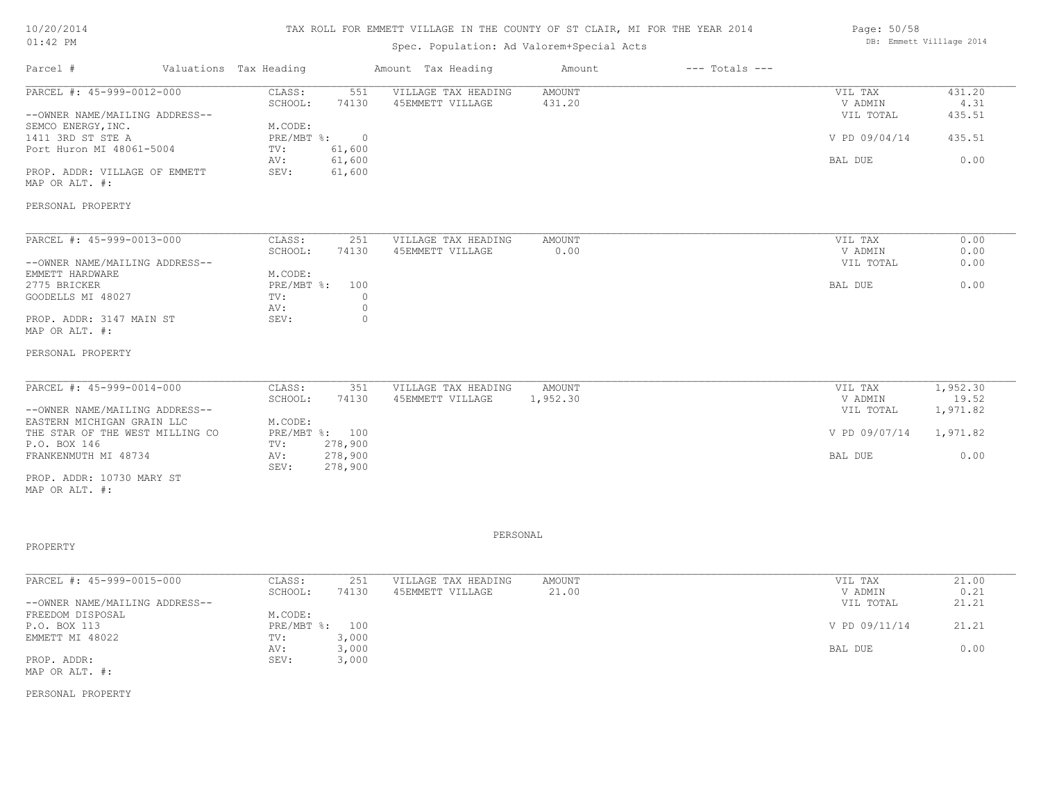# TAX ROLL FOR EMMETT VILLAGE IN THE COUNTY OF ST CLAIR, MI FOR THE YEAR 2014

# Spec. Population: Ad Valorem+Special Acts

| Parcel #                       | Valuations Tax Heading |        | Amount Tax Heading  | Amount | $---$ Totals $---$ |               |        |
|--------------------------------|------------------------|--------|---------------------|--------|--------------------|---------------|--------|
| PARCEL #: 45-999-0012-000      | CLASS:                 | 551    | VILLAGE TAX HEADING | AMOUNT |                    | VIL TAX       | 431.20 |
|                                | SCHOOL:                | 74130  | 45EMMETT VILLAGE    | 431.20 |                    | V ADMIN       | 4.31   |
| --OWNER NAME/MAILING ADDRESS-- |                        |        |                     |        |                    | VIL TOTAL     | 435.51 |
| SEMCO ENERGY, INC.             | M.CODE:                |        |                     |        |                    |               |        |
| 1411 3RD ST STE A              | $PRE/MBT$ %:           |        |                     |        |                    | V PD 09/04/14 | 435.51 |
| Port Huron MI 48061-5004       | TV:                    | 61,600 |                     |        |                    |               |        |
|                                | AV:                    | 61,600 |                     |        |                    | BAL DUE       | 0.00   |
| PROP. ADDR: VILLAGE OF EMMETT  | SEV:                   | 61,600 |                     |        |                    |               |        |
| MAP OR ALT. #:                 |                        |        |                     |        |                    |               |        |
|                                |                        |        |                     |        |                    |               |        |
| PERSONAL PROPERTY              |                        |        |                     |        |                    |               |        |
|                                |                        |        |                     |        |                    |               |        |

| PARCEL #: 45-999-0013-000      | CLASS:         | 251   | VILLAGE TAX HEADING | AMOUNT | VIL TAX   | 0.00 |
|--------------------------------|----------------|-------|---------------------|--------|-----------|------|
|                                | SCHOOL:        | 74130 | 45EMMETT VILLAGE    | 0.00   | V ADMIN   | 0.00 |
| --OWNER NAME/MAILING ADDRESS-- |                |       |                     |        | VIL TOTAL | 0.00 |
| EMMETT HARDWARE                | M.CODE:        |       |                     |        |           |      |
| 2775 BRICKER                   | PRE/MBT %: 100 |       |                     |        | BAL DUE   | 0.00 |
| GOODELLS MI 48027              | TV:            |       |                     |        |           |      |
|                                | AV:            |       |                     |        |           |      |
| PROP. ADDR: 3147 MAIN ST       | SEV:           |       |                     |        |           |      |
| MAP OR ALT. #:                 |                |       |                     |        |           |      |

#### PERSONAL PROPERTY

| PARCEL #: 45-999-0014-000       | CLASS:  | 351            | VILLAGE TAX HEADING | AMOUNT   | VIL TAX       | 1,952.30 |
|---------------------------------|---------|----------------|---------------------|----------|---------------|----------|
|                                 | SCHOOL: | 74130          | 45EMMETT VILLAGE    | 1,952.30 | V ADMIN       | 19.52    |
| --OWNER NAME/MAILING ADDRESS--  |         |                |                     |          | VIL TOTAL     | 1,971.82 |
| EASTERN MICHIGAN GRAIN LLC      | M.CODE: |                |                     |          |               |          |
| THE STAR OF THE WEST MILLING CO |         | PRE/MBT %: 100 |                     |          | V PD 09/07/14 | 1,971.82 |
| P.O. BOX 146                    | TV:     | 278,900        |                     |          |               |          |
| FRANKENMUTH MI 48734            | AV:     | 278,900        |                     |          | BAL DUE       | 0.00     |
|                                 | SEV:    | 278,900        |                     |          |               |          |
| PROP. ADDR: 10730 MARY ST       |         |                |                     |          |               |          |

MAP OR ALT. #:

PROPERTY

PERSONAL

| PARCEL #: 45-999-0015-000      | CLASS:       | 251   | VILLAGE TAX HEADING | AMOUNT | VIL TAX       | 21.00 |
|--------------------------------|--------------|-------|---------------------|--------|---------------|-------|
|                                | SCHOOL:      | 74130 | 45EMMETT VILLAGE    | 21.00  | V ADMIN       | 0.21  |
| --OWNER NAME/MAILING ADDRESS-- |              |       |                     |        | VIL TOTAL     | 21.21 |
| FREEDOM DISPOSAL               | M.CODE:      |       |                     |        |               |       |
| P.O. BOX 113                   | $PRE/MBT$ %: | 100   |                     |        | V PD 09/11/14 | 21.21 |
| EMMETT MI 48022                | TV:          | 3,000 |                     |        |               |       |
|                                | AV:          | 3,000 |                     |        | BAL DUE       | 0.00  |
| PROP. ADDR:                    | SEV:         | 3,000 |                     |        |               |       |
| MAP OR ALT. #:                 |              |       |                     |        |               |       |

PERSONAL PROPERTY

Page: 50/58 DB: Emmett Villlage 2014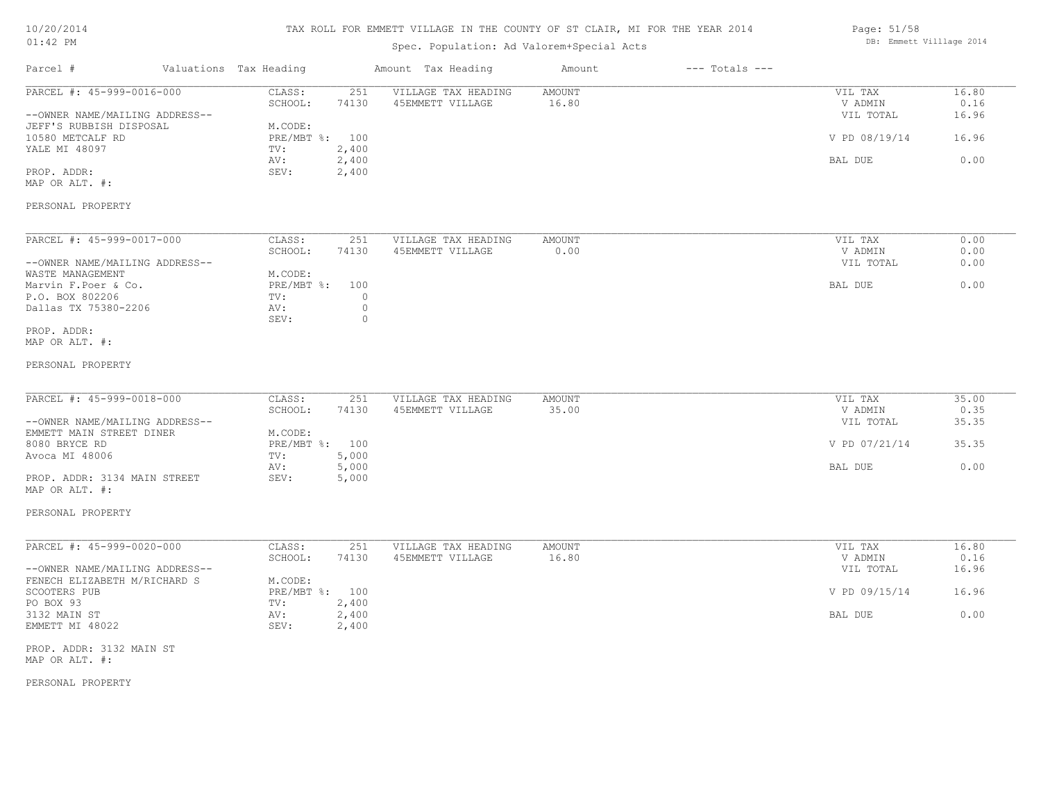# TAX ROLL FOR EMMETT VILLAGE IN THE COUNTY OF ST CLAIR, MI FOR THE YEAR 2014

# Spec. Population: Ad Valorem+Special Acts

| Page: 51/58 |                          |  |
|-------------|--------------------------|--|
|             | DB: Emmett Villlage 2014 |  |

| Parcel #                                                                               | Valuations Tax Heading |                                     |                           | Amount Tax Heading                      | Amount          | $---$ Totals $---$ |                                 |                        |
|----------------------------------------------------------------------------------------|------------------------|-------------------------------------|---------------------------|-----------------------------------------|-----------------|--------------------|---------------------------------|------------------------|
| PARCEL #: 45-999-0016-000<br>--OWNER NAME/MAILING ADDRESS--<br>JEFF'S RUBBISH DISPOSAL |                        | CLASS:<br>SCHOOL:<br>M.CODE:        | 251<br>74130              | VILLAGE TAX HEADING<br>45EMMETT VILLAGE | AMOUNT<br>16.80 |                    | VIL TAX<br>V ADMIN<br>VIL TOTAL | 16.80<br>0.16<br>16.96 |
| 10580 METCALF RD<br>YALE MI 48097                                                      |                        | PRE/MBT %: 100<br>TV:               | 2,400                     |                                         |                 |                    | V PD 08/19/14                   | 16.96                  |
| PROP. ADDR:<br>MAP OR ALT. #:                                                          |                        | AV:<br>SEV:                         | 2,400<br>2,400            |                                         |                 |                    | BAL DUE                         | 0.00                   |
| PERSONAL PROPERTY                                                                      |                        |                                     |                           |                                         |                 |                    |                                 |                        |
| PARCEL #: 45-999-0017-000                                                              |                        | CLASS:                              | 251                       | VILLAGE TAX HEADING                     | AMOUNT          |                    | VIL TAX                         | 0.00                   |
| --OWNER NAME/MAILING ADDRESS--                                                         |                        | SCHOOL:                             | 74130                     | 45EMMETT VILLAGE                        | 0.00            |                    | V ADMIN<br>VIL TOTAL            | 0.00<br>0.00           |
| WASTE MANAGEMENT<br>Marvin F.Poer & Co.<br>P.O. BOX 802206<br>Dallas TX 75380-2206     |                        | M.CODE:<br>PRE/MBT %:<br>TV:<br>AV: | 100<br>$\circ$<br>$\circ$ |                                         |                 |                    | BAL DUE                         | 0.00                   |
| PROP. ADDR:<br>MAP OR ALT. #:                                                          |                        | SEV:                                | $\circ$                   |                                         |                 |                    |                                 |                        |
| PERSONAL PROPERTY                                                                      |                        |                                     |                           |                                         |                 |                    |                                 |                        |
| PARCEL #: 45-999-0018-000                                                              |                        | CLASS:<br>SCHOOL:                   | 251<br>74130              | VILLAGE TAX HEADING<br>45EMMETT VILLAGE | AMOUNT<br>35.00 |                    | VIL TAX<br>V ADMIN              | 35.00<br>0.35          |
| --OWNER NAME/MAILING ADDRESS--<br>EMMETT MAIN STREET DINER                             |                        | M.CODE:                             |                           |                                         |                 |                    | VIL TOTAL                       | 35.35                  |
| 8080 BRYCE RD<br>Avoca MI 48006                                                        |                        | PRE/MBT %: 100<br>TV:               | 5,000                     |                                         |                 |                    | V PD 07/21/14                   | 35.35                  |
| PROP. ADDR: 3134 MAIN STREET<br>MAP OR ALT. #:                                         |                        | AV:<br>SEV:                         | 5,000<br>5,000            |                                         |                 |                    | BAL DUE                         | 0.00                   |
| PERSONAL PROPERTY                                                                      |                        |                                     |                           |                                         |                 |                    |                                 |                        |
| PARCEL #: 45-999-0020-000                                                              |                        | CLASS:<br>SCHOOL:                   | 251<br>74130              | VILLAGE TAX HEADING<br>45EMMETT VILLAGE | AMOUNT<br>16.80 |                    | VIL TAX<br>V ADMIN              | 16.80<br>0.16          |
| --OWNER NAME/MAILING ADDRESS--<br>FENECH ELIZABETH M/RICHARD S                         |                        | M.CODE:                             |                           |                                         |                 |                    | VIL TOTAL                       | 16.96                  |
| SCOOTERS PUB<br>PO BOX 93                                                              |                        | PRE/MBT %: 100<br>TV:               | 2,400                     |                                         |                 |                    | V PD 09/15/14                   | 16.96                  |
| 3132 MAIN ST<br>EMMETT MI 48022                                                        |                        | AV:<br>SEV:                         | 2,400<br>2,400            |                                         |                 |                    | BAL DUE                         | 0.00                   |

MAP OR ALT. #: PROP. ADDR: 3132 MAIN ST

PERSONAL PROPERTY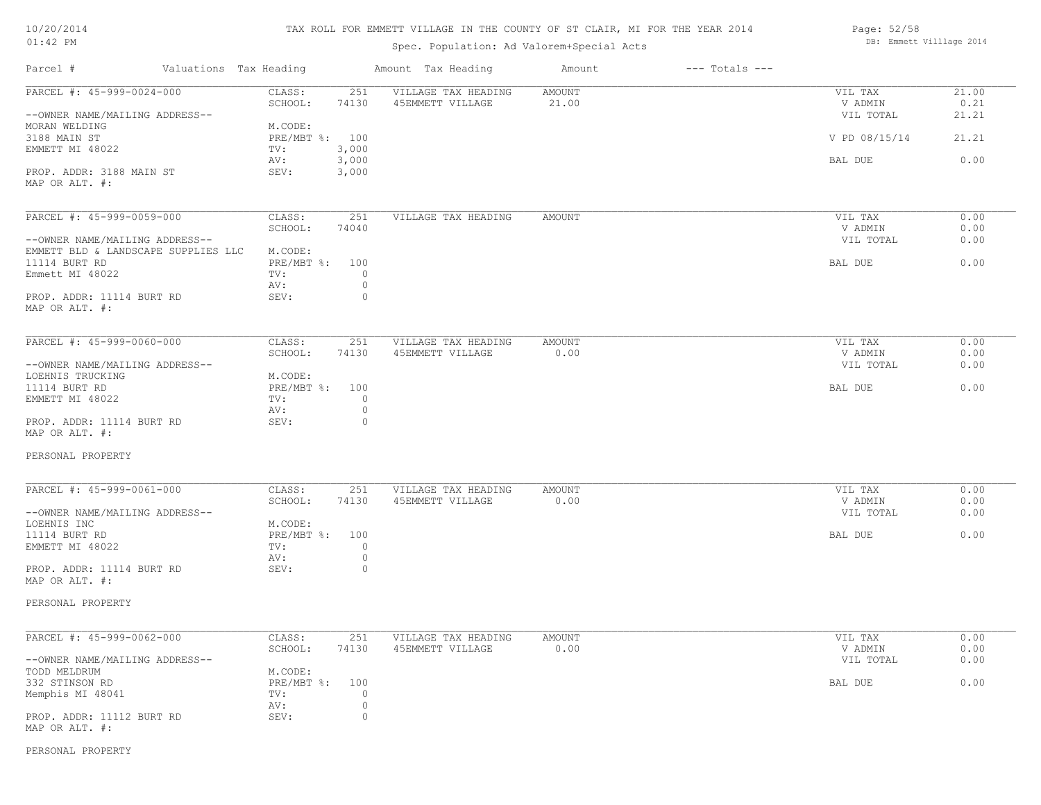| 10/20/2014 |  |
|------------|--|
| $01:42$ PM |  |

Spec. Population: Ad Valorem+Special Acts

| Page: 52/58 |                          |  |
|-------------|--------------------------|--|
|             | DB: Emmett Villlage 2014 |  |

| Parcel #                            | Valuations Tax Heading | Amount Tax Heading  | Amount        | $---$ Totals $---$ |               |       |
|-------------------------------------|------------------------|---------------------|---------------|--------------------|---------------|-------|
| PARCEL #: 45-999-0024-000           | CLASS:<br>251          | VILLAGE TAX HEADING | <b>AMOUNT</b> |                    | VIL TAX       | 21.00 |
|                                     | SCHOOL:<br>74130       | 45EMMETT VILLAGE    | 21.00         |                    | V ADMIN       | 0.21  |
| --OWNER NAME/MAILING ADDRESS--      |                        |                     |               |                    | VIL TOTAL     | 21.21 |
| MORAN WELDING                       | M.CODE:                |                     |               |                    |               |       |
| 3188 MAIN ST                        | PRE/MBT %: 100         |                     |               |                    | V PD 08/15/14 | 21.21 |
| EMMETT MI 48022                     | TV:<br>3,000           |                     |               |                    |               |       |
|                                     | AV:<br>3,000           |                     |               |                    | BAL DUE       | 0.00  |
| PROP. ADDR: 3188 MAIN ST            | 3,000<br>SEV:          |                     |               |                    |               |       |
| MAP OR ALT. #:                      |                        |                     |               |                    |               |       |
|                                     |                        |                     |               |                    |               |       |
| PARCEL #: 45-999-0059-000           | CLASS:<br>251          | VILLAGE TAX HEADING | <b>AMOUNT</b> |                    | VIL TAX       | 0.00  |
|                                     | SCHOOL:<br>74040       |                     |               |                    | V ADMIN       | 0.00  |
|                                     |                        |                     |               |                    |               |       |
| --OWNER NAME/MAILING ADDRESS--      |                        |                     |               |                    | VIL TOTAL     | 0.00  |
| EMMETT BLD & LANDSCAPE SUPPLIES LLC | M.CODE:                |                     |               |                    |               |       |
| 11114 BURT RD                       | PRE/MBT %: 100         |                     |               |                    | BAL DUE       | 0.00  |
| Emmett MI 48022                     | TV:<br>$\circ$         |                     |               |                    |               |       |
|                                     | $\circ$<br>AV:         |                     |               |                    |               |       |
| PROP. ADDR: 11114 BURT RD           | SEV:<br>$\circ$        |                     |               |                    |               |       |
| MAP OR ALT. #:                      |                        |                     |               |                    |               |       |
|                                     |                        |                     |               |                    |               |       |
|                                     |                        |                     |               |                    |               |       |
| PARCEL #: 45-999-0060-000           | CLASS:<br>251          | VILLAGE TAX HEADING | <b>AMOUNT</b> |                    | VIL TAX       | 0.00  |
|                                     | SCHOOL:<br>74130       | 45EMMETT VILLAGE    | 0.00          |                    | V ADMIN       | 0.00  |
| --OWNER NAME/MAILING ADDRESS--      |                        |                     |               |                    | VIL TOTAL     | 0.00  |
| LOEHNIS TRUCKING                    | M.CODE:                |                     |               |                    |               |       |
| 11114 BURT RD                       | PRE/MBT %: 100         |                     |               |                    | BAL DUE       | 0.00  |
| EMMETT MI 48022                     | TV:<br>$\circ$         |                     |               |                    |               |       |
|                                     | $\circ$<br>AV:         |                     |               |                    |               |       |
|                                     |                        |                     |               |                    |               |       |
| PROP. ADDR: 11114 BURT RD           | SEV:<br>$\circ$        |                     |               |                    |               |       |
| MAP OR ALT. #:                      |                        |                     |               |                    |               |       |
| PERSONAL PROPERTY                   |                        |                     |               |                    |               |       |
|                                     |                        |                     |               |                    |               |       |
| PARCEL #: 45-999-0061-000           | CLASS:<br>251          | VILLAGE TAX HEADING | <b>AMOUNT</b> |                    | VIL TAX       | 0.00  |
|                                     | SCHOOL:<br>74130       | 45EMMETT VILLAGE    | 0.00          |                    | V ADMIN       | 0.00  |
| --OWNER NAME/MAILING ADDRESS--      |                        |                     |               |                    | VIL TOTAL     | 0.00  |
|                                     |                        |                     |               |                    |               |       |
| LOEHNIS INC                         | M.CODE:                |                     |               |                    |               |       |
| 11114 BURT RD                       | PRE/MBT %:<br>100      |                     |               |                    | BAL DUE       | 0.00  |
| EMMETT MI 48022                     | TV:<br>$\circ$         |                     |               |                    |               |       |
|                                     | $\circ$<br>AV:         |                     |               |                    |               |       |
| PROP. ADDR: 11114 BURT RD           | SEV:<br>$\circ$        |                     |               |                    |               |       |
| MAP OR ALT. #:                      |                        |                     |               |                    |               |       |
|                                     |                        |                     |               |                    |               |       |
| PERSONAL PROPERTY                   |                        |                     |               |                    |               |       |
|                                     |                        |                     |               |                    |               |       |
| PARCEL #: 45-999-0062-000           | CLASS:<br>251          | VILLAGE TAX HEADING | <b>AMOUNT</b> |                    | VIL TAX       | 0.00  |
|                                     | SCHOOL:<br>74130       | 45EMMETT VILLAGE    | 0.00          |                    | V ADMIN       | 0.00  |
| --OWNER NAME/MAILING ADDRESS--      |                        |                     |               |                    | VIL TOTAL     | 0.00  |
|                                     |                        |                     |               |                    |               |       |
| TODD MELDRUM                        | M.CODE:                |                     |               |                    |               |       |
| 332 STINSON RD                      | PRE/MBT %: 100         |                     |               |                    | BAL DUE       | 0.00  |
| Memphis MI 48041                    | $\circ$<br>TV:         |                     |               |                    |               |       |
|                                     | $\circ$<br>AV:         |                     |               |                    |               |       |
| PROP. ADDR: 11112 BURT RD           | $\circ$<br>SEV:        |                     |               |                    |               |       |
| MAP OR ALT. #:                      |                        |                     |               |                    |               |       |
|                                     |                        |                     |               |                    |               |       |

PERSONAL PROPERTY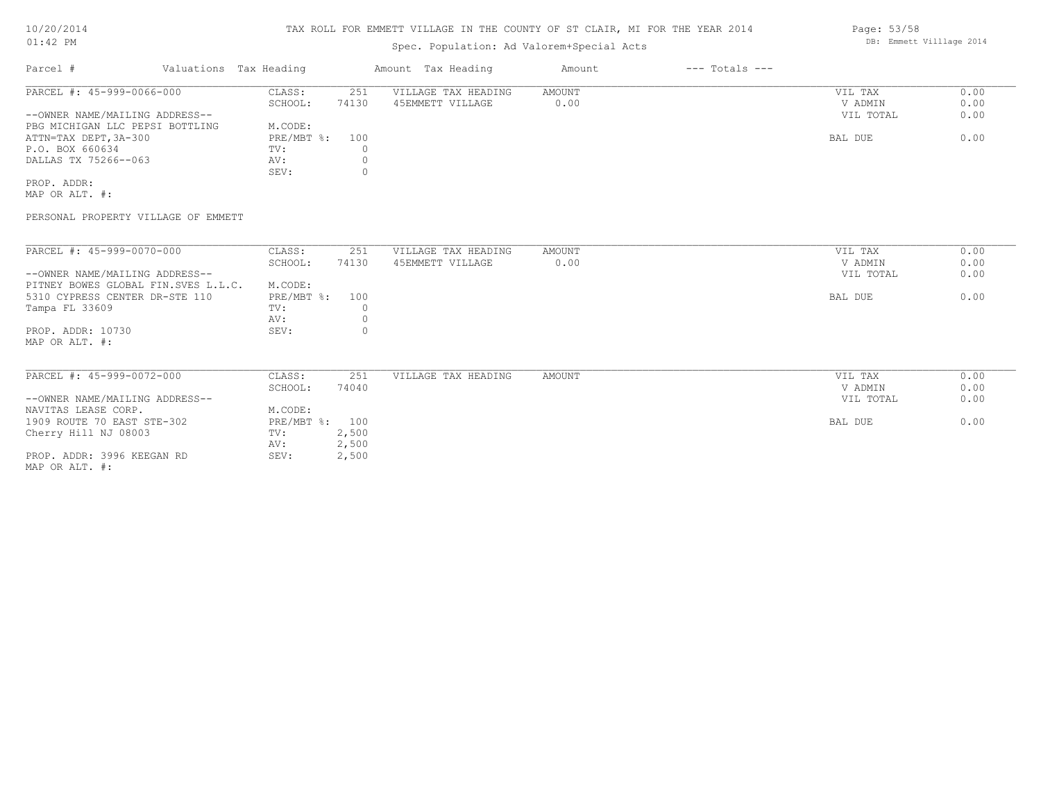# Spec. Population: Ad Valorem+Special Acts

| Parcel #                        |  | Valuations Tax Heading |       | Amount Tax Heading  | Amount | $---$ Totals $---$ |           |      |
|---------------------------------|--|------------------------|-------|---------------------|--------|--------------------|-----------|------|
| PARCEL #: 45-999-0066-000       |  | CLASS:                 | 251   | VILLAGE TAX HEADING | AMOUNT |                    | VIL TAX   | 0.00 |
|                                 |  | SCHOOL:                | 74130 | 45EMMETT VILLAGE    | 0.00   |                    | V ADMIN   | 0.00 |
| --OWNER NAME/MAILING ADDRESS--  |  |                        |       |                     |        |                    | VIL TOTAL | 0.00 |
| PBG MICHIGAN LLC PEPSI BOTTLING |  | M.CODE:                |       |                     |        |                    |           |      |
| ATTN=TAX DEPT, 3A-300           |  | $PRE/MBT$ %:           | 100   |                     |        |                    | BAL DUE   | 0.00 |
| P.O. BOX 660634                 |  | TV:                    |       |                     |        |                    |           |      |
| DALLAS TX 75266--063            |  | AV:                    |       |                     |        |                    |           |      |
|                                 |  | SEV:                   |       |                     |        |                    |           |      |
| PROP. ADDR:                     |  |                        |       |                     |        |                    |           |      |

MAP OR ALT. #:

PERSONAL PROPERTY VILLAGE OF EMMETT

| PARCEL #: 45-999-0070-000           | CLASS:         | 251   | VILLAGE TAX HEADING | AMOUNT | VIL TAX   | 0.00 |
|-------------------------------------|----------------|-------|---------------------|--------|-----------|------|
|                                     |                |       |                     |        |           |      |
|                                     | SCHOOL:        | 74130 | 45EMMETT VILLAGE    | 0.00   | V ADMIN   | 0.00 |
| --OWNER NAME/MAILING ADDRESS--      |                |       |                     |        | VIL TOTAL | 0.00 |
| PITNEY BOWES GLOBAL FIN.SVES L.L.C. | M.CODE:        |       |                     |        |           |      |
| 5310 CYPRESS CENTER DR-STE 110      | $PRE/MBT$ %:   | 100   |                     |        | BAL DUE   | 0.00 |
| Tampa FL 33609                      | TV:            |       |                     |        |           |      |
|                                     | AV:            |       |                     |        |           |      |
| PROP. ADDR: 10730                   | SEV:           |       |                     |        |           |      |
| MAP OR ALT. #:                      |                |       |                     |        |           |      |
|                                     |                |       |                     |        |           |      |
|                                     |                |       |                     |        |           |      |
| PARCEL #: 45-999-0072-000           | CLASS:         | 251   | VILLAGE TAX HEADING | AMOUNT | VIL TAX   | 0.00 |
|                                     | SCHOOL:        | 74040 |                     |        | V ADMIN   | 0.00 |
| --OWNER NAME/MAILING ADDRESS--      |                |       |                     |        | VIL TOTAL | 0.00 |
| NAVITAS LEASE CORP.                 | M.CODE:        |       |                     |        |           |      |
| 1909 ROUTE 70 EAST STE-302          | PRE/MBT %: 100 |       |                     |        | BAL DUE   | 0.00 |
| Cherry Hill NJ 08003                | TV:            | 2,500 |                     |        |           |      |
|                                     | AV:            | 2,500 |                     |        |           |      |
| PROP. ADDR: 3996 KEEGAN RD          | SEV:           | 2,500 |                     |        |           |      |
|                                     |                |       |                     |        |           |      |

MAP OR ALT. #:

Page: 53/58 DB: Emmett Villlage 2014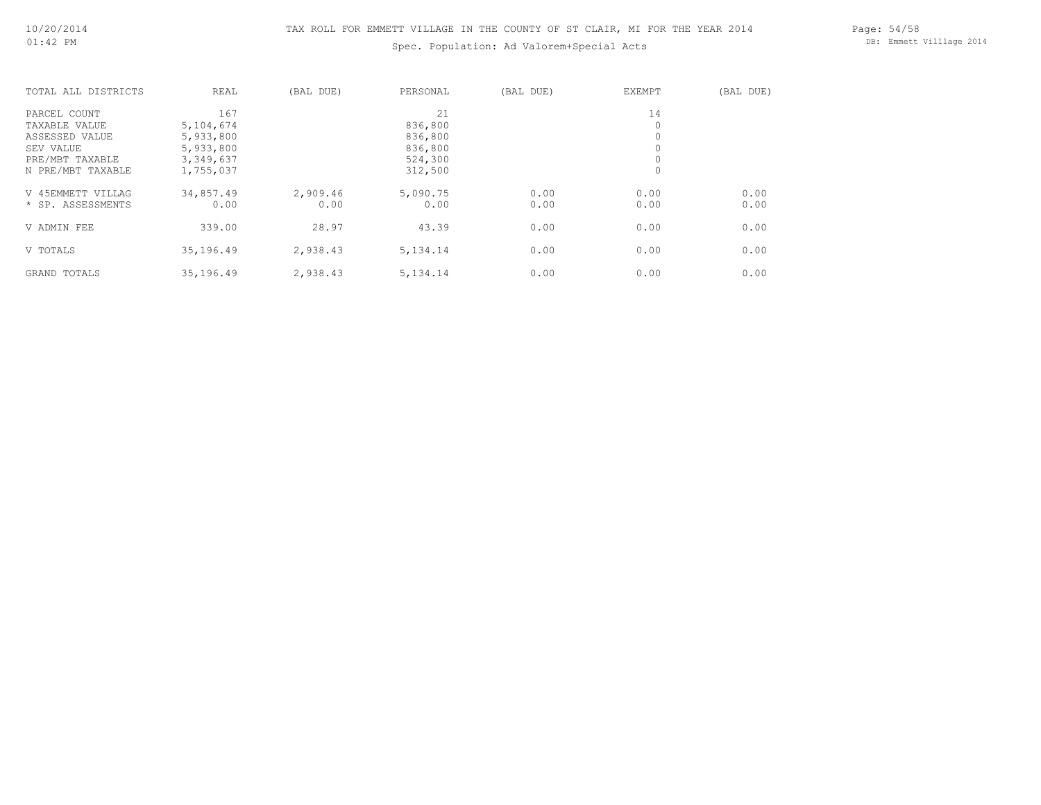# Spec. Population: Ad Valorem+Special Acts

Page: 54/58 DB: Emmett Villlage 2014

| TOTAL ALL DISTRICTS | REAL      | (BAL DUE) | PERSONAL   | (BAL DUE) | EXEMPT  | (BAL DUE) |
|---------------------|-----------|-----------|------------|-----------|---------|-----------|
| PARCEL COUNT        | 167       |           | 21         |           | 14      |           |
| TAXABLE VALUE       | 5,104,674 |           | 836,800    |           |         |           |
| ASSESSED VALUE      | 5,933,800 |           | 836,800    |           |         |           |
| SEV VALUE           | 5,933,800 |           | 836,800    |           |         |           |
| PRE/MBT TAXABLE     | 3,349,637 |           | 524,300    |           | 0       |           |
| N PRE/MBT TAXABLE   | 1,755,037 |           | 312,500    |           | $\circ$ |           |
| V 45EMMETT VILLAG   | 34,857.49 | 2,909.46  | 5,090.75   | 0.00      | 0.00    | 0.00      |
| * SP. ASSESSMENTS   | 0.00      | 0.00      | 0.00       | 0.00      | 0.00    | 0.00      |
| V ADMIN FEE         | 339.00    | 28.97     | 43.39      | 0.00      | 0.00    | 0.00      |
| V TOTALS            | 35,196.49 | 2,938.43  | 5, 134. 14 | 0.00      | 0.00    | 0.00      |
| GRAND TOTALS        | 35,196.49 | 2,938.43  | 5, 134. 14 | 0.00      | 0.00    | 0.00      |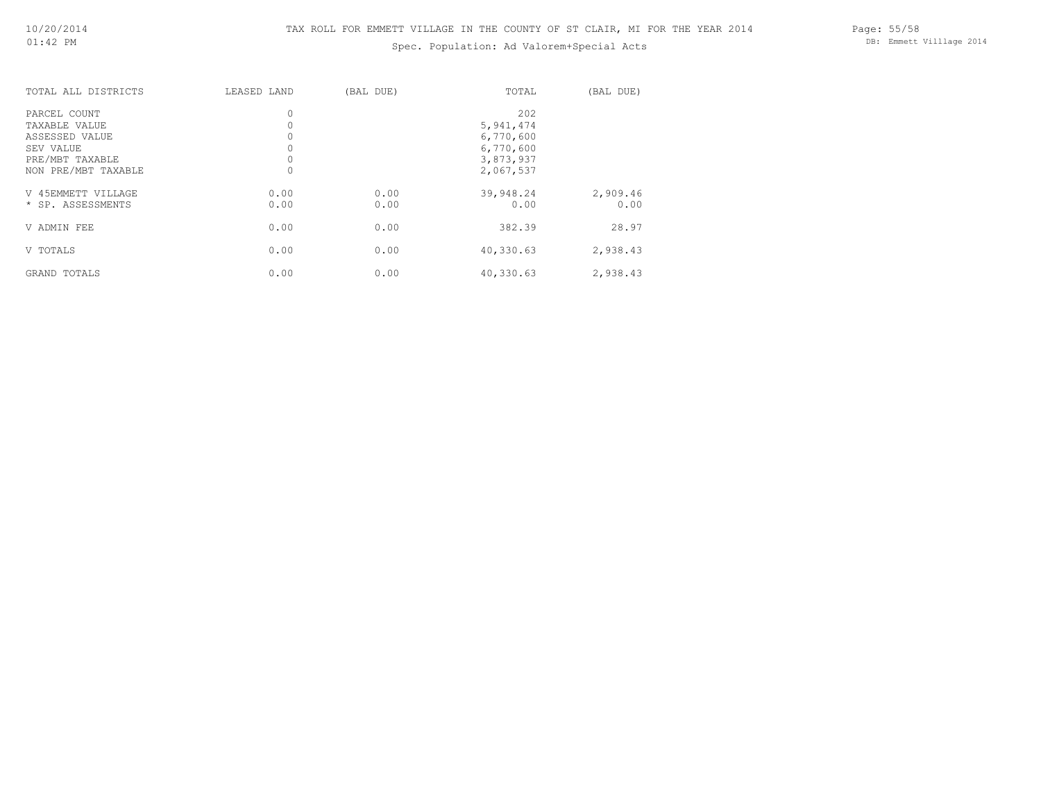# Spec. Population: Ad Valorem+Special Acts

Page: 55/58 DB: Emmett Villlage 2014

| TOTAL ALL DISTRICTS                     | LEASED LAND  | (BAL DUE)    | TOTAL                  | (BAL DUE)        |
|-----------------------------------------|--------------|--------------|------------------------|------------------|
| PARCEL COUNT                            | 0            |              | 202                    |                  |
| TAXABLE VALUE<br>ASSESSED VALUE         |              |              | 5,941,474<br>6,770,600 |                  |
| SEV VALUE<br>PRE/MBT TAXABLE            | 0            |              | 6,770,600<br>3,873,937 |                  |
| NON PRE/MBT TAXABLE                     |              |              | 2,067,537              |                  |
| V 45EMMETT VILLAGE<br>* SP. ASSESSMENTS | 0.00<br>0.00 | 0.00<br>0.00 | 39,948.24<br>0.00      | 2,909.46<br>0.00 |
| V ADMIN FEE                             | 0.00         | 0.00         | 382.39                 | 28.97            |
| V TOTALS                                | 0.00         | 0.00         | 40,330.63              | 2,938.43         |
| GRAND TOTALS                            | 0.00         | 0.00         | 40,330.63              | 2,938.43         |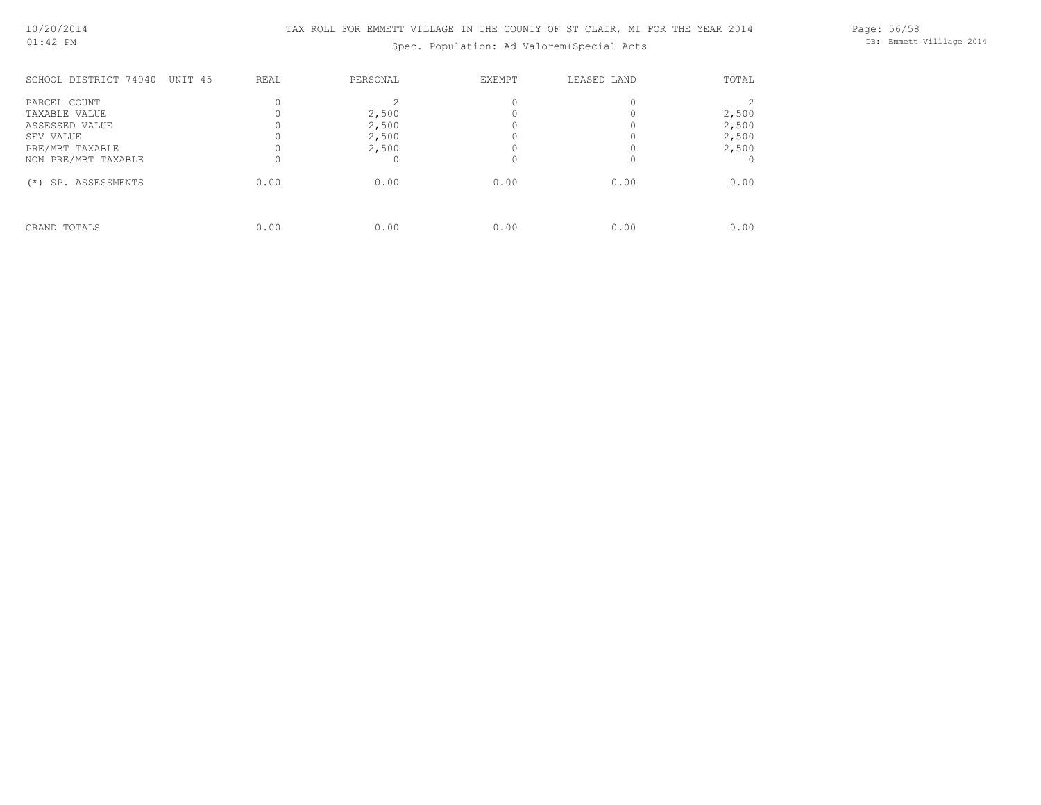Spec. Population: Ad Valorem+Special Acts

Page: 56/58 DB: Emmett Villlage 2014

| SCHOOL DISTRICT 74040<br>UNIT 45 | REAL | PERSONAL | EXEMPT | LEASED LAND | TOTAL |
|----------------------------------|------|----------|--------|-------------|-------|
| PARCEL COUNT                     |      |          |        |             |       |
| TAXABLE VALUE                    |      | 2,500    |        |             | 2,500 |
| ASSESSED VALUE                   |      | 2,500    |        |             | 2,500 |
| SEV VALUE                        |      | 2,500    |        |             | 2,500 |
| PRE/MBT TAXABLE                  |      | 2,500    |        |             | 2,500 |
| NON PRE/MBT TAXABLE              |      |          |        |             |       |
| SP. ASSESSMENTS<br>$^{(*)}$      | 0.00 | 0.00     | 0.00   | 0.00        | 0.00  |
|                                  |      |          |        |             |       |
| GRAND TOTALS                     | 0.00 | 0.00     | 0.00   | 0.00        | 0.00  |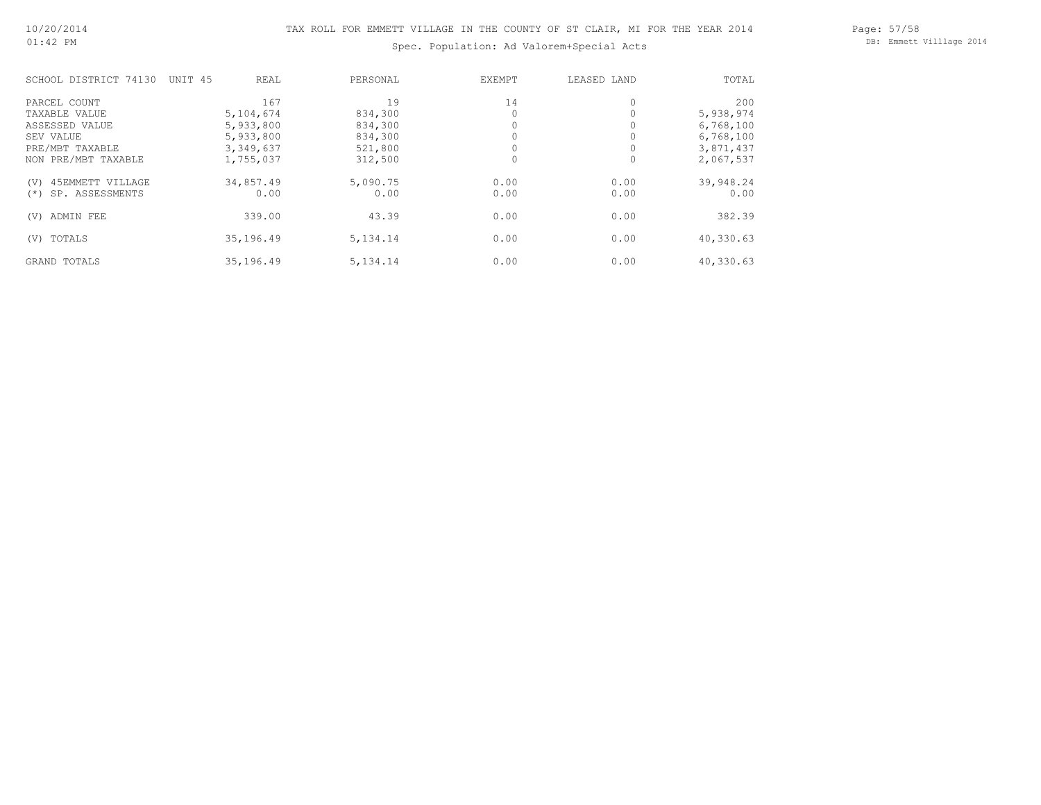Page: 57/58 DB: Emmett Villlage 2014

# Spec. Population: Ad Valorem+Special Acts

| SCHOOL DISTRICT 74130    | UNIT <sub>45</sub> | REAL      | PERSONAL   | EXEMPT   | LEASED LAND | TOTAL     |
|--------------------------|--------------------|-----------|------------|----------|-------------|-----------|
| PARCEL COUNT             |                    | 167       | 19         | 14       | $\circ$     | 200       |
| TAXABLE VALUE            |                    | 5,104,674 | 834,300    |          |             | 5,938,974 |
| ASSESSED VALUE           |                    | 5,933,800 | 834,300    |          |             | 6,768,100 |
| SEV VALUE                |                    | 5,933,800 | 834,300    |          | 0           | 6,768,100 |
| PRE/MBT TAXABLE          |                    | 3,349,637 | 521,800    |          |             | 3,871,437 |
| NON PRE/MBT TAXABLE      |                    | 1,755,037 | 312,500    | $\Omega$ | 0           | 2,067,537 |
| 45EMMETT VILLAGE<br>(V)  |                    | 34,857.49 | 5,090.75   | 0.00     | 0.00        | 39,948.24 |
| SP. ASSESSMENTS<br>$(*)$ |                    | 0.00      | 0.00       | 0.00     | 0.00        | 0.00      |
| ADMIN FEE<br>(V)         |                    | 339.00    | 43.39      | 0.00     | 0.00        | 382.39    |
| TOTALS<br>(V)            |                    | 35,196.49 | 5, 134. 14 | 0.00     | 0.00        | 40,330.63 |
| GRAND TOTALS             |                    | 35,196.49 | 5, 134. 14 | 0.00     | 0.00        | 40,330.63 |